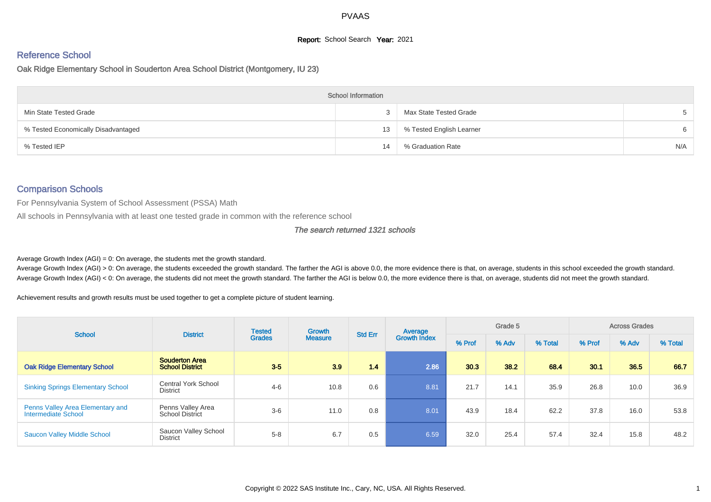# **Report:** School Search **Year:** 2021

# Reference School

Oak Ridge Elementary School in Souderton Area School District (Montgomery, IU 23)

|                                     | <b>School Information</b> |                          |     |
|-------------------------------------|---------------------------|--------------------------|-----|
| Min State Tested Grade              |                           | Max State Tested Grade   |     |
| % Tested Economically Disadvantaged | 13                        | % Tested English Learner | 6   |
| % Tested IEP                        | 14                        | % Graduation Rate        | N/A |

#### Comparison Schools

For Pennsylvania System of School Assessment (PSSA) Math

All schools in Pennsylvania with at least one tested grade in common with the reference school

#### The search returned 1321 schools

Average Growth Index  $(AGI) = 0$ : On average, the students met the growth standard.

Average Growth Index (AGI) > 0: On average, the students exceeded the growth standard. The farther the AGI is above 0.0, the more evidence there is that, on average, students in this school exceeded the growth standard. Average Growth Index (AGI) < 0: On average, the students did not meet the growth standard. The farther the AGI is below 0.0, the more evidence there is that, on average, students did not meet the growth standard.

Achievement results and growth results must be used together to get a complete picture of student learning.

| <b>School</b>                                           | <b>District</b>                                 | <b>Tested</b> | Growth         | <b>Std Err</b> | Average             |        | Grade 5 |         |        | <b>Across Grades</b> |         |
|---------------------------------------------------------|-------------------------------------------------|---------------|----------------|----------------|---------------------|--------|---------|---------|--------|----------------------|---------|
|                                                         |                                                 | <b>Grades</b> | <b>Measure</b> |                | <b>Growth Index</b> | % Prof | % Adv   | % Total | % Prof | % Adv                | % Total |
| <b>Oak Ridge Elementary School</b>                      | <b>Souderton Area</b><br><b>School District</b> | $3-5$         | 3.9            | 1.4            | 2.86                | 30.3   | 38.2    | 68.4    | 30.1   | 36.5                 | 66.7    |
| <b>Sinking Springs Elementary School</b>                | <b>Central York School</b><br><b>District</b>   | $4 - 6$       | 10.8           | 0.6            | 8.81                | 21.7   | 14.1    | 35.9    | 26.8   | 10.0                 | 36.9    |
| Penns Valley Area Elementary and<br>Intermediate School | Penns Valley Area<br><b>School District</b>     | $3-6$         | 11.0           | 0.8            | 8.01                | 43.9   | 18.4    | 62.2    | 37.8   | 16.0                 | 53.8    |
| <b>Saucon Valley Middle School</b>                      | Saucon Valley School<br>District                | $5 - 8$       | 6.7            | 0.5            | 6.59                | 32.0   | 25.4    | 57.4    | 32.4   | 15.8                 | 48.2    |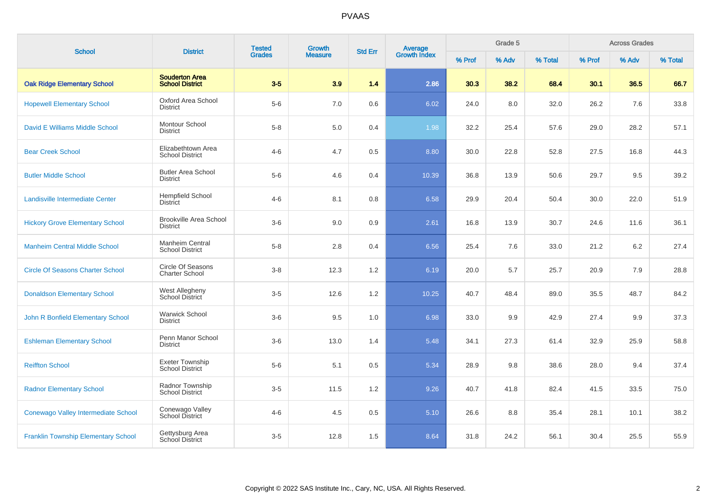| <b>School</b>                              |                                                  | <b>Tested</b><br>Growth<br><b>District</b><br><b>Grades</b><br><b>Measure</b> | <b>Std Err</b> | Average<br>Growth Index |       | Grade 5 |       | <b>Across Grades</b> |        |       |         |
|--------------------------------------------|--------------------------------------------------|-------------------------------------------------------------------------------|----------------|-------------------------|-------|---------|-------|----------------------|--------|-------|---------|
|                                            |                                                  |                                                                               |                |                         |       | % Prof  | % Adv | % Total              | % Prof | % Adv | % Total |
| <b>Oak Ridge Elementary School</b>         | <b>Souderton Area</b><br><b>School District</b>  | $3-5$                                                                         | 3.9            | 1.4                     | 2.86  | 30.3    | 38.2  | 68.4                 | 30.1   | 36.5  | 66.7    |
| <b>Hopewell Elementary School</b>          | Oxford Area School<br><b>District</b>            | $5-6$                                                                         | $7.0\,$        | 0.6                     | 6.02  | 24.0    | 8.0   | 32.0                 | 26.2   | 7.6   | 33.8    |
| David E Williams Middle School             | Montour School<br><b>District</b>                | $5-8$                                                                         | 5.0            | 0.4                     | 1.98  | 32.2    | 25.4  | 57.6                 | 29.0   | 28.2  | 57.1    |
| <b>Bear Creek School</b>                   | Elizabethtown Area<br><b>School District</b>     | $4 - 6$                                                                       | 4.7            | 0.5                     | 8.80  | 30.0    | 22.8  | 52.8                 | 27.5   | 16.8  | 44.3    |
| <b>Butler Middle School</b>                | <b>Butler Area School</b><br><b>District</b>     | $5-6$                                                                         | 4.6            | 0.4                     | 10.39 | 36.8    | 13.9  | 50.6                 | 29.7   | 9.5   | 39.2    |
| Landisville Intermediate Center            | <b>Hempfield School</b><br><b>District</b>       | $4 - 6$                                                                       | 8.1            | 0.8                     | 6.58  | 29.9    | 20.4  | 50.4                 | 30.0   | 22.0  | 51.9    |
| <b>Hickory Grove Elementary School</b>     | <b>Brookville Area School</b><br><b>District</b> | $3-6$                                                                         | 9.0            | 0.9                     | 2.61  | 16.8    | 13.9  | 30.7                 | 24.6   | 11.6  | 36.1    |
| <b>Manheim Central Middle School</b>       | Manheim Central<br><b>School District</b>        | $5 - 8$                                                                       | 2.8            | 0.4                     | 6.56  | 25.4    | 7.6   | 33.0                 | 21.2   | 6.2   | 27.4    |
| <b>Circle Of Seasons Charter School</b>    | Circle Of Seasons<br><b>Charter School</b>       | $3 - 8$                                                                       | 12.3           | 1.2                     | 6.19  | 20.0    | 5.7   | 25.7                 | 20.9   | 7.9   | 28.8    |
| <b>Donaldson Elementary School</b>         | West Allegheny<br>School District                | $3-5$                                                                         | 12.6           | 1.2                     | 10.25 | 40.7    | 48.4  | 89.0                 | 35.5   | 48.7  | 84.2    |
| John R Bonfield Elementary School          | <b>Warwick School</b><br><b>District</b>         | $3-6$                                                                         | 9.5            | 1.0                     | 6.98  | 33.0    | 9.9   | 42.9                 | 27.4   | 9.9   | 37.3    |
| <b>Eshleman Elementary School</b>          | Penn Manor School<br><b>District</b>             | $3-6$                                                                         | 13.0           | 1.4                     | 5.48  | 34.1    | 27.3  | 61.4                 | 32.9   | 25.9  | 58.8    |
| <b>Reiffton School</b>                     | Exeter Township<br>School District               | $5-6$                                                                         | 5.1            | 0.5                     | 5.34  | 28.9    | 9.8   | 38.6                 | 28.0   | 9.4   | 37.4    |
| <b>Radnor Elementary School</b>            | Radnor Township<br><b>School District</b>        | $3-5$                                                                         | 11.5           | 1.2                     | 9.26  | 40.7    | 41.8  | 82.4                 | 41.5   | 33.5  | 75.0    |
| Conewago Valley Intermediate School        | Conewago Valley<br>School District               | $4 - 6$                                                                       | 4.5            | 0.5                     | 5.10  | 26.6    | 8.8   | 35.4                 | 28.1   | 10.1  | 38.2    |
| <b>Franklin Township Elementary School</b> | Gettysburg Area<br>School District               | $3-5$                                                                         | 12.8           | 1.5                     | 8.64  | 31.8    | 24.2  | 56.1                 | 30.4   | 25.5  | 55.9    |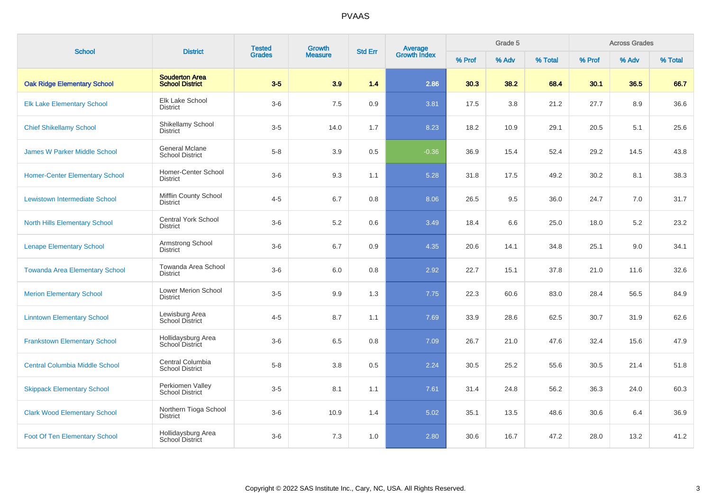| <b>School</b>                         | <b>District</b>                                 | <b>Tested</b> | <b>Growth</b>  | <b>Std Err</b> |                                |        | Grade 5 |         |        | <b>Across Grades</b> |         |
|---------------------------------------|-------------------------------------------------|---------------|----------------|----------------|--------------------------------|--------|---------|---------|--------|----------------------|---------|
|                                       |                                                 | <b>Grades</b> | <b>Measure</b> |                | <b>Average</b><br>Growth Index | % Prof | % Adv   | % Total | % Prof | % Adv                | % Total |
| <b>Oak Ridge Elementary School</b>    | <b>Souderton Area</b><br><b>School District</b> | $3-5$         | 3.9            | 1.4            | 2.86                           | 30.3   | 38.2    | 68.4    | 30.1   | 36.5                 | 66.7    |
| <b>Elk Lake Elementary School</b>     | <b>Elk Lake School</b><br><b>District</b>       | $3-6$         | 7.5            | 0.9            | 3.81                           | 17.5   | 3.8     | 21.2    | 27.7   | 8.9                  | 36.6    |
| <b>Chief Shikellamy School</b>        | Shikellamy School<br><b>District</b>            | $3-5$         | 14.0           | 1.7            | 8.23                           | 18.2   | 10.9    | 29.1    | 20.5   | 5.1                  | 25.6    |
| <b>James W Parker Middle School</b>   | General Mclane<br><b>School District</b>        | $5-8$         | 3.9            | 0.5            | $-0.36$                        | 36.9   | 15.4    | 52.4    | 29.2   | 14.5                 | 43.8    |
| <b>Homer-Center Elementary School</b> | Homer-Center School<br><b>District</b>          | $3-6$         | 9.3            | 1.1            | 5.28                           | 31.8   | 17.5    | 49.2    | 30.2   | 8.1                  | 38.3    |
| <b>Lewistown Intermediate School</b>  | <b>Mifflin County School</b><br><b>District</b> | $4 - 5$       | 6.7            | 0.8            | 8.06                           | 26.5   | 9.5     | 36.0    | 24.7   | 7.0                  | 31.7    |
| <b>North Hills Elementary School</b>  | <b>Central York School</b><br><b>District</b>   | $3-6$         | 5.2            | 0.6            | 3.49                           | 18.4   | 6.6     | 25.0    | 18.0   | 5.2                  | 23.2    |
| <b>Lenape Elementary School</b>       | Armstrong School<br><b>District</b>             | $3-6$         | 6.7            | 0.9            | 4.35                           | 20.6   | 14.1    | 34.8    | 25.1   | 9.0                  | 34.1    |
| <b>Towanda Area Elementary School</b> | Towanda Area School<br><b>District</b>          | $3-6$         | 6.0            | 0.8            | 2.92                           | 22.7   | 15.1    | 37.8    | 21.0   | 11.6                 | 32.6    |
| <b>Merion Elementary School</b>       | Lower Merion School<br><b>District</b>          | $3-5$         | 9.9            | 1.3            | 7.75                           | 22.3   | 60.6    | 83.0    | 28.4   | 56.5                 | 84.9    |
| <b>Linntown Elementary School</b>     | Lewisburg Area<br>School District               | $4 - 5$       | 8.7            | 1.1            | 7.69                           | 33.9   | 28.6    | 62.5    | 30.7   | 31.9                 | 62.6    |
| <b>Frankstown Elementary School</b>   | Hollidaysburg Area<br>School District           | $3-6$         | 6.5            | 0.8            | 7.09                           | 26.7   | 21.0    | 47.6    | 32.4   | 15.6                 | 47.9    |
| <b>Central Columbia Middle School</b> | Central Columbia<br><b>School District</b>      | $5 - 8$       | 3.8            | 0.5            | 2.24                           | 30.5   | 25.2    | 55.6    | 30.5   | 21.4                 | 51.8    |
| <b>Skippack Elementary School</b>     | Perkiomen Valley<br><b>School District</b>      | $3-5$         | 8.1            | 1.1            | 7.61                           | 31.4   | 24.8    | 56.2    | 36.3   | 24.0                 | 60.3    |
| <b>Clark Wood Elementary School</b>   | Northern Tioga School<br><b>District</b>        | $3-6$         | 10.9           | 1.4            | 5.02                           | 35.1   | 13.5    | 48.6    | 30.6   | 6.4                  | 36.9    |
| <b>Foot Of Ten Elementary School</b>  | Hollidaysburg Area<br>School District           | $3-6$         | 7.3            | 1.0            | 2.80                           | 30.6   | 16.7    | 47.2    | 28.0   | 13.2                 | 41.2    |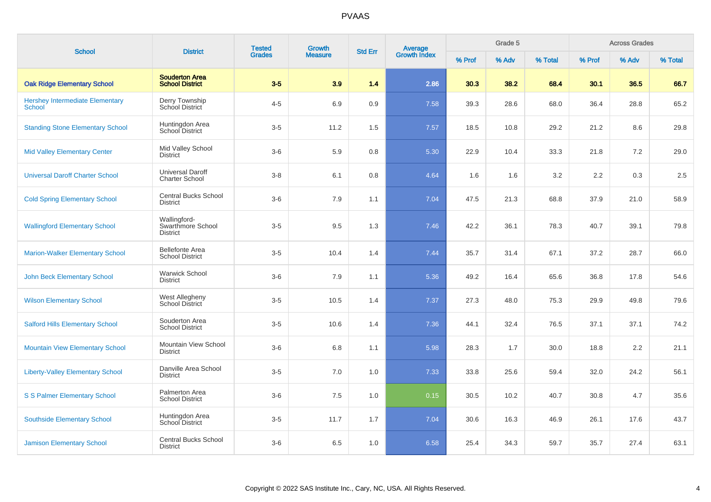| <b>School</b>                                           | <b>District</b>                                      | <b>Tested</b> | <b>Growth</b>  | <b>Std Err</b> |                                |        | Grade 5 |         |        | <b>Across Grades</b> |         |
|---------------------------------------------------------|------------------------------------------------------|---------------|----------------|----------------|--------------------------------|--------|---------|---------|--------|----------------------|---------|
|                                                         |                                                      | <b>Grades</b> | <b>Measure</b> |                | <b>Average</b><br>Growth Index | % Prof | % Adv   | % Total | % Prof | % Adv                | % Total |
| <b>Oak Ridge Elementary School</b>                      | <b>Souderton Area</b><br><b>School District</b>      | $3-5$         | 3.9            | 1.4            | 2.86                           | 30.3   | 38.2    | 68.4    | 30.1   | 36.5                 | 66.7    |
| <b>Hershey Intermediate Elementary</b><br><b>School</b> | Derry Township<br>School District                    | $4 - 5$       | 6.9            | 0.9            | 7.58                           | 39.3   | 28.6    | 68.0    | 36.4   | 28.8                 | 65.2    |
| <b>Standing Stone Elementary School</b>                 | Huntingdon Area<br>School District                   | $3-5$         | 11.2           | 1.5            | 7.57                           | 18.5   | 10.8    | 29.2    | 21.2   | 8.6                  | 29.8    |
| <b>Mid Valley Elementary Center</b>                     | Mid Valley School<br><b>District</b>                 | $3-6$         | 5.9            | 0.8            | 5.30                           | 22.9   | 10.4    | 33.3    | 21.8   | $7.2\,$              | 29.0    |
| <b>Universal Daroff Charter School</b>                  | <b>Universal Daroff</b><br><b>Charter School</b>     | $3-8$         | 6.1            | 0.8            | 4.64                           | 1.6    | 1.6     | 3.2     | 2.2    | 0.3                  | 2.5     |
| <b>Cold Spring Elementary School</b>                    | <b>Central Bucks School</b><br><b>District</b>       | $3-6$         | 7.9            | 1.1            | 7.04                           | 47.5   | 21.3    | 68.8    | 37.9   | 21.0                 | 58.9    |
| <b>Wallingford Elementary School</b>                    | Wallingford-<br>Swarthmore School<br><b>District</b> | $3-5$         | 9.5            | 1.3            | 7.46                           | 42.2   | 36.1    | 78.3    | 40.7   | 39.1                 | 79.8    |
| <b>Marion-Walker Elementary School</b>                  | <b>Bellefonte Area</b><br><b>School District</b>     | $3-5$         | 10.4           | 1.4            | 7.44                           | 35.7   | 31.4    | 67.1    | 37.2   | 28.7                 | 66.0    |
| <b>John Beck Elementary School</b>                      | <b>Warwick School</b><br><b>District</b>             | $3-6$         | 7.9            | 1.1            | 5.36                           | 49.2   | 16.4    | 65.6    | 36.8   | 17.8                 | 54.6    |
| <b>Wilson Elementary School</b>                         | <b>West Allegheny</b><br>School District             | $3-5$         | 10.5           | 1.4            | 7.37                           | 27.3   | 48.0    | 75.3    | 29.9   | 49.8                 | 79.6    |
| <b>Salford Hills Elementary School</b>                  | Souderton Area<br><b>School District</b>             | $3-5$         | 10.6           | 1.4            | 7.36                           | 44.1   | 32.4    | 76.5    | 37.1   | 37.1                 | 74.2    |
| <b>Mountain View Elementary School</b>                  | Mountain View School<br><b>District</b>              | $3-6$         | 6.8            | 1.1            | 5.98                           | 28.3   | 1.7     | 30.0    | 18.8   | 2.2                  | 21.1    |
| <b>Liberty-Valley Elementary School</b>                 | Danville Area School<br><b>District</b>              | $3-5$         | 7.0            | 1.0            | 7.33                           | 33.8   | 25.6    | 59.4    | 32.0   | 24.2                 | 56.1    |
| <b>S S Palmer Elementary School</b>                     | Palmerton Area<br><b>School District</b>             | $3-6$         | 7.5            | 1.0            | 0.15                           | 30.5   | 10.2    | 40.7    | 30.8   | 4.7                  | 35.6    |
| <b>Southside Elementary School</b>                      | Huntingdon Area<br><b>School District</b>            | $3-5$         | 11.7           | 1.7            | 7.04                           | 30.6   | 16.3    | 46.9    | 26.1   | 17.6                 | 43.7    |
| <b>Jamison Elementary School</b>                        | <b>Central Bucks School</b><br><b>District</b>       | $3-6$         | 6.5            | 1.0            | 6.58                           | 25.4   | 34.3    | 59.7    | 35.7   | 27.4                 | 63.1    |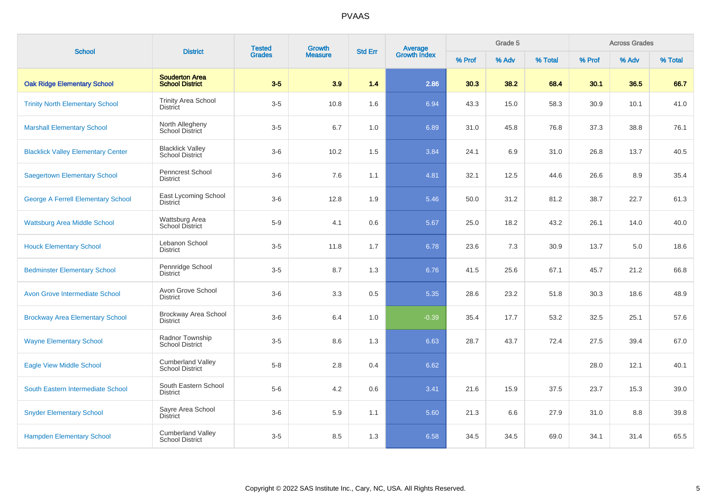| <b>School</b>                             | <b>Tested</b><br>Growth<br><b>District</b><br><b>Grades</b> |       | <b>Std Err</b> | <b>Average</b><br>Growth Index |         | Grade 5 |       | <b>Across Grades</b> |        |       |         |
|-------------------------------------------|-------------------------------------------------------------|-------|----------------|--------------------------------|---------|---------|-------|----------------------|--------|-------|---------|
|                                           |                                                             |       | <b>Measure</b> |                                |         | % Prof  | % Adv | % Total              | % Prof | % Adv | % Total |
| <b>Oak Ridge Elementary School</b>        | <b>Souderton Area</b><br><b>School District</b>             | $3-5$ | 3.9            | 1.4                            | 2.86    | 30.3    | 38.2  | 68.4                 | 30.1   | 36.5  | 66.7    |
| <b>Trinity North Elementary School</b>    | <b>Trinity Area School</b><br><b>District</b>               | $3-5$ | 10.8           | 1.6                            | 6.94    | 43.3    | 15.0  | 58.3                 | 30.9   | 10.1  | 41.0    |
| <b>Marshall Elementary School</b>         | North Allegheny<br>School District                          | $3-5$ | 6.7            | 1.0                            | 6.89    | 31.0    | 45.8  | 76.8                 | 37.3   | 38.8  | 76.1    |
| <b>Blacklick Valley Elementary Center</b> | <b>Blacklick Valley</b><br>School District                  | $3-6$ | 10.2           | 1.5                            | 3.84    | 24.1    | 6.9   | 31.0                 | 26.8   | 13.7  | 40.5    |
| <b>Saegertown Elementary School</b>       | Penncrest School<br><b>District</b>                         | $3-6$ | 7.6            | 1.1                            | 4.81    | 32.1    | 12.5  | 44.6                 | 26.6   | 8.9   | 35.4    |
| <b>George A Ferrell Elementary School</b> | East Lycoming School<br><b>District</b>                     | $3-6$ | 12.8           | 1.9                            | 5.46    | 50.0    | 31.2  | 81.2                 | 38.7   | 22.7  | 61.3    |
| <b>Wattsburg Area Middle School</b>       | Wattsburg Area<br>School District                           | $5-9$ | 4.1            | 0.6                            | 5.67    | 25.0    | 18.2  | 43.2                 | 26.1   | 14.0  | 40.0    |
| <b>Houck Elementary School</b>            | Lebanon School<br><b>District</b>                           | $3-5$ | 11.8           | 1.7                            | 6.78    | 23.6    | 7.3   | 30.9                 | 13.7   | 5.0   | 18.6    |
| <b>Bedminster Elementary School</b>       | Pennridge School<br>District                                | $3-5$ | 8.7            | 1.3                            | 6.76    | 41.5    | 25.6  | 67.1                 | 45.7   | 21.2  | 66.8    |
| <b>Avon Grove Intermediate School</b>     | Avon Grove School<br><b>District</b>                        | $3-6$ | 3.3            | 0.5                            | 5.35    | 28.6    | 23.2  | 51.8                 | 30.3   | 18.6  | 48.9    |
| <b>Brockway Area Elementary School</b>    | Brockway Area School<br><b>District</b>                     | $3-6$ | 6.4            | 1.0                            | $-0.39$ | 35.4    | 17.7  | 53.2                 | 32.5   | 25.1  | 57.6    |
| <b>Wayne Elementary School</b>            | Radnor Township<br><b>School District</b>                   | $3-5$ | 8.6            | 1.3                            | 6.63    | 28.7    | 43.7  | 72.4                 | 27.5   | 39.4  | 67.0    |
| <b>Eagle View Middle School</b>           | <b>Cumberland Valley</b><br><b>School District</b>          | $5-8$ | 2.8            | 0.4                            | 6.62    |         |       |                      | 28.0   | 12.1  | 40.1    |
| South Eastern Intermediate School         | South Eastern School<br><b>District</b>                     | $5-6$ | 4.2            | 0.6                            | 3.41    | 21.6    | 15.9  | 37.5                 | 23.7   | 15.3  | 39.0    |
| <b>Snyder Elementary School</b>           | Sayre Area School<br><b>District</b>                        | $3-6$ | 5.9            | 1.1                            | 5.60    | 21.3    | 6.6   | 27.9                 | 31.0   | 8.8   | 39.8    |
| <b>Hampden Elementary School</b>          | <b>Cumberland Valley</b><br><b>School District</b>          | $3-5$ | 8.5            | 1.3                            | 6.58    | 34.5    | 34.5  | 69.0                 | 34.1   | 31.4  | 65.5    |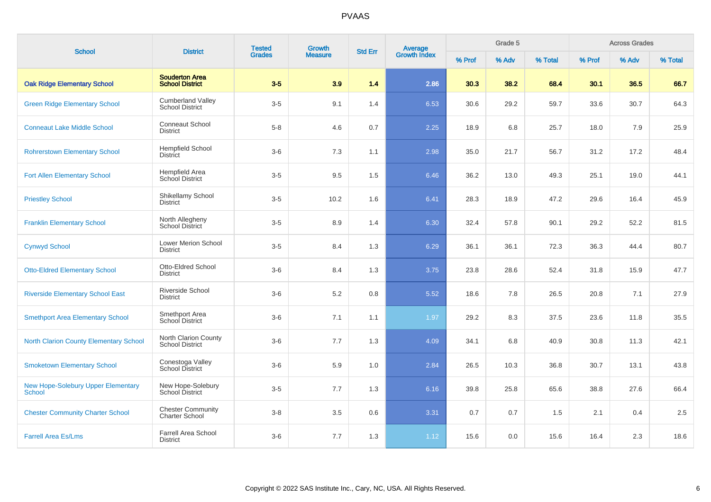| <b>School</b>                                              | <b>District</b>                                    | <b>Tested</b> | Growth         | <b>Std Err</b> |                                |        | Grade 5 |         |        | <b>Across Grades</b> |         |
|------------------------------------------------------------|----------------------------------------------------|---------------|----------------|----------------|--------------------------------|--------|---------|---------|--------|----------------------|---------|
|                                                            |                                                    | <b>Grades</b> | <b>Measure</b> |                | <b>Average</b><br>Growth Index | % Prof | % Adv   | % Total | % Prof | % Adv                | % Total |
| <b>Oak Ridge Elementary School</b>                         | <b>Souderton Area</b><br><b>School District</b>    | $3-5$         | 3.9            | 1.4            | 2.86                           | 30.3   | 38.2    | 68.4    | 30.1   | 36.5                 | 66.7    |
| <b>Green Ridge Elementary School</b>                       | <b>Cumberland Valley</b><br><b>School District</b> | $3-5$         | 9.1            | 1.4            | 6.53                           | 30.6   | 29.2    | 59.7    | 33.6   | 30.7                 | 64.3    |
| <b>Conneaut Lake Middle School</b>                         | <b>Conneaut School</b><br><b>District</b>          | $5 - 8$       | 4.6            | 0.7            | 2.25                           | 18.9   | 6.8     | 25.7    | 18.0   | 7.9                  | 25.9    |
| <b>Rohrerstown Elementary School</b>                       | <b>Hempfield School</b><br><b>District</b>         | $3-6$         | 7.3            | 1.1            | 2.98                           | 35.0   | 21.7    | 56.7    | 31.2   | 17.2                 | 48.4    |
| <b>Fort Allen Elementary School</b>                        | Hempfield Area<br>School District                  | $3-5$         | 9.5            | 1.5            | 6.46                           | 36.2   | 13.0    | 49.3    | 25.1   | 19.0                 | 44.1    |
| <b>Priestley School</b>                                    | Shikellamy School<br>District                      | $3-5$         | 10.2           | 1.6            | 6.41                           | 28.3   | 18.9    | 47.2    | 29.6   | 16.4                 | 45.9    |
| <b>Franklin Elementary School</b>                          | North Allegheny<br><b>School District</b>          | $3-5$         | 8.9            | 1.4            | 6.30                           | 32.4   | 57.8    | 90.1    | 29.2   | 52.2                 | 81.5    |
| <b>Cynwyd School</b>                                       | <b>Lower Merion School</b><br><b>District</b>      | $3-5$         | 8.4            | 1.3            | 6.29                           | 36.1   | 36.1    | 72.3    | 36.3   | 44.4                 | 80.7    |
| <b>Otto-Eldred Elementary School</b>                       | Otto-Eldred School<br><b>District</b>              | $3-6$         | 8.4            | 1.3            | 3.75                           | 23.8   | 28.6    | 52.4    | 31.8   | 15.9                 | 47.7    |
| <b>Riverside Elementary School East</b>                    | Riverside School<br><b>District</b>                | $3-6$         | 5.2            | 0.8            | 5.52                           | 18.6   | 7.8     | 26.5    | 20.8   | 7.1                  | 27.9    |
| <b>Smethport Area Elementary School</b>                    | Smethport Area<br>School District                  | $3-6$         | 7.1            | 1.1            | 1.97                           | 29.2   | 8.3     | 37.5    | 23.6   | 11.8                 | 35.5    |
| <b>North Clarion County Elementary School</b>              | North Clarion County<br><b>School District</b>     | $3-6$         | 7.7            | 1.3            | 4.09                           | 34.1   | 6.8     | 40.9    | 30.8   | 11.3                 | 42.1    |
| <b>Smoketown Elementary School</b>                         | Conestoga Valley<br>School District                | $3-6$         | 5.9            | 1.0            | 2.84                           | 26.5   | 10.3    | 36.8    | 30.7   | 13.1                 | 43.8    |
| <b>New Hope-Solebury Upper Elementary</b><br><b>School</b> | New Hope-Solebury<br>School District               | $3-5$         | 7.7            | 1.3            | 6.16                           | 39.8   | 25.8    | 65.6    | 38.8   | 27.6                 | 66.4    |
| <b>Chester Community Charter School</b>                    | <b>Chester Community</b><br><b>Charter School</b>  | $3-8$         | 3.5            | $0.6\,$        | 3.31                           | 0.7    | 0.7     | 1.5     | 2.1    | 0.4                  | 2.5     |
| <b>Farrell Area Es/Lms</b>                                 | <b>Farrell Area School</b><br><b>District</b>      | $3-6$         | 7.7            | 1.3            | 1.12                           | 15.6   | 0.0     | 15.6    | 16.4   | 2.3                  | 18.6    |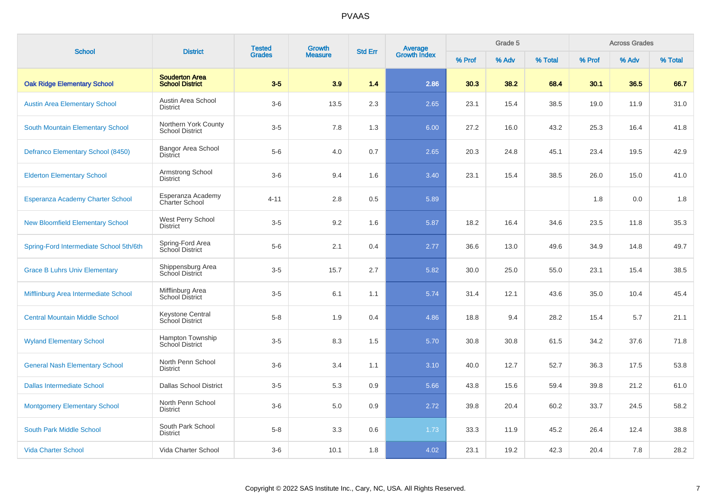| <b>School</b>                           | <b>District</b>                                 | <b>Tested</b> | Growth         |                |                                |        | Grade 5 |         |        | <b>Across Grades</b> |         |
|-----------------------------------------|-------------------------------------------------|---------------|----------------|----------------|--------------------------------|--------|---------|---------|--------|----------------------|---------|
|                                         |                                                 | <b>Grades</b> | <b>Measure</b> | <b>Std Err</b> | <b>Average</b><br>Growth Index | % Prof | % Adv   | % Total | % Prof | % Adv                | % Total |
| <b>Oak Ridge Elementary School</b>      | <b>Souderton Area</b><br><b>School District</b> | $3-5$         | 3.9            | 1.4            | 2.86                           | 30.3   | 38.2    | 68.4    | 30.1   | 36.5                 | 66.7    |
| <b>Austin Area Elementary School</b>    | Austin Area School<br><b>District</b>           | $3-6$         | 13.5           | 2.3            | 2.65                           | 23.1   | 15.4    | 38.5    | 19.0   | 11.9                 | 31.0    |
| South Mountain Elementary School        | Northern York County<br><b>School District</b>  | $3-5$         | 7.8            | 1.3            | 6.00                           | 27.2   | 16.0    | 43.2    | 25.3   | 16.4                 | 41.8    |
| Defranco Elementary School (8450)       | <b>Bangor Area School</b><br><b>District</b>    | $5-6$         | 4.0            | 0.7            | 2.65                           | 20.3   | 24.8    | 45.1    | 23.4   | 19.5                 | 42.9    |
| <b>Elderton Elementary School</b>       | Armstrong School<br><b>District</b>             | $3-6$         | 9.4            | 1.6            | 3.40                           | 23.1   | 15.4    | 38.5    | 26.0   | 15.0                 | 41.0    |
| <b>Esperanza Academy Charter School</b> | Esperanza Academy<br><b>Charter School</b>      | $4 - 11$      | 2.8            | 0.5            | 5.89                           |        |         |         | 1.8    | 0.0                  | 1.8     |
| <b>New Bloomfield Elementary School</b> | West Perry School<br><b>District</b>            | $3-5$         | 9.2            | 1.6            | 5.87                           | 18.2   | 16.4    | 34.6    | 23.5   | 11.8                 | 35.3    |
| Spring-Ford Intermediate School 5th/6th | Spring-Ford Area<br>School District             | $5-6$         | 2.1            | 0.4            | 2.77                           | 36.6   | 13.0    | 49.6    | 34.9   | 14.8                 | 49.7    |
| <b>Grace B Luhrs Univ Elementary</b>    | Shippensburg Area<br>School District            | $3-5$         | 15.7           | 2.7            | 5.82                           | 30.0   | 25.0    | 55.0    | 23.1   | 15.4                 | 38.5    |
| Mifflinburg Area Intermediate School    | Mifflinburg Area<br>School District             | $3-5$         | 6.1            | 1.1            | 5.74                           | 31.4   | 12.1    | 43.6    | 35.0   | 10.4                 | 45.4    |
| <b>Central Mountain Middle School</b>   | Keystone Central<br>School District             | $5 - 8$       | 1.9            | 0.4            | 4.86                           | 18.8   | 9.4     | 28.2    | 15.4   | 5.7                  | 21.1    |
| <b>Wyland Elementary School</b>         | Hampton Township<br><b>School District</b>      | $3-5$         | 8.3            | 1.5            | 5.70                           | 30.8   | 30.8    | 61.5    | 34.2   | 37.6                 | 71.8    |
| <b>General Nash Elementary School</b>   | North Penn School<br><b>District</b>            | $3-6$         | 3.4            | 1.1            | 3.10                           | 40.0   | 12.7    | 52.7    | 36.3   | 17.5                 | 53.8    |
| <b>Dallas Intermediate School</b>       | <b>Dallas School District</b>                   | $3-5$         | 5.3            | 0.9            | 5.66                           | 43.8   | 15.6    | 59.4    | 39.8   | 21.2                 | 61.0    |
| <b>Montgomery Elementary School</b>     | North Penn School<br><b>District</b>            | $3-6$         | 5.0            | 0.9            | 2.72                           | 39.8   | 20.4    | 60.2    | 33.7   | 24.5                 | 58.2    |
| South Park Middle School                | South Park School<br><b>District</b>            | $5-8$         | 3.3            | 0.6            | 1.73                           | 33.3   | 11.9    | 45.2    | 26.4   | 12.4                 | 38.8    |
| <b>Vida Charter School</b>              | Vida Charter School                             | $3-6$         | 10.1           | 1.8            | 4.02                           | 23.1   | 19.2    | 42.3    | 20.4   | 7.8                  | 28.2    |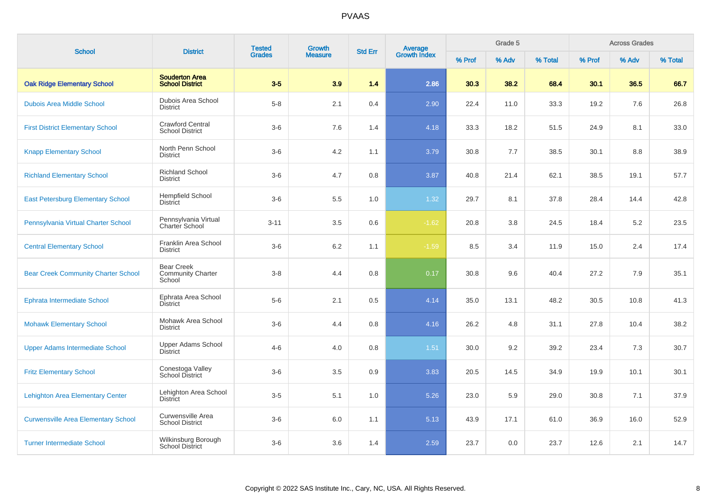| <b>School</b>                              | <b>District</b>                                         | <b>Tested</b> | Growth         | <b>Std Err</b> |                                |        | Grade 5 |         |        | <b>Across Grades</b> |         |
|--------------------------------------------|---------------------------------------------------------|---------------|----------------|----------------|--------------------------------|--------|---------|---------|--------|----------------------|---------|
|                                            |                                                         | <b>Grades</b> | <b>Measure</b> |                | <b>Average</b><br>Growth Index | % Prof | % Adv   | % Total | % Prof | % Adv                | % Total |
| <b>Oak Ridge Elementary School</b>         | <b>Souderton Area</b><br><b>School District</b>         | $3-5$         | 3.9            | 1.4            | 2.86                           | 30.3   | 38.2    | 68.4    | 30.1   | 36.5                 | 66.7    |
| <b>Dubois Area Middle School</b>           | Dubois Area School<br><b>District</b>                   | $5-8$         | 2.1            | 0.4            | 2.90                           | 22.4   | 11.0    | 33.3    | 19.2   | 7.6                  | 26.8    |
| <b>First District Elementary School</b>    | <b>Crawford Central</b><br><b>School District</b>       | $3-6$         | 7.6            | 1.4            | 4.18                           | 33.3   | 18.2    | 51.5    | 24.9   | 8.1                  | 33.0    |
| <b>Knapp Elementary School</b>             | North Penn School<br><b>District</b>                    | $3-6$         | 4.2            | 1.1            | 3.79                           | 30.8   | 7.7     | 38.5    | 30.1   | 8.8                  | 38.9    |
| <b>Richland Elementary School</b>          | <b>Richland School</b><br><b>District</b>               | $3-6$         | 4.7            | 0.8            | 3.87                           | 40.8   | 21.4    | 62.1    | 38.5   | 19.1                 | 57.7    |
| <b>East Petersburg Elementary School</b>   | <b>Hempfield School</b><br><b>District</b>              | $3-6$         | 5.5            | 1.0            | 1.32                           | 29.7   | 8.1     | 37.8    | 28.4   | 14.4                 | 42.8    |
| Pennsylvania Virtual Charter School        | Pennsylvania Virtual<br>Charter School                  | $3 - 11$      | 3.5            | 0.6            | $-1.62$                        | 20.8   | 3.8     | 24.5    | 18.4   | 5.2                  | 23.5    |
| <b>Central Elementary School</b>           | Franklin Area School<br><b>District</b>                 | $3-6$         | 6.2            | 1.1            | $-1.59$                        | 8.5    | 3.4     | 11.9    | 15.0   | 2.4                  | 17.4    |
| <b>Bear Creek Community Charter School</b> | <b>Bear Creek</b><br><b>Community Charter</b><br>School | $3-8$         | 4.4            | 0.8            | 0.17                           | 30.8   | 9.6     | 40.4    | 27.2   | 7.9                  | 35.1    |
| <b>Ephrata Intermediate School</b>         | Ephrata Area School<br><b>District</b>                  | $5-6$         | 2.1            | 0.5            | 4.14                           | 35.0   | 13.1    | 48.2    | 30.5   | 10.8                 | 41.3    |
| <b>Mohawk Elementary School</b>            | Mohawk Area School<br><b>District</b>                   | $3-6$         | 4.4            | 0.8            | 4.16                           | 26.2   | 4.8     | 31.1    | 27.8   | 10.4                 | 38.2    |
| <b>Upper Adams Intermediate School</b>     | Upper Adams School<br><b>District</b>                   | $4 - 6$       | 4.0            | 0.8            | 1.51                           | 30.0   | 9.2     | 39.2    | 23.4   | 7.3                  | 30.7    |
| <b>Fritz Elementary School</b>             | Conestoga Valley<br><b>School District</b>              | $3-6$         | 3.5            | 0.9            | 3.83                           | 20.5   | 14.5    | 34.9    | 19.9   | 10.1                 | 30.1    |
| <b>Lehighton Area Elementary Center</b>    | Lehighton Area School<br>District                       | $3-5$         | 5.1            | 1.0            | 5.26                           | 23.0   | 5.9     | 29.0    | 30.8   | 7.1                  | 37.9    |
| <b>Curwensville Area Elementary School</b> | Curwensville Area<br><b>School District</b>             | $3-6$         | 6.0            | 1.1            | 5.13                           | 43.9   | 17.1    | 61.0    | 36.9   | 16.0                 | 52.9    |
| <b>Turner Intermediate School</b>          | Wilkinsburg Borough<br>School District                  | $3-6$         | 3.6            | 1.4            | 2.59                           | 23.7   | 0.0     | 23.7    | 12.6   | 2.1                  | 14.7    |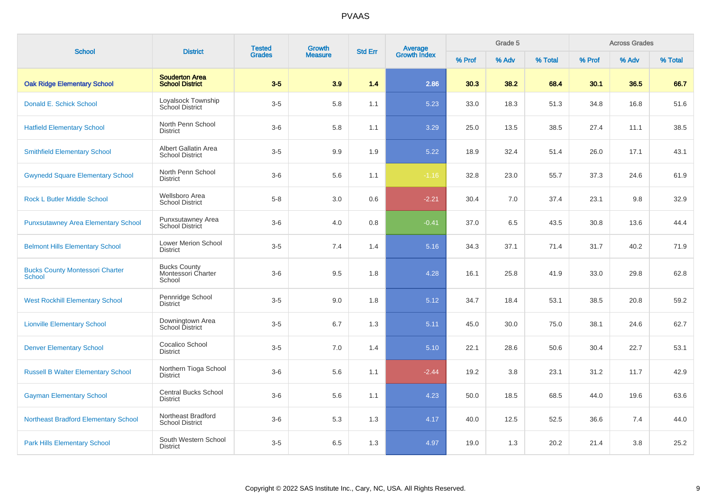| <b>School</b>                                           | <b>District</b>                                     | <b>Tested</b> | <b>Growth</b>  | <b>Std Err</b> |                         |        | Grade 5 |         |        | <b>Across Grades</b> |         |
|---------------------------------------------------------|-----------------------------------------------------|---------------|----------------|----------------|-------------------------|--------|---------|---------|--------|----------------------|---------|
|                                                         |                                                     | <b>Grades</b> | <b>Measure</b> |                | Average<br>Growth Index | % Prof | % Adv   | % Total | % Prof | % Adv                | % Total |
| <b>Oak Ridge Elementary School</b>                      | <b>Souderton Area</b><br><b>School District</b>     | $3-5$         | 3.9            | 1.4            | 2.86                    | 30.3   | 38.2    | 68.4    | 30.1   | 36.5                 | 66.7    |
| Donald E. Schick School                                 | Loyalsock Township<br><b>School District</b>        | $3-5$         | 5.8            | 1.1            | 5.23                    | 33.0   | 18.3    | 51.3    | 34.8   | 16.8                 | 51.6    |
| <b>Hatfield Elementary School</b>                       | North Penn School<br><b>District</b>                | $3-6$         | 5.8            | 1.1            | 3.29                    | 25.0   | 13.5    | 38.5    | 27.4   | 11.1                 | 38.5    |
| <b>Smithfield Elementary School</b>                     | Albert Gallatin Area<br><b>School District</b>      | $3-5$         | 9.9            | 1.9            | 5.22                    | 18.9   | 32.4    | 51.4    | 26.0   | 17.1                 | 43.1    |
| <b>Gwynedd Square Elementary School</b>                 | North Penn School<br><b>District</b>                | $3-6$         | 5.6            | 1.1            | $-1.16$                 | 32.8   | 23.0    | 55.7    | 37.3   | 24.6                 | 61.9    |
| <b>Rock L Butler Middle School</b>                      | Wellsboro Area<br><b>School District</b>            | $5-8$         | 3.0            | 0.6            | $-2.21$                 | 30.4   | 7.0     | 37.4    | 23.1   | 9.8                  | 32.9    |
| <b>Punxsutawney Area Elementary School</b>              | Punxsutawney Area<br><b>School District</b>         | $3-6$         | 4.0            | 0.8            | $-0.41$                 | 37.0   | 6.5     | 43.5    | 30.8   | 13.6                 | 44.4    |
| <b>Belmont Hills Elementary School</b>                  | <b>Lower Merion School</b><br><b>District</b>       | $3-5$         | 7.4            | 1.4            | 5.16                    | 34.3   | 37.1    | 71.4    | 31.7   | 40.2                 | 71.9    |
| <b>Bucks County Montessori Charter</b><br><b>School</b> | <b>Bucks County</b><br>Montessori Charter<br>School | $3-6$         | 9.5            | 1.8            | 4.28                    | 16.1   | 25.8    | 41.9    | 33.0   | 29.8                 | 62.8    |
| <b>West Rockhill Elementary School</b>                  | Pennridge School<br><b>District</b>                 | $3-5$         | 9.0            | 1.8            | 5.12                    | 34.7   | 18.4    | 53.1    | 38.5   | 20.8                 | 59.2    |
| <b>Lionville Elementary School</b>                      | Downingtown Area<br>School District                 | $3-5$         | 6.7            | 1.3            | 5.11                    | 45.0   | 30.0    | 75.0    | 38.1   | 24.6                 | 62.7    |
| <b>Denver Elementary School</b>                         | Cocalico School<br><b>District</b>                  | $3-5$         | 7.0            | 1.4            | 5.10                    | 22.1   | 28.6    | 50.6    | 30.4   | 22.7                 | 53.1    |
| <b>Russell B Walter Elementary School</b>               | Northern Tioga School<br><b>District</b>            | $3-6$         | 5.6            | 1.1            | $-2.44$                 | 19.2   | 3.8     | 23.1    | 31.2   | 11.7                 | 42.9    |
| <b>Gayman Elementary School</b>                         | <b>Central Bucks School</b><br><b>District</b>      | $3-6$         | 5.6            | 1.1            | 4.23                    | 50.0   | 18.5    | 68.5    | 44.0   | 19.6                 | 63.6    |
| <b>Northeast Bradford Elementary School</b>             | Northeast Bradford<br><b>School District</b>        | $3-6$         | 5.3            | 1.3            | 4.17                    | 40.0   | 12.5    | 52.5    | 36.6   | 7.4                  | 44.0    |
| <b>Park Hills Elementary School</b>                     | South Western School<br><b>District</b>             | $3-5$         | 6.5            | 1.3            | 4.97                    | 19.0   | 1.3     | 20.2    | 21.4   | 3.8                  | 25.2    |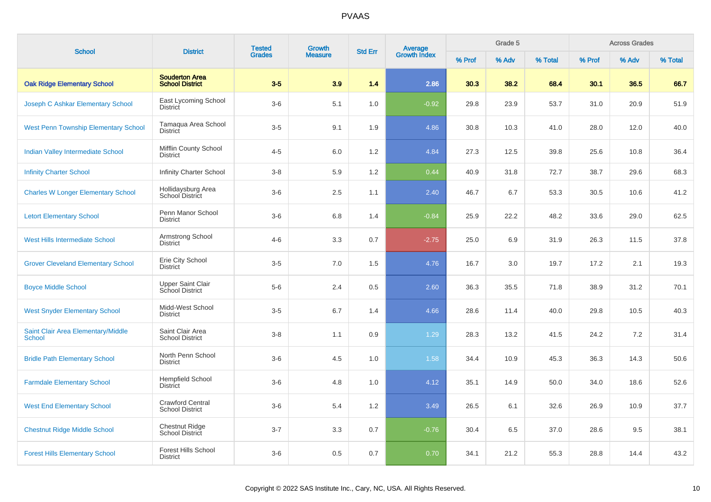| <b>School</b>                                       | <b>District</b>                                   | <b>Tested</b> | <b>Growth</b>  | <b>Std Err</b> |                                |        | Grade 5 |         |        | <b>Across Grades</b> |         |
|-----------------------------------------------------|---------------------------------------------------|---------------|----------------|----------------|--------------------------------|--------|---------|---------|--------|----------------------|---------|
|                                                     |                                                   | <b>Grades</b> | <b>Measure</b> |                | <b>Average</b><br>Growth Index | % Prof | % Adv   | % Total | % Prof | % Adv                | % Total |
| <b>Oak Ridge Elementary School</b>                  | <b>Souderton Area</b><br><b>School District</b>   | $3-5$         | 3.9            | 1.4            | 2.86                           | 30.3   | 38.2    | 68.4    | 30.1   | 36.5                 | 66.7    |
| Joseph C Ashkar Elementary School                   | East Lycoming School<br><b>District</b>           | $3-6$         | 5.1            | 1.0            | $-0.92$                        | 29.8   | 23.9    | 53.7    | 31.0   | 20.9                 | 51.9    |
| <b>West Penn Township Elementary School</b>         | Tamagua Area School<br><b>District</b>            | $3-5$         | 9.1            | 1.9            | 4.86                           | 30.8   | 10.3    | 41.0    | 28.0   | 12.0                 | 40.0    |
| <b>Indian Valley Intermediate School</b>            | Mifflin County School<br><b>District</b>          | $4 - 5$       | 6.0            | 1.2            | 4.84                           | 27.3   | 12.5    | 39.8    | 25.6   | 10.8                 | 36.4    |
| <b>Infinity Charter School</b>                      | Infinity Charter School                           | $3-8$         | 5.9            | 1.2            | 0.44                           | 40.9   | 31.8    | 72.7    | 38.7   | 29.6                 | 68.3    |
| <b>Charles W Longer Elementary School</b>           | Hollidaysburg Area<br>School District             | $3-6$         | 2.5            | 1.1            | 2.40                           | 46.7   | 6.7     | 53.3    | 30.5   | 10.6                 | 41.2    |
| <b>Letort Elementary School</b>                     | Penn Manor School<br><b>District</b>              | $3-6$         | 6.8            | 1.4            | $-0.84$                        | 25.9   | 22.2    | 48.2    | 33.6   | 29.0                 | 62.5    |
| West Hills Intermediate School                      | Armstrong School<br>District                      | $4 - 6$       | 3.3            | 0.7            | $-2.75$                        | 25.0   | 6.9     | 31.9    | 26.3   | 11.5                 | 37.8    |
| <b>Grover Cleveland Elementary School</b>           | Erie City School<br><b>District</b>               | $3-5$         | 7.0            | 1.5            | 4.76                           | 16.7   | 3.0     | 19.7    | 17.2   | 2.1                  | 19.3    |
| <b>Boyce Middle School</b>                          | <b>Upper Saint Clair</b><br>School District       | $5-6$         | 2.4            | 0.5            | 2.60                           | 36.3   | 35.5    | 71.8    | 38.9   | 31.2                 | 70.1    |
| <b>West Snyder Elementary School</b>                | Midd-West School<br><b>District</b>               | $3-5$         | 6.7            | 1.4            | 4.66                           | 28.6   | 11.4    | 40.0    | 29.8   | 10.5                 | 40.3    |
| Saint Clair Area Elementary/Middle<br><b>School</b> | Saint Clair Area<br><b>School District</b>        | $3-8$         | 1.1            | 0.9            | 1.29                           | 28.3   | 13.2    | 41.5    | 24.2   | 7.2                  | 31.4    |
| <b>Bridle Path Elementary School</b>                | North Penn School<br><b>District</b>              | $3-6$         | 4.5            | 1.0            | 1.58                           | 34.4   | 10.9    | 45.3    | 36.3   | 14.3                 | 50.6    |
| <b>Farmdale Elementary School</b>                   | <b>Hempfield School</b><br><b>District</b>        | $3-6$         | 4.8            | 1.0            | 4.12                           | 35.1   | 14.9    | 50.0    | 34.0   | 18.6                 | 52.6    |
| <b>West End Elementary School</b>                   | <b>Crawford Central</b><br><b>School District</b> | $3-6$         | 5.4            | 1.2            | 3.49                           | 26.5   | 6.1     | 32.6    | 26.9   | 10.9                 | 37.7    |
| <b>Chestnut Ridge Middle School</b>                 | <b>Chestnut Ridge</b><br>School District          | $3 - 7$       | 3.3            | 0.7            | $-0.76$                        | 30.4   | 6.5     | 37.0    | 28.6   | 9.5                  | 38.1    |
| <b>Forest Hills Elementary School</b>               | <b>Forest Hills School</b><br><b>District</b>     | $3-6$         | 0.5            | 0.7            | 0.70                           | 34.1   | 21.2    | 55.3    | 28.8   | 14.4                 | 43.2    |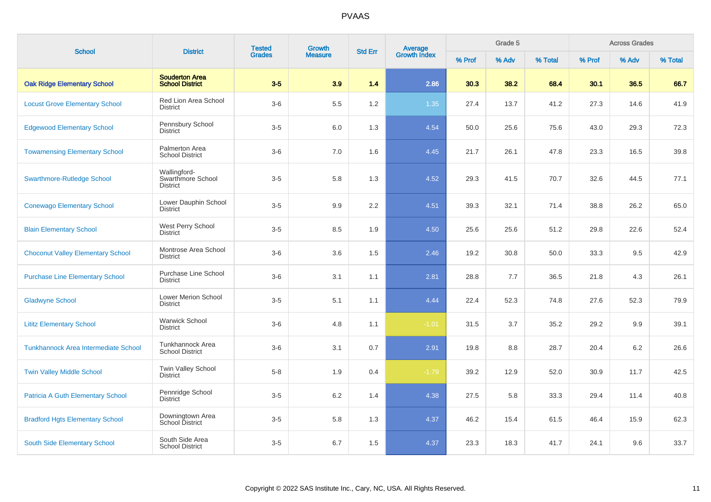| <b>School</b>                               | <b>District</b>                                      | <b>Tested</b> | <b>Growth</b>  | <b>Std Err</b> | <b>Average</b><br>Growth Index |        | Grade 5 |         |        | <b>Across Grades</b> |         |
|---------------------------------------------|------------------------------------------------------|---------------|----------------|----------------|--------------------------------|--------|---------|---------|--------|----------------------|---------|
|                                             |                                                      | <b>Grades</b> | <b>Measure</b> |                |                                | % Prof | % Adv   | % Total | % Prof | % Adv                | % Total |
| <b>Oak Ridge Elementary School</b>          | <b>Souderton Area</b><br><b>School District</b>      | $3-5$         | 3.9            | 1.4            | 2.86                           | 30.3   | 38.2    | 68.4    | 30.1   | 36.5                 | 66.7    |
| <b>Locust Grove Elementary School</b>       | <b>Red Lion Area School</b><br><b>District</b>       | $3-6$         | 5.5            | 1.2            | 1.35                           | 27.4   | 13.7    | 41.2    | 27.3   | 14.6                 | 41.9    |
| <b>Edgewood Elementary School</b>           | Pennsbury School<br><b>District</b>                  | $3-5$         | 6.0            | 1.3            | 4.54                           | 50.0   | 25.6    | 75.6    | 43.0   | 29.3                 | 72.3    |
| <b>Towamensing Elementary School</b>        | Palmerton Area<br><b>School District</b>             | $3-6$         | 7.0            | 1.6            | 4.45                           | 21.7   | 26.1    | 47.8    | 23.3   | 16.5                 | 39.8    |
| <b>Swarthmore-Rutledge School</b>           | Wallingford-<br>Swarthmore School<br><b>District</b> | $3-5$         | 5.8            | 1.3            | 4.52                           | 29.3   | 41.5    | 70.7    | 32.6   | 44.5                 | 77.1    |
| <b>Conewago Elementary School</b>           | Lower Dauphin School<br><b>District</b>              | $3-5$         | 9.9            | 2.2            | 4.51                           | 39.3   | 32.1    | 71.4    | 38.8   | 26.2                 | 65.0    |
| <b>Blain Elementary School</b>              | West Perry School<br><b>District</b>                 | $3-5$         | 8.5            | 1.9            | 4.50                           | 25.6   | 25.6    | 51.2    | 29.8   | 22.6                 | 52.4    |
| <b>Choconut Valley Elementary School</b>    | Montrose Area School<br><b>District</b>              | $3-6$         | 3.6            | 1.5            | 2.46                           | 19.2   | 30.8    | 50.0    | 33.3   | 9.5                  | 42.9    |
| <b>Purchase Line Elementary School</b>      | Purchase Line School<br><b>District</b>              | $3-6$         | 3.1            | 1.1            | 2.81                           | 28.8   | 7.7     | 36.5    | 21.8   | 4.3                  | 26.1    |
| <b>Gladwyne School</b>                      | <b>Lower Merion School</b><br><b>District</b>        | $3-5$         | 5.1            | 1.1            | 4.44                           | 22.4   | 52.3    | 74.8    | 27.6   | 52.3                 | 79.9    |
| <b>Lititz Elementary School</b>             | <b>Warwick School</b><br><b>District</b>             | $3-6$         | 4.8            | 1.1            | $-1.01$                        | 31.5   | 3.7     | 35.2    | 29.2   | 9.9                  | 39.1    |
| <b>Tunkhannock Area Intermediate School</b> | Tunkhannock Area<br><b>School District</b>           | $3-6$         | 3.1            | 0.7            | 2.91                           | 19.8   | 8.8     | 28.7    | 20.4   | 6.2                  | 26.6    |
| <b>Twin Valley Middle School</b>            | Twin Valley School<br><b>District</b>                | $5 - 8$       | 1.9            | 0.4            | $-1.79$                        | 39.2   | 12.9    | 52.0    | 30.9   | 11.7                 | 42.5    |
| <b>Patricia A Guth Elementary School</b>    | Pennridge School<br><b>District</b>                  | $3-5$         | 6.2            | 1.4            | 4.38                           | 27.5   | 5.8     | 33.3    | 29.4   | 11.4                 | 40.8    |
| <b>Bradford Hgts Elementary School</b>      | Downingtown Area<br><b>School District</b>           | $3-5$         | 5.8            | 1.3            | 4.37                           | 46.2   | 15.4    | 61.5    | 46.4   | 15.9                 | 62.3    |
| South Side Elementary School                | South Side Area<br><b>School District</b>            | $3-5$         | 6.7            | 1.5            | 4.37                           | 23.3   | 18.3    | 41.7    | 24.1   | 9.6                  | 33.7    |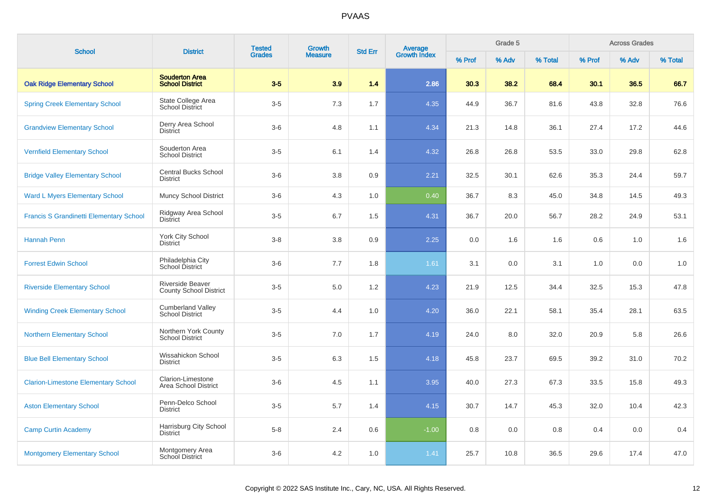| <b>School</b>                                  | <b>District</b>                                    | <b>Tested</b> | <b>Growth</b>  | <b>Std Err</b> |                                |        | Grade 5 |         | <b>Across Grades</b> |       |         |
|------------------------------------------------|----------------------------------------------------|---------------|----------------|----------------|--------------------------------|--------|---------|---------|----------------------|-------|---------|
|                                                |                                                    | <b>Grades</b> | <b>Measure</b> |                | <b>Average</b><br>Growth Index | % Prof | % Adv   | % Total | % Prof               | % Adv | % Total |
| <b>Oak Ridge Elementary School</b>             | <b>Souderton Area</b><br><b>School District</b>    | $3-5$         | 3.9            | 1.4            | 2.86                           | 30.3   | 38.2    | 68.4    | 30.1                 | 36.5  | 66.7    |
| <b>Spring Creek Elementary School</b>          | State College Area<br><b>School District</b>       | $3-5$         | 7.3            | 1.7            | 4.35                           | 44.9   | 36.7    | 81.6    | 43.8                 | 32.8  | 76.6    |
| <b>Grandview Elementary School</b>             | Derry Area School<br><b>District</b>               | $3-6$         | 4.8            | 1.1            | 4.34                           | 21.3   | 14.8    | 36.1    | 27.4                 | 17.2  | 44.6    |
| <b>Vernfield Elementary School</b>             | Souderton Area<br><b>School District</b>           | $3-5$         | 6.1            | 1.4            | 4.32                           | 26.8   | 26.8    | 53.5    | 33.0                 | 29.8  | 62.8    |
| <b>Bridge Valley Elementary School</b>         | <b>Central Bucks School</b><br><b>District</b>     | $3-6$         | 3.8            | 0.9            | 2.21                           | 32.5   | 30.1    | 62.6    | 35.3                 | 24.4  | 59.7    |
| <b>Ward L Myers Elementary School</b>          | <b>Muncy School District</b>                       | $3-6$         | 4.3            | 1.0            | 0.40                           | 36.7   | 8.3     | 45.0    | 34.8                 | 14.5  | 49.3    |
| <b>Francis S Grandinetti Elementary School</b> | Ridgway Area School<br><b>District</b>             | $3-5$         | 6.7            | 1.5            | 4.31                           | 36.7   | 20.0    | 56.7    | 28.2                 | 24.9  | 53.1    |
| <b>Hannah Penn</b>                             | York City School<br><b>District</b>                | $3-8$         | 3.8            | 0.9            | 2.25                           | 0.0    | 1.6     | 1.6     | 0.6                  | 1.0   | 1.6     |
| <b>Forrest Edwin School</b>                    | Philadelphia City<br>School District               | $3-6$         | 7.7            | 1.8            | 1.61                           | 3.1    | 0.0     | 3.1     | 1.0                  | 0.0   | 1.0     |
| <b>Riverside Elementary School</b>             | Riverside Beaver<br><b>County School District</b>  | $3-5$         | 5.0            | 1.2            | 4.23                           | 21.9   | 12.5    | 34.4    | 32.5                 | 15.3  | 47.8    |
| <b>Winding Creek Elementary School</b>         | <b>Cumberland Valley</b><br><b>School District</b> | $3-5$         | 4.4            | 1.0            | 4.20                           | 36.0   | 22.1    | 58.1    | 35.4                 | 28.1  | 63.5    |
| <b>Northern Elementary School</b>              | Northern York County<br><b>School District</b>     | $3-5$         | 7.0            | 1.7            | 4.19                           | 24.0   | 8.0     | 32.0    | 20.9                 | 5.8   | 26.6    |
| <b>Blue Bell Elementary School</b>             | Wissahickon School<br><b>District</b>              | $3-5$         | 6.3            | 1.5            | 4.18                           | 45.8   | 23.7    | 69.5    | 39.2                 | 31.0  | 70.2    |
| <b>Clarion-Limestone Elementary School</b>     | Clarion-Limestone<br>Area School District          | $3-6$         | 4.5            | 1.1            | 3.95                           | 40.0   | 27.3    | 67.3    | 33.5                 | 15.8  | 49.3    |
| <b>Aston Elementary School</b>                 | Penn-Delco School<br><b>District</b>               | $3-5$         | 5.7            | 1.4            | 4.15                           | 30.7   | 14.7    | 45.3    | 32.0                 | 10.4  | 42.3    |
| <b>Camp Curtin Academy</b>                     | Harrisburg City School<br><b>District</b>          | $5-8$         | 2.4            | 0.6            | $-1.00$                        | 0.8    | 0.0     | 0.8     | 0.4                  | 0.0   | 0.4     |
| <b>Montgomery Elementary School</b>            | Montgomery Area<br>School District                 | $3-6$         | 4.2            | 1.0            | 1.41                           | 25.7   | 10.8    | 36.5    | 29.6                 | 17.4  | 47.0    |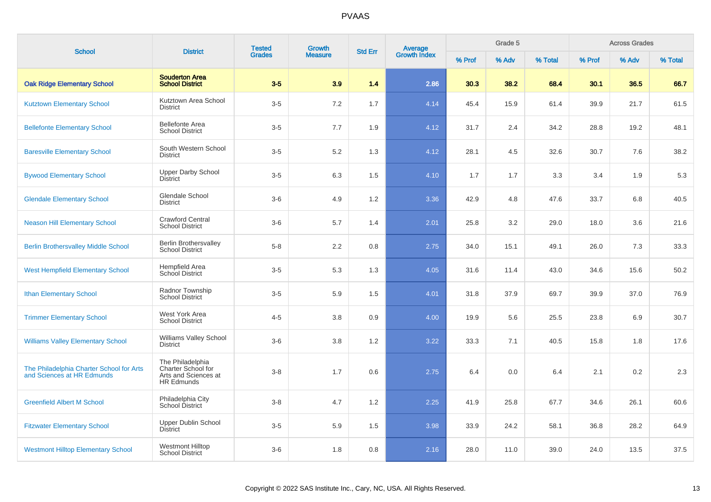| <b>School</b>                                                          | <b>District</b>                                                                     | <b>Tested</b> | <b>Growth</b>  | <b>Std Err</b> | Average<br>Growth Index |        | Grade 5 |         |        | <b>Across Grades</b> |         |
|------------------------------------------------------------------------|-------------------------------------------------------------------------------------|---------------|----------------|----------------|-------------------------|--------|---------|---------|--------|----------------------|---------|
|                                                                        |                                                                                     | <b>Grades</b> | <b>Measure</b> |                |                         | % Prof | % Adv   | % Total | % Prof | % Adv                | % Total |
| <b>Oak Ridge Elementary School</b>                                     | <b>Souderton Area</b><br><b>School District</b>                                     | $3-5$         | 3.9            | 1.4            | 2.86                    | 30.3   | 38.2    | 68.4    | 30.1   | 36.5                 | 66.7    |
| <b>Kutztown Elementary School</b>                                      | Kutztown Area School<br><b>District</b>                                             | $3-5$         | 7.2            | 1.7            | 4.14                    | 45.4   | 15.9    | 61.4    | 39.9   | 21.7                 | 61.5    |
| <b>Bellefonte Elementary School</b>                                    | <b>Bellefonte Area</b><br><b>School District</b>                                    | $3-5$         | $7.7\,$        | 1.9            | 4.12                    | 31.7   | 2.4     | 34.2    | 28.8   | 19.2                 | 48.1    |
| <b>Baresville Elementary School</b>                                    | South Western School<br><b>District</b>                                             | $3-5$         | 5.2            | 1.3            | 4.12                    | 28.1   | 4.5     | 32.6    | 30.7   | 7.6                  | 38.2    |
| <b>Bywood Elementary School</b>                                        | <b>Upper Darby School</b><br><b>District</b>                                        | $3-5$         | 6.3            | 1.5            | 4.10                    | 1.7    | 1.7     | 3.3     | 3.4    | 1.9                  | 5.3     |
| <b>Glendale Elementary School</b>                                      | Glendale School<br><b>District</b>                                                  | $3-6$         | 4.9            | 1.2            | 3.36                    | 42.9   | 4.8     | 47.6    | 33.7   | 6.8                  | 40.5    |
| <b>Neason Hill Elementary School</b>                                   | Crawford Central<br><b>School District</b>                                          | $3-6$         | 5.7            | 1.4            | 2.01                    | 25.8   | 3.2     | 29.0    | 18.0   | 3.6                  | 21.6    |
| <b>Berlin Brothersvalley Middle School</b>                             | <b>Berlin Brothersvalley</b><br><b>School District</b>                              | $5-8$         | 2.2            | 0.8            | 2.75                    | 34.0   | 15.1    | 49.1    | 26.0   | 7.3                  | 33.3    |
| <b>West Hempfield Elementary School</b>                                | Hempfield Area<br><b>School District</b>                                            | $3-5$         | 5.3            | 1.3            | 4.05                    | 31.6   | 11.4    | 43.0    | 34.6   | 15.6                 | 50.2    |
| <b>Ithan Elementary School</b>                                         | Radnor Township<br><b>School District</b>                                           | $3-5$         | 5.9            | 1.5            | 4.01                    | 31.8   | 37.9    | 69.7    | 39.9   | 37.0                 | 76.9    |
| <b>Trimmer Elementary School</b>                                       | West York Area<br><b>School District</b>                                            | $4 - 5$       | 3.8            | 0.9            | 4.00                    | 19.9   | 5.6     | 25.5    | 23.8   | 6.9                  | 30.7    |
| <b>Williams Valley Elementary School</b>                               | <b>Williams Valley School</b><br><b>District</b>                                    | $3-6$         | 3.8            | 1.2            | 3.22                    | 33.3   | 7.1     | 40.5    | 15.8   | 1.8                  | 17.6    |
| The Philadelphia Charter School for Arts<br>and Sciences at HR Edmunds | The Philadelphia<br>Charter School for<br>Arts and Sciences at<br><b>HR Edmunds</b> | $3-8$         | 1.7            | 0.6            | 2.75                    | 6.4    | 0.0     | 6.4     | 2.1    | 0.2                  | 2.3     |
| <b>Greenfield Albert M School</b>                                      | Philadelphia City<br>School District                                                | $3-8$         | 4.7            | 1.2            | 2.25                    | 41.9   | 25.8    | 67.7    | 34.6   | 26.1                 | 60.6    |
| <b>Fitzwater Elementary School</b>                                     | <b>Upper Dublin School</b><br><b>District</b>                                       | $3-5$         | 5.9            | 1.5            | 3.98                    | 33.9   | 24.2    | 58.1    | 36.8   | 28.2                 | 64.9    |
| <b>Westmont Hilltop Elementary School</b>                              | <b>Westmont Hilltop</b><br><b>School District</b>                                   | $3-6$         | 1.8            | 0.8            | 2.16                    | 28.0   | 11.0    | 39.0    | 24.0   | 13.5                 | 37.5    |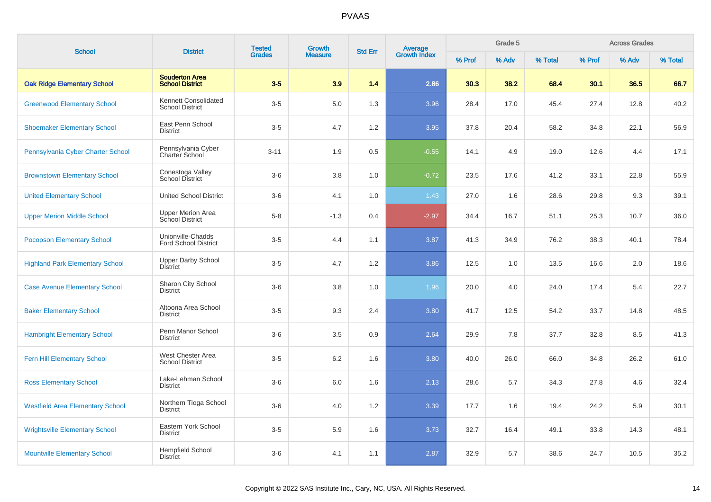| <b>School</b>                           | <b>District</b>                                 | <b>Tested</b> | Growth         | <b>Std Err</b> |                         |        | Grade 5 |         |        | <b>Across Grades</b><br>% Adv |         |
|-----------------------------------------|-------------------------------------------------|---------------|----------------|----------------|-------------------------|--------|---------|---------|--------|-------------------------------|---------|
|                                         |                                                 | <b>Grades</b> | <b>Measure</b> |                | Average<br>Growth Index | % Prof | % Adv   | % Total | % Prof |                               | % Total |
| <b>Oak Ridge Elementary School</b>      | <b>Souderton Area</b><br><b>School District</b> | $3-5$         | 3.9            | 1.4            | 2.86                    | 30.3   | 38.2    | 68.4    | 30.1   | 36.5                          | 66.7    |
| <b>Greenwood Elementary School</b>      | Kennett Consolidated<br><b>School District</b>  | $3-5$         | 5.0            | 1.3            | 3.96                    | 28.4   | 17.0    | 45.4    | 27.4   | 12.8                          | 40.2    |
| <b>Shoemaker Elementary School</b>      | East Penn School<br><b>District</b>             | $3-5$         | 4.7            | 1.2            | 3.95                    | 37.8   | 20.4    | 58.2    | 34.8   | 22.1                          | 56.9    |
| Pennsylvania Cyber Charter School       | Pennsylvania Cyber<br>Charter School            | $3 - 11$      | 1.9            | 0.5            | $-0.55$                 | 14.1   | 4.9     | 19.0    | 12.6   | 4.4                           | 17.1    |
| <b>Brownstown Elementary School</b>     | Conestoga Valley<br>School District             | $3-6$         | 3.8            | 1.0            | $-0.72$                 | 23.5   | 17.6    | 41.2    | 33.1   | 22.8                          | 55.9    |
| <b>United Elementary School</b>         | <b>United School District</b>                   | $3-6$         | 4.1            | 1.0            | 1.43                    | 27.0   | 1.6     | 28.6    | 29.8   | 9.3                           | 39.1    |
| <b>Upper Merion Middle School</b>       | <b>Upper Merion Area</b><br>School District     | $5-8$         | $-1.3$         | 0.4            | $-2.97$                 | 34.4   | 16.7    | 51.1    | 25.3   | 10.7                          | 36.0    |
| <b>Pocopson Elementary School</b>       | Unionville-Chadds<br>Ford School District       | $3-5$         | 4.4            | 1.1            | 3.87                    | 41.3   | 34.9    | 76.2    | 38.3   | 40.1                          | 78.4    |
| <b>Highland Park Elementary School</b>  | <b>Upper Darby School</b><br><b>District</b>    | $3-5$         | 4.7            | 1.2            | 3.86                    | 12.5   | 1.0     | 13.5    | 16.6   | 2.0                           | 18.6    |
| <b>Case Avenue Elementary School</b>    | Sharon City School<br><b>District</b>           | $3-6$         | 3.8            | 1.0            | 1.96                    | 20.0   | 4.0     | 24.0    | 17.4   | 5.4                           | 22.7    |
| <b>Baker Elementary School</b>          | Altoona Area School<br><b>District</b>          | $3-5$         | 9.3            | 2.4            | 3.80                    | 41.7   | 12.5    | 54.2    | 33.7   | 14.8                          | 48.5    |
| <b>Hambright Elementary School</b>      | Penn Manor School<br><b>District</b>            | $3-6$         | 3.5            | 0.9            | 2.64                    | 29.9   | 7.8     | 37.7    | 32.8   | 8.5                           | 41.3    |
| Fern Hill Elementary School             | West Chester Area<br><b>School District</b>     | $3-5$         | $6.2\,$        | 1.6            | 3.80                    | 40.0   | 26.0    | 66.0    | 34.8   | 26.2                          | 61.0    |
| <b>Ross Elementary School</b>           | Lake-Lehman School<br><b>District</b>           | $3-6$         | 6.0            | 1.6            | 2.13                    | 28.6   | 5.7     | 34.3    | 27.8   | 4.6                           | 32.4    |
| <b>Westfield Area Elementary School</b> | Northern Tioga School<br><b>District</b>        | $3-6$         | 4.0            | 1.2            | 3.39                    | 17.7   | 1.6     | 19.4    | 24.2   | 5.9                           | 30.1    |
| <b>Wrightsville Elementary School</b>   | Eastern York School<br><b>District</b>          | $3-5$         | 5.9            | 1.6            | 3.73                    | 32.7   | 16.4    | 49.1    | 33.8   | 14.3                          | 48.1    |
| <b>Mountville Elementary School</b>     | <b>Hempfield School</b><br><b>District</b>      | $3-6$         | 4.1            | 1.1            | 2.87                    | 32.9   | 5.7     | 38.6    | 24.7   | 10.5                          | 35.2    |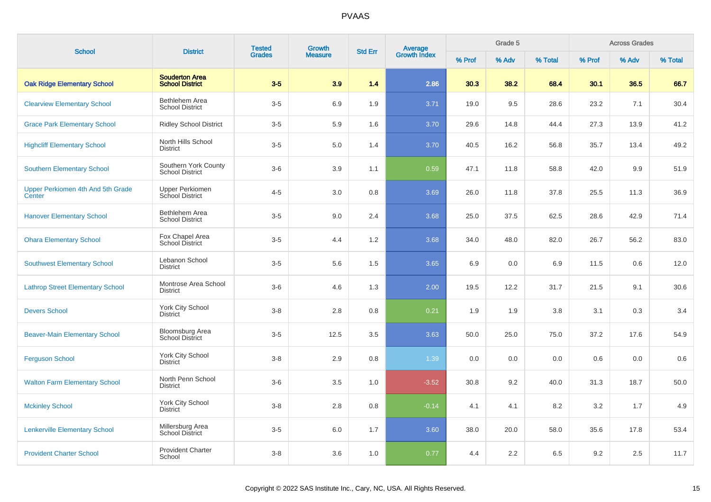| <b>School</b>                               | <b>District</b>                                 | <b>Tested</b> | <b>Growth</b>  | <b>Std Err</b> | Average<br>Growth Index |        | Grade 5 |         |        | <b>Across Grades</b><br>% Adv |         |
|---------------------------------------------|-------------------------------------------------|---------------|----------------|----------------|-------------------------|--------|---------|---------|--------|-------------------------------|---------|
|                                             |                                                 | <b>Grades</b> | <b>Measure</b> |                |                         | % Prof | % Adv   | % Total | % Prof |                               | % Total |
| <b>Oak Ridge Elementary School</b>          | <b>Souderton Area</b><br><b>School District</b> | $3-5$         | 3.9            | 1.4            | 2.86                    | 30.3   | 38.2    | 68.4    | 30.1   | 36.5                          | 66.7    |
| <b>Clearview Elementary School</b>          | Bethlehem Area<br><b>School District</b>        | $3-5$         | 6.9            | 1.9            | 3.71                    | 19.0   | 9.5     | 28.6    | 23.2   | 7.1                           | 30.4    |
| <b>Grace Park Elementary School</b>         | <b>Ridley School District</b>                   | $3-5$         | 5.9            | 1.6            | 3.70                    | 29.6   | 14.8    | 44.4    | 27.3   | 13.9                          | 41.2    |
| <b>Highcliff Elementary School</b>          | North Hills School<br><b>District</b>           | $3-5$         | 5.0            | 1.4            | 3.70                    | 40.5   | 16.2    | 56.8    | 35.7   | 13.4                          | 49.2    |
| <b>Southern Elementary School</b>           | Southern York County<br><b>School District</b>  | $3-6$         | 3.9            | 1.1            | 0.59                    | 47.1   | 11.8    | 58.8    | 42.0   | 9.9                           | 51.9    |
| Upper Perkiomen 4th And 5th Grade<br>Center | <b>Upper Perkiomen</b><br>School District       | $4 - 5$       | 3.0            | 0.8            | 3.69                    | 26.0   | 11.8    | 37.8    | 25.5   | 11.3                          | 36.9    |
| <b>Hanover Elementary School</b>            | Bethlehem Area<br><b>School District</b>        | $3-5$         | 9.0            | 2.4            | 3.68                    | 25.0   | 37.5    | 62.5    | 28.6   | 42.9                          | 71.4    |
| <b>Ohara Elementary School</b>              | Fox Chapel Area<br>School District              | $3-5$         | 4.4            | 1.2            | 3.68                    | 34.0   | 48.0    | 82.0    | 26.7   | 56.2                          | 83.0    |
| <b>Southwest Elementary School</b>          | Lebanon School<br><b>District</b>               | $3-5$         | 5.6            | 1.5            | 3.65                    | 6.9    | 0.0     | 6.9     | 11.5   | 0.6                           | 12.0    |
| <b>Lathrop Street Elementary School</b>     | Montrose Area School<br><b>District</b>         | $3-6$         | 4.6            | 1.3            | 2.00                    | 19.5   | 12.2    | 31.7    | 21.5   | 9.1                           | 30.6    |
| <b>Devers School</b>                        | York City School<br><b>District</b>             | $3-8$         | 2.8            | 0.8            | 0.21                    | 1.9    | 1.9     | 3.8     | 3.1    | 0.3                           | 3.4     |
| <b>Beaver-Main Elementary School</b>        | <b>Bloomsburg Area</b><br>School District       | $3-5$         | 12.5           | 3.5            | 3.63                    | 50.0   | 25.0    | 75.0    | 37.2   | 17.6                          | 54.9    |
| <b>Ferguson School</b>                      | York City School<br><b>District</b>             | $3-8$         | 2.9            | 0.8            | 1.39                    | 0.0    | 0.0     | 0.0     | 0.6    | 0.0                           | 0.6     |
| <b>Walton Farm Elementary School</b>        | North Penn School<br><b>District</b>            | $3-6$         | 3.5            | 1.0            | $-3.52$                 | 30.8   | 9.2     | 40.0    | 31.3   | 18.7                          | 50.0    |
| <b>Mckinley School</b>                      | York City School<br><b>District</b>             | $3-8$         | 2.8            | 0.8            | $-0.14$                 | 4.1    | 4.1     | 8.2     | 3.2    | 1.7                           | 4.9     |
| <b>Lenkerville Elementary School</b>        | Millersburg Area<br>School District             | $3-5$         | 6.0            | 1.7            | 3.60                    | 38.0   | 20.0    | 58.0    | 35.6   | 17.8                          | 53.4    |
| <b>Provident Charter School</b>             | <b>Provident Charter</b><br>School              | $3-8$         | 3.6            | 1.0            | 0.77                    | 4.4    | 2.2     | 6.5     | 9.2    | 2.5                           | 11.7    |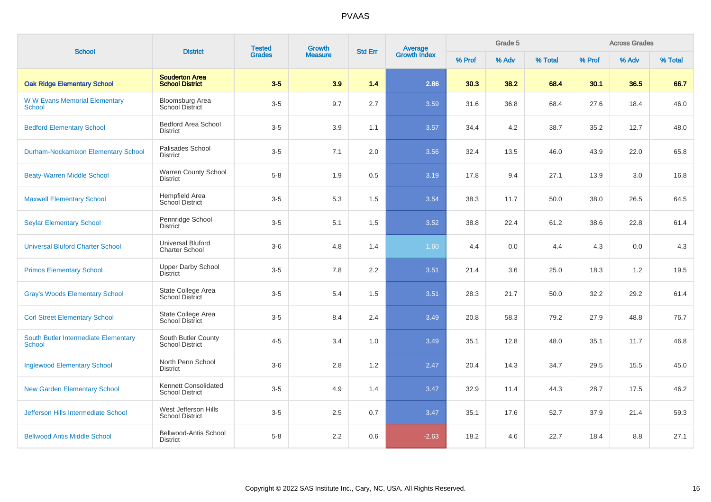| <b>School</b>                                         | <b>District</b>                                   | <b>Tested</b> | Growth         | <b>Std Err</b> | <b>Average</b><br>Growth Index | Grade 5<br><b>Across Grades</b> |       |         |        |       |         |
|-------------------------------------------------------|---------------------------------------------------|---------------|----------------|----------------|--------------------------------|---------------------------------|-------|---------|--------|-------|---------|
|                                                       |                                                   | <b>Grades</b> | <b>Measure</b> |                |                                | % Prof                          | % Adv | % Total | % Prof | % Adv | % Total |
| <b>Oak Ridge Elementary School</b>                    | <b>Souderton Area</b><br><b>School District</b>   | $3-5$         | 3.9            | 1.4            | 2.86                           | 30.3                            | 38.2  | 68.4    | 30.1   | 36.5  | 66.7    |
| <b>WW Evans Memorial Elementary</b><br><b>School</b>  | Bloomsburg Area<br><b>School District</b>         | $3-5$         | 9.7            | 2.7            | 3.59                           | 31.6                            | 36.8  | 68.4    | 27.6   | 18.4  | 46.0    |
| <b>Bedford Elementary School</b>                      | <b>Bedford Area School</b><br><b>District</b>     | $3-5$         | 3.9            | 1.1            | 3.57                           | 34.4                            | 4.2   | 38.7    | 35.2   | 12.7  | 48.0    |
| <b>Durham-Nockamixon Elementary School</b>            | Palisades School<br><b>District</b>               | $3-5$         | 7.1            | 2.0            | 3.56                           | 32.4                            | 13.5  | 46.0    | 43.9   | 22.0  | 65.8    |
| <b>Beaty-Warren Middle School</b>                     | <b>Warren County School</b><br><b>District</b>    | $5-8$         | 1.9            | 0.5            | 3.19                           | 17.8                            | 9.4   | 27.1    | 13.9   | 3.0   | 16.8    |
| <b>Maxwell Elementary School</b>                      | Hempfield Area<br><b>School District</b>          | $3-5$         | 5.3            | 1.5            | 3.54                           | 38.3                            | 11.7  | 50.0    | 38.0   | 26.5  | 64.5    |
| <b>Seylar Elementary School</b>                       | Pennridge School<br><b>District</b>               | $3-5$         | 5.1            | 1.5            | 3.52                           | 38.8                            | 22.4  | 61.2    | 38.6   | 22.8  | 61.4    |
| <b>Universal Bluford Charter School</b>               | <b>Universal Bluford</b><br><b>Charter School</b> | $3-6$         | 4.8            | 1.4            | 1.60                           | 4.4                             | 0.0   | 4.4     | 4.3    | 0.0   | 4.3     |
| <b>Primos Elementary School</b>                       | <b>Upper Darby School</b><br><b>District</b>      | $3-5$         | 7.8            | 2.2            | 3.51                           | 21.4                            | 3.6   | 25.0    | 18.3   | 1.2   | 19.5    |
| <b>Gray's Woods Elementary School</b>                 | State College Area<br><b>School District</b>      | $3-5$         | 5.4            | 1.5            | 3.51                           | 28.3                            | 21.7  | 50.0    | 32.2   | 29.2  | 61.4    |
| <b>Corl Street Elementary School</b>                  | State College Area<br><b>School District</b>      | $3-5$         | 8.4            | 2.4            | 3.49                           | 20.8                            | 58.3  | 79.2    | 27.9   | 48.8  | 76.7    |
| South Butler Intermediate Elementary<br><b>School</b> | South Butler County<br><b>School District</b>     | $4 - 5$       | 3.4            | 1.0            | 3.49                           | 35.1                            | 12.8  | 48.0    | 35.1   | 11.7  | 46.8    |
| <b>Inglewood Elementary School</b>                    | North Penn School<br><b>District</b>              | $3-6$         | 2.8            | 1.2            | 2.47                           | 20.4                            | 14.3  | 34.7    | 29.5   | 15.5  | 45.0    |
| <b>New Garden Elementary School</b>                   | Kennett Consolidated<br><b>School District</b>    | $3-5$         | 4.9            | 1.4            | 3.47                           | 32.9                            | 11.4  | 44.3    | 28.7   | 17.5  | 46.2    |
| <b>Jefferson Hills Intermediate School</b>            | West Jefferson Hills<br><b>School District</b>    | $3-5$         | 2.5            | 0.7            | 3.47                           | 35.1                            | 17.6  | 52.7    | 37.9   | 21.4  | 59.3    |
| <b>Bellwood Antis Middle School</b>                   | Bellwood-Antis School<br><b>District</b>          | $5-8$         | 2.2            | 0.6            | $-2.63$                        | 18.2                            | 4.6   | 22.7    | 18.4   | 8.8   | 27.1    |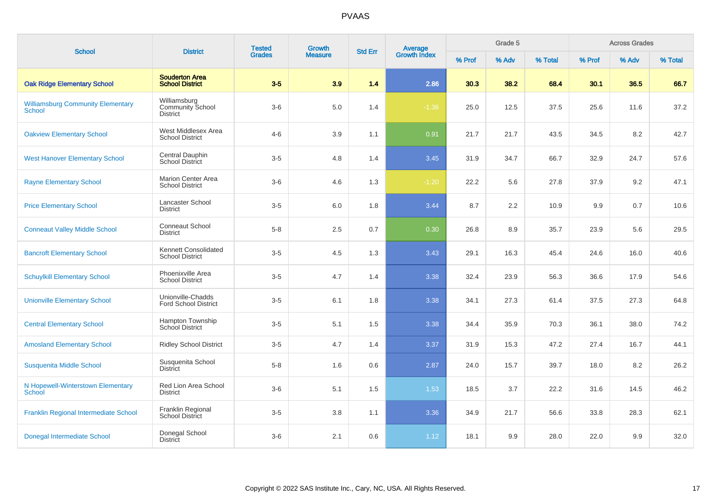| <b>School</b>                                      | <b>District</b>                                     | <b>Tested</b> | Growth         | <b>Std Err</b> | <b>Average</b><br>Growth Index |        | Grade 5 |         |        | <b>Across Grades</b> |         |
|----------------------------------------------------|-----------------------------------------------------|---------------|----------------|----------------|--------------------------------|--------|---------|---------|--------|----------------------|---------|
|                                                    |                                                     | <b>Grades</b> | <b>Measure</b> |                |                                | % Prof | % Adv   | % Total | % Prof | % Adv                | % Total |
| <b>Oak Ridge Elementary School</b>                 | <b>Souderton Area</b><br><b>School District</b>     | $3-5$         | 3.9            | 1.4            | 2.86                           | 30.3   | 38.2    | 68.4    | 30.1   | 36.5                 | 66.7    |
| <b>Williamsburg Community Elementary</b><br>School | Williamsburg<br><b>Community School</b><br>District | $3-6$         | 5.0            | 1.4            | $-1.36$                        | 25.0   | 12.5    | 37.5    | 25.6   | 11.6                 | 37.2    |
| <b>Oakview Elementary School</b>                   | West Middlesex Area<br><b>School District</b>       | $4 - 6$       | 3.9            | 1.1            | 0.91                           | 21.7   | 21.7    | 43.5    | 34.5   | 8.2                  | 42.7    |
| <b>West Hanover Elementary School</b>              | Central Dauphin<br><b>School District</b>           | $3-5$         | 4.8            | 1.4            | 3.45                           | 31.9   | 34.7    | 66.7    | 32.9   | 24.7                 | 57.6    |
| <b>Rayne Elementary School</b>                     | Marion Center Area<br><b>School District</b>        | $3-6$         | 4.6            | 1.3            | $-1.20$                        | 22.2   | 5.6     | 27.8    | 37.9   | 9.2                  | 47.1    |
| <b>Price Elementary School</b>                     | Lancaster School<br><b>District</b>                 | $3-5$         | 6.0            | 1.8            | 3.44                           | 8.7    | 2.2     | 10.9    | 9.9    | 0.7                  | 10.6    |
| <b>Conneaut Valley Middle School</b>               | <b>Conneaut School</b><br><b>District</b>           | $5 - 8$       | 2.5            | 0.7            | 0.30                           | 26.8   | 8.9     | 35.7    | 23.9   | 5.6                  | 29.5    |
| <b>Bancroft Elementary School</b>                  | Kennett Consolidated<br><b>School District</b>      | $3-5$         | 4.5            | 1.3            | 3.43                           | 29.1   | 16.3    | 45.4    | 24.6   | 16.0                 | 40.6    |
| <b>Schuylkill Elementary School</b>                | Phoenixville Area<br><b>School District</b>         | $3-5$         | 4.7            | 1.4            | 3.38                           | 32.4   | 23.9    | 56.3    | 36.6   | 17.9                 | 54.6    |
| <b>Unionville Elementary School</b>                | Unionville-Chadds<br><b>Ford School District</b>    | $3-5$         | 6.1            | 1.8            | 3.38                           | 34.1   | 27.3    | 61.4    | 37.5   | 27.3                 | 64.8    |
| <b>Central Elementary School</b>                   | <b>Hampton Township</b><br><b>School District</b>   | $3-5$         | 5.1            | 1.5            | 3.38                           | 34.4   | 35.9    | 70.3    | 36.1   | 38.0                 | 74.2    |
| <b>Amosland Elementary School</b>                  | <b>Ridley School District</b>                       | $3-5$         | 4.7            | 1.4            | 3.37                           | 31.9   | 15.3    | 47.2    | 27.4   | 16.7                 | 44.1    |
| Susquenita Middle School                           | Susquenita School<br><b>District</b>                | $5-8$         | 1.6            | 0.6            | 2.87                           | 24.0   | 15.7    | 39.7    | 18.0   | 8.2                  | 26.2    |
| N Hopewell-Winterstown Elementary<br><b>School</b> | Red Lion Area School<br><b>District</b>             | $3-6$         | 5.1            | 1.5            | 1.53                           | 18.5   | 3.7     | 22.2    | 31.6   | 14.5                 | 46.2    |
| Franklin Regional Intermediate School              | Franklin Regional<br>School District                | $3-5$         | 3.8            | 1.1            | 3.36                           | 34.9   | 21.7    | 56.6    | 33.8   | 28.3                 | 62.1    |
| Donegal Intermediate School                        | Donegal School<br><b>District</b>                   | $3-6$         | 2.1            | 0.6            | 1.12                           | 18.1   | 9.9     | 28.0    | 22.0   | 9.9                  | 32.0    |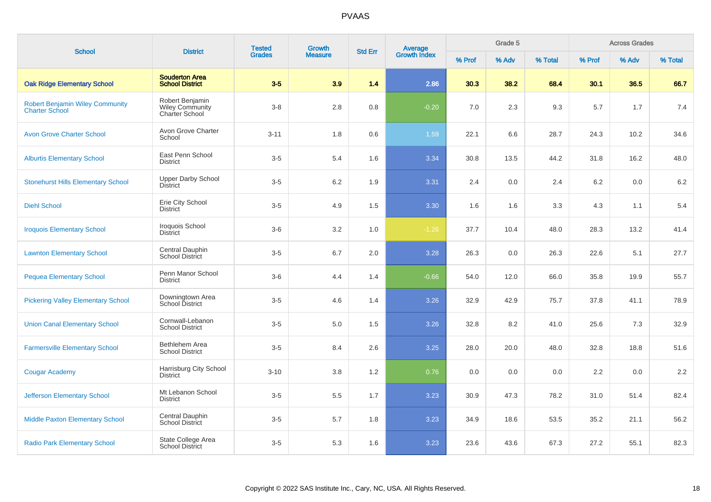| <b>School</b>                                                   | <b>District</b>                                             | <b>Tested</b> | <b>Growth</b>  | <b>Std Err</b> |                                |        | Grade 5 |         |        | <b>Across Grades</b> |         |
|-----------------------------------------------------------------|-------------------------------------------------------------|---------------|----------------|----------------|--------------------------------|--------|---------|---------|--------|----------------------|---------|
|                                                                 |                                                             | <b>Grades</b> | <b>Measure</b> |                | <b>Average</b><br>Growth Index | % Prof | % Adv   | % Total | % Prof | % Adv                | % Total |
| <b>Oak Ridge Elementary School</b>                              | <b>Souderton Area</b><br><b>School District</b>             | $3-5$         | 3.9            | 1.4            | 2.86                           | 30.3   | 38.2    | 68.4    | 30.1   | 36.5                 | 66.7    |
| <b>Robert Benjamin Wiley Community</b><br><b>Charter School</b> | Robert Benjamin<br><b>Wiley Community</b><br>Charter School | $3-8$         | 2.8            | 0.8            | $-0.20$                        | 7.0    | 2.3     | 9.3     | 5.7    | 1.7                  | 7.4     |
| <b>Avon Grove Charter School</b>                                | Avon Grove Charter<br>School                                | $3 - 11$      | 1.8            | 0.6            | 1.59                           | 22.1   | 6.6     | 28.7    | 24.3   | 10.2                 | 34.6    |
| <b>Alburtis Elementary School</b>                               | East Penn School<br><b>District</b>                         | $3-5$         | 5.4            | 1.6            | 3.34                           | 30.8   | 13.5    | 44.2    | 31.8   | 16.2                 | 48.0    |
| <b>Stonehurst Hills Elementary School</b>                       | Upper Darby School<br><b>District</b>                       | $3-5$         | 6.2            | 1.9            | 3.31                           | 2.4    | 0.0     | 2.4     | 6.2    | 0.0                  | 6.2     |
| <b>Diehl School</b>                                             | Erie City School<br><b>District</b>                         | $3-5$         | 4.9            | 1.5            | 3.30                           | 1.6    | 1.6     | 3.3     | 4.3    | 1.1                  | 5.4     |
| <b>Iroquois Elementary School</b>                               | Iroquois School<br><b>District</b>                          | $3-6$         | 3.2            | 1.0            | $-1.26$                        | 37.7   | 10.4    | 48.0    | 28.3   | 13.2                 | 41.4    |
| <b>Lawnton Elementary School</b>                                | Central Dauphin<br>School District                          | $3-5$         | 6.7            | 2.0            | 3.28                           | 26.3   | 0.0     | 26.3    | 22.6   | 5.1                  | 27.7    |
| <b>Pequea Elementary School</b>                                 | Penn Manor School<br><b>District</b>                        | $3-6$         | 4.4            | 1.4            | $-0.66$                        | 54.0   | 12.0    | 66.0    | 35.8   | 19.9                 | 55.7    |
| <b>Pickering Valley Elementary School</b>                       | Downingtown Area<br>School District                         | $3-5$         | 4.6            | 1.4            | 3.26                           | 32.9   | 42.9    | 75.7    | 37.8   | 41.1                 | 78.9    |
| <b>Union Canal Elementary School</b>                            | Cornwall-Lebanon<br><b>School District</b>                  | $3-5$         | 5.0            | 1.5            | 3.26                           | 32.8   | 8.2     | 41.0    | 25.6   | 7.3                  | 32.9    |
| <b>Farmersville Elementary School</b>                           | Bethlehem Area<br><b>School District</b>                    | $3-5$         | 8.4            | 2.6            | 3.25                           | 28.0   | 20.0    | 48.0    | 32.8   | 18.8                 | 51.6    |
| <b>Cougar Academy</b>                                           | Harrisburg City School<br><b>District</b>                   | $3 - 10$      | 3.8            | 1.2            | 0.76                           | 0.0    | 0.0     | 0.0     | 2.2    | 0.0                  | 2.2     |
| <b>Jefferson Elementary School</b>                              | Mt Lebanon School<br><b>District</b>                        | $3-5$         | 5.5            | 1.7            | 3.23                           | 30.9   | 47.3    | 78.2    | 31.0   | 51.4                 | 82.4    |
| <b>Middle Paxton Elementary School</b>                          | Central Dauphin<br><b>School District</b>                   | $3-5$         | 5.7            | 1.8            | 3.23                           | 34.9   | 18.6    | 53.5    | 35.2   | 21.1                 | 56.2    |
| <b>Radio Park Elementary School</b>                             | State College Area<br><b>School District</b>                | $3-5$         | 5.3            | 1.6            | 3.23                           | 23.6   | 43.6    | 67.3    | 27.2   | 55.1                 | 82.3    |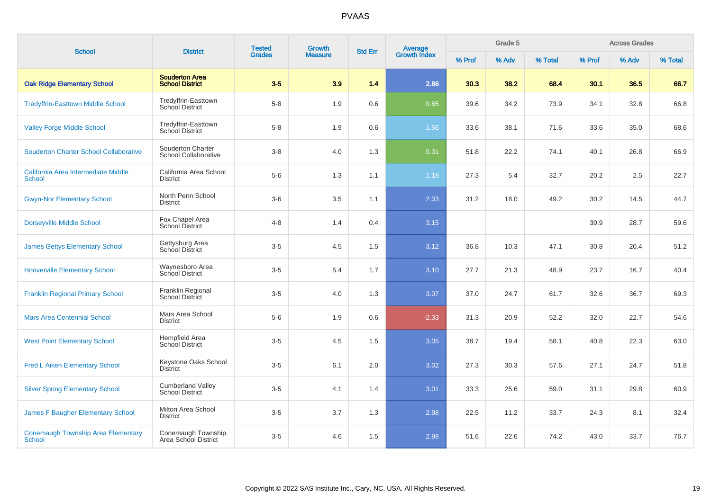| <b>School</b>                                        | <b>District</b>                                    | <b>Tested</b> | Growth         | <b>Std Err</b> |                                |        | Grade 5 |         |        | <b>Across Grades</b> |         |
|------------------------------------------------------|----------------------------------------------------|---------------|----------------|----------------|--------------------------------|--------|---------|---------|--------|----------------------|---------|
|                                                      |                                                    | <b>Grades</b> | <b>Measure</b> |                | <b>Average</b><br>Growth Index | % Prof | % Adv   | % Total | % Prof | % Adv                | % Total |
| <b>Oak Ridge Elementary School</b>                   | <b>Souderton Area</b><br><b>School District</b>    | $3-5$         | 3.9            | 1.4            | 2.86                           | 30.3   | 38.2    | 68.4    | 30.1   | 36.5                 | 66.7    |
| <b>Tredyffrin-Easttown Middle School</b>             | Tredyffrin-Easttown<br>School District             | $5-8$         | 1.9            | 0.6            | 0.85                           | 39.6   | 34.2    | 73.9    | 34.1   | 32.8                 | 66.8    |
| <b>Valley Forge Middle School</b>                    | Tredyffrin-Easttown<br>School District             | $5-8$         | 1.9            | 0.6            | 1.56                           | 33.6   | 38.1    | 71.6    | 33.6   | 35.0                 | 68.6    |
| <b>Souderton Charter School Collaborative</b>        | Souderton Charter<br>School Collaborative          | $3-8$         | 4.0            | 1.3            | 0.31                           | 51.8   | 22.2    | 74.1    | 40.1   | 26.8                 | 66.9    |
| California Area Intermediate Middle<br><b>School</b> | California Area School<br><b>District</b>          | $5-6$         | 1.3            | 1.1            | 1.18                           | 27.3   | 5.4     | 32.7    | 20.2   | 2.5                  | 22.7    |
| <b>Gwyn-Nor Elementary School</b>                    | North Penn School<br><b>District</b>               | $3-6$         | 3.5            | 1.1            | 2.03                           | 31.2   | 18.0    | 49.2    | 30.2   | 14.5                 | 44.7    |
| <b>Dorseyville Middle School</b>                     | Fox Chapel Area<br>School District                 | $4 - 8$       | 1.4            | 0.4            | 3.15                           |        |         |         | 30.9   | 28.7                 | 59.6    |
| <b>James Gettys Elementary School</b>                | Gettysburg Area<br>School District                 | $3-5$         | 4.5            | 1.5            | 3.12                           | 36.8   | 10.3    | 47.1    | 30.8   | 20.4                 | 51.2    |
| <b>Hooverville Elementary School</b>                 | Waynesboro Area<br>School District                 | $3-5$         | 5.4            | 1.7            | 3.10                           | 27.7   | 21.3    | 48.9    | 23.7   | 16.7                 | 40.4    |
| <b>Franklin Regional Primary School</b>              | Franklin Regional<br>School District               | $3-5$         | 4.0            | 1.3            | 3.07                           | 37.0   | 24.7    | 61.7    | 32.6   | 36.7                 | 69.3    |
| <b>Mars Area Centennial School</b>                   | Mars Area School<br><b>District</b>                | $5-6$         | 1.9            | 0.6            | $-2.33$                        | 31.3   | 20.9    | 52.2    | 32.0   | 22.7                 | 54.6    |
| <b>West Point Elementary School</b>                  | <b>Hempfield Area</b><br>School District           | $3-5$         | 4.5            | 1.5            | 3.05                           | 38.7   | 19.4    | 58.1    | 40.8   | 22.3                 | 63.0    |
| <b>Fred L Aiken Elementary School</b>                | Keystone Oaks School<br><b>District</b>            | $3-5$         | 6.1            | 2.0            | 3.02                           | 27.3   | 30.3    | 57.6    | 27.1   | 24.7                 | 51.8    |
| <b>Silver Spring Elementary School</b>               | <b>Cumberland Valley</b><br><b>School District</b> | $3-5$         | 4.1            | 1.4            | 3.01                           | 33.3   | 25.6    | 59.0    | 31.1   | 29.8                 | 60.9    |
| <b>James F Baugher Elementary School</b>             | Milton Area School<br><b>District</b>              | $3-5$         | 3.7            | 1.3            | 2.98                           | 22.5   | 11.2    | 33.7    | 24.3   | 8.1                  | 32.4    |
| <b>Conemaugh Township Area Elementary</b><br>School  | Conemaugh Township<br>Area School District         | $3-5$         | 4.6            | 1.5            | 2.98                           | 51.6   | 22.6    | 74.2    | 43.0   | 33.7                 | 76.7    |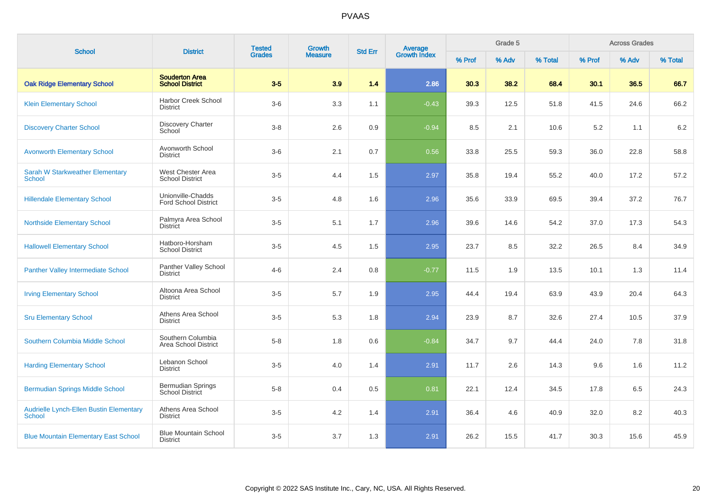| <b>School</b>                                            | <b>District</b>                                    | <b>Tested</b> | Growth         | <b>Std Err</b> | Average<br>Growth Index |        | Grade 5 |         |        | <b>Across Grades</b> |         |
|----------------------------------------------------------|----------------------------------------------------|---------------|----------------|----------------|-------------------------|--------|---------|---------|--------|----------------------|---------|
|                                                          |                                                    | <b>Grades</b> | <b>Measure</b> |                |                         | % Prof | % Adv   | % Total | % Prof | % Adv                | % Total |
| <b>Oak Ridge Elementary School</b>                       | <b>Souderton Area</b><br><b>School District</b>    | $3-5$         | 3.9            | 1.4            | 2.86                    | 30.3   | 38.2    | 68.4    | 30.1   | 36.5                 | 66.7    |
| <b>Klein Elementary School</b>                           | <b>Harbor Creek School</b><br><b>District</b>      | $3-6$         | 3.3            | 1.1            | $-0.43$                 | 39.3   | 12.5    | 51.8    | 41.5   | 24.6                 | 66.2    |
| <b>Discovery Charter School</b>                          | <b>Discovery Charter</b><br>School                 | $3-8$         | 2.6            | 0.9            | $-0.94$                 | 8.5    | 2.1     | 10.6    | 5.2    | 1.1                  | 6.2     |
| <b>Avonworth Elementary School</b>                       | Avonworth School<br><b>District</b>                | $3-6$         | 2.1            | 0.7            | 0.56                    | 33.8   | 25.5    | 59.3    | 36.0   | 22.8                 | 58.8    |
| <b>Sarah W Starkweather Elementary</b><br><b>School</b>  | West Chester Area<br><b>School District</b>        | $3-5$         | 4.4            | 1.5            | 2.97                    | 35.8   | 19.4    | 55.2    | 40.0   | 17.2                 | 57.2    |
| <b>Hillendale Elementary School</b>                      | Unionville-Chadds<br><b>Ford School District</b>   | $3-5$         | 4.8            | 1.6            | 2.96                    | 35.6   | 33.9    | 69.5    | 39.4   | 37.2                 | 76.7    |
| <b>Northside Elementary School</b>                       | Palmyra Area School<br><b>District</b>             | $3-5$         | 5.1            | 1.7            | 2.96                    | 39.6   | 14.6    | 54.2    | 37.0   | 17.3                 | 54.3    |
| <b>Hallowell Elementary School</b>                       | Hatboro-Horsham<br><b>School District</b>          | $3-5$         | 4.5            | 1.5            | 2.95                    | 23.7   | 8.5     | 32.2    | 26.5   | 8.4                  | 34.9    |
| <b>Panther Valley Intermediate School</b>                | Panther Valley School<br><b>District</b>           | $4 - 6$       | 2.4            | 0.8            | $-0.77$                 | 11.5   | 1.9     | 13.5    | 10.1   | 1.3                  | 11.4    |
| <b>Irving Elementary School</b>                          | Altoona Area School<br><b>District</b>             | $3-5$         | 5.7            | 1.9            | 2.95                    | 44.4   | 19.4    | 63.9    | 43.9   | 20.4                 | 64.3    |
| <b>Sru Elementary School</b>                             | Athens Area School<br><b>District</b>              | $3-5$         | 5.3            | 1.8            | 2.94                    | 23.9   | 8.7     | 32.6    | 27.4   | 10.5                 | 37.9    |
| Southern Columbia Middle School                          | Southern Columbia<br>Area School District          | $5 - 8$       | 1.8            | 0.6            | $-0.84$                 | 34.7   | 9.7     | 44.4    | 24.0   | 7.8                  | 31.8    |
| <b>Harding Elementary School</b>                         | Lebanon School<br><b>District</b>                  | $3-5$         | 4.0            | 1.4            | 2.91                    | 11.7   | 2.6     | 14.3    | 9.6    | 1.6                  | 11.2    |
| <b>Bermudian Springs Middle School</b>                   | <b>Bermudian Springs</b><br><b>School District</b> | $5-8$         | 0.4            | 0.5            | 0.81                    | 22.1   | 12.4    | 34.5    | 17.8   | 6.5                  | 24.3    |
| Audrielle Lynch-Ellen Bustin Elementary<br><b>School</b> | Athens Area School<br><b>District</b>              | $3-5$         | 4.2            | 1.4            | 2.91                    | 36.4   | 4.6     | 40.9    | 32.0   | 8.2                  | 40.3    |
| <b>Blue Mountain Elementary East School</b>              | <b>Blue Mountain School</b><br><b>District</b>     | $3-5$         | 3.7            | 1.3            | 2.91                    | 26.2   | 15.5    | 41.7    | 30.3   | 15.6                 | 45.9    |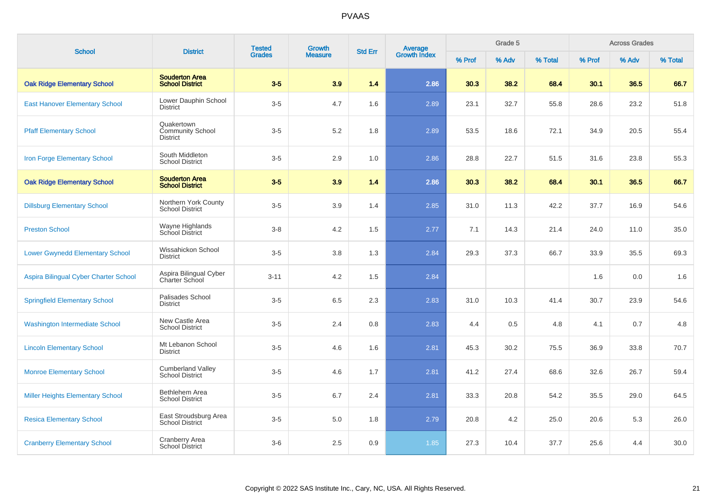| <b>School</b>                           | <b>District</b>                                          | <b>Tested</b> | <b>Growth</b>  | <b>Std Err</b> |                                |        | Grade 5 |         |        | <b>Across Grades</b><br>% Adv |         |
|-----------------------------------------|----------------------------------------------------------|---------------|----------------|----------------|--------------------------------|--------|---------|---------|--------|-------------------------------|---------|
|                                         |                                                          | <b>Grades</b> | <b>Measure</b> |                | <b>Average</b><br>Growth Index | % Prof | % Adv   | % Total | % Prof |                               | % Total |
| <b>Oak Ridge Elementary School</b>      | <b>Souderton Area</b><br><b>School District</b>          | $3-5$         | 3.9            | 1.4            | 2.86                           | 30.3   | 38.2    | 68.4    | 30.1   | 36.5                          | 66.7    |
| <b>East Hanover Elementary School</b>   | Lower Dauphin School<br><b>District</b>                  | $3-5$         | 4.7            | 1.6            | 2.89                           | 23.1   | 32.7    | 55.8    | 28.6   | 23.2                          | 51.8    |
| <b>Pfaff Elementary School</b>          | Quakertown<br><b>Community School</b><br><b>District</b> | $3-5$         | 5.2            | 1.8            | 2.89                           | 53.5   | 18.6    | 72.1    | 34.9   | 20.5                          | 55.4    |
| Iron Forge Elementary School            | South Middleton<br><b>School District</b>                | $3-5$         | 2.9            | 1.0            | 2.86                           | 28.8   | 22.7    | 51.5    | 31.6   | 23.8                          | 55.3    |
| <b>Oak Ridge Elementary School</b>      | <b>Souderton Area</b><br><b>School District</b>          | $3-5$         | 3.9            | 1.4            | 2.86                           | 30.3   | 38.2    | 68.4    | 30.1   | 36.5                          | 66.7    |
| <b>Dillsburg Elementary School</b>      | Northern York County<br><b>School District</b>           | $3-5$         | 3.9            | 1.4            | 2.85                           | 31.0   | 11.3    | 42.2    | 37.7   | 16.9                          | 54.6    |
| <b>Preston School</b>                   | Wayne Highlands<br>School District                       | $3 - 8$       | 4.2            | 1.5            | 2.77                           | 7.1    | 14.3    | 21.4    | 24.0   | 11.0                          | 35.0    |
| <b>Lower Gwynedd Elementary School</b>  | Wissahickon School<br><b>District</b>                    | $3-5$         | 3.8            | 1.3            | 2.84                           | 29.3   | 37.3    | 66.7    | 33.9   | 35.5                          | 69.3    |
| Aspira Bilingual Cyber Charter School   | Aspira Bilingual Cyber<br>Charter School                 | $3 - 11$      | 4.2            | 1.5            | 2.84                           |        |         |         | 1.6    | 0.0                           | 1.6     |
| <b>Springfield Elementary School</b>    | Palisades School<br><b>District</b>                      | $3-5$         | 6.5            | 2.3            | 2.83                           | 31.0   | 10.3    | 41.4    | 30.7   | 23.9                          | 54.6    |
| <b>Washington Intermediate School</b>   | New Castle Area<br><b>School District</b>                | $3-5$         | 2.4            | 0.8            | 2.83                           | 4.4    | 0.5     | 4.8     | 4.1    | 0.7                           | 4.8     |
| <b>Lincoln Elementary School</b>        | Mt Lebanon School<br><b>District</b>                     | $3-5$         | 4.6            | 1.6            | 2.81                           | 45.3   | 30.2    | 75.5    | 36.9   | 33.8                          | 70.7    |
| <b>Monroe Elementary School</b>         | <b>Cumberland Valley</b><br><b>School District</b>       | $3-5$         | 4.6            | 1.7            | 2.81                           | 41.2   | 27.4    | 68.6    | 32.6   | 26.7                          | 59.4    |
| <b>Miller Heights Elementary School</b> | Bethlehem Area<br><b>School District</b>                 | $3-5$         | 6.7            | 2.4            | 2.81                           | 33.3   | 20.8    | 54.2    | 35.5   | 29.0                          | 64.5    |
| <b>Resica Elementary School</b>         | East Stroudsburg Area<br><b>School District</b>          | $3-5$         | $5.0$          | 1.8            | 2.79                           | 20.8   | 4.2     | 25.0    | 20.6   | 5.3                           | 26.0    |
| <b>Cranberry Elementary School</b>      | <b>Cranberry Area</b><br>School District                 | $3-6$         | 2.5            | 0.9            | 1.85                           | 27.3   | 10.4    | 37.7    | 25.6   | 4.4                           | 30.0    |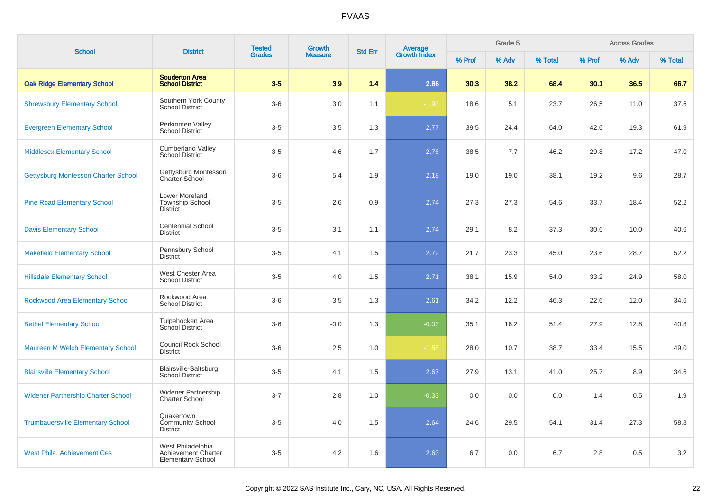| <b>School</b>                             | <b>District</b>                                                      | <b>Tested</b> | Growth         | <b>Std Err</b> |                                |        | Grade 5 |         |        | <b>Across Grades</b> |         |  |
|-------------------------------------------|----------------------------------------------------------------------|---------------|----------------|----------------|--------------------------------|--------|---------|---------|--------|----------------------|---------|--|
|                                           |                                                                      | <b>Grades</b> | <b>Measure</b> |                | <b>Average</b><br>Growth Index | % Prof | % Adv   | % Total | % Prof | % Adv                | % Total |  |
| <b>Oak Ridge Elementary School</b>        | <b>Souderton Area</b><br><b>School District</b>                      | $3-5$         | 3.9            | 1.4            | 2.86                           | 30.3   | 38.2    | 68.4    | 30.1   | 36.5                 | 66.7    |  |
| <b>Shrewsbury Elementary School</b>       | Southern York County<br><b>School District</b>                       | $3-6$         | 3.0            | 1.1            | $-1.93$                        | 18.6   | 5.1     | 23.7    | 26.5   | 11.0                 | 37.6    |  |
| <b>Evergreen Elementary School</b>        | Perkiomen Valley<br><b>School District</b>                           | $3-5$         | 3.5            | 1.3            | 2.77                           | 39.5   | 24.4    | 64.0    | 42.6   | 19.3                 | 61.9    |  |
| <b>Middlesex Elementary School</b>        | <b>Cumberland Valley</b><br><b>School District</b>                   | $3-5$         | 4.6            | 1.7            | 2.76                           | 38.5   | 7.7     | 46.2    | 29.8   | 17.2                 | 47.0    |  |
| Gettysburg Montessori Charter School      | Gettysburg Montessori<br><b>Charter School</b>                       | $3-6$         | 5.4            | 1.9            | 2.18                           | 19.0   | 19.0    | 38.1    | 19.2   | 9.6                  | 28.7    |  |
| <b>Pine Road Elementary School</b>        | Lower Moreland<br><b>Township School</b><br><b>District</b>          | $3-5$         | 2.6            | 0.9            | 2.74                           | 27.3   | 27.3    | 54.6    | 33.7   | 18.4                 | 52.2    |  |
| <b>Davis Elementary School</b>            | <b>Centennial School</b><br><b>District</b>                          | $3-5$         | 3.1            | 1.1            | 2.74                           | 29.1   | 8.2     | 37.3    | 30.6   | 10.0                 | 40.6    |  |
| <b>Makefield Elementary School</b>        | Pennsbury School<br>District                                         | $3-5$         | 4.1            | 1.5            | 2.72                           | 21.7   | 23.3    | 45.0    | 23.6   | 28.7                 | 52.2    |  |
| <b>Hillsdale Elementary School</b>        | West Chester Area<br><b>School District</b>                          | $3-5$         | 4.0            | 1.5            | 2.71                           | 38.1   | 15.9    | 54.0    | 33.2   | 24.9                 | 58.0    |  |
| <b>Rockwood Area Elementary School</b>    | Rockwood Area<br><b>School District</b>                              | $3-6$         | 3.5            | 1.3            | 2.61                           | 34.2   | 12.2    | 46.3    | 22.6   | 12.0                 | 34.6    |  |
| <b>Bethel Elementary School</b>           | Tulpehocken Area<br>School District                                  | $3-6$         | $-0.0$         | 1.3            | $-0.03$                        | 35.1   | 16.2    | 51.4    | 27.9   | 12.8                 | 40.8    |  |
| Maureen M Welch Elementary School         | <b>Council Rock School</b><br><b>District</b>                        | $3-6$         | 2.5            | 1.0            | $-1.58$                        | 28.0   | 10.7    | 38.7    | 33.4   | 15.5                 | 49.0    |  |
| <b>Blairsville Elementary School</b>      | Blairsville-Saltsburg<br><b>School District</b>                      | $3-5$         | 4.1            | 1.5            | 2.67                           | 27.9   | 13.1    | 41.0    | 25.7   | 8.9                  | 34.6    |  |
| <b>Widener Partnership Charter School</b> | <b>Widener Partnership</b><br><b>Charter School</b>                  | $3 - 7$       | 2.8            | 1.0            | $-0.33$                        | 0.0    | 0.0     | 0.0     | 1.4    | 0.5                  | 1.9     |  |
| <b>Trumbauersville Elementary School</b>  | Quakertown<br><b>Community School</b><br>District                    | $3-5$         | 4.0            | 1.5            | 2.64                           | 24.6   | 29.5    | 54.1    | 31.4   | 27.3                 | 58.8    |  |
| <b>West Phila. Achievement Ces</b>        | West Philadelphia<br>Achievement Charter<br><b>Elementary School</b> | $3-5$         | 4.2            | 1.6            | 2.63                           | 6.7    | 0.0     | 6.7     | 2.8    | 0.5                  | 3.2     |  |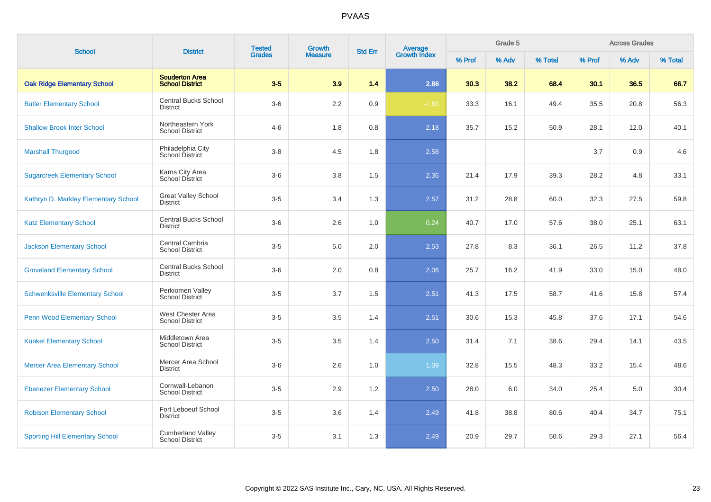| <b>School</b>                          | <b>District</b>                                    | <b>Tested</b> | Growth         | <b>Std Err</b> | Average<br>Growth Index |        | Grade 5 |         | <b>Across Grades</b> |       |         |
|----------------------------------------|----------------------------------------------------|---------------|----------------|----------------|-------------------------|--------|---------|---------|----------------------|-------|---------|
|                                        |                                                    | <b>Grades</b> | <b>Measure</b> |                |                         | % Prof | % Adv   | % Total | % Prof               | % Adv | % Total |
| <b>Oak Ridge Elementary School</b>     | <b>Souderton Area</b><br><b>School District</b>    | $3-5$         | 3.9            | 1.4            | 2.86                    | 30.3   | 38.2    | 68.4    | 30.1                 | 36.5  | 66.7    |
| <b>Butler Elementary School</b>        | <b>Central Bucks School</b><br><b>District</b>     | $3-6$         | 2.2            | 0.9            | $-1.83$                 | 33.3   | 16.1    | 49.4    | 35.5                 | 20.8  | 56.3    |
| <b>Shallow Brook Inter School</b>      | Northeastern York<br><b>School District</b>        | $4 - 6$       | 1.8            | 0.8            | 2.18                    | 35.7   | 15.2    | 50.9    | 28.1                 | 12.0  | 40.1    |
| <b>Marshall Thurgood</b>               | Philadelphia City<br>School District               | $3 - 8$       | 4.5            | 1.8            | 2.58                    |        |         |         | 3.7                  | 0.9   | 4.6     |
| <b>Sugarcreek Elementary School</b>    | Karns City Area<br>School District                 | $3-6$         | 3.8            | 1.5            | 2.36                    | 21.4   | 17.9    | 39.3    | 28.2                 | 4.8   | 33.1    |
| Kathryn D. Markley Elementary School   | <b>Great Valley School</b><br><b>District</b>      | $3-5$         | 3.4            | 1.3            | 2.57                    | 31.2   | 28.8    | 60.0    | 32.3                 | 27.5  | 59.8    |
| <b>Kutz Elementary School</b>          | <b>Central Bucks School</b><br><b>District</b>     | $3-6$         | 2.6            | 1.0            | 0.24                    | 40.7   | 17.0    | 57.6    | 38.0                 | 25.1  | 63.1    |
| <b>Jackson Elementary School</b>       | Central Cambria<br><b>School District</b>          | $3-5$         | 5.0            | 2.0            | 2.53                    | 27.8   | 8.3     | 36.1    | 26.5                 | 11.2  | 37.8    |
| <b>Groveland Elementary School</b>     | <b>Central Bucks School</b><br><b>District</b>     | $3-6$         | 2.0            | 0.8            | 2.06                    | 25.7   | 16.2    | 41.9    | 33.0                 | 15.0  | 48.0    |
| <b>Schwenksville Elementary School</b> | Perkiomen Valley<br><b>School District</b>         | $3-5$         | 3.7            | 1.5            | 2.51                    | 41.3   | 17.5    | 58.7    | 41.6                 | 15.8  | 57.4    |
| <b>Penn Wood Elementary School</b>     | West Chester Area<br><b>School District</b>        | $3-5$         | 3.5            | 1.4            | 2.51                    | 30.6   | 15.3    | 45.8    | 37.6                 | 17.1  | 54.6    |
| <b>Kunkel Elementary School</b>        | Middletown Area<br><b>School District</b>          | $3-5$         | 3.5            | 1.4            | 2.50                    | 31.4   | 7.1     | 38.6    | 29.4                 | 14.1  | 43.5    |
| <b>Mercer Area Elementary School</b>   | Mercer Area School<br><b>District</b>              | $3-6$         | 2.6            | 1.0            | 1.09                    | 32.8   | 15.5    | 48.3    | 33.2                 | 15.4  | 48.6    |
| <b>Ebenezer Elementary School</b>      | Cornwall-Lebanon<br><b>School District</b>         | $3-5$         | 2.9            | 1.2            | 2.50                    | 28.0   | 6.0     | 34.0    | 25.4                 | 5.0   | 30.4    |
| <b>Robison Elementary School</b>       | Fort Leboeuf School<br>District                    | $3-5$         | 3.6            | 1.4            | 2.49                    | 41.8   | 38.8    | 80.6    | 40.4                 | 34.7  | 75.1    |
| <b>Sporting Hill Elementary School</b> | <b>Cumberland Valley</b><br><b>School District</b> | $3-5$         | 3.1            | 1.3            | 2.49                    | 20.9   | 29.7    | 50.6    | 29.3                 | 27.1  | 56.4    |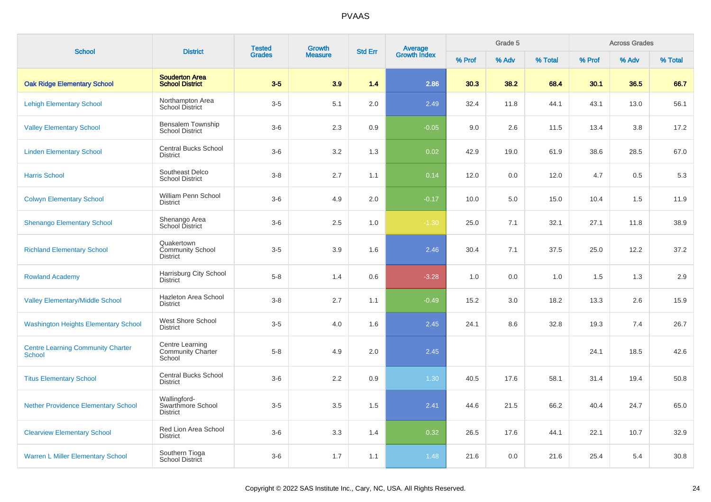| <b>School</b>                                             | <b>District</b>                                          | <b>Tested</b> | <b>Growth</b>  | <b>Std Err</b> |                                |        | Grade 5 |         |        | <b>Across Grades</b> |         |
|-----------------------------------------------------------|----------------------------------------------------------|---------------|----------------|----------------|--------------------------------|--------|---------|---------|--------|----------------------|---------|
|                                                           |                                                          | <b>Grades</b> | <b>Measure</b> |                | <b>Average</b><br>Growth Index | % Prof | % Adv   | % Total | % Prof | % Adv                | % Total |
| <b>Oak Ridge Elementary School</b>                        | <b>Souderton Area</b><br><b>School District</b>          | $3-5$         | 3.9            | 1.4            | 2.86                           | 30.3   | 38.2    | 68.4    | 30.1   | 36.5                 | 66.7    |
| <b>Lehigh Elementary School</b>                           | Northampton Area<br>School District                      | $3-5$         | 5.1            | 2.0            | 2.49                           | 32.4   | 11.8    | 44.1    | 43.1   | 13.0                 | 56.1    |
| <b>Valley Elementary School</b>                           | Bensalem Township<br><b>School District</b>              | $3-6$         | 2.3            | 0.9            | $-0.05$                        | 9.0    | 2.6     | 11.5    | 13.4   | 3.8                  | 17.2    |
| <b>Linden Elementary School</b>                           | Central Bucks School<br><b>District</b>                  | $3-6$         | 3.2            | 1.3            | 0.02                           | 42.9   | 19.0    | 61.9    | 38.6   | 28.5                 | 67.0    |
| <b>Harris School</b>                                      | Southeast Delco<br><b>School District</b>                | $3-8$         | 2.7            | 1.1            | 0.14                           | 12.0   | 0.0     | 12.0    | 4.7    | 0.5                  | 5.3     |
| <b>Colwyn Elementary School</b>                           | William Penn School<br><b>District</b>                   | $3-6$         | 4.9            | 2.0            | $-0.17$                        | 10.0   | 5.0     | 15.0    | 10.4   | 1.5                  | 11.9    |
| <b>Shenango Elementary School</b>                         | Shenango Area<br>School District                         | $3-6$         | 2.5            | 1.0            | $-1.30$                        | 25.0   | 7.1     | 32.1    | 27.1   | 11.8                 | 38.9    |
| <b>Richland Elementary School</b>                         | Quakertown<br><b>Community School</b><br><b>District</b> | $3-5$         | 3.9            | 1.6            | 2.46                           | 30.4   | 7.1     | 37.5    | 25.0   | 12.2                 | 37.2    |
| <b>Rowland Academy</b>                                    | Harrisburg City School<br><b>District</b>                | $5-8$         | 1.4            | 0.6            | $-3.28$                        | 1.0    | 0.0     | 1.0     | 1.5    | 1.3                  | 2.9     |
| <b>Valley Elementary/Middle School</b>                    | Hazleton Area School<br><b>District</b>                  | $3-8$         | 2.7            | 1.1            | $-0.49$                        | 15.2   | 3.0     | 18.2    | 13.3   | 2.6                  | 15.9    |
| <b>Washington Heights Elementary School</b>               | West Shore School<br><b>District</b>                     | $3-5$         | 4.0            | 1.6            | 2.45                           | 24.1   | 8.6     | 32.8    | 19.3   | 7.4                  | 26.7    |
| <b>Centre Learning Community Charter</b><br><b>School</b> | Centre Learning<br><b>Community Charter</b><br>School    | $5-8$         | 4.9            | 2.0            | 2.45                           |        |         |         | 24.1   | 18.5                 | 42.6    |
| <b>Titus Elementary School</b>                            | <b>Central Bucks School</b><br><b>District</b>           | $3-6$         | 2.2            | 0.9            | $1.30$                         | 40.5   | 17.6    | 58.1    | 31.4   | 19.4                 | 50.8    |
| <b>Nether Providence Elementary School</b>                | Wallingford-<br>Swarthmore School<br><b>District</b>     | $3-5$         | 3.5            | 1.5            | 2.41                           | 44.6   | 21.5    | 66.2    | 40.4   | 24.7                 | 65.0    |
| <b>Clearview Elementary School</b>                        | Red Lion Area School<br><b>District</b>                  | $3-6$         | 3.3            | 1.4            | 0.32                           | 26.5   | 17.6    | 44.1    | 22.1   | 10.7                 | 32.9    |
| <b>Warren L Miller Elementary School</b>                  | Southern Tioga<br>School District                        | $3-6$         | 1.7            | 1.1            | 1.48                           | 21.6   | 0.0     | 21.6    | 25.4   | 5.4                  | 30.8    |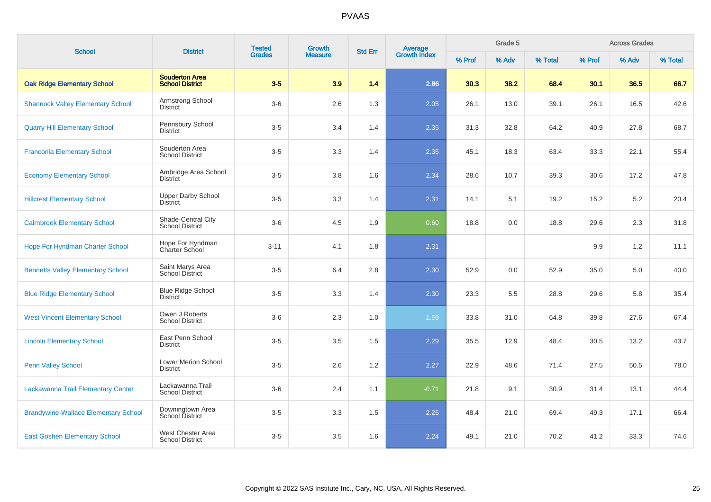| <b>School</b>                               | <b>District</b>                                 | <b>Tested</b> | Growth         | <b>Std Err</b> |                                |        | Grade 5 |         |        | <b>Across Grades</b> |         |
|---------------------------------------------|-------------------------------------------------|---------------|----------------|----------------|--------------------------------|--------|---------|---------|--------|----------------------|---------|
|                                             |                                                 | <b>Grades</b> | <b>Measure</b> |                | <b>Average</b><br>Growth Index | % Prof | % Adv   | % Total | % Prof | % Adv                | % Total |
| <b>Oak Ridge Elementary School</b>          | <b>Souderton Area</b><br><b>School District</b> | $3-5$         | 3.9            | 1.4            | 2.86                           | 30.3   | 38.2    | 68.4    | 30.1   | 36.5                 | 66.7    |
| <b>Shannock Valley Elementary School</b>    | Armstrong School<br>District                    | $3-6$         | 2.6            | 1.3            | 2.05                           | 26.1   | 13.0    | 39.1    | 26.1   | 16.5                 | 42.6    |
| <b>Quarry Hill Elementary School</b>        | Pennsbury School<br><b>District</b>             | $3-5$         | 3.4            | 1.4            | 2.35                           | 31.3   | 32.8    | 64.2    | 40.9   | 27.8                 | 68.7    |
| <b>Franconia Elementary School</b>          | Souderton Area<br><b>School District</b>        | $3-5$         | 3.3            | 1.4            | 2.35                           | 45.1   | 18.3    | 63.4    | 33.3   | 22.1                 | 55.4    |
| <b>Economy Elementary School</b>            | Ambridge Area School<br><b>District</b>         | $3-5$         | 3.8            | 1.6            | 2.34                           | 28.6   | 10.7    | 39.3    | 30.6   | 17.2                 | 47.8    |
| <b>Hillcrest Elementary School</b>          | <b>Upper Darby School</b><br><b>District</b>    | $3-5$         | 3.3            | 1.4            | 2.31                           | 14.1   | 5.1     | 19.2    | 15.2   | 5.2                  | 20.4    |
| <b>Cairnbrook Elementary School</b>         | Shade-Central City<br><b>School District</b>    | $3-6$         | 4.5            | 1.9            | 0.60                           | 18.8   | 0.0     | 18.8    | 29.6   | 2.3                  | 31.8    |
| <b>Hope For Hyndman Charter School</b>      | Hope For Hyndman<br>Charter School              | $3 - 11$      | 4.1            | 1.8            | 2.31                           |        |         |         | 9.9    | 1.2                  | 11.1    |
| <b>Bennetts Valley Elementary School</b>    | Saint Marys Area<br><b>School District</b>      | $3-5$         | 6.4            | 2.8            | 2.30                           | 52.9   | 0.0     | 52.9    | 35.0   | 5.0                  | 40.0    |
| <b>Blue Ridge Elementary School</b>         | <b>Blue Ridge School</b><br>District            | $3-5$         | 3.3            | 1.4            | 2.30                           | 23.3   | 5.5     | 28.8    | 29.6   | 5.8                  | 35.4    |
| <b>West Vincent Elementary School</b>       | Owen J Roberts<br><b>School District</b>        | $3-6$         | 2.3            | 1.0            | 1.59                           | 33.8   | 31.0    | 64.8    | 39.8   | 27.6                 | 67.4    |
| <b>Lincoln Elementary School</b>            | East Penn School<br><b>District</b>             | $3-5$         | 3.5            | 1.5            | 2.29                           | 35.5   | 12.9    | 48.4    | 30.5   | 13.2                 | 43.7    |
| <b>Penn Valley School</b>                   | Lower Merion School<br><b>District</b>          | $3-5$         | 2.6            | 1.2            | 2.27                           | 22.9   | 48.6    | 71.4    | 27.5   | 50.5                 | 78.0    |
| Lackawanna Trail Elementary Center          | Lackawanna Trail<br><b>School District</b>      | $3-6$         | 2.4            | 1.1            | $-0.71$                        | 21.8   | 9.1     | 30.9    | 31.4   | 13.1                 | 44.4    |
| <b>Brandywine-Wallace Elementary School</b> | Downingtown Area<br><b>School District</b>      | $3-5$         | 3.3            | 1.5            | 2.25                           | 48.4   | 21.0    | 69.4    | 49.3   | 17.1                 | 66.4    |
| <b>East Goshen Elementary School</b>        | West Chester Area<br><b>School District</b>     | $3-5$         | 3.5            | 1.6            | 2.24                           | 49.1   | 21.0    | 70.2    | 41.2   | 33.3                 | 74.6    |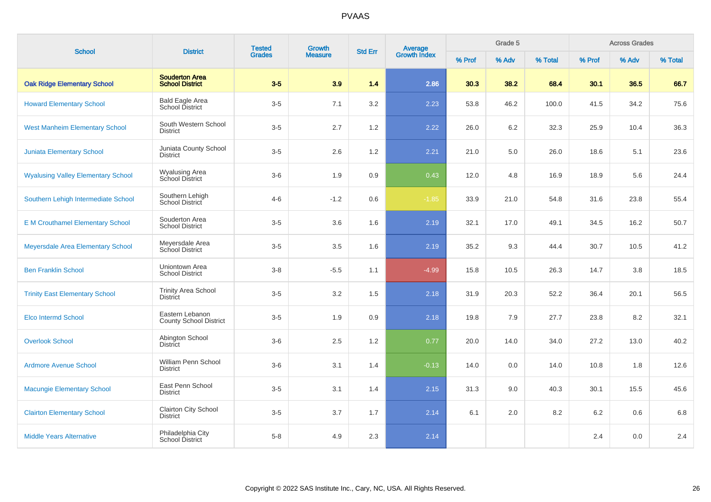| <b>School</b>                             | <b>District</b>                                  | <b>Tested</b> | Growth         | <b>Std Err</b> | Average<br>Growth Index |        | Grade 5 |         |        | <b>Across Grades</b> |         |
|-------------------------------------------|--------------------------------------------------|---------------|----------------|----------------|-------------------------|--------|---------|---------|--------|----------------------|---------|
|                                           |                                                  | <b>Grades</b> | <b>Measure</b> |                |                         | % Prof | % Adv   | % Total | % Prof | % Adv                | % Total |
| <b>Oak Ridge Elementary School</b>        | <b>Souderton Area</b><br><b>School District</b>  | $3-5$         | 3.9            | 1.4            | 2.86                    | 30.3   | 38.2    | 68.4    | 30.1   | 36.5                 | 66.7    |
| <b>Howard Elementary School</b>           | <b>Bald Eagle Area</b><br>School District        | $3-5$         | 7.1            | 3.2            | 2.23                    | 53.8   | 46.2    | 100.0   | 41.5   | 34.2                 | 75.6    |
| <b>West Manheim Elementary School</b>     | South Western School<br><b>District</b>          | $3-5$         | 2.7            | 1.2            | 2.22                    | 26.0   | 6.2     | 32.3    | 25.9   | 10.4                 | 36.3    |
| <b>Juniata Elementary School</b>          | Juniata County School<br><b>District</b>         | $3-5$         | 2.6            | 1.2            | 2.21                    | 21.0   | 5.0     | 26.0    | 18.6   | 5.1                  | 23.6    |
| <b>Wyalusing Valley Elementary School</b> | <b>Wyalusing Area</b><br>School District         | $3-6$         | 1.9            | 0.9            | 0.43                    | 12.0   | 4.8     | 16.9    | 18.9   | 5.6                  | 24.4    |
| Southern Lehigh Intermediate School       | Southern Lehigh<br>School District               | $4 - 6$       | $-1.2$         | 0.6            | $-1.85$                 | 33.9   | 21.0    | 54.8    | 31.6   | 23.8                 | 55.4    |
| <b>E M Crouthamel Elementary School</b>   | Souderton Area<br><b>School District</b>         | $3-5$         | 3.6            | 1.6            | 2.19                    | 32.1   | 17.0    | 49.1    | 34.5   | 16.2                 | 50.7    |
| Meyersdale Area Elementary School         | Meyersdale Area<br>School District               | $3-5$         | 3.5            | 1.6            | 2.19                    | 35.2   | 9.3     | 44.4    | 30.7   | 10.5                 | 41.2    |
| <b>Ben Franklin School</b>                | Uniontown Area<br><b>School District</b>         | $3 - 8$       | $-5.5$         | 1.1            | $-4.99$                 | 15.8   | 10.5    | 26.3    | 14.7   | 3.8                  | 18.5    |
| <b>Trinity East Elementary School</b>     | <b>Trinity Area School</b><br><b>District</b>    | $3-5$         | 3.2            | 1.5            | 2.18                    | 31.9   | 20.3    | 52.2    | 36.4   | 20.1                 | 56.5    |
| Elco Intermd School                       | Eastern Lebanon<br><b>County School District</b> | $3-5$         | 1.9            | 0.9            | 2.18                    | 19.8   | 7.9     | 27.7    | 23.8   | 8.2                  | 32.1    |
| <b>Overlook School</b>                    | Abington School<br><b>District</b>               | $3-6$         | 2.5            | 1.2            | 0.77                    | 20.0   | 14.0    | 34.0    | 27.2   | 13.0                 | 40.2    |
| <b>Ardmore Avenue School</b>              | William Penn School<br><b>District</b>           | $3-6$         | 3.1            | 1.4            | $-0.13$                 | 14.0   | 0.0     | 14.0    | 10.8   | 1.8                  | 12.6    |
| <b>Macungie Elementary School</b>         | East Penn School<br><b>District</b>              | $3-5$         | 3.1            | 1.4            | 2.15                    | 31.3   | 9.0     | 40.3    | 30.1   | 15.5                 | 45.6    |
| <b>Clairton Elementary School</b>         | Clairton City School<br><b>District</b>          | $3-5$         | 3.7            | 1.7            | 2.14                    | 6.1    | 2.0     | 8.2     | 6.2    | 0.6                  | 6.8     |
| <b>Middle Years Alternative</b>           | Philadelphia City<br>School District             | $5-8$         | 4.9            | 2.3            | 2.14                    |        |         |         | 2.4    | 0.0                  | 2.4     |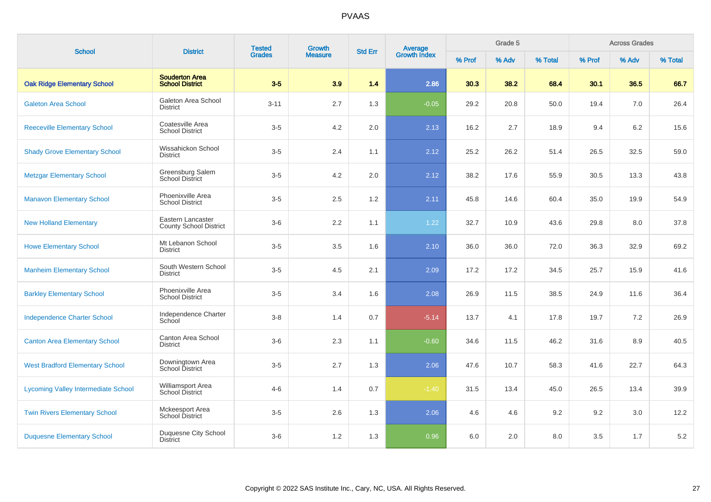| <b>School</b>                              | <b>District</b>                                    | <b>Tested</b> | Growth         | Average<br>Growth Index<br><b>Std Err</b> |         | Grade 5 |       | <b>Across Grades</b> |        |       |         |
|--------------------------------------------|----------------------------------------------------|---------------|----------------|-------------------------------------------|---------|---------|-------|----------------------|--------|-------|---------|
|                                            |                                                    | <b>Grades</b> | <b>Measure</b> |                                           |         | % Prof  | % Adv | % Total              | % Prof | % Adv | % Total |
| <b>Oak Ridge Elementary School</b>         | <b>Souderton Area</b><br><b>School District</b>    | $3-5$         | 3.9            | 1.4                                       | 2.86    | 30.3    | 38.2  | 68.4                 | 30.1   | 36.5  | 66.7    |
| <b>Galeton Area School</b>                 | Galeton Area School<br><b>District</b>             | $3 - 11$      | 2.7            | 1.3                                       | $-0.05$ | 29.2    | 20.8  | 50.0                 | 19.4   | 7.0   | 26.4    |
| <b>Reeceville Elementary School</b>        | Coatesville Area<br><b>School District</b>         | $3-5$         | 4.2            | 2.0                                       | 2.13    | 16.2    | 2.7   | 18.9                 | 9.4    | 6.2   | 15.6    |
| <b>Shady Grove Elementary School</b>       | Wissahickon School<br><b>District</b>              | $3-5$         | 2.4            | 1.1                                       | 2.12    | 25.2    | 26.2  | 51.4                 | 26.5   | 32.5  | 59.0    |
| <b>Metzgar Elementary School</b>           | Greensburg Salem<br>School District                | $3-5$         | 4.2            | 2.0                                       | 2.12    | 38.2    | 17.6  | 55.9                 | 30.5   | 13.3  | 43.8    |
| <b>Manavon Elementary School</b>           | Phoenixville Area<br><b>School District</b>        | $3-5$         | 2.5            | $1.2\,$                                   | 2.11    | 45.8    | 14.6  | 60.4                 | 35.0   | 19.9  | 54.9    |
| <b>New Holland Elementary</b>              | Eastern Lancaster<br><b>County School District</b> | $3-6$         | 2.2            | 1.1                                       | 1.22    | 32.7    | 10.9  | 43.6                 | 29.8   | 8.0   | 37.8    |
| <b>Howe Elementary School</b>              | Mt Lebanon School<br><b>District</b>               | $3-5$         | 3.5            | 1.6                                       | 2.10    | 36.0    | 36.0  | 72.0                 | 36.3   | 32.9  | 69.2    |
| <b>Manheim Elementary School</b>           | South Western School<br><b>District</b>            | $3-5$         | 4.5            | 2.1                                       | 2.09    | 17.2    | 17.2  | 34.5                 | 25.7   | 15.9  | 41.6    |
| <b>Barkley Elementary School</b>           | Phoenixville Area<br><b>School District</b>        | $3-5$         | 3.4            | 1.6                                       | 2.08    | 26.9    | 11.5  | 38.5                 | 24.9   | 11.6  | 36.4    |
| <b>Independence Charter School</b>         | Independence Charter<br>School                     | $3 - 8$       | 1.4            | 0.7                                       | $-5.14$ | 13.7    | 4.1   | 17.8                 | 19.7   | 7.2   | 26.9    |
| <b>Canton Area Elementary School</b>       | Canton Area School<br><b>District</b>              | $3-6$         | 2.3            | 1.1                                       | $-0.60$ | 34.6    | 11.5  | 46.2                 | 31.6   | 8.9   | 40.5    |
| <b>West Bradford Elementary School</b>     | Downingtown Area<br>School District                | $3-5$         | 2.7            | 1.3                                       | 2.06    | 47.6    | 10.7  | 58.3                 | 41.6   | 22.7  | 64.3    |
| <b>Lycoming Valley Intermediate School</b> | Williamsport Area<br>School District               | $4 - 6$       | 1.4            | 0.7                                       | $-1.40$ | 31.5    | 13.4  | 45.0                 | 26.5   | 13.4  | 39.9    |
| <b>Twin Rivers Elementary School</b>       | <b>Mckeesport Area</b><br><b>School District</b>   | $3-5$         | 2.6            | 1.3                                       | 2.06    | 4.6     | 4.6   | 9.2                  | 9.2    | 3.0   | 12.2    |
| <b>Duquesne Elementary School</b>          | Duquesne City School<br><b>District</b>            | $3-6$         | 1.2            | 1.3                                       | 0.96    | 6.0     | 2.0   | 8.0                  | 3.5    | 1.7   | 5.2     |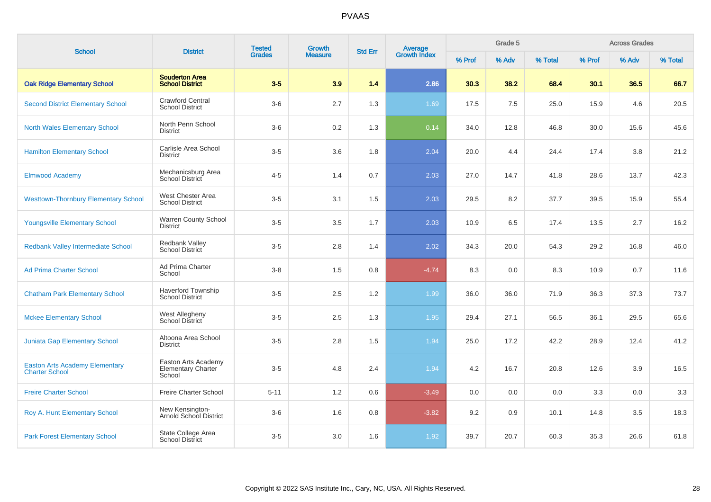| <b>School</b>                                                  | <b>District</b>                                            | <b>Tested</b> | Growth         | <b>Std Err</b> | <b>Average</b><br>Growth Index |        | Grade 5 |         |        | <b>Across Grades</b> |         |
|----------------------------------------------------------------|------------------------------------------------------------|---------------|----------------|----------------|--------------------------------|--------|---------|---------|--------|----------------------|---------|
|                                                                |                                                            | <b>Grades</b> | <b>Measure</b> |                |                                | % Prof | % Adv   | % Total | % Prof | % Adv                | % Total |
| <b>Oak Ridge Elementary School</b>                             | <b>Souderton Area</b><br><b>School District</b>            | $3-5$         | 3.9            | 1.4            | 2.86                           | 30.3   | 38.2    | 68.4    | 30.1   | 36.5                 | 66.7    |
| <b>Second District Elementary School</b>                       | <b>Crawford Central</b><br><b>School District</b>          | $3-6$         | 2.7            | 1.3            | 1.69                           | 17.5   | 7.5     | 25.0    | 15.9   | 4.6                  | 20.5    |
| <b>North Wales Elementary School</b>                           | North Penn School<br><b>District</b>                       | $3-6$         | 0.2            | 1.3            | 0.14                           | 34.0   | 12.8    | 46.8    | 30.0   | 15.6                 | 45.6    |
| <b>Hamilton Elementary School</b>                              | Carlisle Area School<br><b>District</b>                    | $3-5$         | 3.6            | 1.8            | 2.04                           | 20.0   | 4.4     | 24.4    | 17.4   | 3.8                  | 21.2    |
| <b>Elmwood Academy</b>                                         | Mechanicsburg Area<br>School District                      | $4 - 5$       | 1.4            | 0.7            | 2.03                           | 27.0   | 14.7    | 41.8    | 28.6   | 13.7                 | 42.3    |
| <b>Westtown-Thornbury Elementary School</b>                    | West Chester Area<br><b>School District</b>                | $3-5$         | 3.1            | 1.5            | 2.03                           | 29.5   | 8.2     | 37.7    | 39.5   | 15.9                 | 55.4    |
| <b>Youngsville Elementary School</b>                           | Warren County School<br><b>District</b>                    | $3-5$         | 3.5            | 1.7            | 2.03                           | 10.9   | 6.5     | 17.4    | 13.5   | 2.7                  | 16.2    |
| Redbank Valley Intermediate School                             | Redbank Valley<br><b>School District</b>                   | $3-5$         | 2.8            | 1.4            | 2.02                           | 34.3   | 20.0    | 54.3    | 29.2   | 16.8                 | 46.0    |
| <b>Ad Prima Charter School</b>                                 | Ad Prima Charter<br>School                                 | $3-8$         | 1.5            | 0.8            | $-4.74$                        | 8.3    | 0.0     | 8.3     | 10.9   | 0.7                  | 11.6    |
| <b>Chatham Park Elementary School</b>                          | <b>Haverford Township</b><br><b>School District</b>        | $3-5$         | 2.5            | 1.2            | 1.99                           | 36.0   | 36.0    | 71.9    | 36.3   | 37.3                 | 73.7    |
| <b>Mckee Elementary School</b>                                 | West Allegheny<br>School District                          | $3-5$         | 2.5            | 1.3            | 1.95                           | 29.4   | 27.1    | 56.5    | 36.1   | 29.5                 | 65.6    |
| <b>Juniata Gap Elementary School</b>                           | Altoona Area School<br><b>District</b>                     | $3-5$         | 2.8            | 1.5            | 1.94                           | 25.0   | 17.2    | 42.2    | 28.9   | 12.4                 | 41.2    |
| <b>Easton Arts Academy Elementary</b><br><b>Charter School</b> | Easton Arts Academy<br><b>Elementary Charter</b><br>School | $3-5$         | 4.8            | 2.4            | 1.94                           | 4.2    | 16.7    | 20.8    | 12.6   | 3.9                  | 16.5    |
| <b>Freire Charter School</b>                                   | Freire Charter School                                      | $5 - 11$      | 1.2            | 0.6            | $-3.49$                        | 0.0    | 0.0     | 0.0     | 3.3    | 0.0                  | 3.3     |
| Roy A. Hunt Elementary School                                  | New Kensington-<br>Arnold School District                  | $3-6$         | 1.6            | 0.8            | $-3.82$                        | 9.2    | 0.9     | 10.1    | 14.8   | 3.5                  | 18.3    |
| <b>Park Forest Elementary School</b>                           | State College Area<br><b>School District</b>               | $3-5$         | 3.0            | 1.6            | 1.92                           | 39.7   | 20.7    | 60.3    | 35.3   | 26.6                 | 61.8    |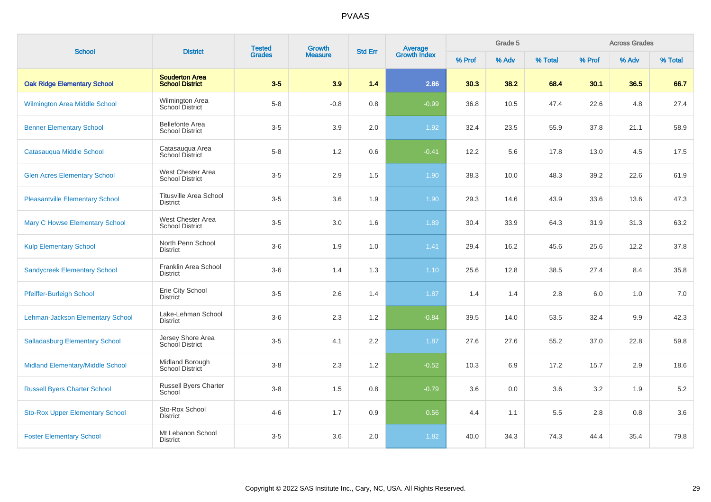| <b>School</b>                          | <b>District</b>                                  | <b>Tested</b> | Growth         | <b>Std Err</b> | Average<br>Growth Index |        | Grade 5 |         |         | <b>Across Grades</b> |         |
|----------------------------------------|--------------------------------------------------|---------------|----------------|----------------|-------------------------|--------|---------|---------|---------|----------------------|---------|
|                                        |                                                  | <b>Grades</b> | <b>Measure</b> |                |                         | % Prof | % Adv   | % Total | % Prof  | % Adv                | % Total |
| <b>Oak Ridge Elementary School</b>     | <b>Souderton Area</b><br><b>School District</b>  | $3-5$         | 3.9            | 1.4            | 2.86                    | 30.3   | 38.2    | 68.4    | 30.1    | 36.5                 | 66.7    |
| Wilmington Area Middle School          | Wilmington Area<br>School District               | $5-8$         | $-0.8$         | 0.8            | $-0.99$                 | 36.8   | 10.5    | 47.4    | 22.6    | 4.8                  | 27.4    |
| <b>Benner Elementary School</b>        | <b>Bellefonte Area</b><br><b>School District</b> | $3-5$         | 3.9            | 2.0            | 1.92                    | 32.4   | 23.5    | 55.9    | 37.8    | 21.1                 | 58.9    |
| Catasaugua Middle School               | Catasauqua Area<br>School District               | $5-8$         | 1.2            | 0.6            | $-0.41$                 | 12.2   | 5.6     | 17.8    | 13.0    | 4.5                  | 17.5    |
| <b>Glen Acres Elementary School</b>    | West Chester Area<br><b>School District</b>      | $3-5$         | 2.9            | 1.5            | 1.90                    | 38.3   | 10.0    | 48.3    | 39.2    | 22.6                 | 61.9    |
| <b>Pleasantville Elementary School</b> | <b>Titusville Area School</b><br><b>District</b> | $3-5$         | 3.6            | 1.9            | 1.90                    | 29.3   | 14.6    | 43.9    | 33.6    | 13.6                 | 47.3    |
| <b>Mary C Howse Elementary School</b>  | West Chester Area<br><b>School District</b>      | $3-5$         | 3.0            | 1.6            | 1.89                    | 30.4   | 33.9    | 64.3    | 31.9    | 31.3                 | 63.2    |
| <b>Kulp Elementary School</b>          | North Penn School<br><b>District</b>             | $3-6$         | 1.9            | 1.0            | 1.41                    | 29.4   | 16.2    | 45.6    | 25.6    | 12.2                 | 37.8    |
| <b>Sandycreek Elementary School</b>    | Franklin Area School<br><b>District</b>          | $3-6$         | 1.4            | 1.3            | 1.10                    | 25.6   | 12.8    | 38.5    | 27.4    | 8.4                  | 35.8    |
| Pfeiffer-Burleigh School               | Erie City School<br><b>District</b>              | $3-5$         | 2.6            | 1.4            | 1.87                    | 1.4    | 1.4     | 2.8     | 6.0     | 1.0                  | 7.0     |
| Lehman-Jackson Elementary School       | Lake-Lehman School<br><b>District</b>            | $3-6$         | $2.3\,$        | 1.2            | $-0.84$                 | 39.5   | 14.0    | 53.5    | 32.4    | 9.9                  | 42.3    |
| <b>Salladasburg Elementary School</b>  | Jersey Shore Area<br>School District             | $3-5$         | 4.1            | 2.2            | 1.87                    | 27.6   | 27.6    | 55.2    | 37.0    | 22.8                 | 59.8    |
| Midland Elementary/Middle School       | Midland Borough<br>School District               | $3-8$         | 2.3            | 1.2            | $-0.52$                 | 10.3   | 6.9     | 17.2    | 15.7    | 2.9                  | 18.6    |
| <b>Russell Byers Charter School</b>    | Russell Byers Charter<br>School                  | $3-8$         | 1.5            | 0.8            | $-0.79$                 | 3.6    | 0.0     | 3.6     | 3.2     | 1.9                  | $5.2\,$ |
| <b>Sto-Rox Upper Elementary School</b> | Sto-Rox School<br><b>District</b>                | $4 - 6$       | 1.7            | 0.9            | 0.56                    | 4.4    | 1.1     | 5.5     | $2.8\,$ | 0.8                  | 3.6     |
| <b>Foster Elementary School</b>        | Mt Lebanon School<br><b>District</b>             | $3-5$         | 3.6            | 2.0            | 1.82                    | 40.0   | 34.3    | 74.3    | 44.4    | 35.4                 | 79.8    |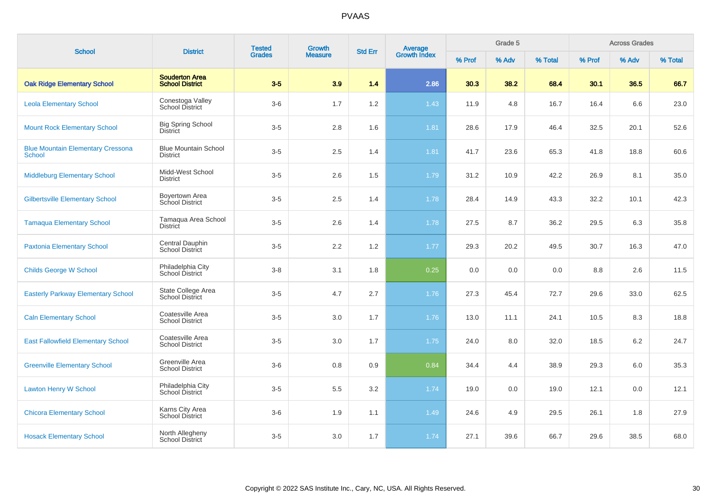| <b>School</b>                                             | <b>District</b>                                 | <b>Tested</b> | Growth         | <b>Std Err</b> |                                |        | Grade 5 |         |        | <b>Across Grades</b> |         |
|-----------------------------------------------------------|-------------------------------------------------|---------------|----------------|----------------|--------------------------------|--------|---------|---------|--------|----------------------|---------|
|                                                           |                                                 | <b>Grades</b> | <b>Measure</b> |                | <b>Average</b><br>Growth Index | % Prof | % Adv   | % Total | % Prof | % Adv                | % Total |
| <b>Oak Ridge Elementary School</b>                        | <b>Souderton Area</b><br><b>School District</b> | $3-5$         | 3.9            | 1.4            | 2.86                           | 30.3   | 38.2    | 68.4    | 30.1   | 36.5                 | 66.7    |
| <b>Leola Elementary School</b>                            | Conestoga Valley<br><b>School District</b>      | $3-6$         | 1.7            | 1.2            | 1.43                           | 11.9   | 4.8     | 16.7    | 16.4   | 6.6                  | 23.0    |
| <b>Mount Rock Elementary School</b>                       | <b>Big Spring School</b><br><b>District</b>     | $3-5$         | 2.8            | 1.6            | 1.81                           | 28.6   | 17.9    | 46.4    | 32.5   | 20.1                 | 52.6    |
| <b>Blue Mountain Elementary Cressona</b><br><b>School</b> | <b>Blue Mountain School</b><br><b>District</b>  | $3-5$         | 2.5            | 1.4            | 1.81                           | 41.7   | 23.6    | 65.3    | 41.8   | 18.8                 | 60.6    |
| <b>Middleburg Elementary School</b>                       | Midd-West School<br><b>District</b>             | $3-5$         | 2.6            | 1.5            | 1.79                           | 31.2   | 10.9    | 42.2    | 26.9   | 8.1                  | 35.0    |
| <b>Gilbertsville Elementary School</b>                    | Boyertown Area<br>School District               | $3-5$         | 2.5            | 1.4            | 1.78                           | 28.4   | 14.9    | 43.3    | 32.2   | 10.1                 | 42.3    |
| <b>Tamaqua Elementary School</b>                          | Tamaqua Area School<br><b>District</b>          | $3-5$         | 2.6            | 1.4            | 1.78                           | 27.5   | 8.7     | 36.2    | 29.5   | 6.3                  | 35.8    |
| <b>Paxtonia Elementary School</b>                         | Central Dauphin<br>School District              | $3-5$         | 2.2            | 1.2            | 1.77                           | 29.3   | 20.2    | 49.5    | 30.7   | 16.3                 | 47.0    |
| <b>Childs George W School</b>                             | Philadelphia City<br>School District            | $3 - 8$       | 3.1            | 1.8            | 0.25                           | 0.0    | 0.0     | 0.0     | 8.8    | 2.6                  | 11.5    |
| <b>Easterly Parkway Elementary School</b>                 | State College Area<br><b>School District</b>    | $3-5$         | 4.7            | 2.7            | 1.76                           | 27.3   | 45.4    | 72.7    | 29.6   | 33.0                 | 62.5    |
| <b>Caln Elementary School</b>                             | Coatesville Area<br><b>School District</b>      | $3-5$         | 3.0            | 1.7            | 1.76                           | 13.0   | 11.1    | 24.1    | 10.5   | 8.3                  | 18.8    |
| <b>East Fallowfield Elementary School</b>                 | Coatesville Area<br><b>School District</b>      | $3-5$         | 3.0            | 1.7            | 1.75                           | 24.0   | 8.0     | 32.0    | 18.5   | 6.2                  | 24.7    |
| <b>Greenville Elementary School</b>                       | Greenville Area<br><b>School District</b>       | $3-6$         | 0.8            | 0.9            | 0.84                           | 34.4   | 4.4     | 38.9    | 29.3   | 6.0                  | 35.3    |
| <b>Lawton Henry W School</b>                              | Philadelphia City<br>School District            | $3-5$         | 5.5            | 3.2            | 1.74                           | 19.0   | 0.0     | 19.0    | 12.1   | 0.0                  | 12.1    |
| <b>Chicora Elementary School</b>                          | Karns City Area<br><b>School District</b>       | $3-6$         | 1.9            | 1.1            | 1.49                           | 24.6   | 4.9     | 29.5    | 26.1   | 1.8                  | 27.9    |
| <b>Hosack Elementary School</b>                           | North Allegheny<br>School District              | $3-5$         | 3.0            | 1.7            | 1.74                           | 27.1   | 39.6    | 66.7    | 29.6   | 38.5                 | 68.0    |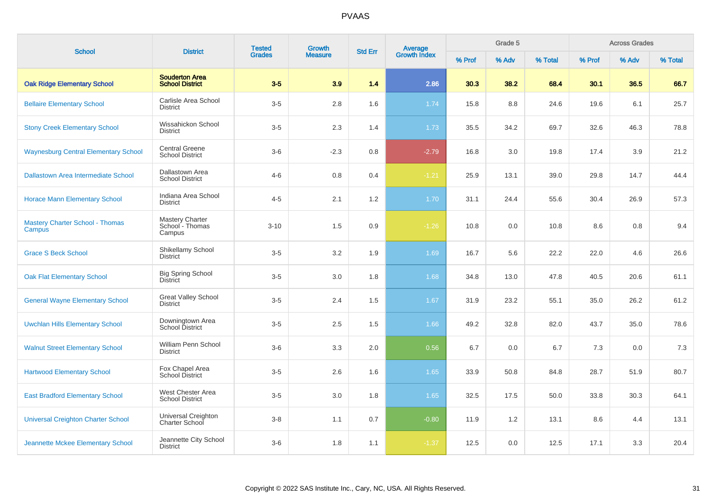| <b>School</b>                                    | <b>District</b>                                     | <b>Tested</b> | <b>Growth</b>  | <b>Std Err</b> |                                |        | Grade 5 |         |        | <b>Across Grades</b> |         |
|--------------------------------------------------|-----------------------------------------------------|---------------|----------------|----------------|--------------------------------|--------|---------|---------|--------|----------------------|---------|
|                                                  |                                                     | <b>Grades</b> | <b>Measure</b> |                | <b>Average</b><br>Growth Index | % Prof | % Adv   | % Total | % Prof | % Adv                | % Total |
| <b>Oak Ridge Elementary School</b>               | <b>Souderton Area</b><br><b>School District</b>     | $3-5$         | 3.9            | 1.4            | 2.86                           | 30.3   | 38.2    | 68.4    | 30.1   | 36.5                 | 66.7    |
| <b>Bellaire Elementary School</b>                | Carlisle Area School<br><b>District</b>             | $3-5$         | 2.8            | 1.6            | 1.74                           | 15.8   | 8.8     | 24.6    | 19.6   | 6.1                  | 25.7    |
| <b>Stony Creek Elementary School</b>             | Wissahickon School<br><b>District</b>               | $3-5$         | 2.3            | 1.4            | 1.73                           | 35.5   | 34.2    | 69.7    | 32.6   | 46.3                 | 78.8    |
| <b>Waynesburg Central Elementary School</b>      | <b>Central Greene</b><br><b>School District</b>     | $3-6$         | $-2.3$         | 0.8            | $-2.79$                        | 16.8   | 3.0     | 19.8    | 17.4   | 3.9                  | 21.2    |
| <b>Dallastown Area Intermediate School</b>       | Dallastown Area<br><b>School District</b>           | $4 - 6$       | 0.8            | 0.4            | $-1.21$                        | 25.9   | 13.1    | 39.0    | 29.8   | 14.7                 | 44.4    |
| <b>Horace Mann Elementary School</b>             | Indiana Area School<br><b>District</b>              | $4 - 5$       | 2.1            | 1.2            | 1.70                           | 31.1   | 24.4    | 55.6    | 30.4   | 26.9                 | 57.3    |
| <b>Mastery Charter School - Thomas</b><br>Campus | <b>Mastery Charter</b><br>School - Thomas<br>Campus | $3 - 10$      | 1.5            | 0.9            | $-1.26$                        | 10.8   | 0.0     | 10.8    | 8.6    | 0.8                  | 9.4     |
| <b>Grace S Beck School</b>                       | Shikellamy School<br><b>District</b>                | $3-5$         | 3.2            | 1.9            | 1.69                           | 16.7   | 5.6     | 22.2    | 22.0   | 4.6                  | 26.6    |
| <b>Oak Flat Elementary School</b>                | <b>Big Spring School</b><br><b>District</b>         | $3-5$         | 3.0            | 1.8            | 1.68                           | 34.8   | 13.0    | 47.8    | 40.5   | 20.6                 | 61.1    |
| <b>General Wayne Elementary School</b>           | <b>Great Valley School</b><br><b>District</b>       | $3-5$         | 2.4            | 1.5            | 1.67                           | 31.9   | 23.2    | 55.1    | 35.0   | 26.2                 | 61.2    |
| <b>Uwchlan Hills Elementary School</b>           | Downingtown Area<br>School District                 | $3-5$         | 2.5            | 1.5            | 1.66                           | 49.2   | 32.8    | 82.0    | 43.7   | 35.0                 | 78.6    |
| <b>Walnut Street Elementary School</b>           | William Penn School<br><b>District</b>              | $3-6$         | 3.3            | 2.0            | 0.56                           | 6.7    | 0.0     | 6.7     | 7.3    | 0.0                  | 7.3     |
| <b>Hartwood Elementary School</b>                | Fox Chapel Area<br>School District                  | $3-5$         | 2.6            | 1.6            | 1.65                           | 33.9   | 50.8    | 84.8    | 28.7   | 51.9                 | 80.7    |
| <b>East Bradford Elementary School</b>           | West Chester Area<br><b>School District</b>         | $3-5$         | 3.0            | 1.8            | 1.65                           | 32.5   | 17.5    | 50.0    | 33.8   | 30.3                 | 64.1    |
| <b>Universal Creighton Charter School</b>        | Universal Creighton<br>Charter School               | $3-8$         | 1.1            | 0.7            | $-0.80$                        | 11.9   | 1.2     | 13.1    | 8.6    | 4.4                  | 13.1    |
| Jeannette Mckee Elementary School                | Jeannette City School<br><b>District</b>            | $3-6$         | 1.8            | 1.1            | $-1.37$                        | 12.5   | 0.0     | 12.5    | 17.1   | 3.3                  | 20.4    |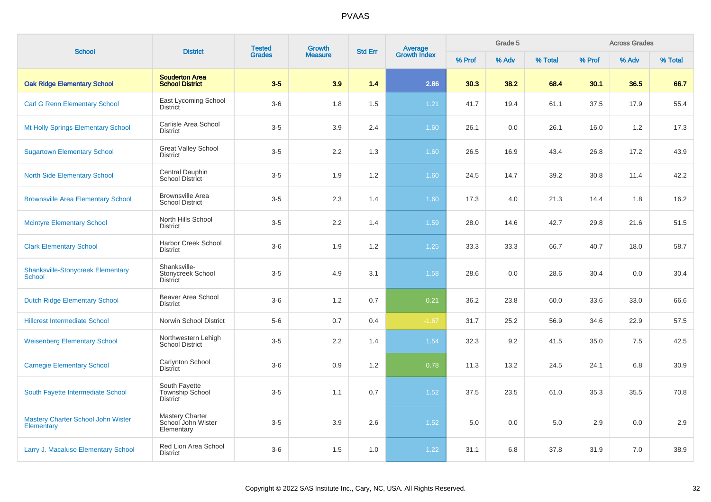| <b>School</b>                                      | <b>District</b>                                            | <b>Tested</b> | <b>Growth</b>  | <b>Std Err</b> | Average<br>Growth Index |        | Grade 5 |         |        | <b>Across Grades</b> |         |
|----------------------------------------------------|------------------------------------------------------------|---------------|----------------|----------------|-------------------------|--------|---------|---------|--------|----------------------|---------|
|                                                    |                                                            | <b>Grades</b> | <b>Measure</b> |                |                         | % Prof | % Adv   | % Total | % Prof | % Adv                | % Total |
| <b>Oak Ridge Elementary School</b>                 | <b>Souderton Area</b><br><b>School District</b>            | $3-5$         | 3.9            | 1.4            | 2.86                    | 30.3   | 38.2    | 68.4    | 30.1   | 36.5                 | 66.7    |
| <b>Carl G Renn Elementary School</b>               | East Lycoming School<br><b>District</b>                    | $3-6$         | 1.8            | 1.5            | $1.21$                  | 41.7   | 19.4    | 61.1    | 37.5   | 17.9                 | 55.4    |
| Mt Holly Springs Elementary School                 | Carlisle Area School<br><b>District</b>                    | $3-5$         | 3.9            | 2.4            | 1.60                    | 26.1   | 0.0     | 26.1    | 16.0   | 1.2                  | 17.3    |
| <b>Sugartown Elementary School</b>                 | <b>Great Valley School</b><br><b>District</b>              | $3-5$         | 2.2            | 1.3            | 1.60                    | 26.5   | 16.9    | 43.4    | 26.8   | 17.2                 | 43.9    |
| <b>North Side Elementary School</b>                | Central Dauphin<br>School District                         | $3-5$         | 1.9            | 1.2            | 1.60                    | 24.5   | 14.7    | 39.2    | 30.8   | 11.4                 | 42.2    |
| <b>Brownsville Area Elementary School</b>          | <b>Brownsville Area</b><br><b>School District</b>          | $3-5$         | 2.3            | 1.4            | 1.60                    | 17.3   | 4.0     | 21.3    | 14.4   | 1.8                  | 16.2    |
| <b>Mcintyre Elementary School</b>                  | North Hills School<br><b>District</b>                      | $3-5$         | 2.2            | 1.4            | 1.59                    | 28.0   | 14.6    | 42.7    | 29.8   | 21.6                 | 51.5    |
| <b>Clark Elementary School</b>                     | Harbor Creek School<br><b>District</b>                     | $3-6$         | 1.9            | 1.2            | $1.25$                  | 33.3   | 33.3    | 66.7    | 40.7   | 18.0                 | 58.7    |
| <b>Shanksville-Stonycreek Elementary</b><br>School | Shanksville-<br>Stonycreek School<br><b>District</b>       | $3-5$         | 4.9            | 3.1            | 1.58                    | 28.6   | 0.0     | 28.6    | 30.4   | 0.0                  | 30.4    |
| <b>Dutch Ridge Elementary School</b>               | Beaver Area School<br><b>District</b>                      | $3-6$         | 1.2            | 0.7            | 0.21                    | 36.2   | 23.8    | 60.0    | 33.6   | 33.0                 | 66.6    |
| <b>Hillcrest Intermediate School</b>               | Norwin School District                                     | $5-6$         | 0.7            | 0.4            | $-1.67$                 | 31.7   | 25.2    | 56.9    | 34.6   | 22.9                 | 57.5    |
| <b>Weisenberg Elementary School</b>                | Northwestern Lehigh<br><b>School District</b>              | $3-5$         | 2.2            | 1.4            | 1.54                    | 32.3   | 9.2     | 41.5    | 35.0   | 7.5                  | 42.5    |
| <b>Carnegie Elementary School</b>                  | Carlynton School<br><b>District</b>                        | $3-6$         | 0.9            | 1.2            | 0.78                    | 11.3   | 13.2    | 24.5    | 24.1   | 6.8                  | 30.9    |
| South Fayette Intermediate School                  | South Fayette<br><b>Township School</b><br><b>District</b> | $3-5$         | 1.1            | 0.7            | 1.52                    | 37.5   | 23.5    | 61.0    | 35.3   | 35.5                 | 70.8    |
| Mastery Charter School John Wister<br>Elementary   | <b>Mastery Charter</b><br>School John Wister<br>Elementary | $3-5$         | 3.9            | 2.6            | 1.52                    | 5.0    | 0.0     | 5.0     | 2.9    | 0.0                  | 2.9     |
| Larry J. Macaluso Elementary School                | Red Lion Area School<br><b>District</b>                    | $3-6$         | 1.5            | 1.0            | 1.22                    | 31.1   | 6.8     | 37.8    | 31.9   | 7.0                  | 38.9    |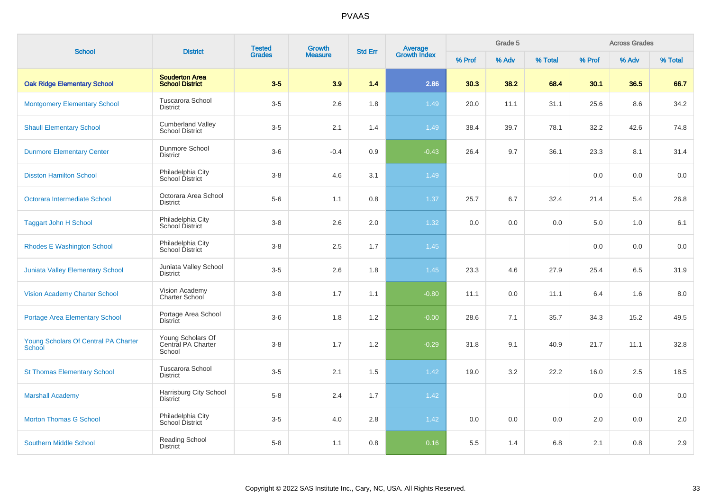| <b>School</b>                                         | <b>District</b>                                    | <b>Tested</b> | Growth         | <b>Std Err</b> |                                |        | Grade 5 |         |        | <b>Across Grades</b> |         |
|-------------------------------------------------------|----------------------------------------------------|---------------|----------------|----------------|--------------------------------|--------|---------|---------|--------|----------------------|---------|
|                                                       |                                                    | <b>Grades</b> | <b>Measure</b> |                | <b>Average</b><br>Growth Index | % Prof | % Adv   | % Total | % Prof | % Adv                | % Total |
| <b>Oak Ridge Elementary School</b>                    | <b>Souderton Area</b><br><b>School District</b>    | $3-5$         | 3.9            | 1.4            | 2.86                           | 30.3   | 38.2    | 68.4    | 30.1   | 36.5                 | 66.7    |
| <b>Montgomery Elementary School</b>                   | <b>Tuscarora School</b><br><b>District</b>         | $3-5$         | 2.6            | 1.8            | 1.49                           | 20.0   | 11.1    | 31.1    | 25.6   | 8.6                  | 34.2    |
| <b>Shaull Elementary School</b>                       | <b>Cumberland Valley</b><br><b>School District</b> | $3-5$         | 2.1            | 1.4            | 1.49                           | 38.4   | 39.7    | 78.1    | 32.2   | 42.6                 | 74.8    |
| <b>Dunmore Elementary Center</b>                      | Dunmore School<br><b>District</b>                  | $3-6$         | $-0.4$         | 0.9            | $-0.43$                        | 26.4   | 9.7     | 36.1    | 23.3   | 8.1                  | 31.4    |
| <b>Disston Hamilton School</b>                        | Philadelphia City<br>School District               | $3 - 8$       | 4.6            | 3.1            | 1.49                           |        |         |         | 0.0    | 0.0                  | 0.0     |
| Octorara Intermediate School                          | Octorara Area School<br><b>District</b>            | $5-6$         | 1.1            | 0.8            | 1.37                           | 25.7   | 6.7     | 32.4    | 21.4   | 5.4                  | 26.8    |
| <b>Taggart John H School</b>                          | Philadelphia City<br>School District               | $3-8$         | 2.6            | $2.0\,$        | 1.32                           | 0.0    | 0.0     | $0.0\,$ | 5.0    | 1.0                  | 6.1     |
| <b>Rhodes E Washington School</b>                     | Philadelphia City<br>School District               | $3-8$         | 2.5            | 1.7            | 1.45                           |        |         |         | 0.0    | 0.0                  | 0.0     |
| <b>Juniata Valley Elementary School</b>               | Juniata Valley School<br><b>District</b>           | $3-5$         | 2.6            | 1.8            | 1.45                           | 23.3   | 4.6     | 27.9    | 25.4   | 6.5                  | 31.9    |
| <b>Vision Academy Charter School</b>                  | Vision Academy<br><b>Charter School</b>            | $3-8$         | 1.7            | 1.1            | $-0.80$                        | 11.1   | 0.0     | 11.1    | 6.4    | 1.6                  | 8.0     |
| Portage Area Elementary School                        | Portage Area School<br><b>District</b>             | $3-6$         | 1.8            | 1.2            | $-0.00$                        | 28.6   | 7.1     | 35.7    | 34.3   | 15.2                 | 49.5    |
| Young Scholars Of Central PA Charter<br><b>School</b> | Young Scholars Of<br>Central PA Charter<br>School  | $3-8$         | 1.7            | 1.2            | $-0.29$                        | 31.8   | 9.1     | 40.9    | 21.7   | 11.1                 | 32.8    |
| <b>St Thomas Elementary School</b>                    | Tuscarora School<br><b>District</b>                | $3-5$         | 2.1            | 1.5            | 1.42                           | 19.0   | 3.2     | 22.2    | 16.0   | 2.5                  | 18.5    |
| <b>Marshall Academy</b>                               | Harrisburg City School<br><b>District</b>          | $5-8$         | 2.4            | 1.7            | 1.42                           |        |         |         | 0.0    | 0.0                  | 0.0     |
| <b>Morton Thomas G School</b>                         | Philadelphia City<br><b>School District</b>        | $3-5$         | 4.0            | 2.8            | 1.42                           | 0.0    | 0.0     | 0.0     | 2.0    | 0.0                  | 2.0     |
| <b>Southern Middle School</b>                         | Reading School<br><b>District</b>                  | $5 - 8$       | 1.1            | 0.8            | 0.16                           | 5.5    | 1.4     | 6.8     | 2.1    | 0.8                  | 2.9     |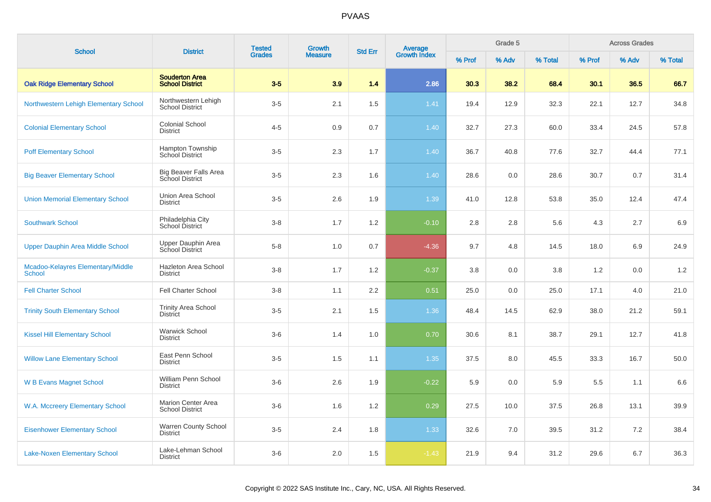|                                                    |                                                        | <b>Tested</b> | <b>Growth</b>  |                |                                |        | Grade 5 |         |        | <b>Across Grades</b> |         |
|----------------------------------------------------|--------------------------------------------------------|---------------|----------------|----------------|--------------------------------|--------|---------|---------|--------|----------------------|---------|
| <b>School</b>                                      | <b>District</b>                                        | <b>Grades</b> | <b>Measure</b> | <b>Std Err</b> | <b>Average</b><br>Growth Index | % Prof | % Adv   | % Total | % Prof | % Adv                | % Total |
| <b>Oak Ridge Elementary School</b>                 | <b>Souderton Area</b><br><b>School District</b>        | $3-5$         | 3.9            | 1.4            | 2.86                           | 30.3   | 38.2    | 68.4    | 30.1   | 36.5                 | 66.7    |
| Northwestern Lehigh Elementary School              | Northwestern Lehigh<br><b>School District</b>          | $3-5$         | 2.1            | 1.5            | 1.41                           | 19.4   | 12.9    | 32.3    | 22.1   | 12.7                 | 34.8    |
| <b>Colonial Elementary School</b>                  | <b>Colonial School</b><br><b>District</b>              | $4 - 5$       | 0.9            | 0.7            | 1.40                           | 32.7   | 27.3    | 60.0    | 33.4   | 24.5                 | 57.8    |
| <b>Poff Elementary School</b>                      | Hampton Township<br><b>School District</b>             | $3-5$         | 2.3            | 1.7            | 1.40                           | 36.7   | 40.8    | 77.6    | 32.7   | 44.4                 | 77.1    |
| <b>Big Beaver Elementary School</b>                | <b>Big Beaver Falls Area</b><br><b>School District</b> | $3-5$         | 2.3            | 1.6            | 1.40                           | 28.6   | 0.0     | 28.6    | 30.7   | 0.7                  | 31.4    |
| <b>Union Memorial Elementary School</b>            | Union Area School<br><b>District</b>                   | $3-5$         | 2.6            | 1.9            | 1.39                           | 41.0   | 12.8    | 53.8    | 35.0   | 12.4                 | 47.4    |
| <b>Southwark School</b>                            | Philadelphia City<br>School District                   | $3 - 8$       | 1.7            | 1.2            | $-0.10$                        | 2.8    | 2.8     | 5.6     | 4.3    | 2.7                  | 6.9     |
| Upper Dauphin Area Middle School                   | Upper Dauphin Area<br>School District                  | $5-8$         | 1.0            | 0.7            | $-4.36$                        | 9.7    | 4.8     | 14.5    | 18.0   | 6.9                  | 24.9    |
| Mcadoo-Kelayres Elementary/Middle<br><b>School</b> | Hazleton Area School<br><b>District</b>                | $3-8$         | 1.7            | 1.2            | $-0.37$                        | 3.8    | 0.0     | 3.8     | 1.2    | 0.0                  | 1.2     |
| <b>Fell Charter School</b>                         | <b>Fell Charter School</b>                             | $3-8$         | 1.1            | 2.2            | 0.51                           | 25.0   | 0.0     | 25.0    | 17.1   | 4.0                  | 21.0    |
| <b>Trinity South Elementary School</b>             | <b>Trinity Area School</b><br><b>District</b>          | $3-5$         | 2.1            | 1.5            | 1.36                           | 48.4   | 14.5    | 62.9    | 38.0   | 21.2                 | 59.1    |
| <b>Kissel Hill Elementary School</b>               | <b>Warwick School</b><br><b>District</b>               | $3-6$         | 1.4            | 1.0            | 0.70                           | 30.6   | 8.1     | 38.7    | 29.1   | 12.7                 | 41.8    |
| <b>Willow Lane Elementary School</b>               | East Penn School<br><b>District</b>                    | $3-5$         | 1.5            | 1.1            | 1.35                           | 37.5   | 8.0     | 45.5    | 33.3   | 16.7                 | 50.0    |
| <b>W B Evans Magnet School</b>                     | William Penn School<br><b>District</b>                 | $3-6$         | 2.6            | 1.9            | $-0.22$                        | 5.9    | 0.0     | 5.9     | 5.5    | 1.1                  | 6.6     |
| W.A. Mccreery Elementary School                    | <b>Marion Center Area</b><br><b>School District</b>    | $3-6$         | 1.6            | 1.2            | 0.29                           | 27.5   | 10.0    | 37.5    | 26.8   | 13.1                 | 39.9    |
| <b>Eisenhower Elementary School</b>                | <b>Warren County School</b><br><b>District</b>         | $3-5$         | 2.4            | 1.8            | 1.33                           | 32.6   | 7.0     | 39.5    | 31.2   | 7.2                  | 38.4    |
| <b>Lake-Noxen Elementary School</b>                | Lake-Lehman School<br><b>District</b>                  | $3-6$         | 2.0            | 1.5            | $-1.43$                        | 21.9   | 9.4     | 31.2    | 29.6   | 6.7                  | 36.3    |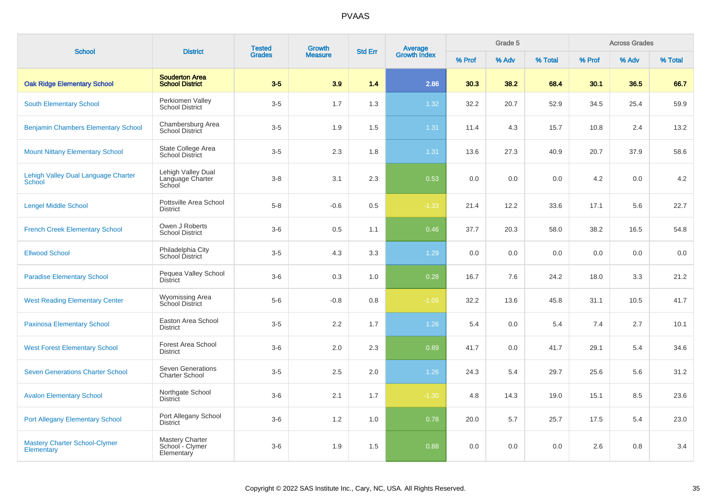| <b>School</b>                                             | <b>District</b>                                   | <b>Tested</b> | Growth         | <b>Std Err</b> | Average<br>Growth Index |        | Grade 5 |         |        | <b>Across Grades</b> |         |
|-----------------------------------------------------------|---------------------------------------------------|---------------|----------------|----------------|-------------------------|--------|---------|---------|--------|----------------------|---------|
|                                                           |                                                   | <b>Grades</b> | <b>Measure</b> |                |                         | % Prof | % Adv   | % Total | % Prof | % Adv                | % Total |
| <b>Oak Ridge Elementary School</b>                        | <b>Souderton Area</b><br><b>School District</b>   | $3-5$         | 3.9            | 1.4            | 2.86                    | 30.3   | 38.2    | 68.4    | 30.1   | 36.5                 | 66.7    |
| <b>South Elementary School</b>                            | Perkiomen Valley<br><b>School District</b>        | $3-5$         | 1.7            | 1.3            | 1.32                    | 32.2   | 20.7    | 52.9    | 34.5   | 25.4                 | 59.9    |
| <b>Benjamin Chambers Elementary School</b>                | Chambersburg Area<br><b>School District</b>       | $3-5$         | 1.9            | 1.5            | 1.31                    | 11.4   | 4.3     | 15.7    | 10.8   | 2.4                  | 13.2    |
| <b>Mount Nittany Elementary School</b>                    | State College Area<br><b>School District</b>      | $3-5$         | 2.3            | 1.8            | 1.31                    | 13.6   | 27.3    | 40.9    | 20.7   | 37.9                 | 58.6    |
| Lehigh Valley Dual Language Charter<br><b>School</b>      | Lehigh Valley Dual<br>Language Charter<br>School  | $3-8$         | 3.1            | 2.3            | 0.53                    | 0.0    | 0.0     | 0.0     | 4.2    | 0.0                  | 4.2     |
| <b>Lengel Middle School</b>                               | Pottsville Area School<br><b>District</b>         | $5-8$         | $-0.6$         | 0.5            | $-1.33$                 | 21.4   | 12.2    | 33.6    | 17.1   | 5.6                  | 22.7    |
| <b>French Creek Elementary School</b>                     | Owen J Roberts<br><b>School District</b>          | $3-6$         | 0.5            | 1.1            | 0.46                    | 37.7   | 20.3    | 58.0    | 38.2   | 16.5                 | 54.8    |
| <b>Ellwood School</b>                                     | Philadelphia City<br>School District              | $3-5$         | 4.3            | 3.3            | 1.29                    | 0.0    | 0.0     | 0.0     | 0.0    | 0.0                  | 0.0     |
| <b>Paradise Elementary School</b>                         | Pequea Valley School<br><b>District</b>           | $3-6$         | 0.3            | 1.0            | 0.28                    | 16.7   | 7.6     | 24.2    | 18.0   | 3.3                  | 21.2    |
| <b>West Reading Elementary Center</b>                     | <b>Wyomissing Area</b><br>School District         | $5-6$         | $-0.8$         | 0.8            | $-1.09$                 | 32.2   | 13.6    | 45.8    | 31.1   | 10.5                 | 41.7    |
| <b>Paxinosa Elementary School</b>                         | Easton Area School<br><b>District</b>             | $3-5$         | 2.2            | 1.7            | 1.26                    | 5.4    | 0.0     | 5.4     | 7.4    | 2.7                  | 10.1    |
| <b>West Forest Elementary School</b>                      | Forest Area School<br><b>District</b>             | $3-6$         | 2.0            | 2.3            | 0.89                    | 41.7   | 0.0     | 41.7    | 29.1   | 5.4                  | 34.6    |
| <b>Seven Generations Charter School</b>                   | <b>Seven Generations</b><br><b>Charter School</b> | $3-5$         | 2.5            | 2.0            | 1.26                    | 24.3   | 5.4     | 29.7    | 25.6   | 5.6                  | 31.2    |
| <b>Avalon Elementary School</b>                           | Northgate School<br><b>District</b>               | $3-6$         | 2.1            | 1.7            | $-1.30$                 | 4.8    | 14.3    | 19.0    | 15.1   | 8.5                  | 23.6    |
| <b>Port Allegany Elementary School</b>                    | Port Allegany School<br><b>District</b>           | $3-6$         | 1.2            | 1.0            | 0.78                    | 20.0   | 5.7     | 25.7    | 17.5   | 5.4                  | 23.0    |
| <b>Mastery Charter School-Clymer</b><br><b>Elementary</b> | Mastery Charter<br>School - Clymer<br>Elementary  | $3-6$         | 1.9            | 1.5            | 0.88                    | 0.0    | 0.0     | 0.0     | 2.6    | 0.8                  | 3.4     |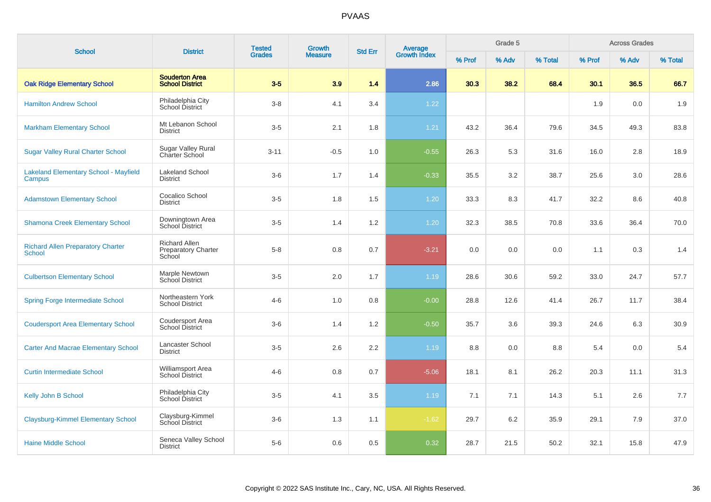| <b>School</b>                                             | <b>District</b>                                              | <b>Tested</b><br><b>Grades</b> | <b>Growth</b><br><b>Measure</b> | <b>Std Err</b> | <b>Average</b><br>Growth Index | Grade 5 |       |         | <b>Across Grades</b> |       |         |
|-----------------------------------------------------------|--------------------------------------------------------------|--------------------------------|---------------------------------|----------------|--------------------------------|---------|-------|---------|----------------------|-------|---------|
|                                                           |                                                              |                                |                                 |                |                                | % Prof  | % Adv | % Total | % Prof               | % Adv | % Total |
| <b>Oak Ridge Elementary School</b>                        | <b>Souderton Area</b><br><b>School District</b>              | $3-5$                          | 3.9                             | 1.4            | 2.86                           | 30.3    | 38.2  | 68.4    | 30.1                 | 36.5  | 66.7    |
| <b>Hamilton Andrew School</b>                             | Philadelphia City<br><b>School District</b>                  | $3-8$                          | 4.1                             | 3.4            | 1.22                           |         |       |         | 1.9                  | 0.0   | 1.9     |
| <b>Markham Elementary School</b>                          | Mt Lebanon School<br><b>District</b>                         | $3-5$                          | 2.1                             | 1.8            | 1.21                           | 43.2    | 36.4  | 79.6    | 34.5                 | 49.3  | 83.8    |
| <b>Sugar Valley Rural Charter School</b>                  | Sugar Valley Rural<br>Charter School                         | $3 - 11$                       | $-0.5$                          | 1.0            | $-0.55$                        | 26.3    | 5.3   | 31.6    | 16.0                 | 2.8   | 18.9    |
| <b>Lakeland Elementary School - Mayfield</b><br>Campus    | <b>Lakeland School</b><br><b>District</b>                    | $3-6$                          | 1.7                             | 1.4            | $-0.33$                        | 35.5    | 3.2   | 38.7    | 25.6                 | 3.0   | 28.6    |
| <b>Adamstown Elementary School</b>                        | Cocalico School<br><b>District</b>                           | $3-5$                          | 1.8                             | 1.5            | 1.20                           | 33.3    | 8.3   | 41.7    | 32.2                 | 8.6   | 40.8    |
| <b>Shamona Creek Elementary School</b>                    | Downingtown Area<br><b>School District</b>                   | $3-5$                          | 1.4                             | $1.2\,$        | 1.20                           | 32.3    | 38.5  | 70.8    | 33.6                 | 36.4  | 70.0    |
| <b>Richard Allen Preparatory Charter</b><br><b>School</b> | <b>Richard Allen</b><br><b>Preparatory Charter</b><br>School | $5 - 8$                        | 0.8                             | 0.7            | $-3.21$                        | 0.0     | 0.0   | 0.0     | 1.1                  | 0.3   | 1.4     |
| <b>Culbertson Elementary School</b>                       | Marple Newtown<br>School District                            | $3-5$                          | 2.0                             | 1.7            | 1.19                           | 28.6    | 30.6  | 59.2    | 33.0                 | 24.7  | 57.7    |
| <b>Spring Forge Intermediate School</b>                   | Northeastern York<br>School District                         | $4 - 6$                        | 1.0                             | 0.8            | $-0.00$                        | 28.8    | 12.6  | 41.4    | 26.7                 | 11.7  | 38.4    |
| <b>Coudersport Area Elementary School</b>                 | Coudersport Area<br>School District                          | $3-6$                          | 1.4                             | 1.2            | $-0.50$                        | 35.7    | 3.6   | 39.3    | 24.6                 | 6.3   | 30.9    |
| <b>Carter And Macrae Elementary School</b>                | Lancaster School<br><b>District</b>                          | $3-5$                          | 2.6                             | 2.2            | 1.19                           | 8.8     | 0.0   | 8.8     | 5.4                  | 0.0   | 5.4     |
| <b>Curtin Intermediate School</b>                         | Williamsport Area<br><b>School District</b>                  | $4 - 6$                        | 0.8                             | 0.7            | $-5.06$                        | 18.1    | 8.1   | 26.2    | 20.3                 | 11.1  | 31.3    |
| <b>Kelly John B School</b>                                | Philadelphia City<br>School District                         | $3-5$                          | 4.1                             | 3.5            | 1.19                           | 7.1     | 7.1   | 14.3    | 5.1                  | 2.6   | 7.7     |
| <b>Claysburg-Kimmel Elementary School</b>                 | Claysburg-Kimmel<br><b>School District</b>                   | $3-6$                          | 1.3                             | 1.1            | $-1.62$                        | 29.7    | 6.2   | 35.9    | 29.1                 | 7.9   | 37.0    |
| <b>Haine Middle School</b>                                | Seneca Valley School<br><b>District</b>                      | $5-6$                          | 0.6                             | 0.5            | 0.32                           | 28.7    | 21.5  | 50.2    | 32.1                 | 15.8  | 47.9    |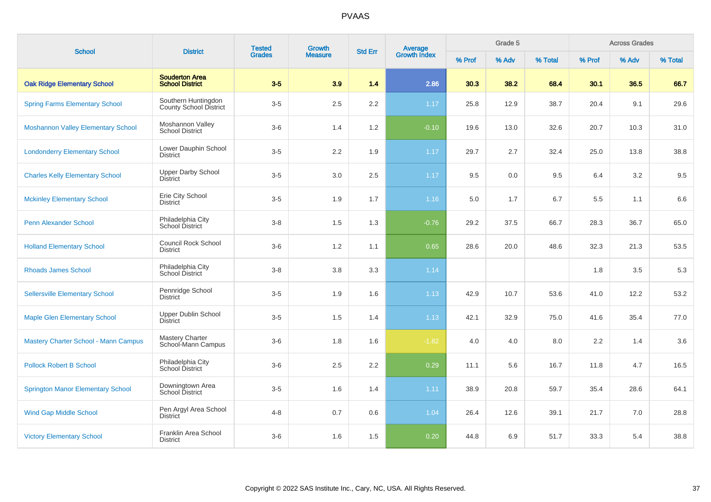| <b>School</b>                               | <b>District</b>                                 | <b>Tested</b> | Growth<br><b>Measure</b> | <b>Average</b><br>Growth Index<br><b>Std Err</b> |         |        | Grade 5 |         |         | <b>Across Grades</b> |         |
|---------------------------------------------|-------------------------------------------------|---------------|--------------------------|--------------------------------------------------|---------|--------|---------|---------|---------|----------------------|---------|
|                                             |                                                 | <b>Grades</b> |                          |                                                  |         | % Prof | % Adv   | % Total | % Prof  | % Adv                | % Total |
| <b>Oak Ridge Elementary School</b>          | <b>Souderton Area</b><br><b>School District</b> | $3-5$         | 3.9                      | 1.4                                              | 2.86    | 30.3   | 38.2    | 68.4    | 30.1    | 36.5                 | 66.7    |
| <b>Spring Farms Elementary School</b>       | Southern Huntingdon<br>County School District   | $3-5$         | 2.5                      | $2.2\,$                                          | 1.17    | 25.8   | 12.9    | 38.7    | 20.4    | 9.1                  | 29.6    |
| <b>Moshannon Valley Elementary School</b>   | Moshannon Valley<br><b>School District</b>      | $3-6$         | 1.4                      | 1.2                                              | $-0.10$ | 19.6   | 13.0    | 32.6    | 20.7    | 10.3                 | 31.0    |
| <b>Londonderry Elementary School</b>        | Lower Dauphin School<br><b>District</b>         | $3-5$         | 2.2                      | 1.9                                              | 1.17    | 29.7   | 2.7     | 32.4    | 25.0    | 13.8                 | 38.8    |
| <b>Charles Kelly Elementary School</b>      | <b>Upper Darby School</b><br><b>District</b>    | $3-5$         | 3.0                      | 2.5                                              | $1.17$  | 9.5    | 0.0     | 9.5     | 6.4     | 3.2                  | 9.5     |
| <b>Mckinley Elementary School</b>           | Erie City School<br><b>District</b>             | $3-5$         | 1.9                      | 1.7                                              | 1.16    | 5.0    | 1.7     | 6.7     | 5.5     | 1.1                  | 6.6     |
| <b>Penn Alexander School</b>                | Philadelphia City<br>School District            | $3 - 8$       | 1.5                      | 1.3                                              | $-0.76$ | 29.2   | 37.5    | 66.7    | 28.3    | 36.7                 | 65.0    |
| <b>Holland Elementary School</b>            | <b>Council Rock School</b><br><b>District</b>   | $3-6$         | $1.2$                    | 1.1                                              | 0.65    | 28.6   | 20.0    | 48.6    | 32.3    | 21.3                 | 53.5    |
| <b>Rhoads James School</b>                  | Philadelphia City<br>School District            | $3-8$         | 3.8                      | 3.3                                              | 1.14    |        |         |         | 1.8     | 3.5                  | 5.3     |
| <b>Sellersville Elementary School</b>       | Pennridge School<br><b>District</b>             | $3-5$         | 1.9                      | 1.6                                              | 1.13    | 42.9   | 10.7    | 53.6    | 41.0    | 12.2                 | 53.2    |
| <b>Maple Glen Elementary School</b>         | <b>Upper Dublin School</b><br><b>District</b>   | $3-5$         | 1.5                      | 1.4                                              | 1.13    | 42.1   | 32.9    | 75.0    | 41.6    | 35.4                 | 77.0    |
| <b>Mastery Charter School - Mann Campus</b> | <b>Mastery Charter</b><br>School-Mann Campus    | $3-6$         | 1.8                      | 1.6                                              | $-1.82$ | 4.0    | 4.0     | 8.0     | $2.2\,$ | 1.4                  | 3.6     |
| <b>Pollock Robert B School</b>              | Philadelphia City<br>School District            | $3-6$         | 2.5                      | 2.2                                              | 0.29    | 11.1   | 5.6     | 16.7    | 11.8    | 4.7                  | 16.5    |
| <b>Springton Manor Elementary School</b>    | Downingtown Area<br>School District             | $3-5$         | 1.6                      | 1.4                                              | 1.11    | 38.9   | 20.8    | 59.7    | 35.4    | 28.6                 | 64.1    |
| <b>Wind Gap Middle School</b>               | Pen Argyl Area School<br>District               | $4 - 8$       | 0.7                      | 0.6                                              | 1.04    | 26.4   | 12.6    | 39.1    | 21.7    | 7.0                  | 28.8    |
| <b>Victory Elementary School</b>            | Franklin Area School<br><b>District</b>         | $3-6$         | 1.6                      | 1.5                                              | 0.20    | 44.8   | 6.9     | 51.7    | 33.3    | 5.4                  | 38.8    |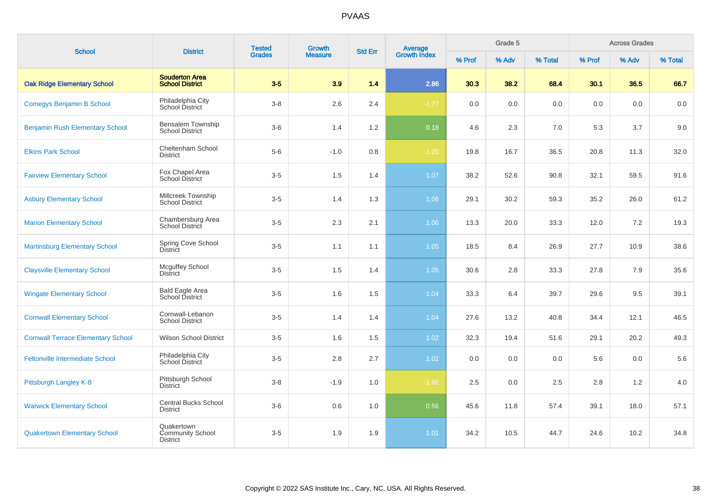| <b>School</b>                             | <b>District</b>                                          | <b>Tested</b><br><b>Grades</b> | Growth         | <b>Std Err</b> |                                |         | Grade 5 |         |         | <b>Across Grades</b> |         |
|-------------------------------------------|----------------------------------------------------------|--------------------------------|----------------|----------------|--------------------------------|---------|---------|---------|---------|----------------------|---------|
|                                           |                                                          |                                | <b>Measure</b> |                | <b>Average</b><br>Growth Index | % Prof  | % Adv   | % Total | % Prof  | % Adv                | % Total |
| <b>Oak Ridge Elementary School</b>        | <b>Souderton Area</b><br><b>School District</b>          | $3-5$                          | 3.9            | 1.4            | 2.86                           | 30.3    | 38.2    | 68.4    | 30.1    | 36.5                 | 66.7    |
| <b>Comegys Benjamin B School</b>          | Philadelphia City<br>School District                     | $3 - 8$                        | 2.6            | 2.4            | $-1.77$                        | $0.0\,$ | 0.0     | $0.0\,$ | $0.0\,$ | 0.0                  | 0.0     |
| <b>Benjamin Rush Elementary School</b>    | Bensalem Township<br><b>School District</b>              | $3-6$                          | 1.4            | 1.2            | 0.18                           | 4.6     | 2.3     | 7.0     | 5.3     | 3.7                  | 9.0     |
| <b>Elkins Park School</b>                 | Cheltenham School<br><b>District</b>                     | $5-6$                          | $-1.0$         | 0.8            | $-1.20$                        | 19.8    | 16.7    | 36.5    | 20.8    | 11.3                 | 32.0    |
| <b>Fairview Elementary School</b>         | Fox Chapel Area<br><b>School District</b>                | $3-5$                          | 1.5            | 1.4            | 1.07                           | 38.2    | 52.6    | 90.8    | 32.1    | 59.5                 | 91.6    |
| <b>Asbury Elementary School</b>           | Millcreek Township<br><b>School District</b>             | $3-5$                          | 1.4            | 1.3            | 1.06                           | 29.1    | 30.2    | 59.3    | 35.2    | 26.0                 | 61.2    |
| <b>Marion Elementary School</b>           | Chambersburg Area<br>School District                     | $3-5$                          | 2.3            | 2.1            | 1.06                           | 13.3    | 20.0    | 33.3    | 12.0    | 7.2                  | 19.3    |
| <b>Martinsburg Elementary School</b>      | Spring Cove School<br><b>District</b>                    | $3-5$                          | 1.1            | 1.1            | 1.05                           | 18.5    | 8.4     | 26.9    | 27.7    | 10.9                 | 38.6    |
| <b>Claysville Elementary School</b>       | <b>Mcguffey School</b><br><b>District</b>                | $3-5$                          | 1.5            | 1.4            | 1.05                           | 30.6    | 2.8     | 33.3    | 27.8    | 7.9                  | 35.6    |
| <b>Wingate Elementary School</b>          | <b>Bald Eagle Area</b><br>School District                | $3-5$                          | 1.6            | 1.5            | 1.04                           | 33.3    | 6.4     | 39.7    | 29.6    | 9.5                  | 39.1    |
| <b>Cornwall Elementary School</b>         | Cornwall-Lebanon<br><b>School District</b>               | $3-5$                          | 1.4            | 1.4            | 1.04                           | 27.6    | 13.2    | 40.8    | 34.4    | 12.1                 | 46.5    |
| <b>Cornwall Terrace Elementary School</b> | <b>Wilson School District</b>                            | $3-5$                          | 1.6            | 1.5            | 1.02                           | 32.3    | 19.4    | 51.6    | 29.1    | 20.2                 | 49.3    |
| <b>Feltonville Intermediate School</b>    | Philadelphia City<br>School District                     | $3-5$                          | 2.8            | 2.7            | 1.02                           | 0.0     | 0.0     | 0.0     | 5.6     | 0.0                  | 5.6     |
| Pittsburgh Langley K-8                    | Pittsburgh School<br><b>District</b>                     | $3-8$                          | $-1.9$         | 1.0            | $-1.92$                        | 2.5     | 0.0     | 2.5     | 2.8     | 1.2                  | 4.0     |
| <b>Warwick Elementary School</b>          | <b>Central Bucks School</b><br><b>District</b>           | $3-6$                          | 0.6            | 1.0            | 0.56                           | 45.6    | 11.8    | 57.4    | 39.1    | 18.0                 | 57.1    |
| <b>Quakertown Elementary School</b>       | Quakertown<br><b>Community School</b><br><b>District</b> | $3-5$                          | 1.9            | 1.9            | 1.01                           | 34.2    | 10.5    | 44.7    | 24.6    | 10.2                 | 34.8    |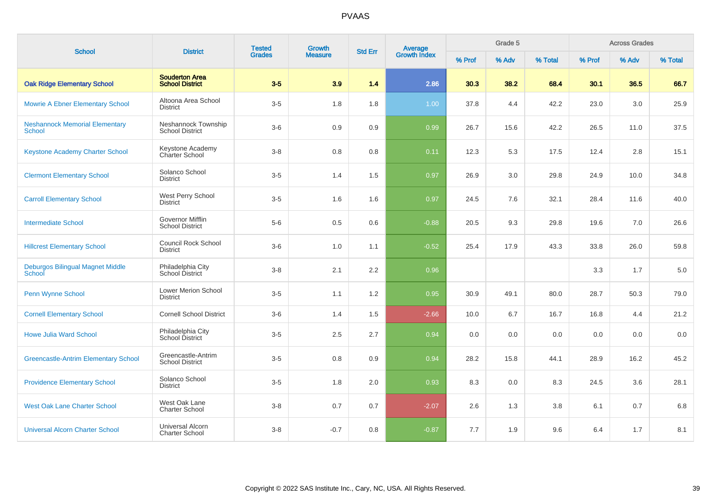| <b>School</b>                                          | <b>District</b>                                  | <b>Tested</b><br><b>Grades</b> | Growth         | <b>Std Err</b> | <b>Average</b><br>Growth Index |        | Grade 5 |         |        | <b>Across Grades</b> |         |
|--------------------------------------------------------|--------------------------------------------------|--------------------------------|----------------|----------------|--------------------------------|--------|---------|---------|--------|----------------------|---------|
|                                                        |                                                  |                                | <b>Measure</b> |                |                                | % Prof | % Adv   | % Total | % Prof | % Adv                | % Total |
| <b>Oak Ridge Elementary School</b>                     | <b>Souderton Area</b><br><b>School District</b>  | $3-5$                          | 3.9            | $1.4$          | 2.86                           | 30.3   | 38.2    | 68.4    | 30.1   | 36.5                 | 66.7    |
| <b>Mowrie A Ebner Elementary School</b>                | Altoona Area School<br><b>District</b>           | $3-5$                          | 1.8            | 1.8            | 1.00                           | 37.8   | 4.4     | 42.2    | 23.0   | 3.0                  | 25.9    |
| <b>Neshannock Memorial Elementary</b><br><b>School</b> | Neshannock Township<br><b>School District</b>    | $3-6$                          | 0.9            | 0.9            | 0.99                           | 26.7   | 15.6    | 42.2    | 26.5   | 11.0                 | 37.5    |
| Keystone Academy Charter School                        | Keystone Academy<br>Charter School               | $3 - 8$                        | 0.8            | 0.8            | 0.11                           | 12.3   | 5.3     | 17.5    | 12.4   | 2.8                  | 15.1    |
| <b>Clermont Elementary School</b>                      | Solanco School<br><b>District</b>                | $3-5$                          | 1.4            | 1.5            | 0.97                           | 26.9   | 3.0     | 29.8    | 24.9   | 10.0                 | 34.8    |
| <b>Carroll Elementary School</b>                       | West Perry School<br><b>District</b>             | $3-5$                          | 1.6            | 1.6            | 0.97                           | 24.5   | 7.6     | 32.1    | 28.4   | 11.6                 | 40.0    |
| <b>Intermediate School</b>                             | Governor Mifflin<br><b>School District</b>       | $5-6$                          | 0.5            | 0.6            | $-0.88$                        | 20.5   | 9.3     | 29.8    | 19.6   | 7.0                  | 26.6    |
| <b>Hillcrest Elementary School</b>                     | <b>Council Rock School</b><br><b>District</b>    | $3-6$                          | 1.0            | 1.1            | $-0.52$                        | 25.4   | 17.9    | 43.3    | 33.8   | 26.0                 | 59.8    |
| Deburgos Bilingual Magnet Middle<br>School             | Philadelphia City<br>School District             | $3-8$                          | 2.1            | 2.2            | 0.96                           |        |         |         | 3.3    | 1.7                  | 5.0     |
| Penn Wynne School                                      | <b>Lower Merion School</b><br><b>District</b>    | $3-5$                          | 1.1            | 1.2            | 0.95                           | 30.9   | 49.1    | 80.0    | 28.7   | 50.3                 | 79.0    |
| <b>Cornell Elementary School</b>                       | <b>Cornell School District</b>                   | $3-6$                          | 1.4            | 1.5            | $-2.66$                        | 10.0   | 6.7     | 16.7    | 16.8   | 4.4                  | 21.2    |
| <b>Howe Julia Ward School</b>                          | Philadelphia City<br>School District             | $3-5$                          | 2.5            | 2.7            | 0.94                           | 0.0    | 0.0     | 0.0     | 0.0    | 0.0                  | 0.0     |
| <b>Greencastle-Antrim Elementary School</b>            | Greencastle-Antrim<br><b>School District</b>     | $3-5$                          | 0.8            | 0.9            | 0.94                           | 28.2   | 15.8    | 44.1    | 28.9   | 16.2                 | 45.2    |
| <b>Providence Elementary School</b>                    | Solanco School<br><b>District</b>                | $3-5$                          | 1.8            | 2.0            | 0.93                           | 8.3    | 0.0     | 8.3     | 24.5   | 3.6                  | 28.1    |
| <b>West Oak Lane Charter School</b>                    | West Oak Lane<br><b>Charter School</b>           | $3-8$                          | 0.7            | 0.7            | $-2.07$                        | 2.6    | 1.3     | 3.8     | 6.1    | 0.7                  | 6.8     |
| <b>Universal Alcorn Charter School</b>                 | <b>Universal Alcorn</b><br><b>Charter School</b> | $3 - 8$                        | $-0.7$         | 0.8            | $-0.87$                        | 7.7    | 1.9     | 9.6     | 6.4    | 1.7                  | 8.1     |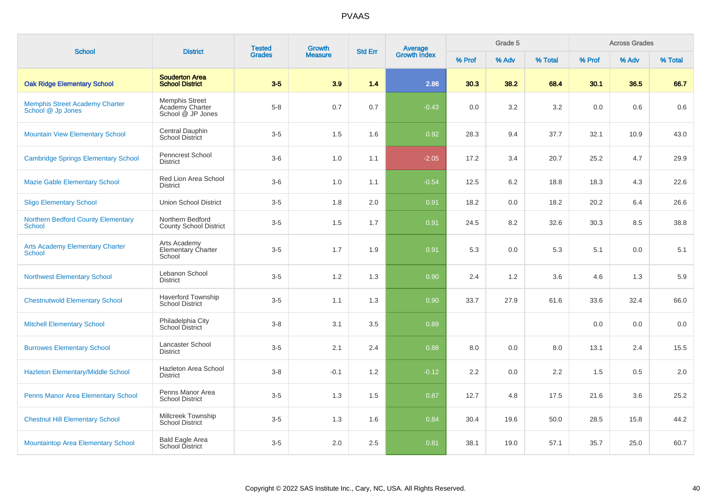| <b>School</b>                                              | <b>District</b>                                               | <b>Tested</b> | <b>Growth</b>  | <b>Std Err</b> | Average<br>Growth Index |        | Grade 5 |         |        | <b>Across Grades</b> |         |
|------------------------------------------------------------|---------------------------------------------------------------|---------------|----------------|----------------|-------------------------|--------|---------|---------|--------|----------------------|---------|
|                                                            |                                                               | <b>Grades</b> | <b>Measure</b> |                |                         | % Prof | % Adv   | % Total | % Prof | % Adv                | % Total |
| <b>Oak Ridge Elementary School</b>                         | <b>Souderton Area</b><br><b>School District</b>               | $3-5$         | 3.9            | 1.4            | 2.86                    | 30.3   | 38.2    | 68.4    | 30.1   | 36.5                 | 66.7    |
| <b>Memphis Street Academy Charter</b><br>School @ Jp Jones | <b>Memphis Street</b><br>Academy Charter<br>School @ JP Jones | $5-8$         | 0.7            | 0.7            | $-0.43$                 | 0.0    | 3.2     | 3.2     | 0.0    | 0.6                  | 0.6     |
| <b>Mountain View Elementary School</b>                     | Central Dauphin<br>School District                            | $3-5$         | 1.5            | 1.6            | 0.92                    | 28.3   | 9.4     | 37.7    | 32.1   | 10.9                 | 43.0    |
| <b>Cambridge Springs Elementary School</b>                 | Penncrest School<br><b>District</b>                           | $3-6$         | 1.0            | 1.1            | $-2.05$                 | 17.2   | 3.4     | 20.7    | 25.2   | 4.7                  | 29.9    |
| <b>Mazie Gable Elementary School</b>                       | Red Lion Area School<br><b>District</b>                       | $3-6$         | 1.0            | 1.1            | $-0.54$                 | 12.5   | 6.2     | 18.8    | 18.3   | 4.3                  | 22.6    |
| <b>Sligo Elementary School</b>                             | <b>Union School District</b>                                  | $3-5$         | 1.8            | 2.0            | 0.91                    | 18.2   | 0.0     | 18.2    | 20.2   | 6.4                  | 26.6    |
| <b>Northern Bedford County Elementary</b><br><b>School</b> | Northern Bedford<br><b>County School District</b>             | $3-5$         | 1.5            | 1.7            | 0.91                    | 24.5   | 8.2     | 32.6    | 30.3   | 8.5                  | 38.8    |
| <b>Arts Academy Elementary Charter</b><br><b>School</b>    | Arts Academy<br>Elementary Charter<br>School                  | $3-5$         | 1.7            | 1.9            | 0.91                    | 5.3    | 0.0     | 5.3     | 5.1    | 0.0                  | 5.1     |
| <b>Northwest Elementary School</b>                         | Lebanon School<br><b>District</b>                             | $3-5$         | 1.2            | 1.3            | 0.90                    | 2.4    | 1.2     | 3.6     | 4.6    | 1.3                  | 5.9     |
| <b>Chestnutwold Elementary School</b>                      | <b>Haverford Township</b><br><b>School District</b>           | $3-5$         | 1.1            | 1.3            | 0.90                    | 33.7   | 27.9    | 61.6    | 33.6   | 32.4                 | 66.0    |
| <b>Mitchell Elementary School</b>                          | Philadelphia City<br>School District                          | $3 - 8$       | 3.1            | 3.5            | 0.89                    |        |         |         | 0.0    | 0.0                  | 0.0     |
| <b>Burrowes Elementary School</b>                          | Lancaster School<br><b>District</b>                           | $3-5$         | 2.1            | 2.4            | 0.88                    | 8.0    | 0.0     | 8.0     | 13.1   | 2.4                  | 15.5    |
| Hazleton Elementary/Middle School                          | Hazleton Area School<br><b>District</b>                       | $3-8$         | $-0.1$         | 1.2            | $-0.12$                 | 2.2    | 0.0     | 2.2     | 1.5    | 0.5                  | 2.0     |
| Penns Manor Area Elementary School                         | Penns Manor Area<br><b>School District</b>                    | $3-5$         | 1.3            | 1.5            | 0.87                    | 12.7   | 4.8     | 17.5    | 21.6   | 3.6                  | 25.2    |
| <b>Chestnut Hill Elementary School</b>                     | Millcreek Township<br><b>School District</b>                  | $3-5$         | 1.3            | 1.6            | 0.84                    | 30.4   | 19.6    | 50.0    | 28.5   | 15.8                 | 44.2    |
| <b>Mountaintop Area Elementary School</b>                  | <b>Bald Eagle Area</b><br>School District                     | $3-5$         | 2.0            | 2.5            | 0.81                    | 38.1   | 19.0    | 57.1    | 35.7   | 25.0                 | 60.7    |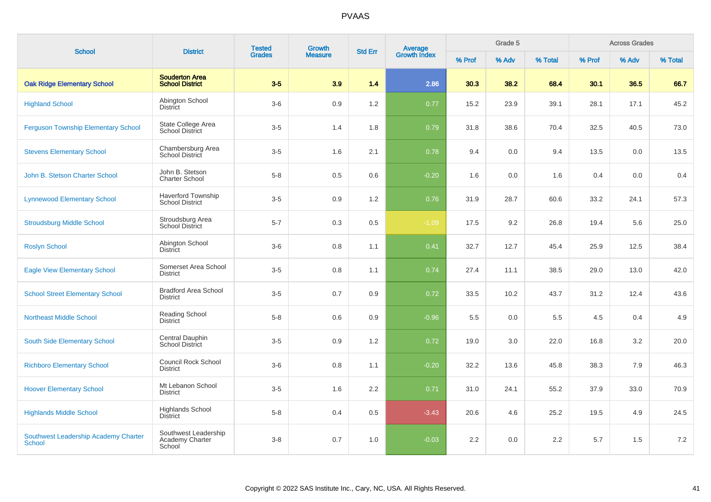| <b>School</b>                                  | <b>District</b>                                     | <b>Tested</b><br><b>Growth</b><br><b>Grades</b><br><b>Measure</b> | <b>Std Err</b> | <b>Average</b><br>Growth Index |         | Grade 5 |       |         | <b>Across Grades</b> |       |         |
|------------------------------------------------|-----------------------------------------------------|-------------------------------------------------------------------|----------------|--------------------------------|---------|---------|-------|---------|----------------------|-------|---------|
|                                                |                                                     |                                                                   |                |                                |         | % Prof  | % Adv | % Total | % Prof               | % Adv | % Total |
| <b>Oak Ridge Elementary School</b>             | <b>Souderton Area</b><br><b>School District</b>     | $3-5$                                                             | 3.9            | 1.4                            | 2.86    | 30.3    | 38.2  | 68.4    | 30.1                 | 36.5  | 66.7    |
| <b>Highland School</b>                         | Abington School<br><b>District</b>                  | $3-6$                                                             | 0.9            | 1.2                            | 0.77    | 15.2    | 23.9  | 39.1    | 28.1                 | 17.1  | 45.2    |
| <b>Ferguson Township Elementary School</b>     | State College Area<br><b>School District</b>        | $3-5$                                                             | 1.4            | 1.8                            | 0.79    | 31.8    | 38.6  | 70.4    | 32.5                 | 40.5  | 73.0    |
| <b>Stevens Elementary School</b>               | Chambersburg Area<br>School District                | $3-5$                                                             | 1.6            | 2.1                            | 0.78    | 9.4     | 0.0   | 9.4     | 13.5                 | 0.0   | 13.5    |
| John B. Stetson Charter School                 | John B. Stetson<br><b>Charter School</b>            | $5-8$                                                             | 0.5            | 0.6                            | $-0.20$ | 1.6     | 0.0   | 1.6     | 0.4                  | 0.0   | 0.4     |
| <b>Lynnewood Elementary School</b>             | <b>Haverford Township</b><br><b>School District</b> | $3-5$                                                             | 0.9            | 1.2                            | 0.76    | 31.9    | 28.7  | 60.6    | 33.2                 | 24.1  | 57.3    |
| <b>Stroudsburg Middle School</b>               | Stroudsburg Area<br><b>School District</b>          | $5 - 7$                                                           | 0.3            | 0.5                            | $-1.09$ | 17.5    | 9.2   | 26.8    | 19.4                 | 5.6   | 25.0    |
| <b>Roslyn School</b>                           | Abington School<br>District                         | $3-6$                                                             | 0.8            | 1.1                            | 0.41    | 32.7    | 12.7  | 45.4    | 25.9                 | 12.5  | 38.4    |
| <b>Eagle View Elementary School</b>            | Somerset Area School<br><b>District</b>             | $3-5$                                                             | 0.8            | 1.1                            | 0.74    | 27.4    | 11.1  | 38.5    | 29.0                 | 13.0  | 42.0    |
| <b>School Street Elementary School</b>         | <b>Bradford Area School</b><br><b>District</b>      | $3-5$                                                             | 0.7            | 0.9                            | 0.72    | 33.5    | 10.2  | 43.7    | 31.2                 | 12.4  | 43.6    |
| <b>Northeast Middle School</b>                 | <b>Reading School</b><br><b>District</b>            | $5 - 8$                                                           | 0.6            | 0.9                            | $-0.96$ | 5.5     | 0.0   | 5.5     | 4.5                  | 0.4   | 4.9     |
| South Side Elementary School                   | Central Dauphin<br><b>School District</b>           | $3-5$                                                             | 0.9            | 1.2                            | 0.72    | 19.0    | 3.0   | 22.0    | 16.8                 | 3.2   | 20.0    |
| <b>Richboro Elementary School</b>              | Council Rock School<br><b>District</b>              | $3-6$                                                             | 0.8            | 1.1                            | $-0.20$ | 32.2    | 13.6  | 45.8    | 38.3                 | 7.9   | 46.3    |
| <b>Hoover Elementary School</b>                | Mt Lebanon School<br><b>District</b>                | $3-5$                                                             | 1.6            | $2.2\phantom{0}$               | 0.71    | 31.0    | 24.1  | 55.2    | 37.9                 | 33.0  | 70.9    |
| <b>Highlands Middle School</b>                 | <b>Highlands School</b><br><b>District</b>          | $5-8$                                                             | 0.4            | 0.5                            | $-3.43$ | 20.6    | 4.6   | 25.2    | 19.5                 | 4.9   | 24.5    |
| Southwest Leadership Academy Charter<br>School | Southwest Leadership<br>Academy Charter<br>School   | $3 - 8$                                                           | 0.7            | 1.0                            | $-0.03$ | 2.2     | 0.0   | 2.2     | 5.7                  | 1.5   | 7.2     |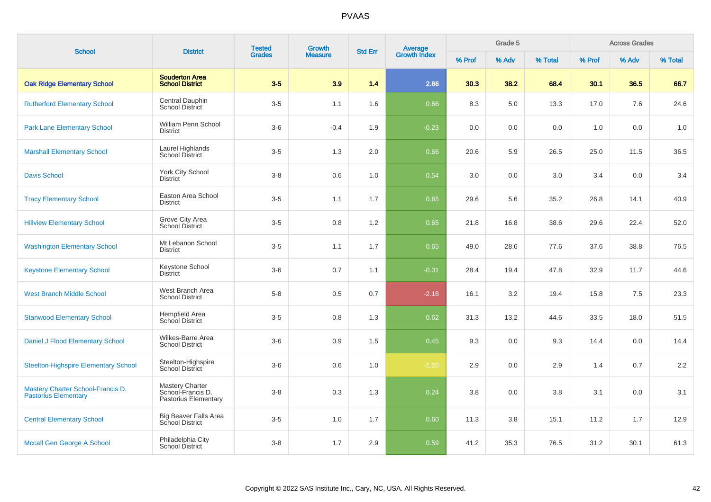| <b>School</b>                                                    | <b>District</b>                                                     | <b>Tested</b> | <b>Growth</b>  | <b>Average</b><br>Growth Index<br><b>Std Err</b> |         |        | Grade 5 |         |        | <b>Across Grades</b> |         |
|------------------------------------------------------------------|---------------------------------------------------------------------|---------------|----------------|--------------------------------------------------|---------|--------|---------|---------|--------|----------------------|---------|
|                                                                  |                                                                     | <b>Grades</b> | <b>Measure</b> |                                                  |         | % Prof | % Adv   | % Total | % Prof | % Adv                | % Total |
| <b>Oak Ridge Elementary School</b>                               | <b>Souderton Area</b><br><b>School District</b>                     | $3-5$         | 3.9            | 1.4                                              | 2.86    | 30.3   | 38.2    | 68.4    | 30.1   | 36.5                 | 66.7    |
| <b>Rutherford Elementary School</b>                              | Central Dauphin<br><b>School District</b>                           | $3-5$         | 1.1            | 1.6                                              | 0.66    | 8.3    | 5.0     | 13.3    | 17.0   | 7.6                  | 24.6    |
| <b>Park Lane Elementary School</b>                               | William Penn School<br><b>District</b>                              | $3-6$         | $-0.4$         | 1.9                                              | $-0.23$ | 0.0    | 0.0     | 0.0     | 1.0    | 0.0                  | 1.0     |
| <b>Marshall Elementary School</b>                                | Laurel Highlands<br>School District                                 | $3-5$         | 1.3            | 2.0                                              | 0.66    | 20.6   | 5.9     | 26.5    | 25.0   | 11.5                 | 36.5    |
| <b>Davis School</b>                                              | York City School<br><b>District</b>                                 | $3 - 8$       | 0.6            | 1.0                                              | 0.54    | 3.0    | 0.0     | 3.0     | 3.4    | 0.0                  | 3.4     |
| <b>Tracy Elementary School</b>                                   | Easton Area School<br><b>District</b>                               | $3-5$         | 1.1            | 1.7                                              | 0.65    | 29.6   | 5.6     | 35.2    | 26.8   | 14.1                 | 40.9    |
| <b>Hillview Elementary School</b>                                | Grove City Area<br><b>School District</b>                           | $3-5$         | 0.8            | 1.2                                              | 0.65    | 21.8   | 16.8    | 38.6    | 29.6   | 22.4                 | 52.0    |
| <b>Washington Elementary School</b>                              | Mt Lebanon School<br><b>District</b>                                | $3-5$         | 1.1            | 1.7                                              | 0.65    | 49.0   | 28.6    | 77.6    | 37.6   | 38.8                 | 76.5    |
| <b>Keystone Elementary School</b>                                | Keystone School<br><b>District</b>                                  | $3-6$         | 0.7            | 1.1                                              | $-0.31$ | 28.4   | 19.4    | 47.8    | 32.9   | 11.7                 | 44.6    |
| <b>West Branch Middle School</b>                                 | West Branch Area<br><b>School District</b>                          | $5-8$         | 0.5            | 0.7                                              | $-2.18$ | 16.1   | 3.2     | 19.4    | 15.8   | 7.5                  | 23.3    |
| <b>Stanwood Elementary School</b>                                | Hempfield Area<br>School District                                   | $3-5$         | 0.8            | 1.3                                              | 0.62    | 31.3   | 13.2    | 44.6    | 33.5   | 18.0                 | 51.5    |
| Daniel J Flood Elementary School                                 | Wilkes-Barre Area<br><b>School District</b>                         | $3-6$         | 0.9            | 1.5                                              | 0.45    | 9.3    | 0.0     | 9.3     | 14.4   | 0.0                  | 14.4    |
| <b>Steelton-Highspire Elementary School</b>                      | Steelton-Highspire<br>School District                               | $3-6$         | 0.6            | 1.0                                              | $-1.20$ | 2.9    | 0.0     | 2.9     | 1.4    | 0.7                  | 2.2     |
| Mastery Charter School-Francis D.<br><b>Pastorius Elementary</b> | <b>Mastery Charter</b><br>School-Francis D.<br>Pastorius Elementary | $3 - 8$       | 0.3            | 1.3                                              | 0.24    | 3.8    | 0.0     | 3.8     | 3.1    | 0.0                  | 3.1     |
| <b>Central Elementary School</b>                                 | <b>Big Beaver Falls Area</b><br><b>School District</b>              | $3-5$         | 1.0            | 1.7                                              | 0.60    | 11.3   | 3.8     | 15.1    | 11.2   | 1.7                  | 12.9    |
| Mccall Gen George A School                                       | Philadelphia City<br>School District                                | $3-8$         | 1.7            | 2.9                                              | 0.59    | 41.2   | 35.3    | 76.5    | 31.2   | 30.1                 | 61.3    |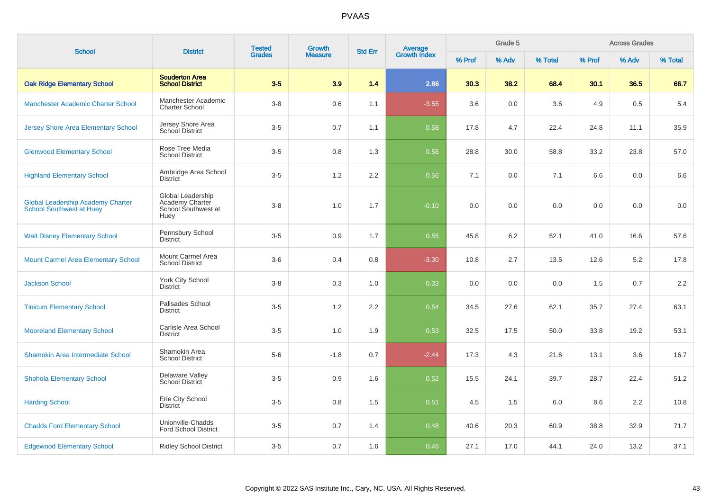| <b>School</b>                                                               | <b>District</b>                                                     | <b>Tested</b> | Growth         | <b>Std Err</b> |                                |        | Grade 5 |         |        | <b>Across Grades</b> |         |
|-----------------------------------------------------------------------------|---------------------------------------------------------------------|---------------|----------------|----------------|--------------------------------|--------|---------|---------|--------|----------------------|---------|
|                                                                             |                                                                     | <b>Grades</b> | <b>Measure</b> |                | <b>Average</b><br>Growth Index | % Prof | % Adv   | % Total | % Prof | % Adv                | % Total |
| <b>Oak Ridge Elementary School</b>                                          | <b>Souderton Area</b><br><b>School District</b>                     | $3-5$         | 3.9            | 1.4            | 2.86                           | 30.3   | 38.2    | 68.4    | 30.1   | 36.5                 | 66.7    |
| Manchester Academic Charter School                                          | Manchester Academic<br><b>Charter School</b>                        | $3-8$         | 0.6            | 1.1            | $-3.55$                        | 3.6    | 0.0     | 3.6     | 4.9    | 0.5                  | 5.4     |
| <b>Jersey Shore Area Elementary School</b>                                  | Jersey Shore Area<br>School District                                | $3-5$         | 0.7            | 1.1            | 0.58                           | 17.8   | 4.7     | 22.4    | 24.8   | 11.1                 | 35.9    |
| <b>Glenwood Elementary School</b>                                           | Rose Tree Media<br><b>School District</b>                           | $3-5$         | 0.8            | 1.3            | 0.58                           | 28.8   | 30.0    | 58.8    | 33.2   | 23.8                 | 57.0    |
| <b>Highland Elementary School</b>                                           | Ambridge Area School<br><b>District</b>                             | $3-5$         | 1.2            | 2.2            | 0.56                           | 7.1    | 0.0     | 7.1     | 6.6    | 0.0                  | 6.6     |
| <b>Global Leadership Academy Charter</b><br><b>School Southwest at Huey</b> | Global Leadership<br>Academy Charter<br>School Southwest at<br>Huey | $3-8$         | 1.0            | 1.7            | $-0.10$                        | 0.0    | 0.0     | 0.0     | 0.0    | 0.0                  | $0.0\,$ |
| <b>Walt Disney Elementary School</b>                                        | Pennsbury School<br><b>District</b>                                 | $3-5$         | 0.9            | 1.7            | 0.55                           | 45.8   | 6.2     | 52.1    | 41.0   | 16.6                 | 57.6    |
| <b>Mount Carmel Area Elementary School</b>                                  | Mount Carmel Area<br><b>School District</b>                         | $3-6$         | 0.4            | 0.8            | $-3.30$                        | 10.8   | 2.7     | 13.5    | 12.6   | 5.2                  | 17.8    |
| <b>Jackson School</b>                                                       | <b>York City School</b><br><b>District</b>                          | $3-8$         | 0.3            | 1.0            | 0.33                           | 0.0    | 0.0     | 0.0     | 1.5    | 0.7                  | 2.2     |
| <b>Tinicum Elementary School</b>                                            | Palisades School<br><b>District</b>                                 | $3-5$         | 1.2            | 2.2            | 0.54                           | 34.5   | 27.6    | 62.1    | 35.7   | 27.4                 | 63.1    |
| <b>Mooreland Elementary School</b>                                          | Carlisle Area School<br><b>District</b>                             | $3-5$         | 1.0            | 1.9            | 0.53                           | 32.5   | 17.5    | 50.0    | 33.8   | 19.2                 | 53.1    |
| Shamokin Area Intermediate School                                           | Shamokin Area<br><b>School District</b>                             | $5-6$         | $-1.8$         | 0.7            | $-2.44$                        | 17.3   | 4.3     | 21.6    | 13.1   | 3.6                  | 16.7    |
| <b>Shohola Elementary School</b>                                            | Delaware Valley<br><b>School District</b>                           | $3-5$         | 0.9            | 1.6            | 0.52                           | 15.5   | 24.1    | 39.7    | 28.7   | 22.4                 | 51.2    |
| <b>Harding School</b>                                                       | Erie City School<br><b>District</b>                                 | $3-5$         | 0.8            | 1.5            | 0.51                           | 4.5    | 1.5     | 6.0     | 8.6    | 2.2                  | 10.8    |
| <b>Chadds Ford Elementary School</b>                                        | Unionville-Chadds<br><b>Ford School District</b>                    | $3-5$         | 0.7            | 1.4            | 0.48                           | 40.6   | 20.3    | 60.9    | 38.8   | 32.9                 | 71.7    |
| <b>Edgewood Elementary School</b>                                           | <b>Ridley School District</b>                                       | $3-5$         | 0.7            | 1.6            | 0.46                           | 27.1   | 17.0    | 44.1    | 24.0   | 13.2                 | 37.1    |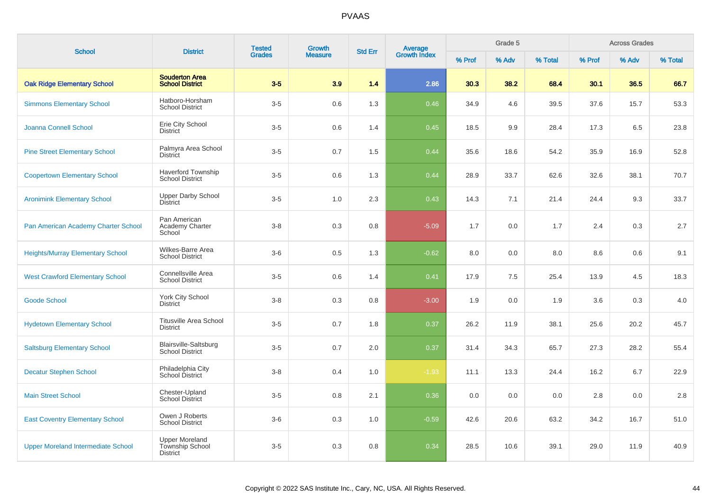| <b>School</b>                             | <b>District</b>                                        | <b>Tested</b> | Growth         | <b>Std Err</b> | Average<br>Growth Index |        | Grade 5 |         |        | <b>Across Grades</b> |         |
|-------------------------------------------|--------------------------------------------------------|---------------|----------------|----------------|-------------------------|--------|---------|---------|--------|----------------------|---------|
|                                           |                                                        | <b>Grades</b> | <b>Measure</b> |                |                         | % Prof | % Adv   | % Total | % Prof | % Adv                | % Total |
| <b>Oak Ridge Elementary School</b>        | <b>Souderton Area</b><br><b>School District</b>        | $3-5$         | 3.9            | 1.4            | 2.86                    | 30.3   | 38.2    | 68.4    | 30.1   | 36.5                 | 66.7    |
| <b>Simmons Elementary School</b>          | Hatboro-Horsham<br><b>School District</b>              | $3-5$         | 0.6            | 1.3            | 0.46                    | 34.9   | 4.6     | 39.5    | 37.6   | 15.7                 | 53.3    |
| Joanna Connell School                     | Erie City School<br><b>District</b>                    | $3-5$         | 0.6            | 1.4            | 0.45                    | 18.5   | 9.9     | 28.4    | 17.3   | 6.5                  | 23.8    |
| <b>Pine Street Elementary School</b>      | Palmyra Area School<br><b>District</b>                 | $3-5$         | 0.7            | 1.5            | 0.44                    | 35.6   | 18.6    | 54.2    | 35.9   | 16.9                 | 52.8    |
| <b>Coopertown Elementary School</b>       | <b>Haverford Township</b><br><b>School District</b>    | $3-5$         | 0.6            | 1.3            | 0.44                    | 28.9   | 33.7    | 62.6    | 32.6   | 38.1                 | 70.7    |
| <b>Aronimink Elementary School</b>        | <b>Upper Darby School</b><br><b>District</b>           | $3-5$         | 1.0            | 2.3            | 0.43                    | 14.3   | 7.1     | 21.4    | 24.4   | 9.3                  | 33.7    |
| Pan American Academy Charter School       | Pan American<br>Academy Charter<br>School              | $3 - 8$       | 0.3            | 0.8            | $-5.09$                 | 1.7    | 0.0     | 1.7     | 2.4    | 0.3                  | $2.7\,$ |
| <b>Heights/Murray Elementary School</b>   | Wilkes-Barre Area<br><b>School District</b>            | $3-6$         | 0.5            | 1.3            | $-0.62$                 | 8.0    | 0.0     | 8.0     | 8.6    | 0.6                  | 9.1     |
| <b>West Crawford Elementary School</b>    | Connellsville Area<br><b>School District</b>           | $3-5$         | 0.6            | 1.4            | 0.41                    | 17.9   | 7.5     | 25.4    | 13.9   | 4.5                  | 18.3    |
| <b>Goode School</b>                       | York City School<br><b>District</b>                    | $3 - 8$       | 0.3            | 0.8            | $-3.00$                 | 1.9    | 0.0     | 1.9     | 3.6    | 0.3                  | $4.0\,$ |
| <b>Hydetown Elementary School</b>         | <b>Titusville Area School</b><br><b>District</b>       | $3-5$         | 0.7            | 1.8            | 0.37                    | 26.2   | 11.9    | 38.1    | 25.6   | 20.2                 | 45.7    |
| <b>Saltsburg Elementary School</b>        | <b>Blairsville-Saltsburg</b><br><b>School District</b> | $3-5$         | 0.7            | 2.0            | 0.37                    | 31.4   | 34.3    | 65.7    | 27.3   | 28.2                 | 55.4    |
| <b>Decatur Stephen School</b>             | Philadelphia City<br>School District                   | $3-8$         | 0.4            | 1.0            | $-1.93$                 | 11.1   | 13.3    | 24.4    | 16.2   | 6.7                  | 22.9    |
| <b>Main Street School</b>                 | Chester-Upland<br>School District                      | $3-5$         | 0.8            | 2.1            | 0.36                    | 0.0    | 0.0     | 0.0     | 2.8    | 0.0                  | 2.8     |
| <b>East Coventry Elementary School</b>    | Owen J Roberts<br>School District                      | $3-6$         | 0.3            | 1.0            | $-0.59$                 | 42.6   | 20.6    | 63.2    | 34.2   | 16.7                 | 51.0    |
| <b>Upper Moreland Intermediate School</b> | <b>Upper Moreland</b><br>Township School<br>District   | $3-5$         | 0.3            | 0.8            | 0.34                    | 28.5   | 10.6    | 39.1    | 29.0   | 11.9                 | 40.9    |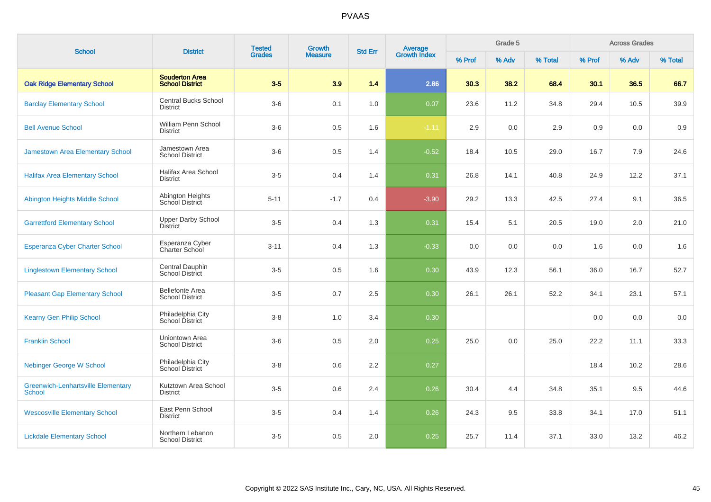| <b>School</b>                                              | <b>District</b>                                  | <b>Tested</b><br><b>Grades</b> | Growth         | <b>Std Err</b> |                                |        | Grade 5 |         |        | <b>Across Grades</b> |         |
|------------------------------------------------------------|--------------------------------------------------|--------------------------------|----------------|----------------|--------------------------------|--------|---------|---------|--------|----------------------|---------|
|                                                            |                                                  |                                | <b>Measure</b> |                | <b>Average</b><br>Growth Index | % Prof | % Adv   | % Total | % Prof | % Adv                | % Total |
| <b>Oak Ridge Elementary School</b>                         | <b>Souderton Area</b><br><b>School District</b>  | $3-5$                          | 3.9            | 1.4            | 2.86                           | 30.3   | 38.2    | 68.4    | 30.1   | 36.5                 | 66.7    |
| <b>Barclay Elementary School</b>                           | <b>Central Bucks School</b><br>District          | $3-6$                          | 0.1            | 1.0            | 0.07                           | 23.6   | 11.2    | 34.8    | 29.4   | 10.5                 | 39.9    |
| <b>Bell Avenue School</b>                                  | William Penn School<br><b>District</b>           | $3-6$                          | 0.5            | 1.6            | $-1.11$                        | 2.9    | 0.0     | 2.9     | 0.9    | 0.0                  | 0.9     |
| <b>Jamestown Area Elementary School</b>                    | Jamestown Area<br><b>School District</b>         | $3-6$                          | 0.5            | 1.4            | $-0.52$                        | 18.4   | 10.5    | 29.0    | 16.7   | 7.9                  | 24.6    |
| <b>Halifax Area Elementary School</b>                      | Halifax Area School<br><b>District</b>           | $3-5$                          | 0.4            | 1.4            | 0.31                           | 26.8   | 14.1    | 40.8    | 24.9   | 12.2                 | 37.1    |
| Abington Heights Middle School                             | Abington Heights<br>School District              | $5 - 11$                       | $-1.7$         | 0.4            | $-3.90$                        | 29.2   | 13.3    | 42.5    | 27.4   | 9.1                  | 36.5    |
| <b>Garrettford Elementary School</b>                       | Upper Darby School<br><b>District</b>            | $3-5$                          | 0.4            | 1.3            | 0.31                           | 15.4   | 5.1     | 20.5    | 19.0   | 2.0                  | 21.0    |
| <b>Esperanza Cyber Charter School</b>                      | Esperanza Cyber<br>Charter School                | $3 - 11$                       | 0.4            | 1.3            | $-0.33$                        | 0.0    | 0.0     | 0.0     | 1.6    | 0.0                  | 1.6     |
| <b>Linglestown Elementary School</b>                       | Central Dauphin<br>School District               | $3-5$                          | 0.5            | 1.6            | 0.30                           | 43.9   | 12.3    | 56.1    | 36.0   | 16.7                 | 52.7    |
| <b>Pleasant Gap Elementary School</b>                      | <b>Bellefonte Area</b><br><b>School District</b> | $3-5$                          | 0.7            | 2.5            | 0.30                           | 26.1   | 26.1    | 52.2    | 34.1   | 23.1                 | 57.1    |
| <b>Kearny Gen Philip School</b>                            | Philadelphia City<br>School District             | $3 - 8$                        | 1.0            | 3.4            | 0.30                           |        |         |         | 0.0    | 0.0                  | 0.0     |
| <b>Franklin School</b>                                     | Uniontown Area<br><b>School District</b>         | $3-6$                          | 0.5            | 2.0            | 0.25                           | 25.0   | 0.0     | 25.0    | 22.2   | 11.1                 | 33.3    |
| <b>Nebinger George W School</b>                            | Philadelphia City<br>School District             | $3-8$                          | 0.6            | 2.2            | 0.27                           |        |         |         | 18.4   | 10.2                 | 28.6    |
| <b>Greenwich-Lenhartsville Elementary</b><br><b>School</b> | Kutztown Area School<br><b>District</b>          | $3-5$                          | 0.6            | 2.4            | 0.26                           | 30.4   | 4.4     | 34.8    | 35.1   | 9.5                  | 44.6    |
| <b>Wescosville Elementary School</b>                       | East Penn School<br><b>District</b>              | $3-5$                          | 0.4            | 1.4            | 0.26                           | 24.3   | 9.5     | 33.8    | 34.1   | 17.0                 | 51.1    |
| <b>Lickdale Elementary School</b>                          | Northern Lebanon<br><b>School District</b>       | $3-5$                          | 0.5            | 2.0            | 0.25                           | 25.7   | 11.4    | 37.1    | 33.0   | 13.2                 | 46.2    |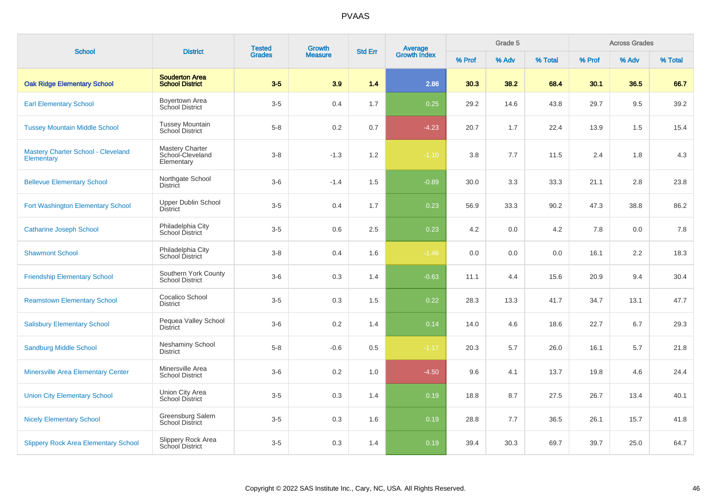| <b>School</b>                                                  | <b>District</b>                                   | <b>Tested</b><br><b>Grades</b> | Growth         | <b>Std Err</b> |                                |        | Grade 5 |         |        | <b>Across Grades</b> |         |
|----------------------------------------------------------------|---------------------------------------------------|--------------------------------|----------------|----------------|--------------------------------|--------|---------|---------|--------|----------------------|---------|
|                                                                |                                                   |                                | <b>Measure</b> |                | <b>Average</b><br>Growth Index | % Prof | % Adv   | % Total | % Prof | % Adv                | % Total |
| <b>Oak Ridge Elementary School</b>                             | <b>Souderton Area</b><br><b>School District</b>   | $3-5$                          | 3.9            | 1.4            | 2.86                           | 30.3   | 38.2    | 68.4    | 30.1   | 36.5                 | 66.7    |
| <b>Earl Elementary School</b>                                  | Boyertown Area<br>School District                 | $3-5$                          | 0.4            | 1.7            | 0.25                           | 29.2   | 14.6    | 43.8    | 29.7   | 9.5                  | 39.2    |
| <b>Tussey Mountain Middle School</b>                           | <b>Tussey Mountain</b><br>School District         | $5 - 8$                        | 0.2            | 0.7            | $-4.23$                        | 20.7   | 1.7     | 22.4    | 13.9   | 1.5                  | 15.4    |
| <b>Mastery Charter School - Cleveland</b><br><b>Elementary</b> | Mastery Charter<br>School-Cleveland<br>Elementary | $3-8$                          | $-1.3$         | 1.2            | $-1.10$                        | 3.8    | 7.7     | 11.5    | 2.4    | 1.8                  | 4.3     |
| <b>Bellevue Elementary School</b>                              | Northgate School<br><b>District</b>               | $3-6$                          | $-1.4$         | 1.5            | $-0.89$                        | 30.0   | 3.3     | 33.3    | 21.1   | 2.8                  | 23.8    |
| <b>Fort Washington Elementary School</b>                       | Upper Dublin School<br><b>District</b>            | $3-5$                          | 0.4            | 1.7            | 0.23                           | 56.9   | 33.3    | 90.2    | 47.3   | 38.8                 | 86.2    |
| <b>Catharine Joseph School</b>                                 | Philadelphia City<br>School District              | $3-5$                          | 0.6            | 2.5            | 0.23                           | 4.2    | 0.0     | 4.2     | 7.8    | 0.0                  | 7.8     |
| <b>Shawmont School</b>                                         | Philadelphia City<br>School District              | $3 - 8$                        | 0.4            | 1.6            | $-1.46$                        | 0.0    | 0.0     | 0.0     | 16.1   | 2.2                  | 18.3    |
| <b>Friendship Elementary School</b>                            | Southern York County<br><b>School District</b>    | $3-6$                          | 0.3            | 1.4            | $-0.63$                        | 11.1   | 4.4     | 15.6    | 20.9   | 9.4                  | 30.4    |
| <b>Reamstown Elementary School</b>                             | Cocalico School<br><b>District</b>                | $3-5$                          | 0.3            | 1.5            | 0.22                           | 28.3   | 13.3    | 41.7    | 34.7   | 13.1                 | 47.7    |
| <b>Salisbury Elementary School</b>                             | Pequea Valley School<br><b>District</b>           | $3-6$                          | 0.2            | 1.4            | 0.14                           | 14.0   | 4.6     | 18.6    | 22.7   | 6.7                  | 29.3    |
| <b>Sandburg Middle School</b>                                  | Neshaminy School<br><b>District</b>               | $5-8$                          | $-0.6$         | 0.5            | $-1.17$                        | 20.3   | 5.7     | 26.0    | 16.1   | 5.7                  | 21.8    |
| <b>Minersville Area Elementary Center</b>                      | Minersville Area<br><b>School District</b>        | $3-6$                          | 0.2            | 1.0            | $-4.50$                        | 9.6    | 4.1     | 13.7    | 19.8   | 4.6                  | 24.4    |
| <b>Union City Elementary School</b>                            | Union City Area<br><b>School District</b>         | $3-5$                          | 0.3            | 1.4            | 0.19                           | 18.8   | 8.7     | 27.5    | 26.7   | 13.4                 | 40.1    |
| <b>Nicely Elementary School</b>                                | Greensburg Salem<br>School District               | $3-5$                          | 0.3            | 1.6            | 0.19                           | 28.8   | 7.7     | 36.5    | 26.1   | 15.7                 | 41.8    |
| <b>Slippery Rock Area Elementary School</b>                    | Slippery Rock Area<br>School District             | $3-5$                          | 0.3            | 1.4            | 0.19                           | 39.4   | 30.3    | 69.7    | 39.7   | 25.0                 | 64.7    |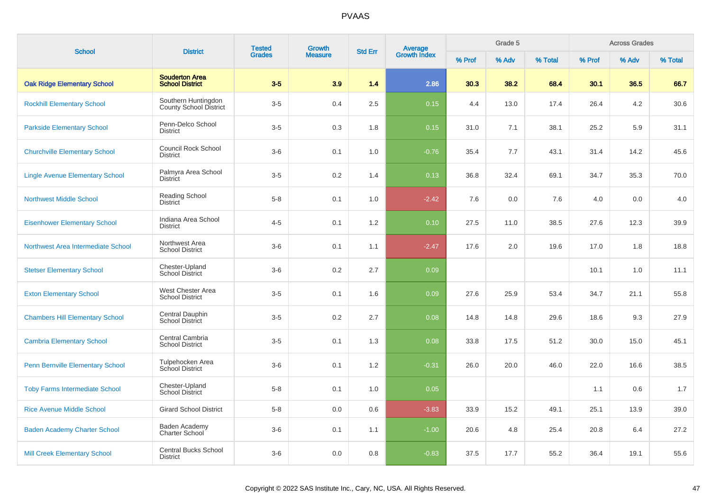| <b>School</b>                           | <b>District</b>                                      | <b>Tested</b> | <b>Growth</b><br><b>Std Err</b> |     |                                | Grade 5 |       |         | <b>Across Grades</b> |       |         |
|-----------------------------------------|------------------------------------------------------|---------------|---------------------------------|-----|--------------------------------|---------|-------|---------|----------------------|-------|---------|
|                                         |                                                      | <b>Grades</b> | <b>Measure</b>                  |     | <b>Average</b><br>Growth Index | % Prof  | % Adv | % Total | % Prof               | % Adv | % Total |
| <b>Oak Ridge Elementary School</b>      | <b>Souderton Area</b><br><b>School District</b>      | $3-5$         | 3.9                             | 1.4 | 2.86                           | 30.3    | 38.2  | 68.4    | 30.1                 | 36.5  | 66.7    |
| <b>Rockhill Elementary School</b>       | Southern Huntingdon<br><b>County School District</b> | $3-5$         | 0.4                             | 2.5 | 0.15                           | 4.4     | 13.0  | 17.4    | 26.4                 | 4.2   | 30.6    |
| <b>Parkside Elementary School</b>       | Penn-Delco School<br><b>District</b>                 | $3-5$         | 0.3                             | 1.8 | 0.15                           | 31.0    | 7.1   | 38.1    | 25.2                 | 5.9   | 31.1    |
| <b>Churchville Elementary School</b>    | <b>Council Rock School</b><br><b>District</b>        | $3-6$         | 0.1                             | 1.0 | $-0.76$                        | 35.4    | 7.7   | 43.1    | 31.4                 | 14.2  | 45.6    |
| <b>Lingle Avenue Elementary School</b>  | Palmyra Area School<br><b>District</b>               | $3-5$         | 0.2                             | 1.4 | 0.13                           | 36.8    | 32.4  | 69.1    | 34.7                 | 35.3  | 70.0    |
| <b>Northwest Middle School</b>          | Reading School<br><b>District</b>                    | $5 - 8$       | 0.1                             | 1.0 | $-2.42$                        | 7.6     | 0.0   | 7.6     | 4.0                  | 0.0   | 4.0     |
| <b>Eisenhower Elementary School</b>     | Indiana Area School<br><b>District</b>               | $4 - 5$       | 0.1                             | 1.2 | 0.10                           | 27.5    | 11.0  | 38.5    | 27.6                 | 12.3  | 39.9    |
| Northwest Area Intermediate School      | Northwest Area<br><b>School District</b>             | $3-6$         | 0.1                             | 1.1 | $-2.47$                        | 17.6    | 2.0   | 19.6    | 17.0                 | 1.8   | 18.8    |
| <b>Stetser Elementary School</b>        | Chester-Upland<br><b>School District</b>             | $3-6$         | 0.2                             | 2.7 | 0.09                           |         |       |         | 10.1                 | 1.0   | 11.1    |
| <b>Exton Elementary School</b>          | West Chester Area<br><b>School District</b>          | $3-5$         | 0.1                             | 1.6 | 0.09                           | 27.6    | 25.9  | 53.4    | 34.7                 | 21.1  | 55.8    |
| <b>Chambers Hill Elementary School</b>  | Central Dauphin<br>School District                   | $3-5$         | 0.2                             | 2.7 | 0.08                           | 14.8    | 14.8  | 29.6    | 18.6                 | 9.3   | 27.9    |
| <b>Cambria Elementary School</b>        | Central Cambria<br><b>School District</b>            | $3-5$         | 0.1                             | 1.3 | 0.08                           | 33.8    | 17.5  | 51.2    | 30.0                 | 15.0  | 45.1    |
| <b>Penn Bernville Elementary School</b> | Tulpehocken Area<br>School District                  | $3-6$         | 0.1                             | 1.2 | $-0.31$                        | 26.0    | 20.0  | 46.0    | 22.0                 | 16.6  | 38.5    |
| <b>Toby Farms Intermediate School</b>   | Chester-Upland<br><b>School District</b>             | $5-8$         | 0.1                             | 1.0 | 0.05                           |         |       |         | 1.1                  | 0.6   | 1.7     |
| <b>Rice Avenue Middle School</b>        | <b>Girard School District</b>                        | $5-8$         | 0.0                             | 0.6 | $-3.83$                        | 33.9    | 15.2  | 49.1    | 25.1                 | 13.9  | 39.0    |
| <b>Baden Academy Charter School</b>     | Baden Academy<br>Charter School                      | $3-6$         | 0.1                             | 1.1 | $-1.00$                        | 20.6    | 4.8   | 25.4    | 20.8                 | 6.4   | 27.2    |
| <b>Mill Creek Elementary School</b>     | <b>Central Bucks School</b><br><b>District</b>       | $3-6$         | 0.0                             | 0.8 | $-0.83$                        | 37.5    | 17.7  | 55.2    | 36.4                 | 19.1  | 55.6    |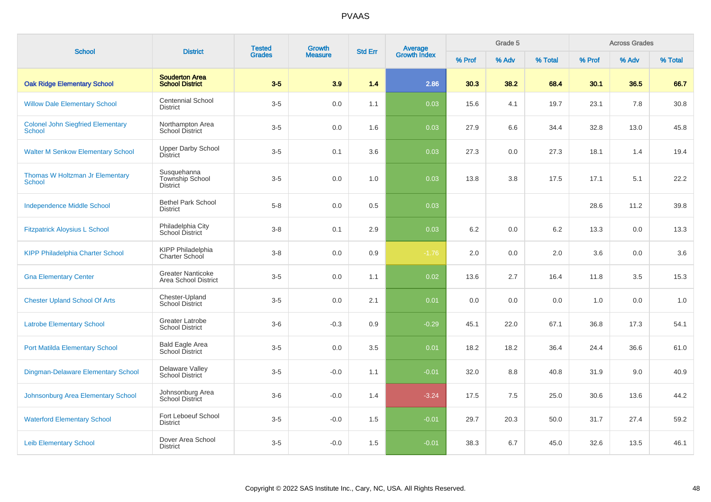| <b>School</b>                                             | <b>District</b>                                   | <b>Tested</b> | Growth         | <b>Std Err</b> |                                |        | Grade 5 |         |        | <b>Across Grades</b> |         |
|-----------------------------------------------------------|---------------------------------------------------|---------------|----------------|----------------|--------------------------------|--------|---------|---------|--------|----------------------|---------|
|                                                           |                                                   | <b>Grades</b> | <b>Measure</b> |                | <b>Average</b><br>Growth Index | % Prof | % Adv   | % Total | % Prof | % Adv                | % Total |
| <b>Oak Ridge Elementary School</b>                        | <b>Souderton Area</b><br><b>School District</b>   | $3-5$         | 3.9            | 1.4            | 2.86                           | 30.3   | 38.2    | 68.4    | 30.1   | 36.5                 | 66.7    |
| <b>Willow Dale Elementary School</b>                      | <b>Centennial School</b><br><b>District</b>       | $3-5$         | 0.0            | 1.1            | 0.03                           | 15.6   | 4.1     | 19.7    | 23.1   | 7.8                  | 30.8    |
| <b>Colonel John Siegfried Elementary</b><br><b>School</b> | Northampton Area<br><b>School District</b>        | $3-5$         | 0.0            | 1.6            | 0.03                           | 27.9   | 6.6     | 34.4    | 32.8   | 13.0                 | 45.8    |
| <b>Walter M Senkow Elementary School</b>                  | <b>Upper Darby School</b><br><b>District</b>      | $3-5$         | 0.1            | 3.6            | 0.03                           | 27.3   | 0.0     | 27.3    | 18.1   | 1.4                  | 19.4    |
| Thomas W Holtzman Jr Elementary<br><b>School</b>          | Susquehanna<br>Township School<br><b>District</b> | $3-5$         | 0.0            | 1.0            | 0.03                           | 13.8   | 3.8     | 17.5    | 17.1   | 5.1                  | 22.2    |
| <b>Independence Middle School</b>                         | <b>Bethel Park School</b><br><b>District</b>      | $5-8$         | 0.0            | 0.5            | 0.03                           |        |         |         | 28.6   | 11.2                 | 39.8    |
| <b>Fitzpatrick Aloysius L School</b>                      | Philadelphia City<br><b>School District</b>       | $3-8$         | 0.1            | 2.9            | 0.03                           | 6.2    | 0.0     | 6.2     | 13.3   | 0.0                  | 13.3    |
| <b>KIPP Philadelphia Charter School</b>                   | KIPP Philadelphia<br>Charter School               | $3-8$         | 0.0            | 0.9            | $-1.76$                        | 2.0    | 0.0     | 2.0     | 3.6    | 0.0                  | 3.6     |
| <b>Gna Elementary Center</b>                              | <b>Greater Nanticoke</b><br>Area School District  | $3-5$         | 0.0            | 1.1            | 0.02                           | 13.6   | 2.7     | 16.4    | 11.8   | 3.5                  | 15.3    |
| <b>Chester Upland School Of Arts</b>                      | Chester-Upland<br><b>School District</b>          | $3-5$         | 0.0            | 2.1            | 0.01                           | 0.0    | 0.0     | 0.0     | 1.0    | 0.0                  | 1.0     |
| <b>Latrobe Elementary School</b>                          | Greater Latrobe<br><b>School District</b>         | $3-6$         | $-0.3$         | 0.9            | $-0.29$                        | 45.1   | 22.0    | 67.1    | 36.8   | 17.3                 | 54.1    |
| <b>Port Matilda Elementary School</b>                     | Bald Eagle Area<br>School District                | $3-5$         | 0.0            | 3.5            | 0.01                           | 18.2   | 18.2    | 36.4    | 24.4   | 36.6                 | 61.0    |
| Dingman-Delaware Elementary School                        | Delaware Valley<br><b>School District</b>         | $3-5$         | $-0.0$         | 1.1            | $-0.01$                        | 32.0   | 8.8     | 40.8    | 31.9   | 9.0                  | 40.9    |
| Johnsonburg Area Elementary School                        | Johnsonburg Area<br>School District               | $3-6$         | $-0.0$         | 1.4            | $-3.24$                        | 17.5   | 7.5     | 25.0    | 30.6   | 13.6                 | 44.2    |
| <b>Waterford Elementary School</b>                        | Fort Leboeuf School<br><b>District</b>            | $3-5$         | $-0.0$         | 1.5            | $-0.01$                        | 29.7   | 20.3    | 50.0    | 31.7   | 27.4                 | 59.2    |
| <b>Leib Elementary School</b>                             | Dover Area School<br><b>District</b>              | $3-5$         | $-0.0$         | 1.5            | $-0.01$                        | 38.3   | 6.7     | 45.0    | 32.6   | 13.5                 | 46.1    |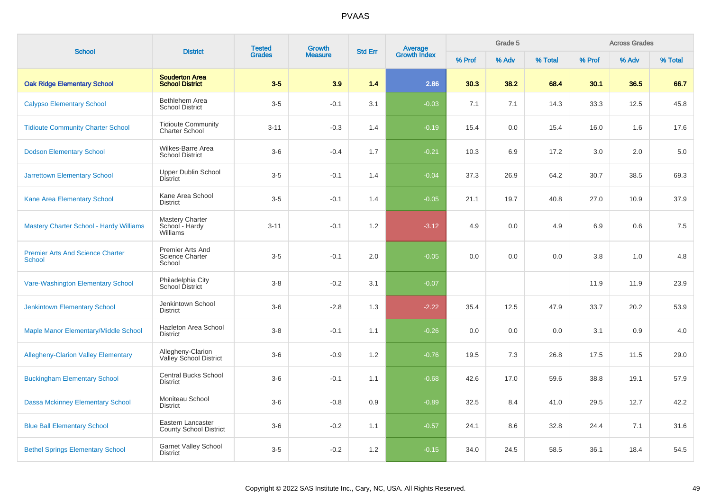| <b>School</b>                                            | <b>District</b>                                      | <b>Tested</b> | <b>Growth</b>  | <b>Std Err</b> | Average<br>Growth Index |        | Grade 5 |         |        | <b>Across Grades</b><br>% Adv |         |
|----------------------------------------------------------|------------------------------------------------------|---------------|----------------|----------------|-------------------------|--------|---------|---------|--------|-------------------------------|---------|
|                                                          |                                                      | <b>Grades</b> | <b>Measure</b> |                |                         | % Prof | % Adv   | % Total | % Prof |                               | % Total |
| <b>Oak Ridge Elementary School</b>                       | <b>Souderton Area</b><br><b>School District</b>      | $3-5$         | 3.9            | 1.4            | 2.86                    | 30.3   | 38.2    | 68.4    | 30.1   | 36.5                          | 66.7    |
| <b>Calypso Elementary School</b>                         | Bethlehem Area<br><b>School District</b>             | $3-5$         | $-0.1$         | 3.1            | $-0.03$                 | 7.1    | 7.1     | 14.3    | 33.3   | 12.5                          | 45.8    |
| <b>Tidioute Community Charter School</b>                 | <b>Tidioute Community</b><br><b>Charter School</b>   | $3 - 11$      | $-0.3$         | 1.4            | $-0.19$                 | 15.4   | 0.0     | 15.4    | 16.0   | 1.6                           | 17.6    |
| <b>Dodson Elementary School</b>                          | Wilkes-Barre Area<br><b>School District</b>          | $3-6$         | $-0.4$         | 1.7            | $-0.21$                 | 10.3   | 6.9     | 17.2    | 3.0    | 2.0                           | 5.0     |
| <b>Jarrettown Elementary School</b>                      | <b>Upper Dublin School</b><br><b>District</b>        | $3-5$         | $-0.1$         | 1.4            | $-0.04$                 | 37.3   | 26.9    | 64.2    | 30.7   | 38.5                          | 69.3    |
| Kane Area Elementary School                              | Kane Area School<br><b>District</b>                  | $3-5$         | $-0.1$         | 1.4            | $-0.05$                 | 21.1   | 19.7    | 40.8    | 27.0   | 10.9                          | 37.9    |
| <b>Mastery Charter School - Hardy Williams</b>           | Mastery Charter<br>School - Hardy<br>Williams        | $3 - 11$      | $-0.1$         | 1.2            | $-3.12$                 | 4.9    | 0.0     | 4.9     | 6.9    | 0.6                           | 7.5     |
| <b>Premier Arts And Science Charter</b><br><b>School</b> | Premier Arts And<br><b>Science Charter</b><br>School | $3-5$         | $-0.1$         | 2.0            | $-0.05$                 | 0.0    | 0.0     | 0.0     | 3.8    | 1.0                           | 4.8     |
| Vare-Washington Elementary School                        | Philadelphia City<br>School District                 | $3 - 8$       | $-0.2$         | 3.1            | $-0.07$                 |        |         |         | 11.9   | 11.9                          | 23.9    |
| <b>Jenkintown Elementary School</b>                      | Jenkintown School<br><b>District</b>                 | $3-6$         | $-2.8$         | 1.3            | $-2.22$                 | 35.4   | 12.5    | 47.9    | 33.7   | 20.2                          | 53.9    |
| Maple Manor Elementary/Middle School                     | Hazleton Area School<br><b>District</b>              | $3 - 8$       | $-0.1$         | 1.1            | $-0.26$                 | 0.0    | 0.0     | 0.0     | 3.1    | 0.9                           | 4.0     |
| <b>Allegheny-Clarion Valley Elementary</b>               | Allegheny-Clarion<br>Valley School District          | $3-6$         | $-0.9$         | 1.2            | $-0.76$                 | 19.5   | 7.3     | 26.8    | 17.5   | 11.5                          | 29.0    |
| <b>Buckingham Elementary School</b>                      | <b>Central Bucks School</b><br><b>District</b>       | $3-6$         | $-0.1$         | 1.1            | $-0.68$                 | 42.6   | 17.0    | 59.6    | 38.8   | 19.1                          | 57.9    |
| <b>Dassa Mckinney Elementary School</b>                  | Moniteau School<br><b>District</b>                   | $3-6$         | $-0.8$         | 0.9            | $-0.89$                 | 32.5   | 8.4     | 41.0    | 29.5   | 12.7                          | 42.2    |
| <b>Blue Ball Elementary School</b>                       | Eastern Lancaster<br><b>County School District</b>   | $3-6$         | $-0.2$         | 1.1            | $-0.57$                 | 24.1   | 8.6     | 32.8    | 24.4   | 7.1                           | 31.6    |
| <b>Bethel Springs Elementary School</b>                  | <b>Garnet Valley School</b><br><b>District</b>       | $3-5$         | $-0.2$         | 1.2            | $-0.15$                 | 34.0   | 24.5    | 58.5    | 36.1   | 18.4                          | 54.5    |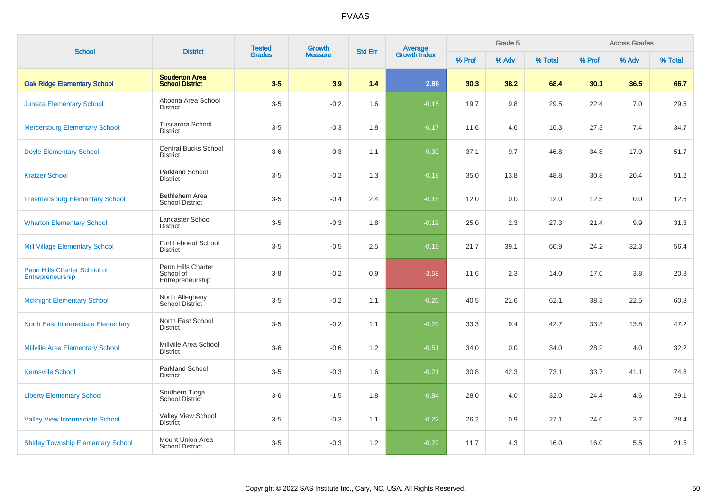| <b>School</b>                                    | <b>District</b>                                     | <b>Tested</b> | Growth         | <b>Std Err</b> | <b>Average</b><br>Growth Index |        | Grade 5 |         |        | <b>Across Grades</b> |         |
|--------------------------------------------------|-----------------------------------------------------|---------------|----------------|----------------|--------------------------------|--------|---------|---------|--------|----------------------|---------|
|                                                  |                                                     | <b>Grades</b> | <b>Measure</b> |                |                                | % Prof | % Adv   | % Total | % Prof | % Adv                | % Total |
| <b>Oak Ridge Elementary School</b>               | <b>Souderton Area</b><br><b>School District</b>     | $3-5$         | 3.9            | 1.4            | 2.86                           | 30.3   | 38.2    | 68.4    | 30.1   | 36.5                 | 66.7    |
| <b>Juniata Elementary School</b>                 | Altoona Area School<br><b>District</b>              | $3-5$         | $-0.2$         | 1.6            | $-0.15$                        | 19.7   | 9.8     | 29.5    | 22.4   | 7.0                  | 29.5    |
| <b>Mercersburg Elementary School</b>             | <b>Tuscarora School</b><br><b>District</b>          | $3-5$         | $-0.3$         | 1.8            | $-0.17$                        | 11.6   | 4.6     | 16.3    | 27.3   | 7.4                  | 34.7    |
| <b>Doyle Elementary School</b>                   | <b>Central Bucks School</b><br><b>District</b>      | $3-6$         | $-0.3$         | 1.1            | $-0.30$                        | 37.1   | 9.7     | 46.8    | 34.8   | 17.0                 | 51.7    |
| <b>Kratzer School</b>                            | <b>Parkland School</b><br><b>District</b>           | $3-5$         | $-0.2$         | 1.3            | $-0.18$                        | 35.0   | 13.8    | 48.8    | 30.8   | 20.4                 | 51.2    |
| <b>Freemansburg Elementary School</b>            | Bethlehem Area<br><b>School District</b>            | $3-5$         | $-0.4$         | 2.4            | $-0.18$                        | 12.0   | 0.0     | 12.0    | 12.5   | 0.0                  | 12.5    |
| <b>Wharton Elementary School</b>                 | Lancaster School<br><b>District</b>                 | $3-5$         | $-0.3$         | 1.8            | $-0.19$                        | 25.0   | 2.3     | 27.3    | 21.4   | 9.9                  | 31.3    |
| <b>Mill Village Elementary School</b>            | Fort Leboeuf School<br><b>District</b>              | $3-5$         | $-0.5$         | 2.5            | $-0.19$                        | 21.7   | 39.1    | 60.9    | 24.2   | 32.3                 | 56.4    |
| Penn Hills Charter School of<br>Entrepreneurship | Penn Hills Charter<br>School of<br>Entrepreneurship | $3-8$         | $-0.2$         | 0.9            | $-3.58$                        | 11.6   | 2.3     | 14.0    | 17.0   | 3.8                  | 20.8    |
| <b>Mcknight Elementary School</b>                | North Allegheny<br>School District                  | $3-5$         | $-0.2$         | 1.1            | $-0.20$                        | 40.5   | 21.6    | 62.1    | 38.3   | 22.5                 | 60.8    |
| North East Intermediate Elementary               | North East School<br><b>District</b>                | $3-5$         | $-0.2$         | 1.1            | $-0.20$                        | 33.3   | 9.4     | 42.7    | 33.3   | 13.8                 | 47.2    |
| <b>Millville Area Elementary School</b>          | Millville Area School<br><b>District</b>            | $3-6$         | $-0.6$         | 1.2            | $-0.51$                        | 34.0   | 0.0     | 34.0    | 28.2   | 4.0                  | 32.2    |
| <b>Kernsville School</b>                         | Parkland School<br><b>District</b>                  | $3-5$         | $-0.3$         | 1.6            | $-0.21$                        | 30.8   | 42.3    | 73.1    | 33.7   | 41.1                 | 74.8    |
| <b>Liberty Elementary School</b>                 | Southern Tioga<br>School District                   | $3-6$         | $-1.5$         | 1.8            | $-0.84$                        | 28.0   | 4.0     | 32.0    | 24.4   | 4.6                  | 29.1    |
| <b>Valley View Intermediate School</b>           | Valley View School<br><b>District</b>               | $3-5$         | $-0.3$         | 1.1            | $-0.22$                        | 26.2   | 0.9     | 27.1    | 24.6   | 3.7                  | 28.4    |
| <b>Shirley Township Elementary School</b>        | Mount Union Area<br><b>School District</b>          | $3-5$         | $-0.3$         | 1.2            | $-0.22$                        | 11.7   | 4.3     | 16.0    | 16.0   | 5.5                  | 21.5    |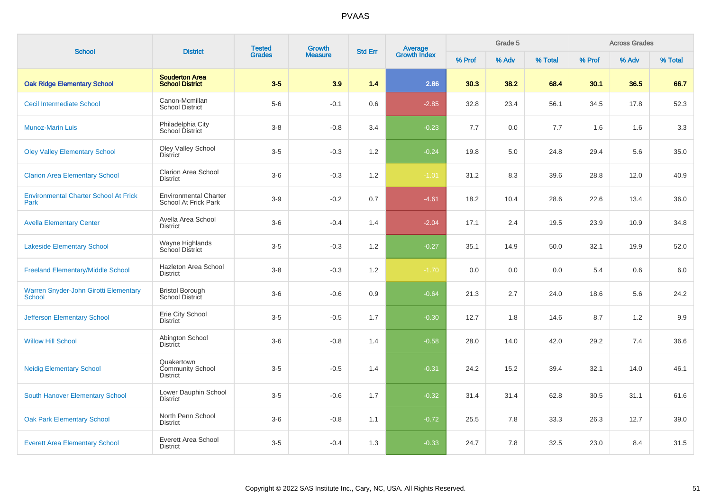| <b>School</b>                                          | <b>District</b>                                      | <b>Tested</b> | <b>Growth</b>  | <b>Std Err</b> | <b>Average</b><br>Growth Index |        | Grade 5 |         |        | <b>Across Grades</b> |         |
|--------------------------------------------------------|------------------------------------------------------|---------------|----------------|----------------|--------------------------------|--------|---------|---------|--------|----------------------|---------|
|                                                        |                                                      | <b>Grades</b> | <b>Measure</b> |                |                                | % Prof | % Adv   | % Total | % Prof | % Adv                | % Total |
| <b>Oak Ridge Elementary School</b>                     | <b>Souderton Area</b><br><b>School District</b>      | $3-5$         | 3.9            | 1.4            | 2.86                           | 30.3   | 38.2    | 68.4    | 30.1   | 36.5                 | 66.7    |
| <b>Cecil Intermediate School</b>                       | Canon-Mcmillan<br><b>School District</b>             | $5-6$         | $-0.1$         | 0.6            | $-2.85$                        | 32.8   | 23.4    | 56.1    | 34.5   | 17.8                 | 52.3    |
| <b>Munoz-Marin Luis</b>                                | Philadelphia City<br>School District                 | $3-8$         | $-0.8$         | 3.4            | $-0.23$                        | 7.7    | 0.0     | 7.7     | 1.6    | 1.6                  | 3.3     |
| <b>Oley Valley Elementary School</b>                   | Oley Valley School<br><b>District</b>                | $3-5$         | $-0.3$         | 1.2            | $-0.24$                        | 19.8   | 5.0     | 24.8    | 29.4   | 5.6                  | 35.0    |
| <b>Clarion Area Elementary School</b>                  | <b>Clarion Area School</b><br><b>District</b>        | $3-6$         | $-0.3$         | $1.2\,$        | $-1.01$                        | 31.2   | 8.3     | 39.6    | 28.8   | 12.0                 | 40.9    |
| <b>Environmental Charter School At Frick</b><br>Park   | <b>Environmental Charter</b><br>School At Frick Park | $3-9$         | $-0.2$         | 0.7            | $-4.61$                        | 18.2   | 10.4    | 28.6    | 22.6   | 13.4                 | 36.0    |
| <b>Avella Elementary Center</b>                        | Avella Area School<br><b>District</b>                | $3-6$         | $-0.4$         | 1.4            | $-2.04$                        | 17.1   | 2.4     | 19.5    | 23.9   | 10.9                 | 34.8    |
| <b>Lakeside Elementary School</b>                      | Wayne Highlands<br>School District                   | $3-5$         | $-0.3$         | 1.2            | $-0.27$                        | 35.1   | 14.9    | 50.0    | 32.1   | 19.9                 | 52.0    |
| <b>Freeland Elementary/Middle School</b>               | Hazleton Area School<br><b>District</b>              | $3 - 8$       | $-0.3$         | 1.2            | $-1.70$                        | 0.0    | 0.0     | 0.0     | 5.4    | 0.6                  | 6.0     |
| Warren Snyder-John Girotti Elementary<br><b>School</b> | <b>Bristol Borough</b><br>School District            | $3-6$         | $-0.6$         | 0.9            | $-0.64$                        | 21.3   | 2.7     | 24.0    | 18.6   | 5.6                  | 24.2    |
| <b>Jefferson Elementary School</b>                     | Erie City School<br><b>District</b>                  | $3-5$         | $-0.5$         | 1.7            | $-0.30$                        | 12.7   | 1.8     | 14.6    | 8.7    | 1.2                  | 9.9     |
| <b>Willow Hill School</b>                              | Abington School<br><b>District</b>                   | $3-6$         | $-0.8$         | 1.4            | $-0.58$                        | 28.0   | 14.0    | 42.0    | 29.2   | 7.4                  | 36.6    |
| <b>Neidig Elementary School</b>                        | Quakertown<br>Community School<br><b>District</b>    | $3-5$         | $-0.5$         | 1.4            | $-0.31$                        | 24.2   | 15.2    | 39.4    | 32.1   | 14.0                 | 46.1    |
| <b>South Hanover Elementary School</b>                 | Lower Dauphin School<br><b>District</b>              | $3-5$         | $-0.6$         | 1.7            | $-0.32$                        | 31.4   | 31.4    | 62.8    | 30.5   | 31.1                 | 61.6    |
| <b>Oak Park Elementary School</b>                      | North Penn School<br><b>District</b>                 | $3-6$         | $-0.8$         | 1.1            | $-0.72$                        | 25.5   | 7.8     | 33.3    | 26.3   | 12.7                 | 39.0    |
| <b>Everett Area Elementary School</b>                  | <b>Everett Area School</b><br><b>District</b>        | $3-5$         | $-0.4$         | 1.3            | $-0.33$                        | 24.7   | 7.8     | 32.5    | 23.0   | 8.4                  | 31.5    |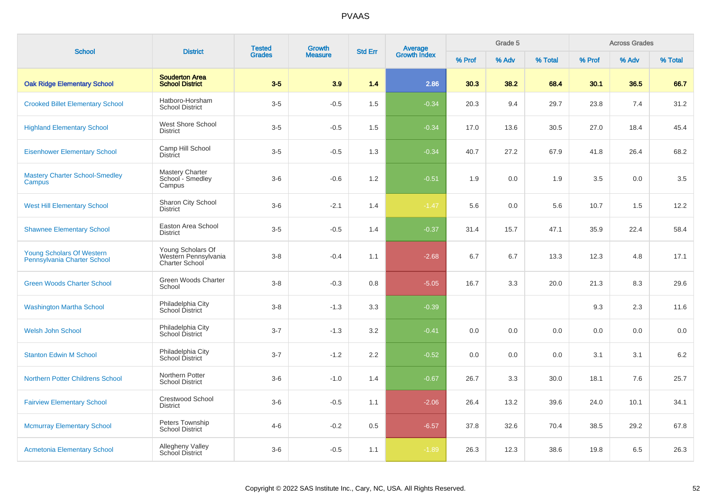| <b>School</b>                                            | <b>District</b>                                                    | <b>Tested</b> | Growth         | <b>Std Err</b> | <b>Average</b><br>Growth Index |        | Grade 5 |         |        | <b>Across Grades</b><br>% Adv |         |
|----------------------------------------------------------|--------------------------------------------------------------------|---------------|----------------|----------------|--------------------------------|--------|---------|---------|--------|-------------------------------|---------|
|                                                          |                                                                    | <b>Grades</b> | <b>Measure</b> |                |                                | % Prof | % Adv   | % Total | % Prof |                               | % Total |
| <b>Oak Ridge Elementary School</b>                       | <b>Souderton Area</b><br><b>School District</b>                    | $3-5$         | 3.9            | 1.4            | 2.86                           | 30.3   | 38.2    | 68.4    | 30.1   | 36.5                          | 66.7    |
| <b>Crooked Billet Elementary School</b>                  | Hatboro-Horsham<br><b>School District</b>                          | $3-5$         | $-0.5$         | 1.5            | $-0.34$                        | 20.3   | 9.4     | 29.7    | 23.8   | 7.4                           | 31.2    |
| <b>Highland Elementary School</b>                        | West Shore School<br><b>District</b>                               | $3-5$         | $-0.5$         | 1.5            | $-0.34$                        | 17.0   | 13.6    | 30.5    | 27.0   | 18.4                          | 45.4    |
| <b>Eisenhower Elementary School</b>                      | Camp Hill School<br><b>District</b>                                | $3-5$         | $-0.5$         | 1.3            | $-0.34$                        | 40.7   | 27.2    | 67.9    | 41.8   | 26.4                          | 68.2    |
| <b>Mastery Charter School-Smedley</b><br>Campus          | <b>Mastery Charter</b><br>School - Smedley<br>Campus               | $3-6$         | $-0.6$         | 1.2            | $-0.51$                        | 1.9    | 0.0     | 1.9     | 3.5    | 0.0                           | 3.5     |
| <b>West Hill Elementary School</b>                       | Sharon City School<br><b>District</b>                              | $3-6$         | $-2.1$         | 1.4            | $-1.47$                        | 5.6    | 0.0     | 5.6     | 10.7   | 1.5                           | 12.2    |
| <b>Shawnee Elementary School</b>                         | Easton Area School<br><b>District</b>                              | $3-5$         | $-0.5$         | 1.4            | $-0.37$                        | 31.4   | 15.7    | 47.1    | 35.9   | 22.4                          | 58.4    |
| Young Scholars Of Western<br>Pennsylvania Charter School | Young Scholars Of<br>Western Pennsylvania<br><b>Charter School</b> | $3-8$         | $-0.4$         | 1.1            | $-2.68$                        | 6.7    | 6.7     | 13.3    | 12.3   | 4.8                           | 17.1    |
| <b>Green Woods Charter School</b>                        | Green Woods Charter<br>School                                      | $3-8$         | $-0.3$         | 0.8            | $-5.05$                        | 16.7   | 3.3     | 20.0    | 21.3   | 8.3                           | 29.6    |
| <b>Washington Martha School</b>                          | Philadelphia City<br>School District                               | $3-8$         | $-1.3$         | 3.3            | $-0.39$                        |        |         |         | 9.3    | 2.3                           | 11.6    |
| <b>Welsh John School</b>                                 | Philadelphia City<br>School District                               | $3 - 7$       | $-1.3$         | 3.2            | $-0.41$                        | 0.0    | 0.0     | 0.0     | 0.0    | 0.0                           | 0.0     |
| <b>Stanton Edwin M School</b>                            | Philadelphia City<br>School District                               | $3 - 7$       | $-1.2$         | 2.2            | $-0.52$                        | 0.0    | 0.0     | 0.0     | 3.1    | 3.1                           | $6.2\,$ |
| <b>Northern Potter Childrens School</b>                  | Northern Potter<br><b>School District</b>                          | $3-6$         | $-1.0$         | 1.4            | $-0.67$                        | 26.7   | 3.3     | 30.0    | 18.1   | 7.6                           | 25.7    |
| <b>Fairview Elementary School</b>                        | <b>Crestwood School</b><br><b>District</b>                         | $3-6$         | $-0.5$         | 1.1            | $-2.06$                        | 26.4   | 13.2    | 39.6    | 24.0   | 10.1                          | 34.1    |
| <b>Mcmurray Elementary School</b>                        | Peters Township<br><b>School District</b>                          | $4 - 6$       | $-0.2$         | 0.5            | $-6.57$                        | 37.8   | 32.6    | 70.4    | 38.5   | 29.2                          | 67.8    |
| <b>Acmetonia Elementary School</b>                       | Allegheny Valley<br><b>School District</b>                         | $3-6$         | $-0.5$         | 1.1            | $-1.89$                        | 26.3   | 12.3    | 38.6    | 19.8   | 6.5                           | 26.3    |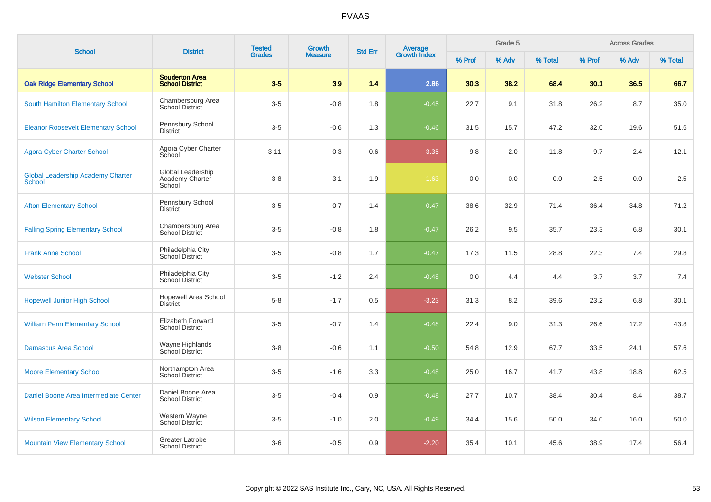| <b>School</b>                                             | <b>District</b>                                 | <b>Tested</b> | Growth         | <b>Std Err</b> |                                |        | Grade 5 |         |        | <b>Across Grades</b> |         |
|-----------------------------------------------------------|-------------------------------------------------|---------------|----------------|----------------|--------------------------------|--------|---------|---------|--------|----------------------|---------|
|                                                           |                                                 | <b>Grades</b> | <b>Measure</b> |                | <b>Average</b><br>Growth Index | % Prof | % Adv   | % Total | % Prof | % Adv                | % Total |
| <b>Oak Ridge Elementary School</b>                        | <b>Souderton Area</b><br><b>School District</b> | $3-5$         | 3.9            | 1.4            | 2.86                           | 30.3   | 38.2    | 68.4    | 30.1   | 36.5                 | 66.7    |
| South Hamilton Elementary School                          | Chambersburg Area<br>School District            | $3-5$         | $-0.8$         | 1.8            | $-0.45$                        | 22.7   | 9.1     | 31.8    | 26.2   | 8.7                  | 35.0    |
| <b>Eleanor Roosevelt Elementary School</b>                | Pennsbury School<br><b>District</b>             | $3-5$         | $-0.6$         | 1.3            | $-0.46$                        | 31.5   | 15.7    | 47.2    | 32.0   | 19.6                 | 51.6    |
| <b>Agora Cyber Charter School</b>                         | Agora Cyber Charter<br>School                   | $3 - 11$      | $-0.3$         | 0.6            | $-3.35$                        | 9.8    | 2.0     | 11.8    | 9.7    | 2.4                  | 12.1    |
| <b>Global Leadership Academy Charter</b><br><b>School</b> | Global Leadership<br>Academy Charter<br>School  | $3-8$         | $-3.1$         | 1.9            | $-1.63$                        | 0.0    | 0.0     | 0.0     | 2.5    | 0.0                  | 2.5     |
| <b>Afton Elementary School</b>                            | Pennsbury School<br><b>District</b>             | $3-5$         | $-0.7$         | 1.4            | $-0.47$                        | 38.6   | 32.9    | 71.4    | 36.4   | 34.8                 | 71.2    |
| <b>Falling Spring Elementary School</b>                   | Chambersburg Area<br><b>School District</b>     | $3-5$         | $-0.8$         | 1.8            | $-0.47$                        | 26.2   | 9.5     | 35.7    | 23.3   | 6.8                  | 30.1    |
| <b>Frank Anne School</b>                                  | Philadelphia City<br>School District            | $3-5$         | $-0.8$         | 1.7            | $-0.47$                        | 17.3   | 11.5    | 28.8    | 22.3   | 7.4                  | 29.8    |
| <b>Webster School</b>                                     | Philadelphia City<br>School District            | $3-5$         | $-1.2$         | 2.4            | $-0.48$                        | 0.0    | 4.4     | 4.4     | 3.7    | 3.7                  | 7.4     |
| <b>Hopewell Junior High School</b>                        | <b>Hopewell Area School</b><br><b>District</b>  | $5 - 8$       | $-1.7$         | 0.5            | $-3.23$                        | 31.3   | 8.2     | 39.6    | 23.2   | 6.8                  | 30.1    |
| <b>William Penn Elementary School</b>                     | Elizabeth Forward<br><b>School District</b>     | $3-5$         | $-0.7$         | 1.4            | $-0.48$                        | 22.4   | 9.0     | 31.3    | 26.6   | 17.2                 | 43.8    |
| <b>Damascus Area School</b>                               | Wayne Highlands<br>School District              | $3-8$         | $-0.6$         | 1.1            | $-0.50$                        | 54.8   | 12.9    | 67.7    | 33.5   | 24.1                 | 57.6    |
| <b>Moore Elementary School</b>                            | Northampton Area<br><b>School District</b>      | $3-5$         | $-1.6$         | 3.3            | $-0.48$                        | 25.0   | 16.7    | 41.7    | 43.8   | 18.8                 | 62.5    |
| Daniel Boone Area Intermediate Center                     | Daniel Boone Area<br><b>School District</b>     | $3-5$         | $-0.4$         | 0.9            | $-0.48$                        | 27.7   | 10.7    | 38.4    | 30.4   | 8.4                  | 38.7    |
| <b>Wilson Elementary School</b>                           | Western Wayne<br>School District                | $3-5$         | $-1.0$         | 2.0            | $-0.49$                        | 34.4   | 15.6    | 50.0    | 34.0   | 16.0                 | 50.0    |
| <b>Mountain View Elementary School</b>                    | Greater Latrobe<br><b>School District</b>       | $3-6$         | $-0.5$         | 0.9            | $-2.20$                        | 35.4   | 10.1    | 45.6    | 38.9   | 17.4                 | 56.4    |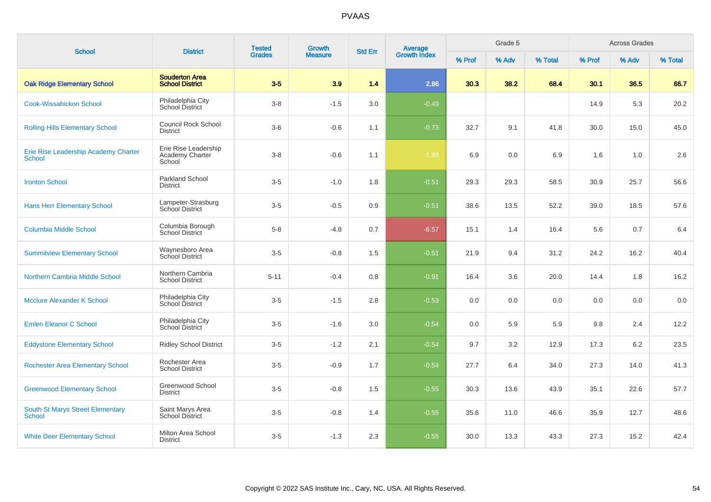| <b>School</b>                                         | <b>District</b>                                   | <b>Tested</b> | <b>Growth</b>  | <b>Average</b><br>Growth Index<br><b>Std Err</b> |         | Grade 5 |       | <b>Across Grades</b> |        |       |         |
|-------------------------------------------------------|---------------------------------------------------|---------------|----------------|--------------------------------------------------|---------|---------|-------|----------------------|--------|-------|---------|
|                                                       |                                                   | <b>Grades</b> | <b>Measure</b> |                                                  |         | % Prof  | % Adv | % Total              | % Prof | % Adv | % Total |
| <b>Oak Ridge Elementary School</b>                    | <b>Souderton Area</b><br><b>School District</b>   | $3-5$         | 3.9            | 1.4                                              | 2.86    | 30.3    | 38.2  | 68.4                 | 30.1   | 36.5  | 66.7    |
| <b>Cook-Wissahickon School</b>                        | Philadelphia City<br>School District              | $3 - 8$       | $-1.5$         | 3.0                                              | $-0.49$ |         |       |                      | 14.9   | 5.3   | 20.2    |
| <b>Rolling Hills Elementary School</b>                | <b>Council Rock School</b><br><b>District</b>     | $3-6$         | $-0.6$         | 1.1                                              | $-0.73$ | 32.7    | 9.1   | 41.8                 | 30.0   | 15.0  | 45.0    |
| Erie Rise Leadership Academy Charter<br><b>School</b> | Erie Rise Leadership<br>Academy Charter<br>School | $3-8$         | $-0.6$         | 1.1                                              | $-1.89$ | 6.9     | 0.0   | 6.9                  | 1.6    | 1.0   | 2.6     |
| <b>Ironton School</b>                                 | <b>Parkland School</b><br><b>District</b>         | $3-5$         | $-1.0$         | 1.8                                              | $-0.51$ | 29.3    | 29.3  | 58.5                 | 30.9   | 25.7  | 56.6    |
| <b>Hans Herr Elementary School</b>                    | Lampeter-Strasburg<br><b>School District</b>      | $3-5$         | $-0.5$         | 0.9                                              | $-0.51$ | 38.6    | 13.5  | 52.2                 | 39.0   | 18.5  | 57.6    |
| <b>Columbia Middle School</b>                         | Columbia Borough<br><b>School District</b>        | $5-8$         | $-4.8$         | 0.7                                              | $-6.57$ | 15.1    | 1.4   | 16.4                 | 5.6    | 0.7   | 6.4     |
| <b>Summitview Elementary School</b>                   | Waynesboro Area<br>School District                | $3-5$         | $-0.8$         | 1.5                                              | $-0.51$ | 21.9    | 9.4   | 31.2                 | 24.2   | 16.2  | 40.4    |
| Northern Cambria Middle School                        | Northern Cambria<br><b>School District</b>        | $5 - 11$      | $-0.4$         | 0.8                                              | $-0.91$ | 16.4    | 3.6   | 20.0                 | 14.4   | 1.8   | 16.2    |
| <b>Mcclure Alexander K School</b>                     | Philadelphia City<br>School District              | $3-5$         | $-1.5$         | 2.8                                              | $-0.53$ | 0.0     | 0.0   | 0.0                  | 0.0    | 0.0   | 0.0     |
| <b>Emlen Eleanor C School</b>                         | Philadelphia City<br>School District              | $3-5$         | $-1.6$         | 3.0                                              | $-0.54$ | 0.0     | 5.9   | 5.9                  | 9.8    | 2.4   | 12.2    |
| <b>Eddystone Elementary School</b>                    | <b>Ridley School District</b>                     | $3-5$         | $-1.2$         | 2.1                                              | $-0.54$ | 9.7     | 3.2   | 12.9                 | 17.3   | 6.2   | 23.5    |
| <b>Rochester Area Elementary School</b>               | Rochester Area<br><b>School District</b>          | $3-5$         | $-0.9$         | 1.7                                              | $-0.54$ | 27.7    | 6.4   | 34.0                 | 27.3   | 14.0  | 41.3    |
| <b>Greenwood Elementary School</b>                    | Greenwood School<br><b>District</b>               | $3-5$         | $-0.8$         | 1.5                                              | $-0.55$ | 30.3    | 13.6  | 43.9                 | 35.1   | 22.6  | 57.7    |
| South St Marys Street Elementary<br><b>School</b>     | Saint Marys Area<br><b>School District</b>        | $3-5$         | $-0.8$         | 1.4                                              | $-0.55$ | 35.6    | 11.0  | 46.6                 | 35.9   | 12.7  | 48.6    |
| <b>White Deer Elementary School</b>                   | Milton Area School<br><b>District</b>             | $3-5$         | $-1.3$         | 2.3                                              | $-0.55$ | 30.0    | 13.3  | 43.3                 | 27.3   | 15.2  | 42.4    |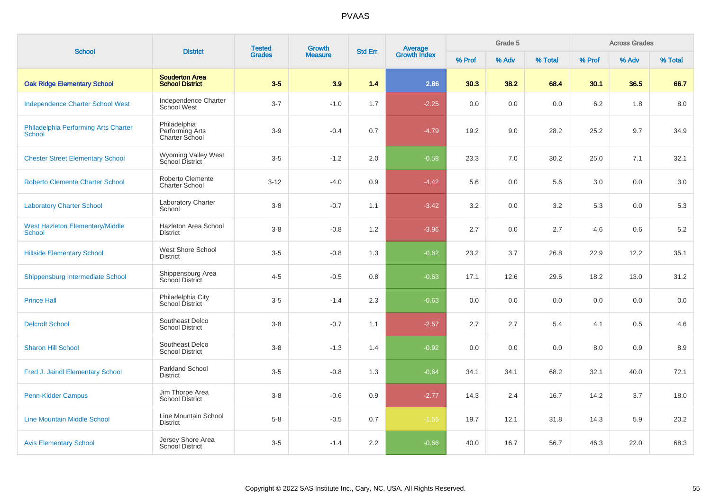| <b>School</b>                                           | <b>District</b>                                   | <b>Tested</b> | <b>Growth</b>  | <b>Std Err</b> |                                |        | Grade 5 |         |        | <b>Across Grades</b> |         |
|---------------------------------------------------------|---------------------------------------------------|---------------|----------------|----------------|--------------------------------|--------|---------|---------|--------|----------------------|---------|
|                                                         |                                                   | <b>Grades</b> | <b>Measure</b> |                | <b>Average</b><br>Growth Index | % Prof | % Adv   | % Total | % Prof | % Adv                | % Total |
| <b>Oak Ridge Elementary School</b>                      | <b>Souderton Area</b><br><b>School District</b>   | $3-5$         | 3.9            | 1.4            | 2.86                           | 30.3   | 38.2    | 68.4    | 30.1   | 36.5                 | 66.7    |
| <b>Independence Charter School West</b>                 | Independence Charter<br>School West               | $3 - 7$       | $-1.0$         | 1.7            | $-2.25$                        | 0.0    | 0.0     | 0.0     | 6.2    | 1.8                  | 8.0     |
| Philadelphia Performing Arts Charter<br>School          | Philadelphia<br>Performing Arts<br>Charter School | $3-9$         | $-0.4$         | 0.7            | $-4.79$                        | 19.2   | 9.0     | 28.2    | 25.2   | 9.7                  | 34.9    |
| <b>Chester Street Elementary School</b>                 | Wyoming Valley West<br>School District            | $3-5$         | $-1.2$         | 2.0            | $-0.58$                        | 23.3   | 7.0     | 30.2    | 25.0   | 7.1                  | 32.1    |
| <b>Roberto Clemente Charter School</b>                  | Roberto Clemente<br><b>Charter School</b>         | $3-12$        | $-4.0$         | 0.9            | $-4.42$                        | 5.6    | 0.0     | 5.6     | 3.0    | 0.0                  | 3.0     |
| <b>Laboratory Charter School</b>                        | <b>Laboratory Charter</b><br>School               | $3 - 8$       | $-0.7$         | 1.1            | $-3.42$                        | 3.2    | 0.0     | 3.2     | 5.3    | 0.0                  | 5.3     |
| <b>West Hazleton Elementary/Middle</b><br><b>School</b> | Hazleton Area School<br><b>District</b>           | $3 - 8$       | $-0.8$         | 1.2            | $-3.96$                        | 2.7    | 0.0     | 2.7     | 4.6    | 0.6                  | $5.2\,$ |
| <b>Hillside Elementary School</b>                       | West Shore School<br><b>District</b>              | $3-5$         | $-0.8$         | 1.3            | $-0.62$                        | 23.2   | 3.7     | 26.8    | 22.9   | 12.2                 | 35.1    |
| Shippensburg Intermediate School                        | Shippensburg Area<br>School District              | $4 - 5$       | $-0.5$         | 0.8            | $-0.63$                        | 17.1   | 12.6    | 29.6    | 18.2   | 13.0                 | 31.2    |
| <b>Prince Hall</b>                                      | Philadelphia City<br>School District              | $3-5$         | $-1.4$         | 2.3            | $-0.63$                        | 0.0    | 0.0     | 0.0     | 0.0    | 0.0                  | 0.0     |
| <b>Delcroft School</b>                                  | Southeast Delco<br><b>School District</b>         | $3 - 8$       | $-0.7$         | 1.1            | $-2.57$                        | 2.7    | 2.7     | 5.4     | 4.1    | 0.5                  | 4.6     |
| <b>Sharon Hill School</b>                               | Southeast Delco<br><b>School District</b>         | $3-8$         | $-1.3$         | 1.4            | $-0.92$                        | 0.0    | 0.0     | 0.0     | 8.0    | 0.9                  | 8.9     |
| Fred J. Jaindl Elementary School                        | Parkland School<br><b>District</b>                | $3-5$         | $-0.8$         | 1.3            | $-0.64$                        | 34.1   | 34.1    | 68.2    | 32.1   | 40.0                 | 72.1    |
| Penn-Kidder Campus                                      | Jim Thorpe Area<br><b>School District</b>         | $3 - 8$       | $-0.6$         | 0.9            | $-2.77$                        | 14.3   | 2.4     | 16.7    | 14.2   | 3.7                  | 18.0    |
| <b>Line Mountain Middle School</b>                      | Line Mountain School<br><b>District</b>           | $5-8$         | $-0.5$         | 0.7            | $-1.56$                        | 19.7   | 12.1    | 31.8    | 14.3   | 5.9                  | 20.2    |
| <b>Avis Elementary School</b>                           | Jersey Shore Area<br>School District              | $3-5$         | $-1.4$         | 2.2            | $-0.66$                        | 40.0   | 16.7    | 56.7    | 46.3   | 22.0                 | 68.3    |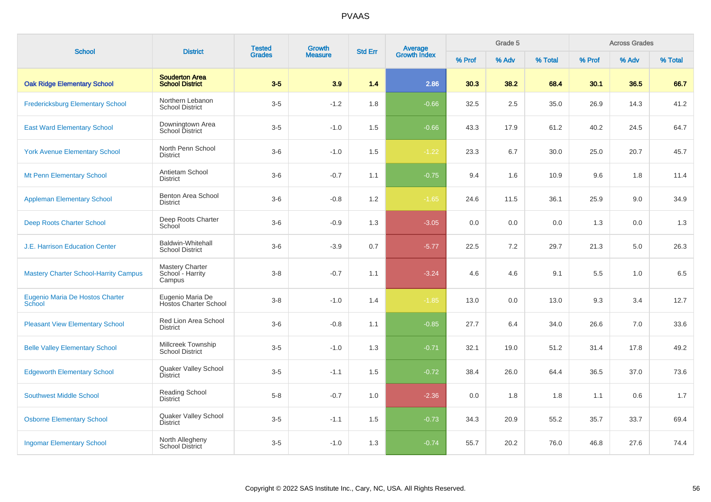| <b>School</b>                                | <b>District</b>                                    | <b>Tested</b> | <b>Growth</b>  | <b>Std Err</b> | <b>Average</b><br>Growth Index |        | Grade 5 |         |        | <b>Across Grades</b> |         |
|----------------------------------------------|----------------------------------------------------|---------------|----------------|----------------|--------------------------------|--------|---------|---------|--------|----------------------|---------|
|                                              |                                                    | <b>Grades</b> | <b>Measure</b> |                |                                | % Prof | % Adv   | % Total | % Prof | % Adv                | % Total |
| <b>Oak Ridge Elementary School</b>           | <b>Souderton Area</b><br><b>School District</b>    | $3-5$         | 3.9            | 1.4            | 2.86                           | 30.3   | 38.2    | 68.4    | 30.1   | 36.5                 | 66.7    |
| <b>Fredericksburg Elementary School</b>      | Northern Lebanon<br><b>School District</b>         | $3-5$         | $-1.2$         | 1.8            | $-0.66$                        | 32.5   | 2.5     | 35.0    | 26.9   | 14.3                 | 41.2    |
| <b>East Ward Elementary School</b>           | Downingtown Area<br>School District                | $3-5$         | $-1.0$         | 1.5            | $-0.66$                        | 43.3   | 17.9    | 61.2    | 40.2   | 24.5                 | 64.7    |
| <b>York Avenue Elementary School</b>         | North Penn School<br><b>District</b>               | $3-6$         | $-1.0$         | 1.5            | $-1.22$                        | 23.3   | 6.7     | 30.0    | 25.0   | 20.7                 | 45.7    |
| <b>Mt Penn Elementary School</b>             | Antietam School<br><b>District</b>                 | $3-6$         | $-0.7$         | 1.1            | $-0.75$                        | 9.4    | 1.6     | 10.9    | 9.6    | 1.8                  | 11.4    |
| <b>Appleman Elementary School</b>            | Benton Area School<br><b>District</b>              | $3-6$         | $-0.8$         | 1.2            | $-1.65$                        | 24.6   | 11.5    | 36.1    | 25.9   | 9.0                  | 34.9    |
| <b>Deep Roots Charter School</b>             | Deep Roots Charter<br>School                       | $3-6$         | $-0.9$         | 1.3            | $-3.05$                        | 0.0    | 0.0     | 0.0     | 1.3    | 0.0                  | 1.3     |
| <b>J.E. Harrison Education Center</b>        | <b>Baldwin-Whitehall</b><br><b>School District</b> | $3-6$         | $-3.9$         | 0.7            | $-5.77$                        | 22.5   | 7.2     | 29.7    | 21.3   | 5.0                  | 26.3    |
| <b>Mastery Charter School-Harrity Campus</b> | Mastery Charter<br>School - Harrity<br>Campus      | $3-8$         | $-0.7$         | 1.1            | $-3.24$                        | 4.6    | 4.6     | 9.1     | 5.5    | 1.0                  | 6.5     |
| Eugenio Maria De Hostos Charter<br>School    | Eugenio Maria De<br><b>Hostos Charter School</b>   | $3-8$         | $-1.0$         | 1.4            | $-1.85$                        | 13.0   | 0.0     | 13.0    | 9.3    | 3.4                  | 12.7    |
| <b>Pleasant View Elementary School</b>       | Red Lion Area School<br><b>District</b>            | $3-6$         | $-0.8$         | 1.1            | $-0.85$                        | 27.7   | 6.4     | 34.0    | 26.6   | 7.0                  | 33.6    |
| <b>Belle Valley Elementary School</b>        | Millcreek Township<br><b>School District</b>       | $3-5$         | $-1.0$         | 1.3            | $-0.71$                        | 32.1   | 19.0    | 51.2    | 31.4   | 17.8                 | 49.2    |
| <b>Edgeworth Elementary School</b>           | Quaker Valley School<br><b>District</b>            | $3-5$         | $-1.1$         | 1.5            | $-0.72$                        | 38.4   | 26.0    | 64.4    | 36.5   | 37.0                 | 73.6    |
| <b>Southwest Middle School</b>               | Reading School<br><b>District</b>                  | $5-8$         | $-0.7$         | 1.0            | $-2.36$                        | 0.0    | 1.8     | 1.8     | 1.1    | 0.6                  | 1.7     |
| <b>Osborne Elementary School</b>             | Quaker Valley School<br><b>District</b>            | $3-5$         | $-1.1$         | 1.5            | $-0.73$                        | 34.3   | 20.9    | 55.2    | 35.7   | 33.7                 | 69.4    |
| <b>Ingomar Elementary School</b>             | North Allegheny<br><b>School District</b>          | $3-5$         | $-1.0$         | 1.3            | $-0.74$                        | 55.7   | 20.2    | 76.0    | 46.8   | 27.6                 | 74.4    |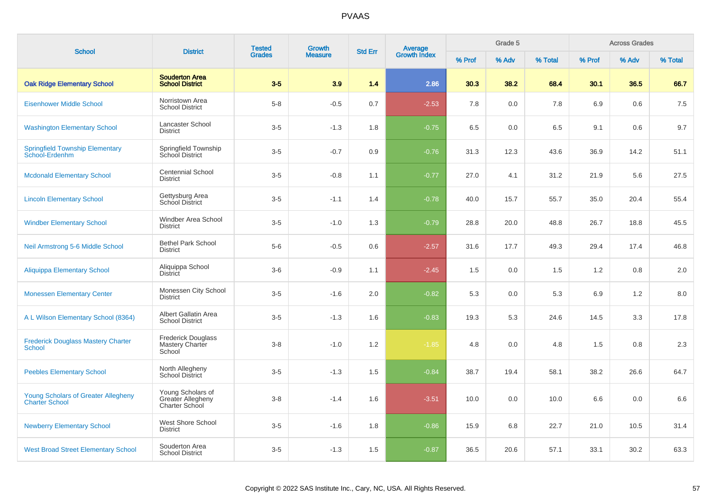| <b>School</b>                                                       | <b>District</b>                                          | <b>Tested</b> | <b>Growth</b>  | <b>Std Err</b> | <b>Average</b><br>Growth Index |        | Grade 5 |         |        | <b>Across Grades</b> |         |
|---------------------------------------------------------------------|----------------------------------------------------------|---------------|----------------|----------------|--------------------------------|--------|---------|---------|--------|----------------------|---------|
|                                                                     |                                                          | <b>Grades</b> | <b>Measure</b> |                |                                | % Prof | % Adv   | % Total | % Prof | % Adv                | % Total |
| <b>Oak Ridge Elementary School</b>                                  | <b>Souderton Area</b><br><b>School District</b>          | $3-5$         | 3.9            | 1.4            | 2.86                           | 30.3   | 38.2    | 68.4    | 30.1   | 36.5                 | 66.7    |
| <b>Eisenhower Middle School</b>                                     | Norristown Area<br><b>School District</b>                | $5-8$         | $-0.5$         | 0.7            | $-2.53$                        | 7.8    | 0.0     | 7.8     | 6.9    | 0.6                  | 7.5     |
| <b>Washington Elementary School</b>                                 | Lancaster School<br><b>District</b>                      | $3-5$         | $-1.3$         | 1.8            | $-0.75$                        | 6.5    | 0.0     | 6.5     | 9.1    | 0.6                  | 9.7     |
| <b>Springfield Township Elementary</b><br>School-Erdenhm            | Springfield Township<br>School District                  | $3-5$         | $-0.7$         | 0.9            | $-0.76$                        | 31.3   | 12.3    | 43.6    | 36.9   | 14.2                 | 51.1    |
| <b>Mcdonald Elementary School</b>                                   | <b>Centennial School</b><br><b>District</b>              | $3-5$         | $-0.8$         | 1.1            | $-0.77$                        | 27.0   | 4.1     | 31.2    | 21.9   | 5.6                  | 27.5    |
| <b>Lincoln Elementary School</b>                                    | Gettysburg Area<br>School District                       | $3-5$         | $-1.1$         | 1.4            | $-0.78$                        | 40.0   | 15.7    | 55.7    | 35.0   | 20.4                 | 55.4    |
| <b>Windber Elementary School</b>                                    | Windber Area School<br><b>District</b>                   | $3-5$         | $-1.0$         | 1.3            | $-0.79$                        | 28.8   | 20.0    | 48.8    | 26.7   | 18.8                 | 45.5    |
| Neil Armstrong 5-6 Middle School                                    | <b>Bethel Park School</b><br><b>District</b>             | $5-6$         | $-0.5$         | 0.6            | $-2.57$                        | 31.6   | 17.7    | 49.3    | 29.4   | 17.4                 | 46.8    |
| <b>Aliquippa Elementary School</b>                                  | Aliquippa School<br><b>District</b>                      | $3-6$         | $-0.9$         | 1.1            | $-2.45$                        | 1.5    | 0.0     | 1.5     | 1.2    | 0.8                  | 2.0     |
| <b>Monessen Elementary Center</b>                                   | Monessen City School<br><b>District</b>                  | $3-5$         | $-1.6$         | 2.0            | $-0.82$                        | 5.3    | 0.0     | 5.3     | 6.9    | 1.2                  | 8.0     |
| A L Wilson Elementary School (8364)                                 | Albert Gallatin Area<br><b>School District</b>           | $3-5$         | $-1.3$         | 1.6            | $-0.83$                        | 19.3   | 5.3     | 24.6    | 14.5   | 3.3                  | 17.8    |
| <b>Frederick Douglass Mastery Charter</b><br><b>School</b>          | <b>Frederick Douglass</b><br>Mastery Charter<br>School   | $3 - 8$       | $-1.0$         | 1.2            | $-1.85$                        | 4.8    | 0.0     | 4.8     | 1.5    | 0.8                  | 2.3     |
| <b>Peebles Elementary School</b>                                    | North Allegheny<br><b>School District</b>                | $3-5$         | $-1.3$         | 1.5            | $-0.84$                        | 38.7   | 19.4    | 58.1    | 38.2   | 26.6                 | 64.7    |
| <b>Young Scholars of Greater Allegheny</b><br><b>Charter School</b> | Young Scholars of<br>Greater Allegheny<br>Charter School | $3 - 8$       | $-1.4$         | 1.6            | $-3.51$                        | 10.0   | 0.0     | 10.0    | 6.6    | 0.0                  | 6.6     |
| <b>Newberry Elementary School</b>                                   | West Shore School<br><b>District</b>                     | $3-5$         | $-1.6$         | 1.8            | $-0.86$                        | 15.9   | 6.8     | 22.7    | 21.0   | 10.5                 | 31.4    |
| <b>West Broad Street Elementary School</b>                          | Souderton Area<br><b>School District</b>                 | $3-5$         | $-1.3$         | 1.5            | $-0.87$                        | 36.5   | 20.6    | 57.1    | 33.1   | 30.2                 | 63.3    |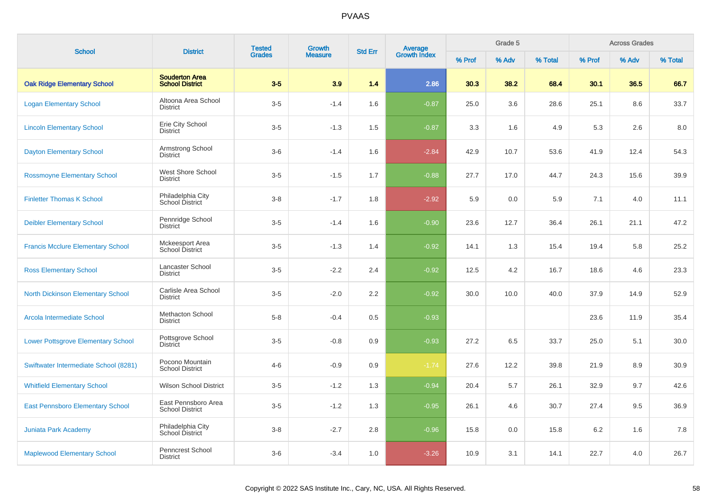|                                           |                                                 | <b>Tested</b> | <b>Growth</b>  |                |                                |        | Grade 5 |         |        | <b>Across Grades</b> |         |
|-------------------------------------------|-------------------------------------------------|---------------|----------------|----------------|--------------------------------|--------|---------|---------|--------|----------------------|---------|
| <b>School</b>                             | <b>District</b>                                 | <b>Grades</b> | <b>Measure</b> | <b>Std Err</b> | <b>Average</b><br>Growth Index | % Prof | % Adv   | % Total | % Prof | % Adv                | % Total |
| <b>Oak Ridge Elementary School</b>        | <b>Souderton Area</b><br><b>School District</b> | $3-5$         | 3.9            | 1.4            | 2.86                           | 30.3   | 38.2    | 68.4    | 30.1   | 36.5                 | 66.7    |
| <b>Logan Elementary School</b>            | Altoona Area School<br><b>District</b>          | $3-5$         | $-1.4$         | 1.6            | $-0.87$                        | 25.0   | 3.6     | 28.6    | 25.1   | 8.6                  | 33.7    |
| <b>Lincoln Elementary School</b>          | Erie City School<br><b>District</b>             | $3-5$         | $-1.3$         | 1.5            | $-0.87$                        | 3.3    | 1.6     | 4.9     | 5.3    | 2.6                  | 8.0     |
| <b>Dayton Elementary School</b>           | Armstrong School<br><b>District</b>             | $3-6$         | $-1.4$         | 1.6            | $-2.84$                        | 42.9   | 10.7    | 53.6    | 41.9   | 12.4                 | 54.3    |
| <b>Rossmoyne Elementary School</b>        | West Shore School<br><b>District</b>            | $3-5$         | $-1.5$         | 1.7            | $-0.88$                        | 27.7   | 17.0    | 44.7    | 24.3   | 15.6                 | 39.9    |
| <b>Finletter Thomas K School</b>          | Philadelphia City<br>School District            | $3 - 8$       | $-1.7$         | 1.8            | $-2.92$                        | 5.9    | 0.0     | 5.9     | 7.1    | 4.0                  | 11.1    |
| <b>Deibler Elementary School</b>          | Pennridge School<br><b>District</b>             | $3-5$         | $-1.4$         | 1.6            | $-0.90$                        | 23.6   | 12.7    | 36.4    | 26.1   | 21.1                 | 47.2    |
| <b>Francis Mcclure Elementary School</b>  | Mckeesport Area<br>School District              | $3-5$         | $-1.3$         | 1.4            | $-0.92$                        | 14.1   | 1.3     | 15.4    | 19.4   | 5.8                  | 25.2    |
| <b>Ross Elementary School</b>             | Lancaster School<br><b>District</b>             | $3-5$         | $-2.2$         | 2.4            | $-0.92$                        | 12.5   | 4.2     | 16.7    | 18.6   | 4.6                  | 23.3    |
| <b>North Dickinson Elementary School</b>  | Carlisle Area School<br><b>District</b>         | $3-5$         | $-2.0$         | 2.2            | $-0.92$                        | 30.0   | 10.0    | 40.0    | 37.9   | 14.9                 | 52.9    |
| Arcola Intermediate School                | Methacton School<br><b>District</b>             | $5-8$         | $-0.4$         | 0.5            | $-0.93$                        |        |         |         | 23.6   | 11.9                 | 35.4    |
| <b>Lower Pottsgrove Elementary School</b> | Pottsgrove School<br><b>District</b>            | $3-5$         | $-0.8$         | 0.9            | $-0.93$                        | 27.2   | 6.5     | 33.7    | 25.0   | 5.1                  | 30.0    |
| Swiftwater Intermediate School (8281)     | Pocono Mountain<br><b>School District</b>       | $4 - 6$       | $-0.9$         | 0.9            | $-1.74$                        | 27.6   | 12.2    | 39.8    | 21.9   | 8.9                  | 30.9    |
| <b>Whitfield Elementary School</b>        | <b>Wilson School District</b>                   | $3-5$         | $-1.2$         | 1.3            | $-0.94$                        | 20.4   | 5.7     | 26.1    | 32.9   | 9.7                  | 42.6    |
| <b>East Pennsboro Elementary School</b>   | East Pennsboro Area<br><b>School District</b>   | $3-5$         | $-1.2$         | 1.3            | $-0.95$                        | 26.1   | 4.6     | 30.7    | 27.4   | 9.5                  | 36.9    |
| <b>Juniata Park Academy</b>               | Philadelphia City<br>School District            | $3-8$         | $-2.7$         | 2.8            | $-0.96$                        | 15.8   | 0.0     | 15.8    | 6.2    | 1.6                  | 7.8     |
| <b>Maplewood Elementary School</b>        | Penncrest School<br><b>District</b>             | $3-6$         | $-3.4$         | 1.0            | $-3.26$                        | 10.9   | 3.1     | 14.1    | 22.7   | 4.0                  | 26.7    |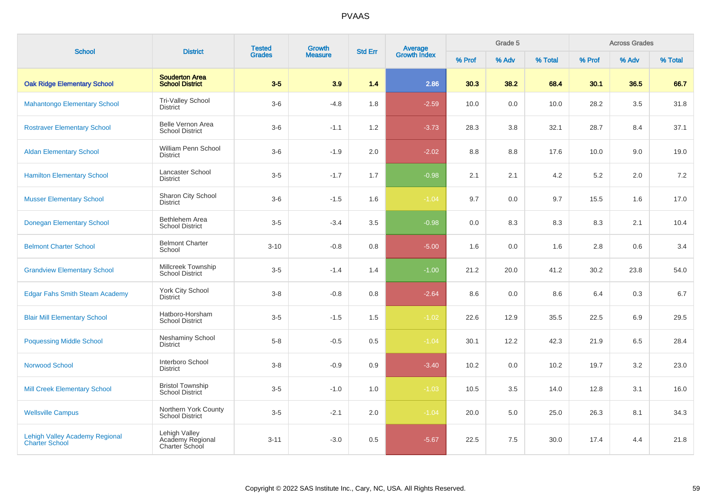| <b>School</b>                                                  | <b>District</b>                                     | <b>Tested</b> | Growth         | <b>Std Err</b> | <b>Average</b><br>Growth Index |        | Grade 5 |         |         | <b>Across Grades</b> |         |
|----------------------------------------------------------------|-----------------------------------------------------|---------------|----------------|----------------|--------------------------------|--------|---------|---------|---------|----------------------|---------|
|                                                                |                                                     | <b>Grades</b> | <b>Measure</b> |                |                                | % Prof | % Adv   | % Total | % Prof  | % Adv                | % Total |
| <b>Oak Ridge Elementary School</b>                             | <b>Souderton Area</b><br><b>School District</b>     | $3-5$         | 3.9            | 1.4            | 2.86                           | 30.3   | 38.2    | 68.4    | 30.1    | 36.5                 | 66.7    |
| <b>Mahantongo Elementary School</b>                            | <b>Tri-Valley School</b><br><b>District</b>         | $3-6$         | $-4.8$         | 1.8            | $-2.59$                        | 10.0   | 0.0     | 10.0    | 28.2    | 3.5                  | 31.8    |
| <b>Rostraver Elementary School</b>                             | Belle Vernon Area<br><b>School District</b>         | $3-6$         | $-1.1$         | 1.2            | $-3.73$                        | 28.3   | 3.8     | 32.1    | 28.7    | 8.4                  | 37.1    |
| <b>Aldan Elementary School</b>                                 | William Penn School<br><b>District</b>              | $3-6$         | $-1.9$         | 2.0            | $-2.02$                        | 8.8    | 8.8     | 17.6    | 10.0    | 9.0                  | 19.0    |
| <b>Hamilton Elementary School</b>                              | <b>Lancaster School</b><br><b>District</b>          | $3-5$         | $-1.7$         | 1.7            | $-0.98$                        | 2.1    | 2.1     | 4.2     | $5.2\,$ | 2.0                  | 7.2     |
| <b>Musser Elementary School</b>                                | Sharon City School<br><b>District</b>               | $3-6$         | $-1.5$         | 1.6            | $-1.04$                        | 9.7    | 0.0     | 9.7     | 15.5    | 1.6                  | 17.0    |
| <b>Donegan Elementary School</b>                               | Bethlehem Area<br><b>School District</b>            | $3-5$         | $-3.4$         | 3.5            | $-0.98$                        | 0.0    | 8.3     | 8.3     | 8.3     | 2.1                  | 10.4    |
| <b>Belmont Charter School</b>                                  | <b>Belmont Charter</b><br>School                    | $3 - 10$      | $-0.8$         | 0.8            | $-5.00$                        | 1.6    | 0.0     | 1.6     | 2.8     | 0.6                  | 3.4     |
| <b>Grandview Elementary School</b>                             | Millcreek Township<br><b>School District</b>        | $3 - 5$       | $-1.4$         | 1.4            | $-1.00$                        | 21.2   | 20.0    | 41.2    | 30.2    | 23.8                 | 54.0    |
| <b>Edgar Fahs Smith Steam Academy</b>                          | York City School<br><b>District</b>                 | $3-8$         | $-0.8$         | 0.8            | $-2.64$                        | 8.6    | 0.0     | 8.6     | 6.4     | 0.3                  | 6.7     |
| <b>Blair Mill Elementary School</b>                            | Hatboro-Horsham<br><b>School District</b>           | $3-5$         | $-1.5$         | 1.5            | $-1.02$                        | 22.6   | 12.9    | 35.5    | 22.5    | 6.9                  | 29.5    |
| <b>Poquessing Middle School</b>                                | <b>Neshaminy School</b><br><b>District</b>          | $5-8$         | $-0.5$         | 0.5            | $-1.04$                        | 30.1   | 12.2    | 42.3    | 21.9    | 6.5                  | 28.4    |
| <b>Norwood School</b>                                          | Interboro School<br><b>District</b>                 | $3-8$         | $-0.9$         | 0.9            | $-3.40$                        | 10.2   | 0.0     | 10.2    | 19.7    | 3.2                  | 23.0    |
| <b>Mill Creek Elementary School</b>                            | <b>Bristol Township</b><br><b>School District</b>   | $3-5$         | $-1.0$         | 1.0            | $-1.03$                        | 10.5   | 3.5     | 14.0    | 12.8    | 3.1                  | 16.0    |
| <b>Wellsville Campus</b>                                       | Northern York County<br>School District             | $3-5$         | $-2.1$         | 2.0            | $-1.04$                        | 20.0   | 5.0     | 25.0    | 26.3    | 8.1                  | 34.3    |
| <b>Lehigh Valley Academy Regional</b><br><b>Charter School</b> | Lehigh Valley<br>Academy Regional<br>Charter School | $3 - 11$      | $-3.0$         | 0.5            | $-5.67$                        | 22.5   | 7.5     | 30.0    | 17.4    | 4.4                  | 21.8    |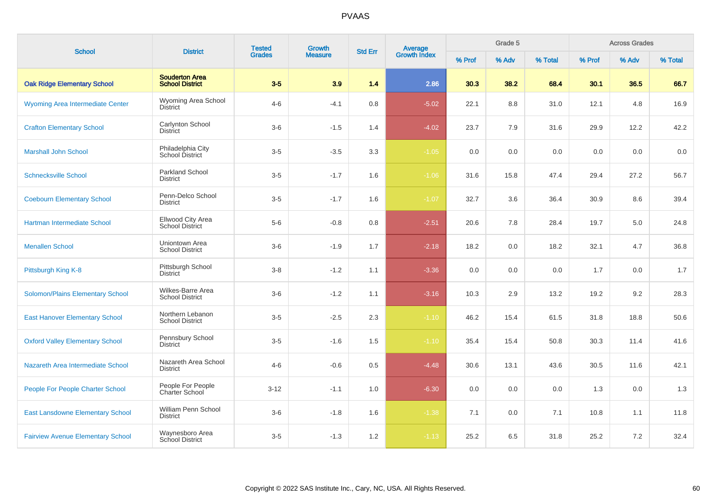| <b>School</b>                            | <b>District</b>                                 | <b>Tested</b> | Growth         | <b>Std Err</b> | Average<br>Growth Index |        | Grade 5 |         | <b>Across Grades</b> |       |         |
|------------------------------------------|-------------------------------------------------|---------------|----------------|----------------|-------------------------|--------|---------|---------|----------------------|-------|---------|
|                                          |                                                 | <b>Grades</b> | <b>Measure</b> |                |                         | % Prof | % Adv   | % Total | % Prof               | % Adv | % Total |
| <b>Oak Ridge Elementary School</b>       | <b>Souderton Area</b><br><b>School District</b> | $3-5$         | 3.9            | 1.4            | 2.86                    | 30.3   | 38.2    | 68.4    | 30.1                 | 36.5  | 66.7    |
| Wyoming Area Intermediate Center         | Wyoming Area School<br><b>District</b>          | $4 - 6$       | $-4.1$         | 0.8            | $-5.02$                 | 22.1   | 8.8     | 31.0    | 12.1                 | 4.8   | 16.9    |
| <b>Crafton Elementary School</b>         | Carlynton School<br><b>District</b>             | $3-6$         | $-1.5$         | 1.4            | $-4.02$                 | 23.7   | 7.9     | 31.6    | 29.9                 | 12.2  | 42.2    |
| <b>Marshall John School</b>              | Philadelphia City<br>School District            | $3-5$         | $-3.5$         | 3.3            | $-1.05$                 | 0.0    | 0.0     | 0.0     | 0.0                  | 0.0   | 0.0     |
| <b>Schnecksville School</b>              | Parkland School<br><b>District</b>              | $3-5$         | $-1.7$         | 1.6            | $-1.06$                 | 31.6   | 15.8    | 47.4    | 29.4                 | 27.2  | 56.7    |
| <b>Coebourn Elementary School</b>        | Penn-Delco School<br><b>District</b>            | $3-5$         | $-1.7$         | 1.6            | $-1.07$                 | 32.7   | 3.6     | 36.4    | 30.9                 | 8.6   | 39.4    |
| Hartman Intermediate School              | Ellwood City Area<br><b>School District</b>     | $5-6$         | $-0.8$         | 0.8            | $-2.51$                 | 20.6   | 7.8     | 28.4    | 19.7                 | 5.0   | 24.8    |
| <b>Menallen School</b>                   | Uniontown Area<br><b>School District</b>        | $3-6$         | $-1.9$         | 1.7            | $-2.18$                 | 18.2   | 0.0     | 18.2    | 32.1                 | 4.7   | 36.8    |
| Pittsburgh King K-8                      | Pittsburgh School<br><b>District</b>            | $3-8$         | $-1.2$         | 1.1            | $-3.36$                 | 0.0    | 0.0     | 0.0     | 1.7                  | 0.0   | 1.7     |
| <b>Solomon/Plains Elementary School</b>  | Wilkes-Barre Area<br><b>School District</b>     | $3-6$         | $-1.2$         | 1.1            | $-3.16$                 | 10.3   | 2.9     | 13.2    | 19.2                 | 9.2   | 28.3    |
| <b>East Hanover Elementary School</b>    | Northern Lebanon<br><b>School District</b>      | $3-5$         | $-2.5$         | 2.3            | $-1.10$                 | 46.2   | 15.4    | 61.5    | 31.8                 | 18.8  | 50.6    |
| <b>Oxford Valley Elementary School</b>   | Pennsbury School<br><b>District</b>             | $3-5$         | $-1.6$         | 1.5            | $-1.10$                 | 35.4   | 15.4    | 50.8    | 30.3                 | 11.4  | 41.6    |
| Nazareth Area Intermediate School        | Nazareth Area School<br><b>District</b>         | $4 - 6$       | $-0.6$         | 0.5            | $-4.48$                 | 30.6   | 13.1    | 43.6    | 30.5                 | 11.6  | 42.1    |
| People For People Charter School         | People For People<br><b>Charter School</b>      | $3 - 12$      | $-1.1$         | 1.0            | $-6.30$                 | 0.0    | 0.0     | 0.0     | 1.3                  | 0.0   | 1.3     |
| <b>East Lansdowne Elementary School</b>  | William Penn School<br><b>District</b>          | $3-6$         | $-1.8$         | 1.6            | $-1.38$                 | 7.1    | 0.0     | 7.1     | 10.8                 | 1.1   | 11.8    |
| <b>Fairview Avenue Elementary School</b> | Waynesboro Area<br>School District              | $3-5$         | $-1.3$         | 1.2            | $-1.13$                 | 25.2   | 6.5     | 31.8    | 25.2                 | 7.2   | 32.4    |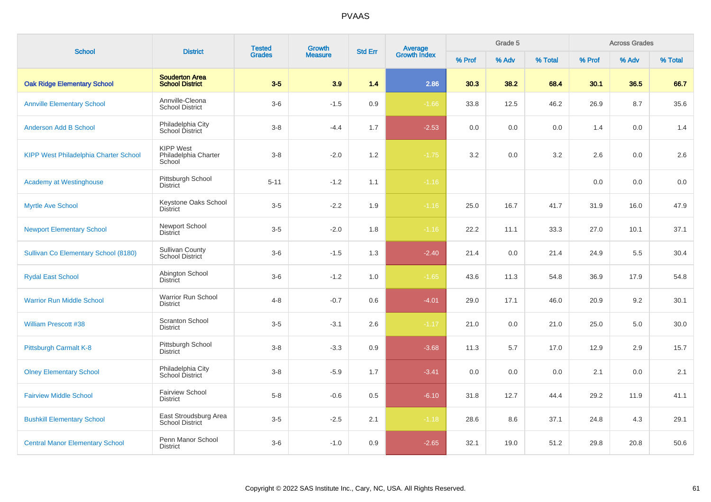| <b>School</b>                                | <b>District</b>                                    | <b>Tested</b> | Growth         | <b>Std Err</b> |                                |        | Grade 5 |         |        | <b>Across Grades</b> |         |
|----------------------------------------------|----------------------------------------------------|---------------|----------------|----------------|--------------------------------|--------|---------|---------|--------|----------------------|---------|
|                                              |                                                    | <b>Grades</b> | <b>Measure</b> |                | <b>Average</b><br>Growth Index | % Prof | % Adv   | % Total | % Prof | % Adv                | % Total |
| <b>Oak Ridge Elementary School</b>           | <b>Souderton Area</b><br><b>School District</b>    | $3-5$         | 3.9            | 1.4            | 2.86                           | 30.3   | 38.2    | 68.4    | 30.1   | 36.5                 | 66.7    |
| <b>Annville Elementary School</b>            | Annville-Cleona<br><b>School District</b>          | $3-6$         | $-1.5$         | 0.9            | $-1.66$                        | 33.8   | 12.5    | 46.2    | 26.9   | 8.7                  | 35.6    |
| <b>Anderson Add B School</b>                 | Philadelphia City<br>School District               | $3 - 8$       | $-4.4$         | 1.7            | $-2.53$                        | 0.0    | 0.0     | 0.0     | 1.4    | 0.0                  | 1.4     |
| <b>KIPP West Philadelphia Charter School</b> | <b>KIPP West</b><br>Philadelphia Charter<br>School | $3 - 8$       | $-2.0$         | 1.2            | $-1.75$                        | 3.2    | 0.0     | 3.2     | 2.6    | 0.0                  | 2.6     |
| <b>Academy at Westinghouse</b>               | Pittsburgh School<br><b>District</b>               | $5 - 11$      | $-1.2$         | 1.1            | $-1.16$                        |        |         |         | 0.0    | 0.0                  | 0.0     |
| <b>Myrtle Ave School</b>                     | Keystone Oaks School<br><b>District</b>            | $3-5$         | $-2.2$         | 1.9            | $-1.16$                        | 25.0   | 16.7    | 41.7    | 31.9   | 16.0                 | 47.9    |
| <b>Newport Elementary School</b>             | Newport School<br><b>District</b>                  | $3-5$         | $-2.0$         | 1.8            | $-1.16$                        | 22.2   | 11.1    | 33.3    | 27.0   | 10.1                 | 37.1    |
| Sullivan Co Elementary School (8180)         | <b>Sullivan County</b><br>School District          | $3-6$         | $-1.5$         | 1.3            | $-2.40$                        | 21.4   | 0.0     | 21.4    | 24.9   | 5.5                  | 30.4    |
| <b>Rydal East School</b>                     | Abington School<br><b>District</b>                 | $3-6$         | $-1.2$         | 1.0            | $-1.65$                        | 43.6   | 11.3    | 54.8    | 36.9   | 17.9                 | 54.8    |
| <b>Warrior Run Middle School</b>             | Warrior Run School<br><b>District</b>              | $4 - 8$       | $-0.7$         | 0.6            | $-4.01$                        | 29.0   | 17.1    | 46.0    | 20.9   | 9.2                  | 30.1    |
| <b>William Prescott #38</b>                  | <b>Scranton School</b><br><b>District</b>          | $3-5$         | $-3.1$         | 2.6            | $-1.17$                        | 21.0   | 0.0     | 21.0    | 25.0   | 5.0                  | 30.0    |
| Pittsburgh Carmalt K-8                       | Pittsburgh School<br><b>District</b>               | $3 - 8$       | $-3.3$         | 0.9            | $-3.68$                        | 11.3   | 5.7     | 17.0    | 12.9   | 2.9                  | 15.7    |
| <b>Olney Elementary School</b>               | Philadelphia City<br>School District               | $3-8$         | $-5.9$         | 1.7            | $-3.41$                        | 0.0    | 0.0     | 0.0     | 2.1    | 0.0                  | 2.1     |
| <b>Fairview Middle School</b>                | <b>Fairview School</b><br><b>District</b>          | $5 - 8$       | $-0.6$         | 0.5            | $-6.10$                        | 31.8   | 12.7    | 44.4    | 29.2   | 11.9                 | 41.1    |
| <b>Bushkill Elementary School</b>            | East Stroudsburg Area<br><b>School District</b>    | $3-5$         | $-2.5$         | 2.1            | $-1.18$                        | 28.6   | 8.6     | 37.1    | 24.8   | 4.3                  | 29.1    |
| <b>Central Manor Elementary School</b>       | Penn Manor School<br><b>District</b>               | $3-6$         | $-1.0$         | 0.9            | $-2.65$                        | 32.1   | 19.0    | 51.2    | 29.8   | 20.8                 | 50.6    |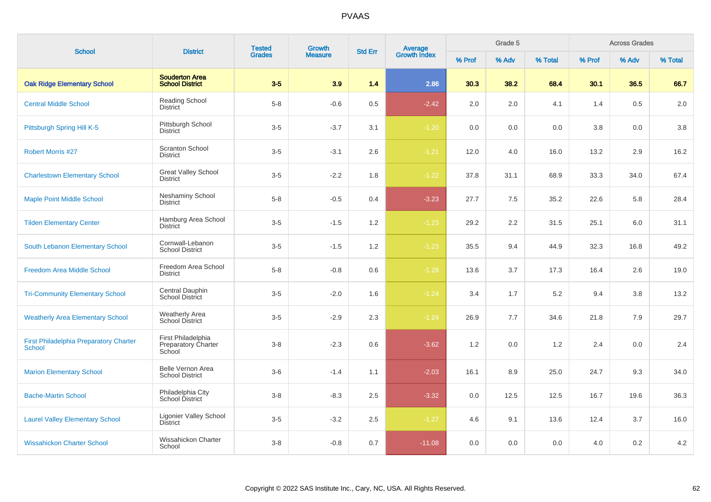| <b>School</b>                                                  | <b>District</b>                                            | <b>Tested</b> | Growth         | <b>Std Err</b> |                                |        | Grade 5 |         |        | <b>Across Grades</b> |         |
|----------------------------------------------------------------|------------------------------------------------------------|---------------|----------------|----------------|--------------------------------|--------|---------|---------|--------|----------------------|---------|
|                                                                |                                                            | <b>Grades</b> | <b>Measure</b> |                | <b>Average</b><br>Growth Index | % Prof | % Adv   | % Total | % Prof | % Adv                | % Total |
| <b>Oak Ridge Elementary School</b>                             | <b>Souderton Area</b><br><b>School District</b>            | $3-5$         | 3.9            | 1.4            | 2.86                           | 30.3   | 38.2    | 68.4    | 30.1   | 36.5                 | 66.7    |
| <b>Central Middle School</b>                                   | Reading School<br><b>District</b>                          | $5 - 8$       | $-0.6$         | 0.5            | $-2.42$                        | 2.0    | 2.0     | 4.1     | 1.4    | 0.5                  | 2.0     |
| Pittsburgh Spring Hill K-5                                     | Pittsburgh School<br><b>District</b>                       | $3-5$         | $-3.7$         | 3.1            | $-1.20$                        | 0.0    | 0.0     | 0.0     | 3.8    | 0.0                  | 3.8     |
| <b>Robert Morris #27</b>                                       | <b>Scranton School</b><br><b>District</b>                  | $3-5$         | $-3.1$         | 2.6            | $-1.21$                        | 12.0   | 4.0     | 16.0    | 13.2   | 2.9                  | 16.2    |
| <b>Charlestown Elementary School</b>                           | <b>Great Valley School</b><br><b>District</b>              | $3-5$         | $-2.2$         | 1.8            | $-1.22$                        | 37.8   | 31.1    | 68.9    | 33.3   | 34.0                 | 67.4    |
| <b>Maple Point Middle School</b>                               | <b>Neshaminy School</b><br><b>District</b>                 | $5 - 8$       | $-0.5$         | 0.4            | $-3.23$                        | 27.7   | 7.5     | 35.2    | 22.6   | 5.8                  | 28.4    |
| <b>Tilden Elementary Center</b>                                | Hamburg Area School<br><b>District</b>                     | $3-5$         | $-1.5$         | 1.2            | $-1.23$                        | 29.2   | 2.2     | 31.5    | 25.1   | 6.0                  | 31.1    |
| South Lebanon Elementary School                                | Cornwall-Lebanon<br><b>School District</b>                 | $3-5$         | $-1.5$         | 1.2            | $-1.23$                        | 35.5   | 9.4     | 44.9    | 32.3   | 16.8                 | 49.2    |
| <b>Freedom Area Middle School</b>                              | Freedom Area School<br><b>District</b>                     | $5 - 8$       | $-0.8$         | 0.6            | $-1.28$                        | 13.6   | 3.7     | 17.3    | 16.4   | 2.6                  | 19.0    |
| <b>Tri-Community Elementary School</b>                         | Central Dauphin<br>School District                         | $3-5$         | $-2.0$         | 1.6            | $-1.24$                        | 3.4    | 1.7     | 5.2     | 9.4    | 3.8                  | 13.2    |
| <b>Weatherly Area Elementary School</b>                        | <b>Weatherly Area</b><br>School District                   | $3-5$         | $-2.9$         | 2.3            | $-1.24$                        | 26.9   | 7.7     | 34.6    | 21.8   | 7.9                  | 29.7    |
| <b>First Philadelphia Preparatory Charter</b><br><b>School</b> | First Philadelphia<br><b>Preparatory Charter</b><br>School | $3-8$         | $-2.3$         | 0.6            | $-3.62$                        | 1.2    | 0.0     | 1.2     | 2.4    | 0.0                  | 2.4     |
| <b>Marion Elementary School</b>                                | Belle Vernon Area<br><b>School District</b>                | $3-6$         | $-1.4$         | 1.1            | $-2.03$                        | 16.1   | 8.9     | 25.0    | 24.7   | 9.3                  | 34.0    |
| <b>Bache-Martin School</b>                                     | Philadelphia City<br>School District                       | $3-8$         | $-8.3$         | 2.5            | $-3.32$                        | 0.0    | 12.5    | 12.5    | 16.7   | 19.6                 | 36.3    |
| <b>Laurel Valley Elementary School</b>                         | <b>Ligonier Valley School</b><br><b>District</b>           | $3-5$         | $-3.2$         | $2.5\,$        | $-1.27$                        | 4.6    | 9.1     | 13.6    | 12.4   | 3.7                  | 16.0    |
| <b>Wissahickon Charter School</b>                              | Wissahickon Charter<br>School                              | $3-8$         | $-0.8$         | 0.7            | $-11.08$                       | 0.0    | 0.0     | 0.0     | 4.0    | 0.2                  | 4.2     |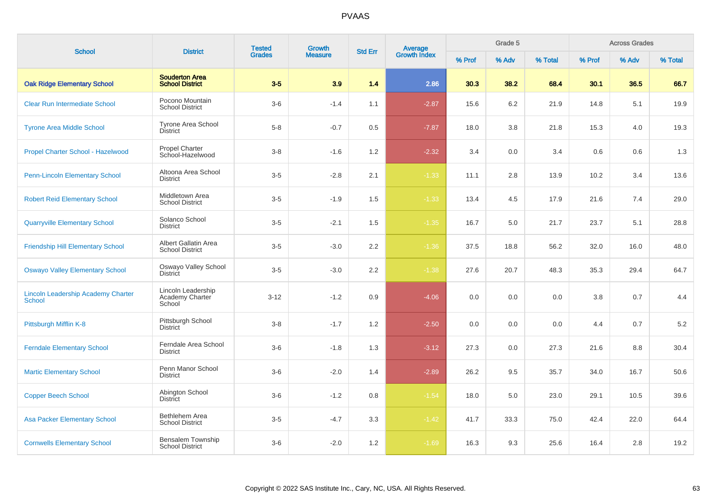| <b>School</b>                                              | <b>District</b>                                 | <b>Tested</b> | Growth         | <b>Std Err</b> | Average<br>Growth Index |        | Grade 5 |         |         | <b>Across Grades</b> |         |
|------------------------------------------------------------|-------------------------------------------------|---------------|----------------|----------------|-------------------------|--------|---------|---------|---------|----------------------|---------|
|                                                            |                                                 | <b>Grades</b> | <b>Measure</b> |                |                         | % Prof | % Adv   | % Total | % Prof  | % Adv                | % Total |
| <b>Oak Ridge Elementary School</b>                         | <b>Souderton Area</b><br><b>School District</b> | $3-5$         | 3.9            | 1.4            | 2.86                    | 30.3   | 38.2    | 68.4    | 30.1    | 36.5                 | 66.7    |
| <b>Clear Run Intermediate School</b>                       | Pocono Mountain<br><b>School District</b>       | $3-6$         | $-1.4$         | 1.1            | $-2.87$                 | 15.6   | 6.2     | 21.9    | 14.8    | 5.1                  | 19.9    |
| <b>Tyrone Area Middle School</b>                           | <b>Tyrone Area School</b><br><b>District</b>    | $5 - 8$       | $-0.7$         | 0.5            | $-7.87$                 | 18.0   | 3.8     | 21.8    | 15.3    | 4.0                  | 19.3    |
| Propel Charter School - Hazelwood                          | <b>Propel Charter</b><br>School-Hazelwood       | $3-8$         | $-1.6$         | 1.2            | $-2.32$                 | 3.4    | 0.0     | 3.4     | 0.6     | 0.6                  | 1.3     |
| <b>Penn-Lincoln Elementary School</b>                      | Altoona Area School<br><b>District</b>          | $3-5$         | $-2.8$         | 2.1            | $-1.33$                 | 11.1   | 2.8     | 13.9    | 10.2    | 3.4                  | 13.6    |
| <b>Robert Reid Elementary School</b>                       | Middletown Area<br><b>School District</b>       | $3-5$         | $-1.9$         | 1.5            | $-1.33$                 | 13.4   | 4.5     | 17.9    | 21.6    | 7.4                  | 29.0    |
| <b>Quarryville Elementary School</b>                       | Solanco School<br>District                      | $3-5$         | $-2.1$         | 1.5            | $-1.35$                 | 16.7   | 5.0     | 21.7    | 23.7    | 5.1                  | 28.8    |
| <b>Friendship Hill Elementary School</b>                   | Albert Gallatin Area<br><b>School District</b>  | $3-5$         | $-3.0$         | $2.2\,$        | $-1.36$                 | 37.5   | 18.8    | 56.2    | 32.0    | 16.0                 | 48.0    |
| <b>Oswayo Valley Elementary School</b>                     | Oswayo Valley School<br><b>District</b>         | $3-5$         | $-3.0$         | $2.2\,$        | $-1.38$                 | 27.6   | 20.7    | 48.3    | 35.3    | 29.4                 | 64.7    |
| <b>Lincoln Leadership Academy Charter</b><br><b>School</b> | Lincoln Leadership<br>Academy Charter<br>School | $3 - 12$      | $-1.2$         | 0.9            | $-4.06$                 | 0.0    | 0.0     | 0.0     | $3.8\,$ | 0.7                  | 4.4     |
| Pittsburgh Mifflin K-8                                     | Pittsburgh School<br><b>District</b>            | $3-8$         | $-1.7$         | 1.2            | $-2.50$                 | 0.0    | 0.0     | 0.0     | 4.4     | 0.7                  | $5.2\,$ |
| <b>Ferndale Elementary School</b>                          | Ferndale Area School<br><b>District</b>         | $3-6$         | $-1.8$         | 1.3            | $-3.12$                 | 27.3   | 0.0     | 27.3    | 21.6    | 8.8                  | 30.4    |
| <b>Martic Elementary School</b>                            | Penn Manor School<br><b>District</b>            | $3-6$         | $-2.0$         | 1.4            | $-2.89$                 | 26.2   | 9.5     | 35.7    | 34.0    | 16.7                 | 50.6    |
| <b>Copper Beech School</b>                                 | Abington School<br><b>District</b>              | $3-6$         | $-1.2$         | 0.8            | $-1.54$                 | 18.0   | 5.0     | 23.0    | 29.1    | 10.5                 | 39.6    |
| <b>Asa Packer Elementary School</b>                        | <b>Bethlehem Area</b><br><b>School District</b> | $3-5$         | $-4.7$         | 3.3            | $-1.42$                 | 41.7   | 33.3    | 75.0    | 42.4    | 22.0                 | 64.4    |
| <b>Cornwells Elementary School</b>                         | Bensalem Township<br><b>School District</b>     | $3-6$         | $-2.0$         | 1.2            | $-1.69$                 | 16.3   | 9.3     | 25.6    | 16.4    | 2.8                  | 19.2    |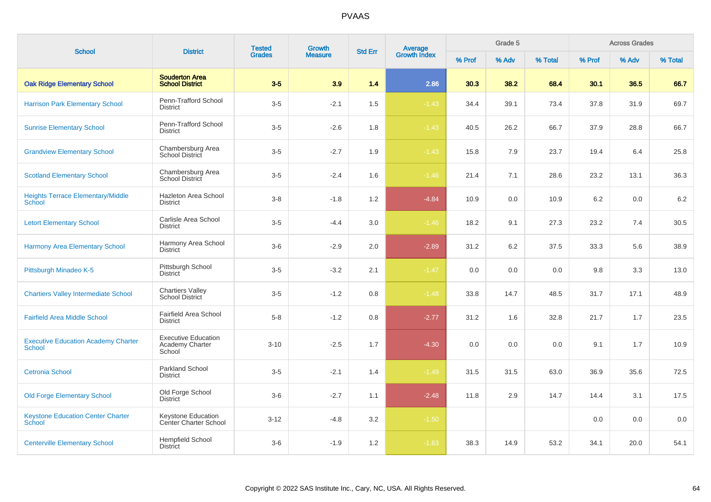| <b>School</b>                                               | <b>District</b>                                         | <b>Tested</b><br><b>Grades</b> | <b>Growth</b>  | <b>Std Err</b> |                                |        | Grade 5 |         |        | <b>Across Grades</b> |         |
|-------------------------------------------------------------|---------------------------------------------------------|--------------------------------|----------------|----------------|--------------------------------|--------|---------|---------|--------|----------------------|---------|
|                                                             |                                                         |                                | <b>Measure</b> |                | <b>Average</b><br>Growth Index | % Prof | % Adv   | % Total | % Prof | % Adv                | % Total |
| <b>Oak Ridge Elementary School</b>                          | <b>Souderton Area</b><br><b>School District</b>         | $3-5$                          | 3.9            | 1.4            | 2.86                           | 30.3   | 38.2    | 68.4    | 30.1   | 36.5                 | 66.7    |
| <b>Harrison Park Elementary School</b>                      | Penn-Trafford School<br><b>District</b>                 | $3-5$                          | $-2.1$         | 1.5            | $-1.43$                        | 34.4   | 39.1    | 73.4    | 37.8   | 31.9                 | 69.7    |
| <b>Sunrise Elementary School</b>                            | Penn-Trafford School<br><b>District</b>                 | $3-5$                          | $-2.6$         | 1.8            | $-1.43$                        | 40.5   | 26.2    | 66.7    | 37.9   | 28.8                 | 66.7    |
| <b>Grandview Elementary School</b>                          | Chambersburg Area<br>School District                    | $3-5$                          | $-2.7$         | 1.9            | $-1.43$                        | 15.8   | 7.9     | 23.7    | 19.4   | 6.4                  | 25.8    |
| <b>Scotland Elementary School</b>                           | Chambersburg Area<br>School District                    | $3-5$                          | $-2.4$         | 1.6            | $-1.46$                        | 21.4   | 7.1     | 28.6    | 23.2   | 13.1                 | 36.3    |
| <b>Heights Terrace Elementary/Middle</b><br>School          | Hazleton Area School<br><b>District</b>                 | $3 - 8$                        | $-1.8$         | 1.2            | $-4.84$                        | 10.9   | 0.0     | 10.9    | 6.2    | 0.0                  | 6.2     |
| <b>Letort Elementary School</b>                             | Carlisle Area School<br>District                        | $3-5$                          | $-4.4$         | 3.0            | $-1.46$                        | 18.2   | 9.1     | 27.3    | 23.2   | 7.4                  | 30.5    |
| <b>Harmony Area Elementary School</b>                       | Harmony Area School<br><b>District</b>                  | $3-6$                          | $-2.9$         | 2.0            | $-2.89$                        | 31.2   | 6.2     | 37.5    | 33.3   | 5.6                  | 38.9    |
| Pittsburgh Minadeo K-5                                      | Pittsburgh School<br><b>District</b>                    | $3-5$                          | $-3.2$         | 2.1            | $-1.47$                        | 0.0    | 0.0     | 0.0     | 9.8    | 3.3                  | 13.0    |
| <b>Chartiers Valley Intermediate School</b>                 | <b>Chartiers Valley</b><br><b>School District</b>       | $3-5$                          | $-1.2$         | 0.8            | $-1.48$                        | 33.8   | 14.7    | 48.5    | 31.7   | 17.1                 | 48.9    |
| <b>Fairfield Area Middle School</b>                         | <b>Fairfield Area School</b><br><b>District</b>         | $5 - 8$                        | $-1.2$         | 0.8            | $-2.77$                        | 31.2   | 1.6     | 32.8    | 21.7   | 1.7                  | 23.5    |
| <b>Executive Education Academy Charter</b><br><b>School</b> | <b>Executive Education</b><br>Academy Charter<br>School | $3 - 10$                       | $-2.5$         | 1.7            | $-4.30$                        | 0.0    | 0.0     | 0.0     | 9.1    | 1.7                  | 10.9    |
| <b>Cetronia School</b>                                      | Parkland School<br><b>District</b>                      | $3-5$                          | $-2.1$         | 1.4            | $-1.49$                        | 31.5   | 31.5    | 63.0    | 36.9   | 35.6                 | 72.5    |
| <b>Old Forge Elementary School</b>                          | Old Forge School<br><b>District</b>                     | $3-6$                          | $-2.7$         | 1.1            | $-2.48$                        | 11.8   | 2.9     | 14.7    | 14.4   | 3.1                  | 17.5    |
| <b>Keystone Education Center Charter</b><br>School          | Keystone Education<br><b>Center Charter School</b>      | $3 - 12$                       | $-4.8$         | 3.2            | $-1.50$                        |        |         |         | 0.0    | 0.0                  | 0.0     |
| <b>Centerville Elementary School</b>                        | <b>Hempfield School</b><br><b>District</b>              | $3-6$                          | $-1.9$         | 1.2            | $-1.63$                        | 38.3   | 14.9    | 53.2    | 34.1   | 20.0                 | 54.1    |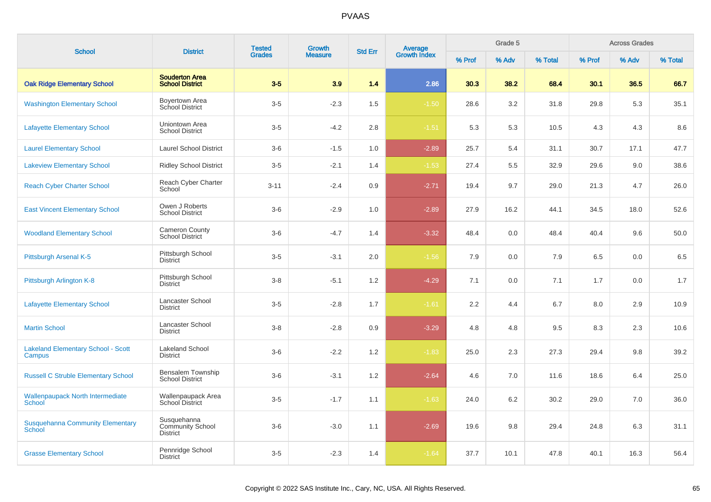| <b>School</b>                                            | <b>District</b>                                    | <b>Tested</b> | <b>Growth</b>  | <b>Std Err</b> |                                |        | Grade 5 |         |        | <b>Across Grades</b> |         |
|----------------------------------------------------------|----------------------------------------------------|---------------|----------------|----------------|--------------------------------|--------|---------|---------|--------|----------------------|---------|
|                                                          |                                                    | <b>Grades</b> | <b>Measure</b> |                | <b>Average</b><br>Growth Index | % Prof | % Adv   | % Total | % Prof | % Adv                | % Total |
| <b>Oak Ridge Elementary School</b>                       | <b>Souderton Area</b><br><b>School District</b>    | $3-5$         | 3.9            | 1.4            | 2.86                           | 30.3   | 38.2    | 68.4    | 30.1   | 36.5                 | 66.7    |
| <b>Washington Elementary School</b>                      | Boyertown Area<br>School District                  | $3-5$         | $-2.3$         | 1.5            | $-1.50$                        | 28.6   | 3.2     | 31.8    | 29.8   | 5.3                  | 35.1    |
| <b>Lafayette Elementary School</b>                       | Uniontown Area<br><b>School District</b>           | $3-5$         | $-4.2$         | 2.8            | $-1.51$                        | 5.3    | 5.3     | 10.5    | 4.3    | 4.3                  | 8.6     |
| <b>Laurel Elementary School</b>                          | <b>Laurel School District</b>                      | $3-6$         | $-1.5$         | 1.0            | $-2.89$                        | 25.7   | 5.4     | 31.1    | 30.7   | 17.1                 | 47.7    |
| <b>Lakeview Elementary School</b>                        | <b>Ridley School District</b>                      | $3-5$         | $-2.1$         | 1.4            | $-1.53$                        | 27.4   | 5.5     | 32.9    | 29.6   | 9.0                  | 38.6    |
| <b>Reach Cyber Charter School</b>                        | Reach Cyber Charter<br>School                      | $3 - 11$      | $-2.4$         | 0.9            | $-2.71$                        | 19.4   | 9.7     | 29.0    | 21.3   | 4.7                  | 26.0    |
| <b>East Vincent Elementary School</b>                    | Owen J Roberts<br><b>School District</b>           | $3-6$         | $-2.9$         | 1.0            | $-2.89$                        | 27.9   | 16.2    | 44.1    | 34.5   | 18.0                 | 52.6    |
| <b>Woodland Elementary School</b>                        | <b>Cameron County</b><br><b>School District</b>    | $3-6$         | $-4.7$         | 1.4            | $-3.32$                        | 48.4   | 0.0     | 48.4    | 40.4   | 9.6                  | 50.0    |
| Pittsburgh Arsenal K-5                                   | Pittsburgh School<br><b>District</b>               | $3-5$         | $-3.1$         | 2.0            | $-1.56$                        | 7.9    | 0.0     | 7.9     | 6.5    | 0.0                  | 6.5     |
| Pittsburgh Arlington K-8                                 | Pittsburgh School<br><b>District</b>               | $3-8$         | $-5.1$         | 1.2            | $-4.29$                        | 7.1    | 0.0     | 7.1     | 1.7    | 0.0                  | 1.7     |
| <b>Lafayette Elementary School</b>                       | Lancaster School<br><b>District</b>                | $3-5$         | $-2.8$         | 1.7            | $-1.61$                        | 2.2    | 4.4     | 6.7     | 8.0    | 2.9                  | 10.9    |
| <b>Martin School</b>                                     | Lancaster School<br>District                       | $3 - 8$       | $-2.8$         | 0.9            | $-3.29$                        | 4.8    | 4.8     | 9.5     | 8.3    | 2.3                  | 10.6    |
| <b>Lakeland Elementary School - Scott</b><br>Campus      | Lakeland School<br><b>District</b>                 | $3-6$         | $-2.2$         | 1.2            | $-1.83$                        | 25.0   | 2.3     | 27.3    | 29.4   | 9.8                  | 39.2    |
| <b>Russell C Struble Elementary School</b>               | Bensalem Township<br><b>School District</b>        | $3-6$         | $-3.1$         | 1.2            | $-2.64$                        | 4.6    | 7.0     | 11.6    | 18.6   | 6.4                  | 25.0    |
| <b>Wallenpaupack North Intermediate</b><br>School        | Wallenpaupack Area<br>School District              | $3-5$         | $-1.7$         | 1.1            | $-1.63$                        | 24.0   | 6.2     | 30.2    | 29.0   | 7.0                  | 36.0    |
| <b>Susquehanna Community Elementary</b><br><b>School</b> | Susquehanna<br>Community School<br><b>District</b> | $3-6$         | $-3.0$         | 1.1            | $-2.69$                        | 19.6   | 9.8     | 29.4    | 24.8   | 6.3                  | 31.1    |
| <b>Grasse Elementary School</b>                          | Pennridge School<br><b>District</b>                | $3-5$         | $-2.3$         | 1.4            | $-1.64$                        | 37.7   | 10.1    | 47.8    | 40.1   | 16.3                 | 56.4    |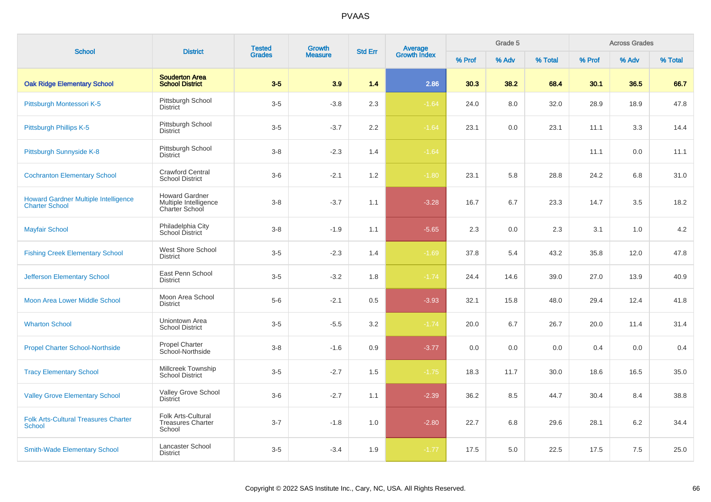| <b>School</b>                                                        | <b>District</b>                                                         | <b>Tested</b> | Growth         | <b>Std Err</b> |                                |        | Grade 5 |         |        | <b>Across Grades</b> |         |
|----------------------------------------------------------------------|-------------------------------------------------------------------------|---------------|----------------|----------------|--------------------------------|--------|---------|---------|--------|----------------------|---------|
|                                                                      |                                                                         | <b>Grades</b> | <b>Measure</b> |                | <b>Average</b><br>Growth Index | % Prof | % Adv   | % Total | % Prof | % Adv                | % Total |
| <b>Oak Ridge Elementary School</b>                                   | <b>Souderton Area</b><br><b>School District</b>                         | $3-5$         | 3.9            | 1.4            | 2.86                           | 30.3   | 38.2    | 68.4    | 30.1   | 36.5                 | 66.7    |
| Pittsburgh Montessori K-5                                            | Pittsburgh School<br><b>District</b>                                    | $3-5$         | $-3.8$         | 2.3            | $-1.64$                        | 24.0   | 8.0     | 32.0    | 28.9   | 18.9                 | 47.8    |
| Pittsburgh Phillips K-5                                              | Pittsburgh School<br><b>District</b>                                    | $3-5$         | $-3.7$         | 2.2            | $-1.64$                        | 23.1   | 0.0     | 23.1    | 11.1   | 3.3                  | 14.4    |
| Pittsburgh Sunnyside K-8                                             | Pittsburgh School<br><b>District</b>                                    | $3 - 8$       | $-2.3$         | 1.4            | $-1.64$                        |        |         |         | 11.1   | 0.0                  | 11.1    |
| <b>Cochranton Elementary School</b>                                  | <b>Crawford Central</b><br><b>School District</b>                       | $3-6$         | $-2.1$         | 1.2            | $-1.80$                        | 23.1   | 5.8     | 28.8    | 24.2   | 6.8                  | 31.0    |
| <b>Howard Gardner Multiple Intelligence</b><br><b>Charter School</b> | <b>Howard Gardner</b><br>Multiple Intelligence<br><b>Charter School</b> | $3 - 8$       | $-3.7$         | 1.1            | $-3.28$                        | 16.7   | 6.7     | 23.3    | 14.7   | 3.5                  | 18.2    |
| <b>Mayfair School</b>                                                | Philadelphia City<br>School District                                    | $3 - 8$       | $-1.9$         | 1.1            | $-5.65$                        | 2.3    | 0.0     | 2.3     | 3.1    | 1.0                  | 4.2     |
| <b>Fishing Creek Elementary School</b>                               | West Shore School<br><b>District</b>                                    | $3-5$         | $-2.3$         | 1.4            | $-1.69$                        | 37.8   | 5.4     | 43.2    | 35.8   | 12.0                 | 47.8    |
| <b>Jefferson Elementary School</b>                                   | East Penn School<br><b>District</b>                                     | $3-5$         | $-3.2$         | 1.8            | $-1.74$                        | 24.4   | 14.6    | 39.0    | 27.0   | 13.9                 | 40.9    |
| Moon Area Lower Middle School                                        | Moon Area School<br><b>District</b>                                     | $5-6$         | $-2.1$         | 0.5            | $-3.93$                        | 32.1   | 15.8    | 48.0    | 29.4   | 12.4                 | 41.8    |
| <b>Wharton School</b>                                                | Uniontown Area<br><b>School District</b>                                | $3-5$         | $-5.5$         | 3.2            | $-1.74$                        | 20.0   | 6.7     | 26.7    | 20.0   | 11.4                 | 31.4    |
| <b>Propel Charter School-Northside</b>                               | <b>Propel Charter</b><br>School-Northside                               | $3 - 8$       | $-1.6$         | 0.9            | $-3.77$                        | 0.0    | 0.0     | 0.0     | 0.4    | 0.0                  | 0.4     |
| <b>Tracy Elementary School</b>                                       | Millcreek Township<br><b>School District</b>                            | $3-5$         | $-2.7$         | 1.5            | $-1.75$                        | 18.3   | 11.7    | 30.0    | 18.6   | 16.5                 | 35.0    |
| <b>Valley Grove Elementary School</b>                                | Valley Grove School<br><b>District</b>                                  | $3-6$         | $-2.7$         | 1.1            | $-2.39$                        | 36.2   | 8.5     | 44.7    | 30.4   | 8.4                  | 38.8    |
| <b>Folk Arts-Cultural Treasures Charter</b><br><b>School</b>         | Folk Arts-Cultural<br><b>Treasures Charter</b><br>School                | $3 - 7$       | $-1.8$         | 1.0            | $-2.80$                        | 22.7   | 6.8     | 29.6    | 28.1   | 6.2                  | 34.4    |
| <b>Smith-Wade Elementary School</b>                                  | Lancaster School<br><b>District</b>                                     | $3-5$         | $-3.4$         | 1.9            | $-1.77$                        | 17.5   | 5.0     | 22.5    | 17.5   | 7.5                  | 25.0    |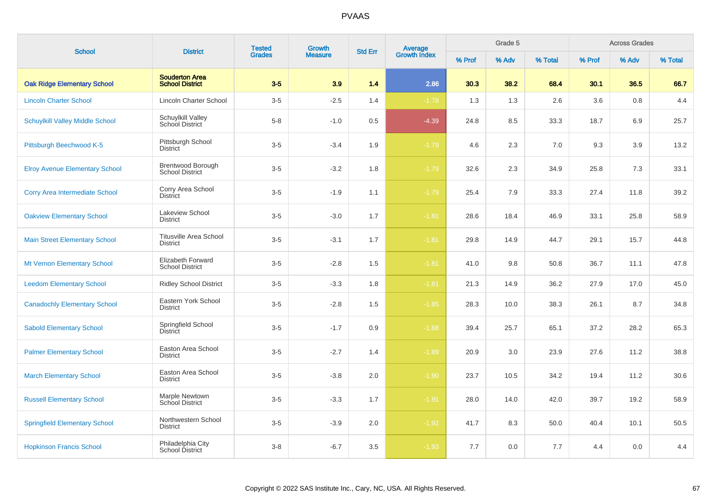| <b>School</b>                          | <b>District</b>                                    | <b>Tested</b> | Growth         |                |                                |        | Grade 5 |         |        | <b>Across Grades</b> |         |
|----------------------------------------|----------------------------------------------------|---------------|----------------|----------------|--------------------------------|--------|---------|---------|--------|----------------------|---------|
|                                        |                                                    | <b>Grades</b> | <b>Measure</b> | <b>Std Err</b> | <b>Average</b><br>Growth Index | % Prof | % Adv   | % Total | % Prof | % Adv                | % Total |
| <b>Oak Ridge Elementary School</b>     | <b>Souderton Area</b><br><b>School District</b>    | $3-5$         | 3.9            | 1.4            | 2.86                           | 30.3   | 38.2    | 68.4    | 30.1   | 36.5                 | 66.7    |
| <b>Lincoln Charter School</b>          | Lincoln Charter School                             | $3-5$         | $-2.5$         | 1.4            | $-1.78$                        | 1.3    | 1.3     | 2.6     | 3.6    | 0.8                  | 4.4     |
| <b>Schuylkill Valley Middle School</b> | <b>Schuylkill Valley</b><br><b>School District</b> | $5-8$         | $-1.0$         | 0.5            | $-4.39$                        | 24.8   | 8.5     | 33.3    | 18.7   | 6.9                  | 25.7    |
| Pittsburgh Beechwood K-5               | Pittsburgh School<br><b>District</b>               | $3-5$         | $-3.4$         | 1.9            | $-1.79$                        | 4.6    | 2.3     | 7.0     | 9.3    | 3.9                  | 13.2    |
| <b>Elroy Avenue Elementary School</b>  | Brentwood Borough<br><b>School District</b>        | $3-5$         | $-3.2$         | 1.8            | $-1.79$                        | 32.6   | 2.3     | 34.9    | 25.8   | 7.3                  | 33.1    |
| <b>Corry Area Intermediate School</b>  | Corry Area School<br><b>District</b>               | $3-5$         | $-1.9$         | 1.1            | $-1.79$                        | 25.4   | 7.9     | 33.3    | 27.4   | 11.8                 | 39.2    |
| <b>Oakview Elementary School</b>       | Lakeview School<br><b>District</b>                 | $3-5$         | $-3.0$         | 1.7            | $-1.81$                        | 28.6   | 18.4    | 46.9    | 33.1   | 25.8                 | 58.9    |
| <b>Main Street Elementary School</b>   | <b>Titusville Area School</b><br><b>District</b>   | $3-5$         | $-3.1$         | 1.7            | $-1.81$                        | 29.8   | 14.9    | 44.7    | 29.1   | 15.7                 | 44.8    |
| Mt Vernon Elementary School            | Elizabeth Forward<br><b>School District</b>        | $3-5$         | $-2.8$         | 1.5            | $-1.81$                        | 41.0   | 9.8     | 50.8    | 36.7   | 11.1                 | 47.8    |
| <b>Leedom Elementary School</b>        | <b>Ridley School District</b>                      | $3-5$         | $-3.3$         | 1.8            | $-1.81$                        | 21.3   | 14.9    | 36.2    | 27.9   | 17.0                 | 45.0    |
| <b>Canadochly Elementary School</b>    | Eastern York School<br><b>District</b>             | $3-5$         | $-2.8$         | 1.5            | $-1.85$                        | 28.3   | 10.0    | 38.3    | 26.1   | 8.7                  | 34.8    |
| <b>Sabold Elementary School</b>        | Springfield School<br><b>District</b>              | $3-5$         | $-1.7$         | 0.9            | $-1.88$                        | 39.4   | 25.7    | 65.1    | 37.2   | 28.2                 | 65.3    |
| <b>Palmer Elementary School</b>        | Easton Area School<br><b>District</b>              | $3-5$         | $-2.7$         | 1.4            | $-1.89$                        | 20.9   | 3.0     | 23.9    | 27.6   | 11.2                 | 38.8    |
| <b>March Elementary School</b>         | Easton Area School<br><b>District</b>              | $3-5$         | $-3.8$         | 2.0            | $-1.90$                        | 23.7   | 10.5    | 34.2    | 19.4   | 11.2                 | 30.6    |
| <b>Russell Elementary School</b>       | Marple Newtown<br>School District                  | $3-5$         | $-3.3$         | 1.7            | $-1.91$                        | 28.0   | 14.0    | 42.0    | 39.7   | 19.2                 | 58.9    |
| <b>Springfield Elementary School</b>   | Northwestern School<br><b>District</b>             | $3-5$         | $-3.9$         | 2.0            | $-1.92$                        | 41.7   | 8.3     | 50.0    | 40.4   | 10.1                 | 50.5    |
| <b>Hopkinson Francis School</b>        | Philadelphia City<br>School District               | $3-8$         | $-6.7$         | 3.5            | $-1.93$                        | 7.7    | 0.0     | 7.7     | 4.4    | 0.0                  | 4.4     |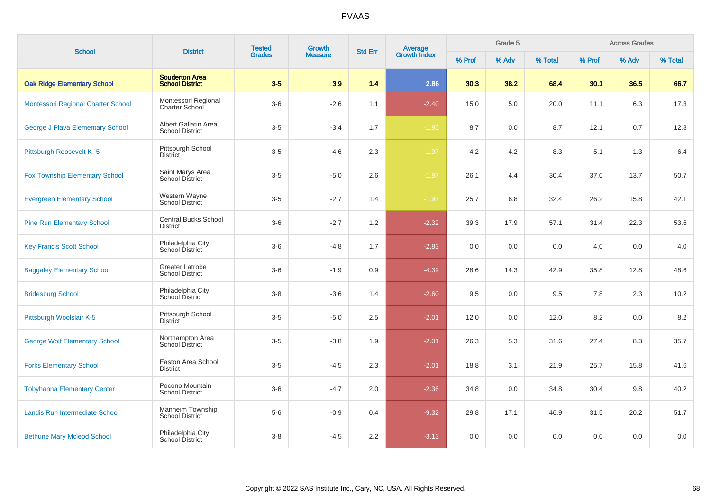| <b>School</b>                           | <b>District</b>                                  | <b>Tested</b> | Growth         | <b>Std Err</b> | Average<br>Growth Index |        | Grade 5 |         |        | <b>Across Grades</b> |         |
|-----------------------------------------|--------------------------------------------------|---------------|----------------|----------------|-------------------------|--------|---------|---------|--------|----------------------|---------|
|                                         |                                                  | <b>Grades</b> | <b>Measure</b> |                |                         | % Prof | % Adv   | % Total | % Prof | % Adv                | % Total |
| <b>Oak Ridge Elementary School</b>      | <b>Souderton Area</b><br><b>School District</b>  | $3-5$         | 3.9            | 1.4            | 2.86                    | 30.3   | 38.2    | 68.4    | 30.1   | 36.5                 | 66.7    |
| Montessori Regional Charter School      | Montessori Regional<br>Charter School            | $3-6$         | $-2.6$         | 1.1            | $-2.40$                 | 15.0   | 5.0     | 20.0    | 11.1   | 6.3                  | 17.3    |
| <b>George J Plava Elementary School</b> | Albert Gallatin Area<br><b>School District</b>   | $3-5$         | $-3.4$         | 1.7            | $-1.95$                 | 8.7    | 0.0     | 8.7     | 12.1   | 0.7                  | 12.8    |
| Pittsburgh Roosevelt K-5                | Pittsburgh School<br><b>District</b>             | $3-5$         | $-4.6$         | 2.3            | $-1.97$                 | 4.2    | 4.2     | 8.3     | 5.1    | 1.3                  | 6.4     |
| <b>Fox Township Elementary School</b>   | Saint Marys Area<br><b>School District</b>       | $3-5$         | $-5.0$         | 2.6            | $-1.97$                 | 26.1   | 4.4     | 30.4    | 37.0   | 13.7                 | 50.7    |
| <b>Evergreen Elementary School</b>      | Western Wayne<br>School District                 | $3-5$         | $-2.7$         | 1.4            | $-1.97$                 | 25.7   | 6.8     | 32.4    | 26.2   | 15.8                 | 42.1    |
| <b>Pine Run Elementary School</b>       | <b>Central Bucks School</b><br><b>District</b>   | $3-6$         | $-2.7$         | 1.2            | $-2.32$                 | 39.3   | 17.9    | 57.1    | 31.4   | 22.3                 | 53.6    |
| <b>Key Francis Scott School</b>         | Philadelphia City<br>School District             | $3-6$         | $-4.8$         | 1.7            | $-2.83$                 | 0.0    | 0.0     | 0.0     | 4.0    | 0.0                  | 4.0     |
| <b>Baggaley Elementary School</b>       | <b>Greater Latrobe</b><br><b>School District</b> | $3-6$         | $-1.9$         | 0.9            | $-4.39$                 | 28.6   | 14.3    | 42.9    | 35.8   | 12.8                 | 48.6    |
| <b>Bridesburg School</b>                | Philadelphia City<br>School District             | $3-8$         | $-3.6$         | 1.4            | $-2.60$                 | 9.5    | 0.0     | 9.5     | 7.8    | 2.3                  | 10.2    |
| Pittsburgh Woolslair K-5                | Pittsburgh School<br><b>District</b>             | $3-5$         | $-5.0$         | $2.5\,$        | $-2.01$                 | 12.0   | 0.0     | 12.0    | 8.2    | 0.0                  | 8.2     |
| <b>George Wolf Elementary School</b>    | Northampton Area<br><b>School District</b>       | $3-5$         | $-3.8$         | 1.9            | $-2.01$                 | 26.3   | 5.3     | 31.6    | 27.4   | 8.3                  | 35.7    |
| <b>Forks Elementary School</b>          | Easton Area School<br><b>District</b>            | $3-5$         | $-4.5$         | 2.3            | $-2.01$                 | 18.8   | 3.1     | 21.9    | 25.7   | 15.8                 | 41.6    |
| <b>Tobyhanna Elementary Center</b>      | Pocono Mountain<br><b>School District</b>        | $3-6$         | $-4.7$         | 2.0            | $-2.36$                 | 34.8   | 0.0     | 34.8    | 30.4   | 9.8                  | 40.2    |
| <b>Landis Run Intermediate School</b>   | Manheim Township<br><b>School District</b>       | $5-6$         | $-0.9$         | 0.4            | $-9.32$                 | 29.8   | 17.1    | 46.9    | 31.5   | 20.2                 | 51.7    |
| <b>Bethune Mary Mcleod School</b>       | Philadelphia City<br>School District             | $3-8$         | $-4.5$         | 2.2            | $-3.13$                 | 0.0    | 0.0     | 0.0     | 0.0    | 0.0                  | 0.0     |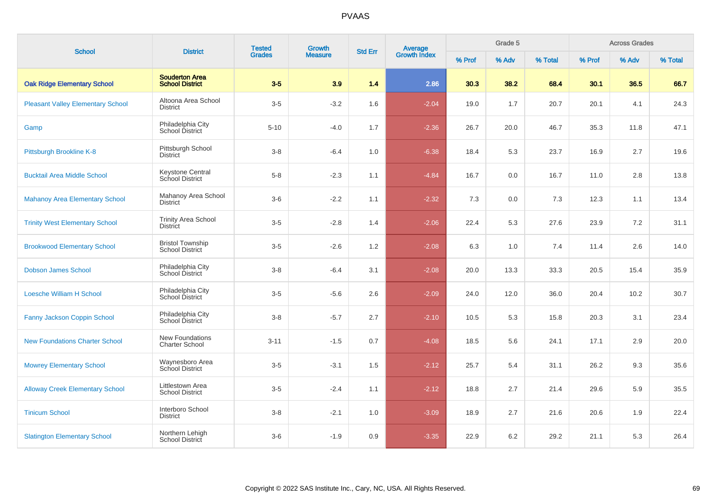| <b>School</b>                            | <b>District</b>                                   | <b>Tested</b> | Growth         | <b>Std Err</b> | Average<br>Growth Index |        | Grade 5 |         |        | <b>Across Grades</b> |         |
|------------------------------------------|---------------------------------------------------|---------------|----------------|----------------|-------------------------|--------|---------|---------|--------|----------------------|---------|
|                                          |                                                   | <b>Grades</b> | <b>Measure</b> |                |                         | % Prof | % Adv   | % Total | % Prof | % Adv                | % Total |
| <b>Oak Ridge Elementary School</b>       | <b>Souderton Area</b><br><b>School District</b>   | $3-5$         | 3.9            | 1.4            | 2.86                    | 30.3   | 38.2    | 68.4    | 30.1   | 36.5                 | 66.7    |
| <b>Pleasant Valley Elementary School</b> | Altoona Area School<br><b>District</b>            | $3-5$         | $-3.2$         | 1.6            | $-2.04$                 | 19.0   | 1.7     | 20.7    | 20.1   | 4.1                  | 24.3    |
| Gamp                                     | Philadelphia City<br>School District              | $5 - 10$      | $-4.0$         | 1.7            | $-2.36$                 | 26.7   | 20.0    | 46.7    | 35.3   | 11.8                 | 47.1    |
| Pittsburgh Brookline K-8                 | Pittsburgh School<br><b>District</b>              | $3 - 8$       | $-6.4$         | 1.0            | $-6.38$                 | 18.4   | 5.3     | 23.7    | 16.9   | 2.7                  | 19.6    |
| <b>Bucktail Area Middle School</b>       | <b>Keystone Central</b><br>School District        | $5-8$         | $-2.3$         | 1.1            | $-4.84$                 | 16.7   | 0.0     | 16.7    | 11.0   | 2.8                  | 13.8    |
| <b>Mahanoy Area Elementary School</b>    | Mahanoy Area School<br>District                   | $3-6$         | $-2.2$         | 1.1            | $-2.32$                 | 7.3    | 0.0     | 7.3     | 12.3   | 1.1                  | 13.4    |
| <b>Trinity West Elementary School</b>    | <b>Trinity Area School</b><br><b>District</b>     | $3-5$         | $-2.8$         | 1.4            | $-2.06$                 | 22.4   | 5.3     | 27.6    | 23.9   | $7.2\,$              | 31.1    |
| <b>Brookwood Elementary School</b>       | <b>Bristol Township</b><br><b>School District</b> | $3-5$         | $-2.6$         | 1.2            | $-2.08$                 | 6.3    | 1.0     | 7.4     | 11.4   | 2.6                  | 14.0    |
| <b>Dobson James School</b>               | Philadelphia City<br>School District              | $3-8$         | $-6.4$         | 3.1            | $-2.08$                 | 20.0   | 13.3    | 33.3    | 20.5   | 15.4                 | 35.9    |
| <b>Loesche William H School</b>          | Philadelphia City<br>School District              | $3-5$         | $-5.6$         | 2.6            | $-2.09$                 | 24.0   | 12.0    | 36.0    | 20.4   | 10.2                 | 30.7    |
| Fanny Jackson Coppin School              | Philadelphia City<br>School District              | $3-8$         | $-5.7$         | 2.7            | $-2.10$                 | 10.5   | 5.3     | 15.8    | 20.3   | 3.1                  | 23.4    |
| <b>New Foundations Charter School</b>    | New Foundations<br><b>Charter School</b>          | $3 - 11$      | $-1.5$         | 0.7            | $-4.08$                 | 18.5   | 5.6     | 24.1    | 17.1   | 2.9                  | 20.0    |
| <b>Mowrey Elementary School</b>          | Waynesboro Area<br>School District                | $3-5$         | $-3.1$         | 1.5            | $-2.12$                 | 25.7   | 5.4     | 31.1    | 26.2   | 9.3                  | 35.6    |
| <b>Alloway Creek Elementary School</b>   | Littlestown Area<br><b>School District</b>        | $3-5$         | $-2.4$         | 1.1            | $-2.12$                 | 18.8   | 2.7     | 21.4    | 29.6   | 5.9                  | 35.5    |
| <b>Tinicum School</b>                    | Interboro School<br><b>District</b>               | $3-8$         | $-2.1$         | $1.0\,$        | $-3.09$                 | 18.9   | 2.7     | 21.6    | 20.6   | 1.9                  | 22.4    |
| <b>Slatington Elementary School</b>      | Northern Lehigh<br>School District                | $3-6$         | $-1.9$         | 0.9            | $-3.35$                 | 22.9   | $6.2\,$ | 29.2    | 21.1   | 5.3                  | 26.4    |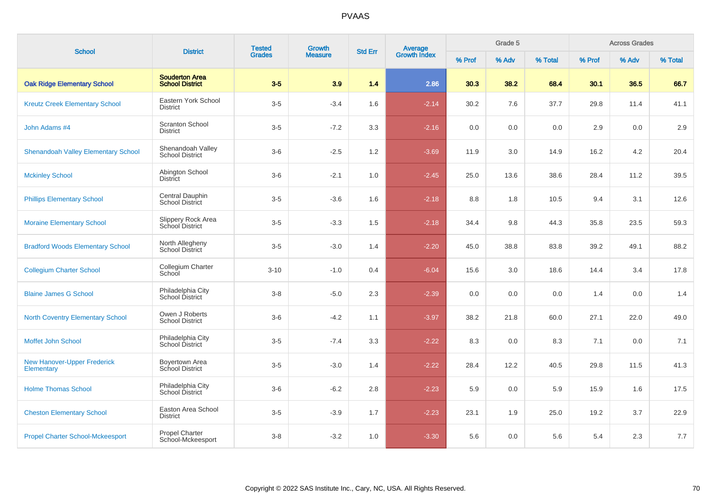| <b>School</b>                                    | <b>District</b>                                 | <b>Tested</b> | Growth         | <b>Average</b><br>Growth Index<br><b>Std Err</b> |         |        | Grade 5 |         |        | <b>Across Grades</b> |         |
|--------------------------------------------------|-------------------------------------------------|---------------|----------------|--------------------------------------------------|---------|--------|---------|---------|--------|----------------------|---------|
|                                                  |                                                 | <b>Grades</b> | <b>Measure</b> |                                                  |         | % Prof | % Adv   | % Total | % Prof | % Adv                | % Total |
| <b>Oak Ridge Elementary School</b>               | <b>Souderton Area</b><br><b>School District</b> | $3-5$         | 3.9            | 1.4                                              | 2.86    | 30.3   | 38.2    | 68.4    | 30.1   | 36.5                 | 66.7    |
| <b>Kreutz Creek Elementary School</b>            | Eastern York School<br><b>District</b>          | $3-5$         | $-3.4$         | 1.6                                              | $-2.14$ | 30.2   | 7.6     | 37.7    | 29.8   | 11.4                 | 41.1    |
| John Adams #4                                    | <b>Scranton School</b><br><b>District</b>       | $3-5$         | $-7.2$         | 3.3                                              | $-2.16$ | 0.0    | 0.0     | 0.0     | 2.9    | 0.0                  | 2.9     |
| <b>Shenandoah Valley Elementary School</b>       | Shenandoah Valley<br><b>School District</b>     | $3-6$         | $-2.5$         | 1.2                                              | $-3.69$ | 11.9   | 3.0     | 14.9    | 16.2   | 4.2                  | 20.4    |
| <b>Mckinley School</b>                           | Abington School<br><b>District</b>              | $3-6$         | $-2.1$         | 1.0                                              | $-2.45$ | 25.0   | 13.6    | 38.6    | 28.4   | 11.2                 | 39.5    |
| <b>Phillips Elementary School</b>                | Central Dauphin<br>School District              | $3-5$         | $-3.6$         | 1.6                                              | $-2.18$ | 8.8    | 1.8     | 10.5    | 9.4    | 3.1                  | 12.6    |
| <b>Moraine Elementary School</b>                 | Slippery Rock Area<br>School District           | $3-5$         | $-3.3$         | 1.5                                              | $-2.18$ | 34.4   | 9.8     | 44.3    | 35.8   | 23.5                 | 59.3    |
| <b>Bradford Woods Elementary School</b>          | North Allegheny<br>School District              | $3-5$         | $-3.0$         | 1.4                                              | $-2.20$ | 45.0   | 38.8    | 83.8    | 39.2   | 49.1                 | 88.2    |
| <b>Collegium Charter School</b>                  | Collegium Charter<br>School                     | $3 - 10$      | $-1.0$         | 0.4                                              | $-6.04$ | 15.6   | 3.0     | 18.6    | 14.4   | 3.4                  | 17.8    |
| <b>Blaine James G School</b>                     | Philadelphia City<br>School District            | $3 - 8$       | $-5.0$         | 2.3                                              | $-2.39$ | 0.0    | 0.0     | 0.0     | 1.4    | 0.0                  | 1.4     |
| <b>North Coventry Elementary School</b>          | Owen J Roberts<br><b>School District</b>        | $3-6$         | $-4.2$         | 1.1                                              | $-3.97$ | 38.2   | 21.8    | 60.0    | 27.1   | 22.0                 | 49.0    |
| Moffet John School                               | Philadelphia City<br>School District            | $3-5$         | $-7.4$         | 3.3                                              | $-2.22$ | 8.3    | 0.0     | 8.3     | 7.1    | 0.0                  | 7.1     |
| <b>New Hanover-Upper Frederick</b><br>Elementary | Boyertown Area<br>School District               | $3-5$         | $-3.0$         | 1.4                                              | $-2.22$ | 28.4   | 12.2    | 40.5    | 29.8   | 11.5                 | 41.3    |
| <b>Holme Thomas School</b>                       | Philadelphia City<br>School District            | $3-6$         | $-6.2$         | 2.8                                              | $-2.23$ | 5.9    | 0.0     | 5.9     | 15.9   | 1.6                  | 17.5    |
| <b>Cheston Elementary School</b>                 | Easton Area School<br><b>District</b>           | $3-5$         | $-3.9$         | 1.7                                              | $-2.23$ | 23.1   | 1.9     | 25.0    | 19.2   | 3.7                  | 22.9    |
| <b>Propel Charter School-Mckeesport</b>          | Propel Charter<br>School-Mckeesport             | $3 - 8$       | $-3.2$         | 1.0                                              | $-3.30$ | 5.6    | 0.0     | 5.6     | 5.4    | 2.3                  | 7.7     |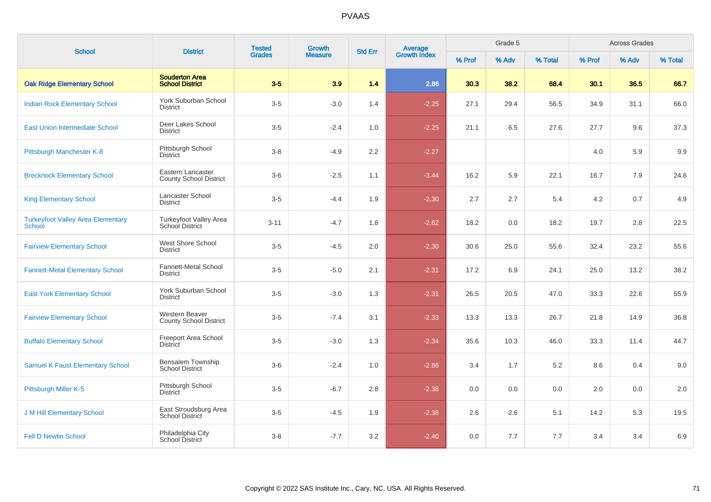| <b>School</b>                                      | <b>District</b>                                    | <b>Tested</b> | Growth<br><b>Measure</b> | <b>Average</b><br>Growth Index<br><b>Std Err</b> |         |        | Grade 5 |         |        | <b>Across Grades</b> |         |
|----------------------------------------------------|----------------------------------------------------|---------------|--------------------------|--------------------------------------------------|---------|--------|---------|---------|--------|----------------------|---------|
|                                                    |                                                    | <b>Grades</b> |                          |                                                  |         | % Prof | % Adv   | % Total | % Prof | % Adv                | % Total |
| <b>Oak Ridge Elementary School</b>                 | <b>Souderton Area</b><br><b>School District</b>    | $3-5$         | 3.9                      | 1.4                                              | 2.86    | 30.3   | 38.2    | 68.4    | 30.1   | 36.5                 | 66.7    |
| <b>Indian Rock Elementary School</b>               | York Suburban School<br><b>District</b>            | $3-5$         | $-3.0$                   | 1.4                                              | $-2.25$ | 27.1   | 29.4    | 56.5    | 34.9   | 31.1                 | 66.0    |
| <b>East Union Intermediate School</b>              | Deer Lakes School<br><b>District</b>               | $3-5$         | $-2.4$                   | 1.0                                              | $-2.25$ | 21.1   | 6.5     | 27.6    | 27.7   | 9.6                  | 37.3    |
| Pittsburgh Manchester K-8                          | Pittsburgh School<br><b>District</b>               | $3 - 8$       | $-4.9$                   | 2.2                                              | $-2.27$ |        |         |         | 4.0    | 5.9                  | 9.9     |
| <b>Brecknock Elementary School</b>                 | Eastern Lancaster<br><b>County School District</b> | $3-6$         | $-2.5$                   | 1.1                                              | $-3.44$ | 16.2   | 5.9     | 22.1    | 16.7   | 7.9                  | 24.6    |
| <b>King Elementary School</b>                      | Lancaster School<br><b>District</b>                | $3-5$         | $-4.4$                   | 1.9                                              | $-2.30$ | 2.7    | 2.7     | 5.4     | 4.2    | 0.7                  | 4.9     |
| <b>Turkeyfoot Valley Area Elementary</b><br>School | Turkeyfoot Valley Area<br>School District          | $3 - 11$      | $-4.7$                   | 1.8                                              | $-2.62$ | 18.2   | 0.0     | 18.2    | 19.7   | 2.8                  | 22.5    |
| <b>Fairview Elementary School</b>                  | West Shore School<br><b>District</b>               | $3-5$         | $-4.5$                   | 2.0                                              | $-2.30$ | 30.6   | 25.0    | 55.6    | 32.4   | 23.2                 | 55.6    |
| <b>Fannett-Metal Elementary School</b>             | <b>Fannett-Metal School</b><br><b>District</b>     | $3-5$         | $-5.0$                   | 2.1                                              | $-2.31$ | 17.2   | 6.9     | 24.1    | 25.0   | 13.2                 | 38.2    |
| <b>East York Elementary School</b>                 | York Suburban School<br><b>District</b>            | $3-5$         | $-3.0$                   | 1.3                                              | $-2.31$ | 26.5   | 20.5    | 47.0    | 33.3   | 22.6                 | 55.9    |
| <b>Fairview Elementary School</b>                  | Western Beaver<br><b>County School District</b>    | $3-5$         | $-7.4$                   | 3.1                                              | $-2.33$ | 13.3   | 13.3    | 26.7    | 21.8   | 14.9                 | 36.8    |
| <b>Buffalo Elementary School</b>                   | Freeport Area School<br>District                   | $3-5$         | $-3.0$                   | 1.3                                              | $-2.34$ | 35.6   | 10.3    | 46.0    | 33.3   | 11.4                 | 44.7    |
| <b>Samuel K Faust Elementary School</b>            | <b>Bensalem Township</b><br><b>School District</b> | $3-6$         | $-2.4$                   | 1.0                                              | $-2.86$ | 3.4    | 1.7     | 5.2     | 8.6    | 0.4                  | 9.0     |
| Pittsburgh Miller K-5                              | Pittsburgh School<br><b>District</b>               | $3-5$         | $-6.7$                   | 2.8                                              | $-2.38$ | 0.0    | 0.0     | 0.0     | 2.0    | 0.0                  | 2.0     |
| <b>J M Hill Elementary School</b>                  | East Stroudsburg Area<br><b>School District</b>    | $3-5$         | $-4.5$                   | 1.9                                              | $-2.38$ | 2.6    | 2.6     | 5.1     | 14.2   | 5.3                  | 19.5    |
| <b>Fell D Newlin School</b>                        | Philadelphia City<br>School District               | $3 - 8$       | $-7.7$                   | 3.2                                              | $-2.40$ | 0.0    | 7.7     | 7.7     | 3.4    | 3.4                  | 6.9     |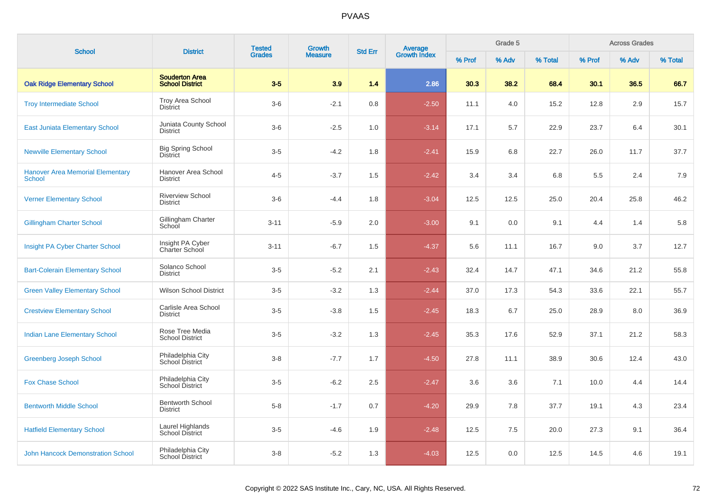| <b>School</b>                                            | <b>District</b>                                 | <b>Tested</b> | <b>Growth</b>  | <b>Std Err</b> |                                |        | Grade 5 |         |        | <b>Across Grades</b> |         |
|----------------------------------------------------------|-------------------------------------------------|---------------|----------------|----------------|--------------------------------|--------|---------|---------|--------|----------------------|---------|
|                                                          |                                                 | <b>Grades</b> | <b>Measure</b> |                | <b>Average</b><br>Growth Index | % Prof | % Adv   | % Total | % Prof | % Adv                | % Total |
| <b>Oak Ridge Elementary School</b>                       | <b>Souderton Area</b><br><b>School District</b> | $3-5$         | 3.9            | 1.4            | 2.86                           | 30.3   | 38.2    | 68.4    | 30.1   | 36.5                 | 66.7    |
| <b>Troy Intermediate School</b>                          | Troy Area School<br><b>District</b>             | $3-6$         | $-2.1$         | 0.8            | $-2.50$                        | 11.1   | 4.0     | 15.2    | 12.8   | 2.9                  | 15.7    |
| <b>East Juniata Elementary School</b>                    | Juniata County School<br><b>District</b>        | $3-6$         | $-2.5$         | 1.0            | $-3.14$                        | 17.1   | 5.7     | 22.9    | 23.7   | 6.4                  | 30.1    |
| <b>Newville Elementary School</b>                        | <b>Big Spring School</b><br><b>District</b>     | $3-5$         | $-4.2$         | 1.8            | $-2.41$                        | 15.9   | 6.8     | 22.7    | 26.0   | 11.7                 | 37.7    |
| <b>Hanover Area Memorial Elementary</b><br><b>School</b> | Hanover Area School<br><b>District</b>          | $4 - 5$       | $-3.7$         | 1.5            | $-2.42$                        | 3.4    | 3.4     | 6.8     | 5.5    | 2.4                  | 7.9     |
| <b>Verner Elementary School</b>                          | <b>Riverview School</b><br><b>District</b>      | $3-6$         | $-4.4$         | 1.8            | $-3.04$                        | 12.5   | 12.5    | 25.0    | 20.4   | 25.8                 | 46.2    |
| <b>Gillingham Charter School</b>                         | Gillingham Charter<br>School                    | $3 - 11$      | $-5.9$         | 2.0            | $-3.00$                        | 9.1    | 0.0     | 9.1     | 4.4    | 1.4                  | 5.8     |
| Insight PA Cyber Charter School                          | Insight PA Cyber<br>Charter School              | $3 - 11$      | $-6.7$         | 1.5            | $-4.37$                        | 5.6    | 11.1    | 16.7    | 9.0    | 3.7                  | 12.7    |
| <b>Bart-Colerain Elementary School</b>                   | Solanco School<br>District                      | $3-5$         | $-5.2$         | 2.1            | $-2.43$                        | 32.4   | 14.7    | 47.1    | 34.6   | 21.2                 | 55.8    |
| <b>Green Valley Elementary School</b>                    | <b>Wilson School District</b>                   | $3-5$         | $-3.2$         | 1.3            | $-2.44$                        | 37.0   | 17.3    | 54.3    | 33.6   | 22.1                 | 55.7    |
| <b>Crestview Elementary School</b>                       | Carlisle Area School<br><b>District</b>         | $3-5$         | $-3.8$         | 1.5            | $-2.45$                        | 18.3   | 6.7     | 25.0    | 28.9   | 8.0                  | 36.9    |
| <b>Indian Lane Elementary School</b>                     | Rose Tree Media<br><b>School District</b>       | $3-5$         | $-3.2$         | 1.3            | $-2.45$                        | 35.3   | 17.6    | 52.9    | 37.1   | 21.2                 | 58.3    |
| <b>Greenberg Joseph School</b>                           | Philadelphia City<br>School District            | $3-8$         | $-7.7$         | 1.7            | $-4.50$                        | 27.8   | 11.1    | 38.9    | 30.6   | 12.4                 | 43.0    |
| <b>Fox Chase School</b>                                  | Philadelphia City<br>School District            | $3-5$         | $-6.2$         | 2.5            | $-2.47$                        | 3.6    | 3.6     | 7.1     | 10.0   | 4.4                  | 14.4    |
| <b>Bentworth Middle School</b>                           | <b>Bentworth School</b><br><b>District</b>      | $5-8$         | $-1.7$         | 0.7            | $-4.20$                        | 29.9   | 7.8     | 37.7    | 19.1   | 4.3                  | 23.4    |
| <b>Hatfield Elementary School</b>                        | Laurel Highlands<br>School District             | $3-5$         | $-4.6$         | 1.9            | $-2.48$                        | 12.5   | 7.5     | 20.0    | 27.3   | 9.1                  | 36.4    |
| <b>John Hancock Demonstration School</b>                 | Philadelphia City<br>School District            | $3 - 8$       | $-5.2$         | 1.3            | $-4.03$                        | 12.5   | 0.0     | 12.5    | 14.5   | 4.6                  | 19.1    |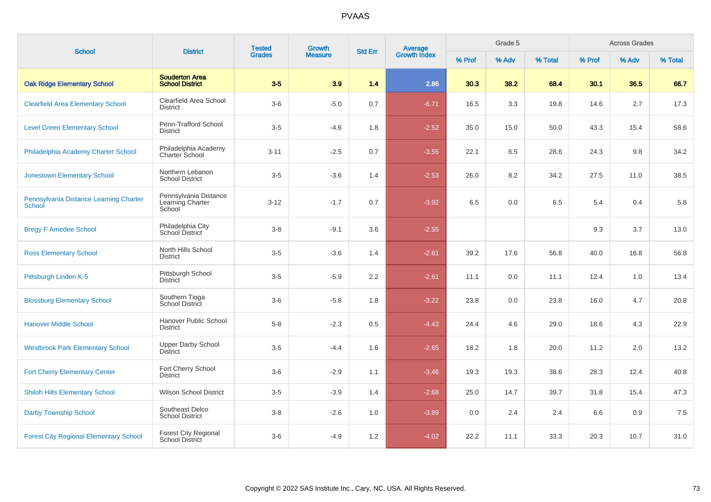| <b>School</b>                                    | <b>District</b>                                     | <b>Tested</b><br><b>Grades</b> | Growth         |                |                                |        | Grade 5 |         |        | <b>Across Grades</b> |         |
|--------------------------------------------------|-----------------------------------------------------|--------------------------------|----------------|----------------|--------------------------------|--------|---------|---------|--------|----------------------|---------|
|                                                  |                                                     |                                | <b>Measure</b> | <b>Std Err</b> | <b>Average</b><br>Growth Index | % Prof | % Adv   | % Total | % Prof | % Adv                | % Total |
| <b>Oak Ridge Elementary School</b>               | <b>Souderton Area</b><br><b>School District</b>     | $3-5$                          | 3.9            | 1.4            | 2.86                           | 30.3   | 38.2    | 68.4    | 30.1   | 36.5                 | 66.7    |
| <b>Clearfield Area Elementary School</b>         | Clearfield Area School<br><b>District</b>           | $3-6$                          | $-5.0$         | 0.7            | $-6.71$                        | 16.5   | 3.3     | 19.8    | 14.6   | 2.7                  | 17.3    |
| <b>Level Green Elementary School</b>             | Penn-Trafford School<br><b>District</b>             | $3-5$                          | $-4.6$         | 1.8            | $-2.52$                        | 35.0   | 15.0    | 50.0    | 43.3   | 15.4                 | 58.6    |
| Philadelphia Academy Charter School              | Philadelphia Academy<br>Charter School              | $3 - 11$                       | $-2.5$         | 0.7            | $-3.55$                        | 22.1   | 6.5     | 28.6    | 24.3   | 9.8                  | 34.2    |
| <b>Jonestown Elementary School</b>               | Northern Lebanon<br><b>School District</b>          | $3-5$                          | $-3.6$         | 1.4            | $-2.53$                        | 26.0   | 8.2     | 34.2    | 27.5   | 11.0                 | 38.5    |
| Pennsylvania Distance Learning Charter<br>School | Pennsylvania Distance<br>Learning Charter<br>School | $3 - 12$                       | $-1.7$         | 0.7            | $-3.92$                        | 6.5    | 0.0     | 6.5     | 5.4    | 0.4                  | 5.8     |
| <b>Bregy F Amedee School</b>                     | Philadelphia City<br>School District                | $3-8$                          | $-9.1$         | 3.6            | $-2.55$                        |        |         |         | 9.3    | 3.7                  | 13.0    |
| <b>Ross Elementary School</b>                    | North Hills School<br><b>District</b>               | $3-5$                          | $-3.6$         | 1.4            | $-2.61$                        | 39.2   | 17.6    | 56.8    | 40.0   | 16.8                 | 56.8    |
| Pittsburgh Linden K-5                            | Pittsburgh School<br><b>District</b>                | $3-5$                          | $-5.9$         | 2.2            | $-2.61$                        | 11.1   | 0.0     | 11.1    | 12.4   | 1.0                  | 13.4    |
| <b>Blossburg Elementary School</b>               | Southern Tioga<br>School District                   | $3-6$                          | $-5.8$         | 1.8            | $-3.22$                        | 23.8   | 0.0     | 23.8    | 16.0   | 4.7                  | 20.8    |
| <b>Hanover Middle School</b>                     | Hanover Public School<br><b>District</b>            | $5-8$                          | $-2.3$         | 0.5            | $-4.43$                        | 24.4   | 4.6     | 29.0    | 18.6   | 4.3                  | 22.9    |
| <b>Westbrook Park Elementary School</b>          | <b>Upper Darby School</b><br><b>District</b>        | $3-5$                          | $-4.4$         | 1.6            | $-2.65$                        | 18.2   | 1.8     | 20.0    | 11.2   | 2.0                  | 13.2    |
| <b>Fort Cherry Elementary Center</b>             | Fort Cherry School<br><b>District</b>               | $3-6$                          | $-2.9$         | 1.1            | $-3.46$                        | 19.3   | 19.3    | 38.6    | 28.3   | 12.4                 | 40.8    |
| <b>Shiloh Hills Elementary School</b>            | <b>Wilson School District</b>                       | $3-5$                          | $-3.9$         | 1.4            | $-2.68$                        | 25.0   | 14.7    | 39.7    | 31.8   | 15.4                 | 47.3    |
| <b>Darby Township School</b>                     | Southeast Delco<br>School District                  | $3-8$                          | $-2.6$         | 1.0            | $-3.89$                        | 0.0    | 2.4     | 2.4     | 6.6    | 0.9                  | 7.5     |
| <b>Forest City Regional Elementary School</b>    | Forest City Regional<br>School District             | $3-6$                          | $-4.9$         | 1.2            | $-4.02$                        | 22.2   | 11.1    | 33.3    | 20.3   | 10.7                 | 31.0    |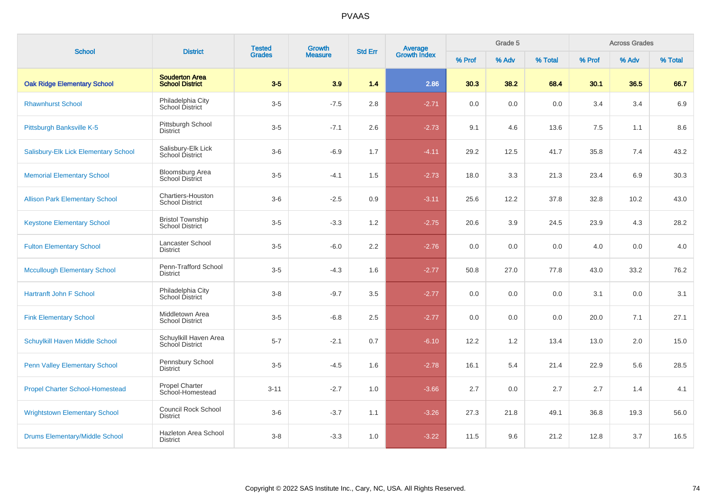| <b>School</b>                          | <b>District</b>                                   | <b>Tested</b><br><b>Grades</b> | Growth         | <b>Std Err</b> | Average<br>Growth Index |        | Grade 5 |         |        | <b>Across Grades</b> |         |
|----------------------------------------|---------------------------------------------------|--------------------------------|----------------|----------------|-------------------------|--------|---------|---------|--------|----------------------|---------|
|                                        |                                                   |                                | <b>Measure</b> |                |                         | % Prof | % Adv   | % Total | % Prof | % Adv                | % Total |
| <b>Oak Ridge Elementary School</b>     | <b>Souderton Area</b><br><b>School District</b>   | $3-5$                          | 3.9            | 1.4            | 2.86                    | 30.3   | 38.2    | 68.4    | 30.1   | 36.5                 | 66.7    |
| <b>Rhawnhurst School</b>               | Philadelphia City<br>School District              | $3-5$                          | $-7.5$         | 2.8            | $-2.71$                 | 0.0    | 0.0     | 0.0     | 3.4    | 3.4                  | 6.9     |
| Pittsburgh Banksville K-5              | Pittsburgh School<br><b>District</b>              | $3-5$                          | $-7.1$         | 2.6            | $-2.73$                 | 9.1    | 4.6     | 13.6    | 7.5    | 1.1                  | 8.6     |
| Salisbury-Elk Lick Elementary School   | Salisbury-Elk Lick<br>School District             | $3-6$                          | $-6.9$         | 1.7            | $-4.11$                 | 29.2   | 12.5    | 41.7    | 35.8   | 7.4                  | 43.2    |
| <b>Memorial Elementary School</b>      | <b>Bloomsburg Area</b><br>School District         | $3-5$                          | $-4.1$         | 1.5            | $-2.73$                 | 18.0   | 3.3     | 21.3    | 23.4   | 6.9                  | 30.3    |
| <b>Allison Park Elementary School</b>  | Chartiers-Houston<br><b>School District</b>       | $3-6$                          | $-2.5$         | 0.9            | $-3.11$                 | 25.6   | 12.2    | 37.8    | 32.8   | 10.2                 | 43.0    |
| <b>Keystone Elementary School</b>      | <b>Bristol Township</b><br><b>School District</b> | $3-5$                          | $-3.3$         | 1.2            | $-2.75$                 | 20.6   | 3.9     | 24.5    | 23.9   | 4.3                  | 28.2    |
| <b>Fulton Elementary School</b>        | Lancaster School<br><b>District</b>               | $3-5$                          | $-6.0$         | 2.2            | $-2.76$                 | 0.0    | 0.0     | 0.0     | 4.0    | 0.0                  | 4.0     |
| <b>Mccullough Elementary School</b>    | Penn-Trafford School<br>District                  | $3-5$                          | $-4.3$         | 1.6            | $-2.77$                 | 50.8   | 27.0    | 77.8    | 43.0   | 33.2                 | 76.2    |
| <b>Hartranft John F School</b>         | Philadelphia City<br>School District              | $3-8$                          | $-9.7$         | 3.5            | $-2.77$                 | 0.0    | 0.0     | 0.0     | 3.1    | 0.0                  | 3.1     |
| <b>Fink Elementary School</b>          | Middletown Area<br><b>School District</b>         | $3-5$                          | $-6.8$         | 2.5            | $-2.77$                 | 0.0    | 0.0     | 0.0     | 20.0   | 7.1                  | 27.1    |
| Schuylkill Haven Middle School         | Schuylkill Haven Area<br>School District          | $5 - 7$                        | $-2.1$         | 0.7            | $-6.10$                 | 12.2   | 1.2     | 13.4    | 13.0   | 2.0                  | 15.0    |
| <b>Penn Valley Elementary School</b>   | Pennsbury School<br><b>District</b>               | $3-5$                          | $-4.5$         | 1.6            | $-2.78$                 | 16.1   | 5.4     | 21.4    | 22.9   | 5.6                  | 28.5    |
| <b>Propel Charter School-Homestead</b> | Propel Charter<br>School-Homestead                | $3 - 11$                       | $-2.7$         | 1.0            | $-3.66$                 | 2.7    | 0.0     | 2.7     | 2.7    | 1.4                  | 4.1     |
| <b>Wrightstown Elementary School</b>   | <b>Council Rock School</b><br><b>District</b>     | $3-6$                          | $-3.7$         | 1.1            | $-3.26$                 | 27.3   | 21.8    | 49.1    | 36.8   | 19.3                 | 56.0    |
| <b>Drums Elementary/Middle School</b>  | <b>Hazleton Area School</b><br><b>District</b>    | $3-8$                          | $-3.3$         | 1.0            | $-3.22$                 | 11.5   | 9.6     | 21.2    | 12.8   | 3.7                  | 16.5    |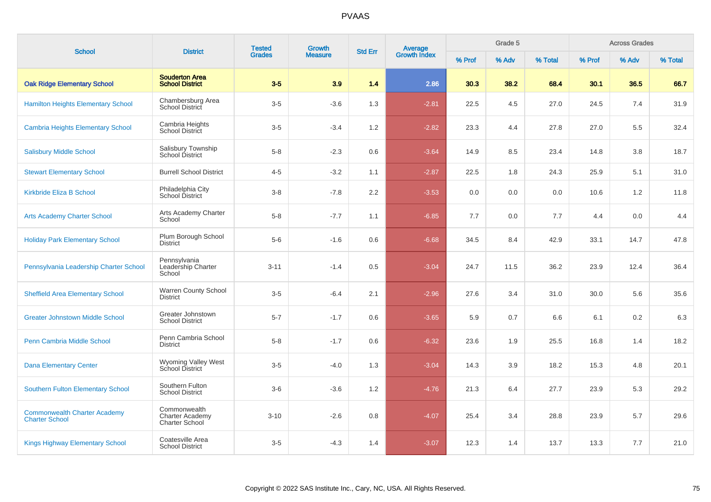| <b>School</b>                                                | <b>District</b>                                                 | <b>Tested</b><br><b>Growth</b> |                |     | Average<br>Growth Index<br><b>Std Err</b> |        | Grade 5 |         |        | <b>Across Grades</b> |         |
|--------------------------------------------------------------|-----------------------------------------------------------------|--------------------------------|----------------|-----|-------------------------------------------|--------|---------|---------|--------|----------------------|---------|
|                                                              |                                                                 | <b>Grades</b>                  | <b>Measure</b> |     |                                           | % Prof | % Adv   | % Total | % Prof | % Adv                | % Total |
| <b>Oak Ridge Elementary School</b>                           | <b>Souderton Area</b><br><b>School District</b>                 | $3-5$                          | 3.9            | 1.4 | 2.86                                      | 30.3   | 38.2    | 68.4    | 30.1   | 36.5                 | 66.7    |
| <b>Hamilton Heights Elementary School</b>                    | Chambersburg Area<br>School District                            | $3-5$                          | $-3.6$         | 1.3 | $-2.81$                                   | 22.5   | 4.5     | 27.0    | 24.5   | 7.4                  | 31.9    |
| <b>Cambria Heights Elementary School</b>                     | Cambria Heights<br>School District                              | $3-5$                          | $-3.4$         | 1.2 | $-2.82$                                   | 23.3   | 4.4     | 27.8    | 27.0   | 5.5                  | 32.4    |
| <b>Salisbury Middle School</b>                               | Salisbury Township<br>School District                           | $5-8$                          | $-2.3$         | 0.6 | $-3.64$                                   | 14.9   | 8.5     | 23.4    | 14.8   | 3.8                  | 18.7    |
| <b>Stewart Elementary School</b>                             | <b>Burrell School District</b>                                  | $4 - 5$                        | $-3.2$         | 1.1 | $-2.87$                                   | 22.5   | 1.8     | 24.3    | 25.9   | 5.1                  | 31.0    |
| Kirkbride Eliza B School                                     | Philadelphia City<br>School District                            | $3-8$                          | $-7.8$         | 2.2 | $-3.53$                                   | 0.0    | 0.0     | 0.0     | 10.6   | 1.2                  | 11.8    |
| <b>Arts Academy Charter School</b>                           | Arts Academy Charter<br>School                                  | $5-8$                          | $-7.7$         | 1.1 | $-6.85$                                   | 7.7    | 0.0     | 7.7     | 4.4    | 0.0                  | 4.4     |
| <b>Holiday Park Elementary School</b>                        | Plum Borough School<br><b>District</b>                          | $5-6$                          | $-1.6$         | 0.6 | $-6.68$                                   | 34.5   | 8.4     | 42.9    | 33.1   | 14.7                 | 47.8    |
| Pennsylvania Leadership Charter School                       | Pennsylvania<br>Leadership Charter<br>School                    | $3 - 11$                       | $-1.4$         | 0.5 | $-3.04$                                   | 24.7   | 11.5    | 36.2    | 23.9   | 12.4                 | 36.4    |
| <b>Sheffield Area Elementary School</b>                      | <b>Warren County School</b><br><b>District</b>                  | $3-5$                          | $-6.4$         | 2.1 | $-2.96$                                   | 27.6   | 3.4     | 31.0    | 30.0   | 5.6                  | 35.6    |
| <b>Greater Johnstown Middle School</b>                       | Greater Johnstown<br><b>School District</b>                     | $5 - 7$                        | $-1.7$         | 0.6 | $-3.65$                                   | 5.9    | 0.7     | 6.6     | 6.1    | 0.2                  | 6.3     |
| Penn Cambria Middle School                                   | Penn Cambria School<br><b>District</b>                          | $5-8$                          | $-1.7$         | 0.6 | $-6.32$                                   | 23.6   | 1.9     | 25.5    | 16.8   | 1.4                  | 18.2    |
| <b>Dana Elementary Center</b>                                | Wyoming Valley West<br>School District                          | $3-5$                          | $-4.0$         | 1.3 | $-3.04$                                   | 14.3   | 3.9     | 18.2    | 15.3   | 4.8                  | 20.1    |
| <b>Southern Fulton Elementary School</b>                     | Southern Fulton<br><b>School District</b>                       | $3-6$                          | $-3.6$         | 1.2 | $-4.76$                                   | 21.3   | 6.4     | 27.7    | 23.9   | 5.3                  | 29.2    |
| <b>Commonwealth Charter Academy</b><br><b>Charter School</b> | Commonwealth<br><b>Charter Academy</b><br><b>Charter School</b> | $3 - 10$                       | $-2.6$         | 0.8 | $-4.07$                                   | 25.4   | 3.4     | 28.8    | 23.9   | 5.7                  | 29.6    |
| <b>Kings Highway Elementary School</b>                       | Coatesville Area<br><b>School District</b>                      | $3-5$                          | $-4.3$         | 1.4 | $-3.07$                                   | 12.3   | 1.4     | 13.7    | 13.3   | 7.7                  | 21.0    |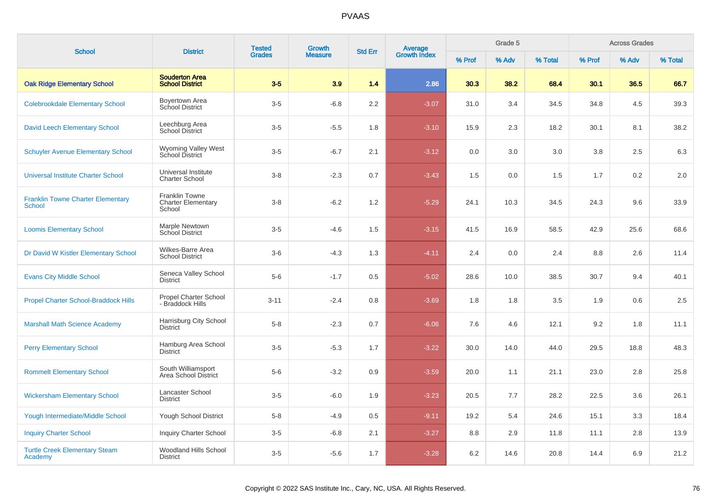|                                                           |                                                              | <b>Tested</b> | Growth         | <b>Std Err</b> | <b>Average</b><br>Growth Index |        | Grade 5 |         |        | <b>Across Grades</b> |         |
|-----------------------------------------------------------|--------------------------------------------------------------|---------------|----------------|----------------|--------------------------------|--------|---------|---------|--------|----------------------|---------|
| <b>School</b>                                             | <b>District</b>                                              | <b>Grades</b> | <b>Measure</b> |                |                                | % Prof | % Adv   | % Total | % Prof | % Adv                | % Total |
| <b>Oak Ridge Elementary School</b>                        | <b>Souderton Area</b><br><b>School District</b>              | $3-5$         | 3.9            | 1.4            | 2.86                           | 30.3   | 38.2    | 68.4    | 30.1   | 36.5                 | 66.7    |
| <b>Colebrookdale Elementary School</b>                    | Boyertown Area<br>School District                            | $3-5$         | $-6.8$         | 2.2            | $-3.07$                        | 31.0   | 3.4     | 34.5    | 34.8   | 4.5                  | 39.3    |
| <b>David Leech Elementary School</b>                      | Leechburg Area<br>School District                            | $3-5$         | $-5.5$         | 1.8            | $-3.10$                        | 15.9   | 2.3     | 18.2    | 30.1   | 8.1                  | 38.2    |
| <b>Schuyler Avenue Elementary School</b>                  | <b>Wyoming Valley West</b><br><b>School District</b>         | $3-5$         | $-6.7$         | 2.1            | $-3.12$                        | 0.0    | 3.0     | 3.0     | 3.8    | 2.5                  | 6.3     |
| <b>Universal Institute Charter School</b>                 | Universal Institute<br><b>Charter School</b>                 | $3-8$         | $-2.3$         | 0.7            | $-3.43$                        | 1.5    | 0.0     | 1.5     | 1.7    | 0.2                  | 2.0     |
| <b>Franklin Towne Charter Elementary</b><br><b>School</b> | <b>Franklin Towne</b><br><b>Charter Elementary</b><br>School | $3-8$         | $-6.2$         | 1.2            | $-5.29$                        | 24.1   | 10.3    | 34.5    | 24.3   | 9.6                  | 33.9    |
| <b>Loomis Elementary School</b>                           | Marple Newtown<br>School District                            | $3-5$         | $-4.6$         | 1.5            | $-3.15$                        | 41.5   | 16.9    | 58.5    | 42.9   | 25.6                 | 68.6    |
| Dr David W Kistler Elementary School                      | Wilkes-Barre Area<br><b>School District</b>                  | $3-6$         | $-4.3$         | 1.3            | $-4.11$                        | 2.4    | 0.0     | 2.4     | 8.8    | 2.6                  | 11.4    |
| <b>Evans City Middle School</b>                           | Seneca Valley School<br><b>District</b>                      | $5-6$         | $-1.7$         | 0.5            | $-5.02$                        | 28.6   | 10.0    | 38.5    | 30.7   | 9.4                  | 40.1    |
| <b>Propel Charter School-Braddock Hills</b>               | <b>Propel Charter School</b><br>- Braddock Hills             | $3 - 11$      | $-2.4$         | 0.8            | $-3.69$                        | 1.8    | 1.8     | 3.5     | 1.9    | 0.6                  | 2.5     |
| <b>Marshall Math Science Academy</b>                      | Harrisburg City School<br><b>District</b>                    | $5-8$         | $-2.3$         | 0.7            | $-6.06$                        | 7.6    | 4.6     | 12.1    | 9.2    | 1.8                  | 11.1    |
| <b>Perry Elementary School</b>                            | Hamburg Area School<br><b>District</b>                       | $3-5$         | $-5.3$         | 1.7            | $-3.22$                        | 30.0   | 14.0    | 44.0    | 29.5   | 18.8                 | 48.3    |
| <b>Rommelt Elementary School</b>                          | South Williamsport<br>Area School District                   | $5-6$         | $-3.2$         | 0.9            | $-3.59$                        | 20.0   | 1.1     | 21.1    | 23.0   | 2.8                  | 25.8    |
| <b>Wickersham Elementary School</b>                       | Lancaster School<br><b>District</b>                          | $3-5$         | $-6.0$         | 1.9            | $-3.23$                        | 20.5   | 7.7     | 28.2    | 22.5   | 3.6                  | 26.1    |
| <b>Yough Intermediate/Middle School</b>                   | Yough School District                                        | $5-8$         | $-4.9$         | 0.5            | $-9.11$                        | 19.2   | 5.4     | 24.6    | 15.1   | 3.3                  | 18.4    |
| <b>Inquiry Charter School</b>                             | <b>Inquiry Charter School</b>                                | $3-5$         | $-6.8$         | 2.1            | $-3.27$                        | 8.8    | 2.9     | 11.8    | 11.1   | 2.8                  | 13.9    |
| <b>Turtle Creek Elementary Steam</b><br>Academy           | Woodland Hills School<br><b>District</b>                     | $3-5$         | $-5.6$         | 1.7            | $-3.28$                        | 6.2    | 14.6    | 20.8    | 14.4   | 6.9                  | 21.2    |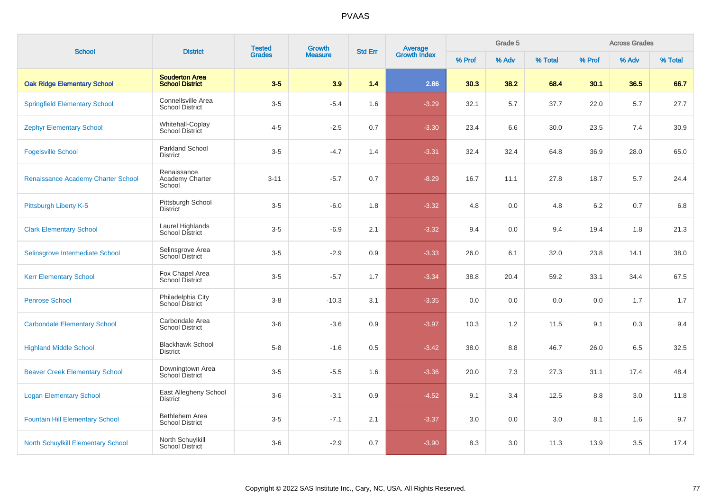| <b>School</b>                             | <b>District</b>                                 | <b>Tested</b><br><b>Grades</b> | Growth         | <b>Std Err</b> |                                |        | Grade 5 |         |        | <b>Across Grades</b> |         |
|-------------------------------------------|-------------------------------------------------|--------------------------------|----------------|----------------|--------------------------------|--------|---------|---------|--------|----------------------|---------|
|                                           |                                                 |                                | <b>Measure</b> |                | <b>Average</b><br>Growth Index | % Prof | % Adv   | % Total | % Prof | % Adv                | % Total |
| <b>Oak Ridge Elementary School</b>        | <b>Souderton Area</b><br><b>School District</b> | $3-5$                          | 3.9            | 1.4            | 2.86                           | 30.3   | 38.2    | 68.4    | 30.1   | 36.5                 | 66.7    |
| <b>Springfield Elementary School</b>      | Connellsville Area<br><b>School District</b>    | $3-5$                          | $-5.4$         | 1.6            | $-3.29$                        | 32.1   | 5.7     | 37.7    | 22.0   | 5.7                  | 27.7    |
| <b>Zephyr Elementary School</b>           | Whitehall-Coplay<br><b>School District</b>      | $4 - 5$                        | $-2.5$         | 0.7            | $-3.30$                        | 23.4   | 6.6     | 30.0    | 23.5   | 7.4                  | 30.9    |
| <b>Fogelsville School</b>                 | <b>Parkland School</b><br><b>District</b>       | $3-5$                          | $-4.7$         | 1.4            | $-3.31$                        | 32.4   | 32.4    | 64.8    | 36.9   | 28.0                 | 65.0    |
| Renaissance Academy Charter School        | Renaissance<br>Academy Charter<br>School        | $3 - 11$                       | $-5.7$         | 0.7            | $-8.29$                        | 16.7   | 11.1    | 27.8    | 18.7   | 5.7                  | 24.4    |
| Pittsburgh Liberty K-5                    | Pittsburgh School<br><b>District</b>            | $3-5$                          | $-6.0$         | 1.8            | $-3.32$                        | 4.8    | 0.0     | 4.8     | 6.2    | 0.7                  | 6.8     |
| <b>Clark Elementary School</b>            | Laurel Highlands<br><b>School District</b>      | $3-5$                          | $-6.9$         | 2.1            | $-3.32$                        | 9.4    | 0.0     | 9.4     | 19.4   | 1.8                  | 21.3    |
| Selinsgrove Intermediate School           | Selinsgrove Area<br>School District             | $3-5$                          | $-2.9$         | 0.9            | $-3.33$                        | 26.0   | 6.1     | 32.0    | 23.8   | 14.1                 | 38.0    |
| <b>Kerr Elementary School</b>             | Fox Chapel Area<br>School District              | $3-5$                          | $-5.7$         | 1.7            | $-3.34$                        | 38.8   | 20.4    | 59.2    | 33.1   | 34.4                 | 67.5    |
| <b>Penrose School</b>                     | Philadelphia City<br>School District            | $3 - 8$                        | $-10.3$        | 3.1            | $-3.35$                        | 0.0    | 0.0     | 0.0     | 0.0    | 1.7                  | 1.7     |
| <b>Carbondale Elementary School</b>       | Carbondale Area<br><b>School District</b>       | $3-6$                          | $-3.6$         | 0.9            | $-3.97$                        | 10.3   | 1.2     | 11.5    | 9.1    | 0.3                  | 9.4     |
| <b>Highland Middle School</b>             | <b>Blackhawk School</b><br><b>District</b>      | $5-8$                          | $-1.6$         | 0.5            | $-3.42$                        | 38.0   | 8.8     | 46.7    | 26.0   | 6.5                  | 32.5    |
| <b>Beaver Creek Elementary School</b>     | Downingtown Area<br>School District             | $3-5$                          | $-5.5$         | 1.6            | $-3.36$                        | 20.0   | 7.3     | 27.3    | 31.1   | 17.4                 | 48.4    |
| <b>Logan Elementary School</b>            | East Allegheny School<br><b>District</b>        | $3-6$                          | $-3.1$         | 0.9            | $-4.52$                        | 9.1    | 3.4     | 12.5    | 8.8    | 3.0                  | 11.8    |
| <b>Fountain Hill Elementary School</b>    | Bethlehem Area<br><b>School District</b>        | $3-5$                          | $-7.1$         | 2.1            | $-3.37$                        | 3.0    | 0.0     | 3.0     | 8.1    | 1.6                  | 9.7     |
| <b>North Schuylkill Elementary School</b> | North Schuylkill<br><b>School District</b>      | $3-6$                          | $-2.9$         | 0.7            | $-3.90$                        | 8.3    | 3.0     | 11.3    | 13.9   | 3.5                  | 17.4    |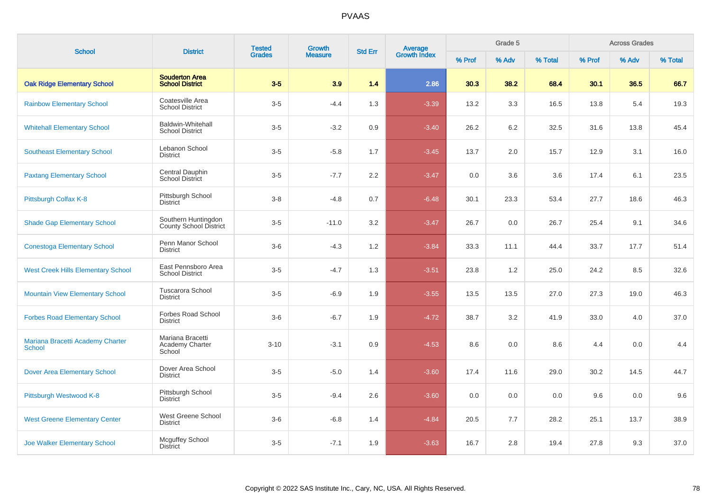| <b>School</b>                                     | <b>District</b>                                 | <b>Tested</b> | <b>Growth</b>  | <b>Std Err</b> |                                |        | Grade 5 |         |        | <b>Across Grades</b> |         |
|---------------------------------------------------|-------------------------------------------------|---------------|----------------|----------------|--------------------------------|--------|---------|---------|--------|----------------------|---------|
|                                                   |                                                 | <b>Grades</b> | <b>Measure</b> |                | <b>Average</b><br>Growth Index | % Prof | % Adv   | % Total | % Prof | % Adv                | % Total |
| <b>Oak Ridge Elementary School</b>                | <b>Souderton Area</b><br><b>School District</b> | $3-5$         | 3.9            | 1.4            | 2.86                           | 30.3   | 38.2    | 68.4    | 30.1   | 36.5                 | 66.7    |
| <b>Rainbow Elementary School</b>                  | Coatesville Area<br><b>School District</b>      | $3-5$         | $-4.4$         | 1.3            | $-3.39$                        | 13.2   | 3.3     | 16.5    | 13.8   | 5.4                  | 19.3    |
| <b>Whitehall Elementary School</b>                | Baldwin-Whitehall<br><b>School District</b>     | $3-5$         | $-3.2$         | 0.9            | $-3.40$                        | 26.2   | 6.2     | 32.5    | 31.6   | 13.8                 | 45.4    |
| <b>Southeast Elementary School</b>                | Lebanon School<br><b>District</b>               | $3-5$         | $-5.8$         | 1.7            | $-3.45$                        | 13.7   | 2.0     | 15.7    | 12.9   | 3.1                  | 16.0    |
| <b>Paxtang Elementary School</b>                  | Central Dauphin<br><b>School District</b>       | $3-5$         | $-7.7$         | 2.2            | $-3.47$                        | 0.0    | 3.6     | 3.6     | 17.4   | 6.1                  | 23.5    |
| Pittsburgh Colfax K-8                             | Pittsburgh School<br><b>District</b>            | $3-8$         | $-4.8$         | 0.7            | $-6.48$                        | 30.1   | 23.3    | 53.4    | 27.7   | 18.6                 | 46.3    |
| <b>Shade Gap Elementary School</b>                | Southern Huntingdon<br>County School District   | $3-5$         | $-11.0$        | 3.2            | $-3.47$                        | 26.7   | 0.0     | 26.7    | 25.4   | 9.1                  | 34.6    |
| <b>Conestoga Elementary School</b>                | Penn Manor School<br><b>District</b>            | $3-6$         | $-4.3$         | 1.2            | $-3.84$                        | 33.3   | 11.1    | 44.4    | 33.7   | 17.7                 | 51.4    |
| <b>West Creek Hills Elementary School</b>         | East Pennsboro Area<br><b>School District</b>   | $3-5$         | $-4.7$         | 1.3            | $-3.51$                        | 23.8   | 1.2     | 25.0    | 24.2   | 8.5                  | 32.6    |
| <b>Mountain View Elementary School</b>            | Tuscarora School<br><b>District</b>             | $3-5$         | $-6.9$         | 1.9            | $-3.55$                        | 13.5   | 13.5    | 27.0    | 27.3   | 19.0                 | 46.3    |
| <b>Forbes Road Elementary School</b>              | Forbes Road School<br><b>District</b>           | $3-6$         | $-6.7$         | 1.9            | $-4.72$                        | 38.7   | 3.2     | 41.9    | 33.0   | 4.0                  | 37.0    |
| Mariana Bracetti Academy Charter<br><b>School</b> | Mariana Bracetti<br>Academy Charter<br>School   | $3 - 10$      | $-3.1$         | 0.9            | $-4.53$                        | 8.6    | 0.0     | 8.6     | 4.4    | 0.0                  | 4.4     |
| <b>Dover Area Elementary School</b>               | Dover Area School<br><b>District</b>            | $3-5$         | $-5.0$         | 1.4            | $-3.60$                        | 17.4   | 11.6    | 29.0    | 30.2   | 14.5                 | 44.7    |
| Pittsburgh Westwood K-8                           | Pittsburgh School<br><b>District</b>            | $3-5$         | $-9.4$         | 2.6            | $-3.60$                        | 0.0    | 0.0     | 0.0     | 9.6    | 0.0                  | 9.6     |
| <b>West Greene Elementary Center</b>              | West Greene School<br><b>District</b>           | $3-6$         | $-6.8$         | 1.4            | $-4.84$                        | 20.5   | 7.7     | 28.2    | 25.1   | 13.7                 | 38.9    |
| <b>Joe Walker Elementary School</b>               | <b>Mcguffey School</b><br><b>District</b>       | $3-5$         | $-7.1$         | 1.9            | $-3.63$                        | 16.7   | 2.8     | 19.4    | 27.8   | 9.3                  | 37.0    |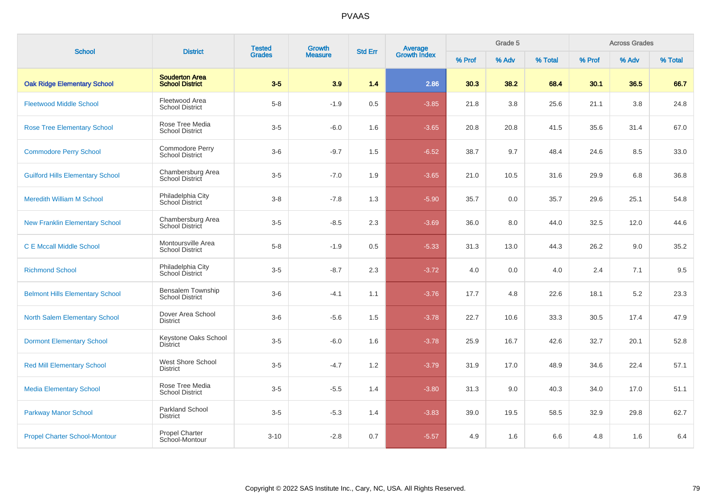| <b>School</b>                           | <b>District</b>                                    | <b>Tested</b><br><b>Grades</b> | Growth         | <b>Std Err</b> | Average<br>Growth Index |        | Grade 5 |         |        | <b>Across Grades</b> |         |
|-----------------------------------------|----------------------------------------------------|--------------------------------|----------------|----------------|-------------------------|--------|---------|---------|--------|----------------------|---------|
|                                         |                                                    |                                | <b>Measure</b> |                |                         | % Prof | % Adv   | % Total | % Prof | % Adv                | % Total |
| <b>Oak Ridge Elementary School</b>      | <b>Souderton Area</b><br><b>School District</b>    | $3-5$                          | 3.9            | 1.4            | 2.86                    | 30.3   | 38.2    | 68.4    | 30.1   | 36.5                 | 66.7    |
| <b>Fleetwood Middle School</b>          | Fleetwood Area<br><b>School District</b>           | $5-8$                          | $-1.9$         | 0.5            | $-3.85$                 | 21.8   | 3.8     | 25.6    | 21.1   | 3.8                  | 24.8    |
| <b>Rose Tree Elementary School</b>      | Rose Tree Media<br><b>School District</b>          | $3-5$                          | $-6.0$         | 1.6            | $-3.65$                 | 20.8   | 20.8    | 41.5    | 35.6   | 31.4                 | 67.0    |
| <b>Commodore Perry School</b>           | Commodore Perry<br><b>School District</b>          | $3-6$                          | $-9.7$         | 1.5            | $-6.52$                 | 38.7   | 9.7     | 48.4    | 24.6   | 8.5                  | 33.0    |
| <b>Guilford Hills Elementary School</b> | Chambersburg Area<br>School District               | $3-5$                          | $-7.0$         | 1.9            | $-3.65$                 | 21.0   | 10.5    | 31.6    | 29.9   | 6.8                  | 36.8    |
| <b>Meredith William M School</b>        | Philadelphia City<br>School District               | $3-8$                          | $-7.8$         | 1.3            | $-5.90$                 | 35.7   | 0.0     | 35.7    | 29.6   | 25.1                 | 54.8    |
| <b>New Franklin Elementary School</b>   | Chambersburg Area<br>School District               | $3-5$                          | $-8.5$         | 2.3            | $-3.69$                 | 36.0   | 8.0     | 44.0    | 32.5   | 12.0                 | 44.6    |
| <b>C E Mccall Middle School</b>         | Montoursville Area<br><b>School District</b>       | $5-8$                          | $-1.9$         | 0.5            | $-5.33$                 | 31.3   | 13.0    | 44.3    | 26.2   | 9.0                  | 35.2    |
| <b>Richmond School</b>                  | Philadelphia City<br>School District               | $3-5$                          | $-8.7$         | 2.3            | $-3.72$                 | 4.0    | 0.0     | 4.0     | 2.4    | 7.1                  | 9.5     |
| <b>Belmont Hills Elementary School</b>  | <b>Bensalem Township</b><br><b>School District</b> | $3-6$                          | $-4.1$         | 1.1            | $-3.76$                 | 17.7   | 4.8     | 22.6    | 18.1   | 5.2                  | 23.3    |
| <b>North Salem Elementary School</b>    | Dover Area School<br><b>District</b>               | $3-6$                          | $-5.6$         | 1.5            | $-3.78$                 | 22.7   | 10.6    | 33.3    | 30.5   | 17.4                 | 47.9    |
| <b>Dormont Elementary School</b>        | Keystone Oaks School<br><b>District</b>            | $3-5$                          | $-6.0$         | 1.6            | $-3.78$                 | 25.9   | 16.7    | 42.6    | 32.7   | 20.1                 | 52.8    |
| <b>Red Mill Elementary School</b>       | West Shore School<br><b>District</b>               | $3-5$                          | $-4.7$         | 1.2            | $-3.79$                 | 31.9   | 17.0    | 48.9    | 34.6   | 22.4                 | 57.1    |
| <b>Media Elementary School</b>          | Rose Tree Media<br><b>School District</b>          | $3-5$                          | $-5.5$         | 1.4            | $-3.80$                 | 31.3   | 9.0     | 40.3    | 34.0   | 17.0                 | 51.1    |
| <b>Parkway Manor School</b>             | <b>Parkland School</b><br><b>District</b>          | $3-5$                          | $-5.3$         | 1.4            | $-3.83$                 | 39.0   | 19.5    | 58.5    | 32.9   | 29.8                 | 62.7    |
| <b>Propel Charter School-Montour</b>    | Propel Charter<br>School-Montour                   | $3 - 10$                       | $-2.8$         | 0.7            | $-5.57$                 | 4.9    | 1.6     | 6.6     | 4.8    | 1.6                  | 6.4     |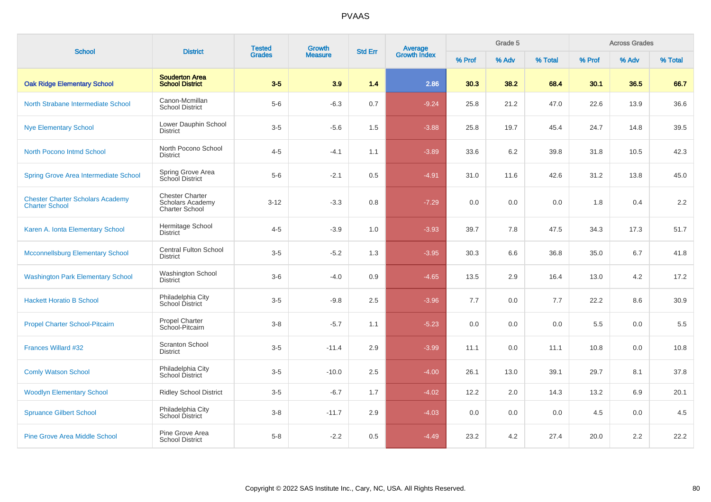| <b>School</b>                                                    | <b>District</b>                                                     | <b>Tested</b><br><b>Grades</b> | <b>Growth</b>  | <b>Std Err</b> |                         |        | Grade 5 |         |        | <b>Across Grades</b> |         |
|------------------------------------------------------------------|---------------------------------------------------------------------|--------------------------------|----------------|----------------|-------------------------|--------|---------|---------|--------|----------------------|---------|
|                                                                  |                                                                     |                                | <b>Measure</b> |                | Average<br>Growth Index | % Prof | % Adv   | % Total | % Prof | % Adv                | % Total |
| <b>Oak Ridge Elementary School</b>                               | <b>Souderton Area</b><br><b>School District</b>                     | $3-5$                          | 3.9            | 1.4            | 2.86                    | 30.3   | 38.2    | 68.4    | 30.1   | 36.5                 | 66.7    |
| North Strabane Intermediate School                               | Canon-Mcmillan<br><b>School District</b>                            | $5-6$                          | $-6.3$         | 0.7            | $-9.24$                 | 25.8   | 21.2    | 47.0    | 22.6   | 13.9                 | 36.6    |
| <b>Nye Elementary School</b>                                     | Lower Dauphin School<br><b>District</b>                             | $3-5$                          | $-5.6$         | 1.5            | $-3.88$                 | 25.8   | 19.7    | 45.4    | 24.7   | 14.8                 | 39.5    |
| <b>North Pocono Intmd School</b>                                 | North Pocono School<br><b>District</b>                              | $4 - 5$                        | $-4.1$         | 1.1            | $-3.89$                 | 33.6   | 6.2     | 39.8    | 31.8   | 10.5                 | 42.3    |
| Spring Grove Area Intermediate School                            | Spring Grove Area<br>School District                                | $5-6$                          | $-2.1$         | 0.5            | $-4.91$                 | 31.0   | 11.6    | 42.6    | 31.2   | 13.8                 | 45.0    |
| <b>Chester Charter Scholars Academy</b><br><b>Charter School</b> | <b>Chester Charter</b><br>Scholars Academy<br><b>Charter School</b> | $3 - 12$                       | $-3.3$         | 0.8            | $-7.29$                 | 0.0    | 0.0     | 0.0     | 1.8    | 0.4                  | 2.2     |
| Karen A. Ionta Elementary School                                 | Hermitage School<br><b>District</b>                                 | $4 - 5$                        | $-3.9$         | 1.0            | $-3.93$                 | 39.7   | 7.8     | 47.5    | 34.3   | 17.3                 | 51.7    |
| <b>Mcconnellsburg Elementary School</b>                          | <b>Central Fulton School</b><br><b>District</b>                     | $3-5$                          | $-5.2$         | 1.3            | $-3.95$                 | 30.3   | 6.6     | 36.8    | 35.0   | 6.7                  | 41.8    |
| <b>Washington Park Elementary School</b>                         | Washington School<br><b>District</b>                                | $3-6$                          | $-4.0$         | 0.9            | $-4.65$                 | 13.5   | 2.9     | 16.4    | 13.0   | 4.2                  | 17.2    |
| <b>Hackett Horatio B School</b>                                  | Philadelphia City<br>School District                                | $3-5$                          | $-9.8$         | 2.5            | $-3.96$                 | 7.7    | 0.0     | 7.7     | 22.2   | 8.6                  | 30.9    |
| <b>Propel Charter School-Pitcairn</b>                            | <b>Propel Charter</b><br>School-Pitcairn                            | $3-8$                          | $-5.7$         | 1.1            | $-5.23$                 | 0.0    | 0.0     | 0.0     | 5.5    | 0.0                  | 5.5     |
| <b>Frances Willard #32</b>                                       | <b>Scranton School</b><br>District                                  | $3-5$                          | $-11.4$        | 2.9            | $-3.99$                 | 11.1   | 0.0     | 11.1    | 10.8   | 0.0                  | 10.8    |
| <b>Comly Watson School</b>                                       | Philadelphia City<br>School District                                | $3-5$                          | $-10.0$        | 2.5            | $-4.00$                 | 26.1   | 13.0    | 39.1    | 29.7   | 8.1                  | 37.8    |
| <b>Woodlyn Elementary School</b>                                 | <b>Ridley School District</b>                                       | $3-5$                          | $-6.7$         | 1.7            | $-4.02$                 | 12.2   | 2.0     | 14.3    | 13.2   | 6.9                  | 20.1    |
| <b>Spruance Gilbert School</b>                                   | Philadelphia City<br>School District                                | $3-8$                          | $-11.7$        | 2.9            | $-4.03$                 | 0.0    | 0.0     | 0.0     | 4.5    | 0.0                  | 4.5     |
| <b>Pine Grove Area Middle School</b>                             | Pine Grove Area<br><b>School District</b>                           | $5-8$                          | $-2.2$         | 0.5            | $-4.49$                 | 23.2   | 4.2     | 27.4    | 20.0   | 2.2                  | 22.2    |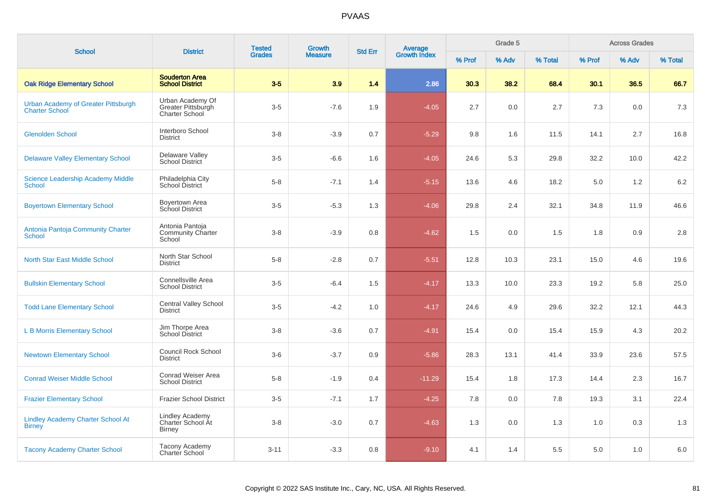| <b>School</b>                                                | <b>District</b>                                                 | <b>Tested</b><br><b>Grades</b> | <b>Growth</b>  | <b>Std Err</b> | Average<br>Growth Index |        | Grade 5 |         |        | <b>Across Grades</b> |         |
|--------------------------------------------------------------|-----------------------------------------------------------------|--------------------------------|----------------|----------------|-------------------------|--------|---------|---------|--------|----------------------|---------|
|                                                              |                                                                 |                                | <b>Measure</b> |                |                         | % Prof | % Adv   | % Total | % Prof | % Adv                | % Total |
| <b>Oak Ridge Elementary School</b>                           | <b>Souderton Area</b><br><b>School District</b>                 | $3-5$                          | 3.9            | $1.4$          | 2.86                    | 30.3   | 38.2    | 68.4    | 30.1   | 36.5                 | 66.7    |
| Urban Academy of Greater Pittsburgh<br><b>Charter School</b> | Urban Academy Of<br>Greater Pittsburgh<br><b>Charter School</b> | $3-5$                          | $-7.6$         | 1.9            | $-4.05$                 | 2.7    | 0.0     | 2.7     | 7.3    | 0.0                  | 7.3     |
| <b>Glenolden School</b>                                      | Interboro School<br><b>District</b>                             | $3 - 8$                        | $-3.9$         | 0.7            | $-5.29$                 | 9.8    | 1.6     | 11.5    | 14.1   | 2.7                  | 16.8    |
| <b>Delaware Valley Elementary School</b>                     | Delaware Valley<br><b>School District</b>                       | $3-5$                          | $-6.6$         | 1.6            | $-4.05$                 | 24.6   | 5.3     | 29.8    | 32.2   | 10.0                 | 42.2    |
| <b>Science Leadership Academy Middle</b><br>School           | Philadelphia City<br>School District                            | $5 - 8$                        | $-7.1$         | 1.4            | $-5.15$                 | 13.6   | 4.6     | 18.2    | 5.0    | 1.2                  | 6.2     |
| <b>Boyertown Elementary School</b>                           | Boyertown Area<br>School District                               | $3-5$                          | $-5.3$         | 1.3            | $-4.06$                 | 29.8   | 2.4     | 32.1    | 34.8   | 11.9                 | 46.6    |
| Antonia Pantoja Community Charter<br>School                  | Antonia Pantoja<br><b>Community Charter</b><br>School           | $3 - 8$                        | $-3.9$         | 0.8            | $-4.62$                 | 1.5    | 0.0     | 1.5     | 1.8    | 0.9                  | 2.8     |
| North Star East Middle School                                | North Star School<br><b>District</b>                            | $5 - 8$                        | $-2.8$         | 0.7            | $-5.51$                 | 12.8   | 10.3    | 23.1    | 15.0   | 4.6                  | 19.6    |
| <b>Bullskin Elementary School</b>                            | Connellsville Area<br><b>School District</b>                    | $3-5$                          | $-6.4$         | 1.5            | $-4.17$                 | 13.3   | 10.0    | 23.3    | 19.2   | 5.8                  | 25.0    |
| <b>Todd Lane Elementary School</b>                           | Central Valley School<br><b>District</b>                        | $3-5$                          | $-4.2$         | 1.0            | $-4.17$                 | 24.6   | 4.9     | 29.6    | 32.2   | 12.1                 | 44.3    |
| <b>L B Morris Elementary School</b>                          | Jim Thorpe Area<br><b>School District</b>                       | $3 - 8$                        | $-3.6$         | 0.7            | $-4.91$                 | 15.4   | 0.0     | 15.4    | 15.9   | 4.3                  | 20.2    |
| <b>Newtown Elementary School</b>                             | <b>Council Rock School</b><br><b>District</b>                   | $3-6$                          | $-3.7$         | 0.9            | $-5.86$                 | 28.3   | 13.1    | 41.4    | 33.9   | 23.6                 | 57.5    |
| <b>Conrad Weiser Middle School</b>                           | Conrad Weiser Area<br><b>School District</b>                    | $5-8$                          | $-1.9$         | 0.4            | $-11.29$                | 15.4   | 1.8     | 17.3    | 14.4   | 2.3                  | 16.7    |
| <b>Frazier Elementary School</b>                             | <b>Frazier School District</b>                                  | $3-5$                          | $-7.1$         | 1.7            | $-4.25$                 | 7.8    | 0.0     | 7.8     | 19.3   | 3.1                  | 22.4    |
| <b>Lindley Academy Charter School At</b><br><b>Birney</b>    | <b>Lindley Academy</b><br>Charter School At<br><b>Birney</b>    | $3 - 8$                        | $-3.0$         | 0.7            | $-4.63$                 | 1.3    | 0.0     | 1.3     | 1.0    | 0.3                  | 1.3     |
| <b>Tacony Academy Charter School</b>                         | <b>Tacony Academy</b><br><b>Charter School</b>                  | $3 - 11$                       | $-3.3$         | 0.8            | $-9.10$                 | 4.1    | 1.4     | 5.5     | 5.0    | 1.0                  | 6.0     |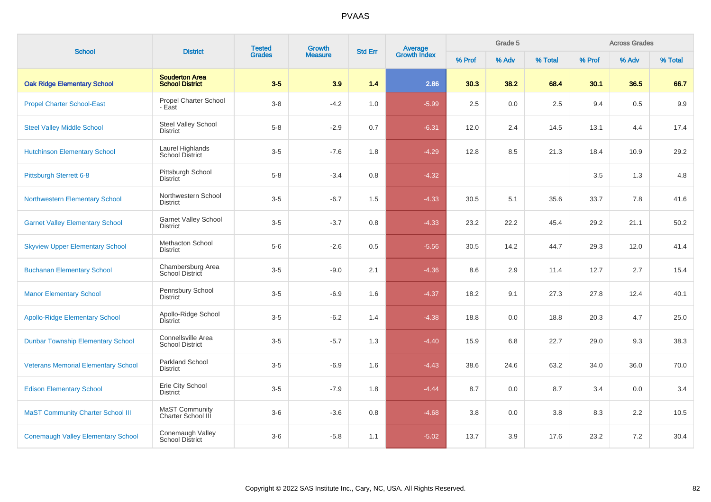| <b>School</b>                              | <b>District</b>                                 | <b>Tested</b> | Growth         |                |                                |        | Grade 5 |         |         | <b>Across Grades</b> |         |
|--------------------------------------------|-------------------------------------------------|---------------|----------------|----------------|--------------------------------|--------|---------|---------|---------|----------------------|---------|
|                                            |                                                 | <b>Grades</b> | <b>Measure</b> | <b>Std Err</b> | <b>Average</b><br>Growth Index | % Prof | % Adv   | % Total | % Prof  | % Adv                | % Total |
| <b>Oak Ridge Elementary School</b>         | <b>Souderton Area</b><br><b>School District</b> | $3-5$         | 3.9            | 1.4            | 2.86                           | 30.3   | 38.2    | 68.4    | 30.1    | 36.5                 | 66.7    |
| <b>Propel Charter School-East</b>          | <b>Propel Charter School</b><br>- East          | $3-8$         | $-4.2$         | 1.0            | $-5.99$                        | 2.5    | 0.0     | 2.5     | 9.4     | 0.5                  | 9.9     |
| <b>Steel Valley Middle School</b>          | Steel Valley School<br><b>District</b>          | $5-8$         | $-2.9$         | 0.7            | $-6.31$                        | 12.0   | 2.4     | 14.5    | 13.1    | 4.4                  | 17.4    |
| <b>Hutchinson Elementary School</b>        | Laurel Highlands<br>School District             | $3-5$         | $-7.6$         | 1.8            | $-4.29$                        | 12.8   | 8.5     | 21.3    | 18.4    | 10.9                 | 29.2    |
| Pittsburgh Sterrett 6-8                    | Pittsburgh School<br><b>District</b>            | $5-8$         | $-3.4$         | 0.8            | $-4.32$                        |        |         |         | $3.5\,$ | 1.3                  | 4.8     |
| <b>Northwestern Elementary School</b>      | Northwestern School<br><b>District</b>          | $3-5$         | $-6.7$         | 1.5            | $-4.33$                        | 30.5   | 5.1     | 35.6    | 33.7    | 7.8                  | 41.6    |
| <b>Garnet Valley Elementary School</b>     | Garnet Valley School<br><b>District</b>         | $3-5$         | $-3.7$         | 0.8            | $-4.33$                        | 23.2   | 22.2    | 45.4    | 29.2    | 21.1                 | 50.2    |
| <b>Skyview Upper Elementary School</b>     | Methacton School<br><b>District</b>             | $5-6$         | $-2.6$         | 0.5            | $-5.56$                        | 30.5   | 14.2    | 44.7    | 29.3    | 12.0                 | 41.4    |
| <b>Buchanan Elementary School</b>          | Chambersburg Area<br>School District            | $3-5$         | $-9.0$         | 2.1            | $-4.36$                        | 8.6    | 2.9     | 11.4    | 12.7    | 2.7                  | 15.4    |
| <b>Manor Elementary School</b>             | Pennsbury School<br><b>District</b>             | $3-5$         | $-6.9$         | 1.6            | $-4.37$                        | 18.2   | 9.1     | 27.3    | 27.8    | 12.4                 | 40.1    |
| <b>Apollo-Ridge Elementary School</b>      | Apollo-Ridge School<br><b>District</b>          | $3-5$         | $-6.2$         | 1.4            | $-4.38$                        | 18.8   | 0.0     | 18.8    | 20.3    | 4.7                  | 25.0    |
| <b>Dunbar Township Elementary School</b>   | Connellsville Area<br><b>School District</b>    | $3-5$         | $-5.7$         | 1.3            | $-4.40$                        | 15.9   | 6.8     | 22.7    | 29.0    | 9.3                  | 38.3    |
| <b>Veterans Memorial Elementary School</b> | Parkland School<br><b>District</b>              | $3-5$         | $-6.9$         | 1.6            | $-4.43$                        | 38.6   | 24.6    | 63.2    | 34.0    | 36.0                 | 70.0    |
| <b>Edison Elementary School</b>            | Erie City School<br><b>District</b>             | $3-5$         | $-7.9$         | 1.8            | $-4.44$                        | 8.7    | 0.0     | 8.7     | 3.4     | 0.0                  | 3.4     |
| <b>MaST Community Charter School III</b>   | <b>MaST Community</b><br>Charter School III     | $3-6$         | $-3.6$         | 0.8            | $-4.68$                        | 3.8    | 0.0     | 3.8     | 8.3     | 2.2                  | 10.5    |
| <b>Conemaugh Valley Elementary School</b>  | Conemaugh Valley<br>School District             | $3-6$         | $-5.8$         | 1.1            | $-5.02$                        | 13.7   | 3.9     | 17.6    | 23.2    | 7.2                  | 30.4    |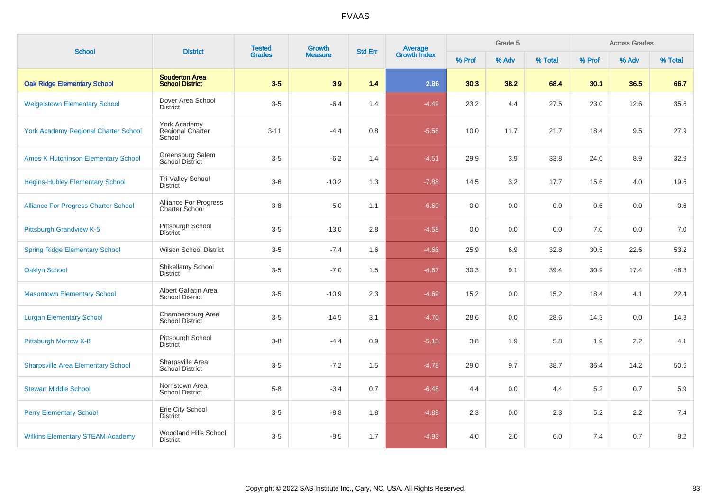| <b>School</b>                               | <b>District</b>                                       | <b>Tested</b> | Growth         |                | Average<br>Growth Index |        | Grade 5 |         |         | <b>Across Grades</b> |         |
|---------------------------------------------|-------------------------------------------------------|---------------|----------------|----------------|-------------------------|--------|---------|---------|---------|----------------------|---------|
|                                             |                                                       | <b>Grades</b> | <b>Measure</b> | <b>Std Err</b> |                         | % Prof | % Adv   | % Total | % Prof  | % Adv                | % Total |
| <b>Oak Ridge Elementary School</b>          | <b>Souderton Area</b><br><b>School District</b>       | $3-5$         | 3.9            | 1.4            | 2.86                    | 30.3   | 38.2    | 68.4    | 30.1    | 36.5                 | 66.7    |
| <b>Weigelstown Elementary School</b>        | Dover Area School<br><b>District</b>                  | $3-5$         | $-6.4$         | 1.4            | $-4.49$                 | 23.2   | 4.4     | 27.5    | 23.0    | 12.6                 | 35.6    |
| <b>York Academy Regional Charter School</b> | York Academy<br>Regional Charter<br>School            | $3 - 11$      | $-4.4$         | 0.8            | $-5.58$                 | 10.0   | 11.7    | 21.7    | 18.4    | 9.5                  | 27.9    |
| <b>Amos K Hutchinson Elementary School</b>  | Greensburg Salem<br><b>School District</b>            | $3-5$         | $-6.2$         | 1.4            | $-4.51$                 | 29.9   | 3.9     | 33.8    | 24.0    | 8.9                  | 32.9    |
| <b>Hegins-Hubley Elementary School</b>      | Tri-Valley School<br><b>District</b>                  | $3-6$         | $-10.2$        | 1.3            | $-7.88$                 | 14.5   | 3.2     | 17.7    | 15.6    | 4.0                  | 19.6    |
| <b>Alliance For Progress Charter School</b> | <b>Alliance For Progress</b><br><b>Charter School</b> | $3 - 8$       | $-5.0$         | 1.1            | $-6.69$                 | 0.0    | 0.0     | 0.0     | 0.6     | 0.0                  | 0.6     |
| Pittsburgh Grandview K-5                    | Pittsburgh School<br><b>District</b>                  | $3-5$         | $-13.0$        | 2.8            | $-4.58$                 | 0.0    | 0.0     | 0.0     | 7.0     | 0.0                  | 7.0     |
| <b>Spring Ridge Elementary School</b>       | <b>Wilson School District</b>                         | $3-5$         | $-7.4$         | 1.6            | $-4.66$                 | 25.9   | 6.9     | 32.8    | 30.5    | 22.6                 | 53.2    |
| <b>Oaklyn School</b>                        | Shikellamy School<br><b>District</b>                  | $3-5$         | $-7.0$         | 1.5            | $-4.67$                 | 30.3   | 9.1     | 39.4    | 30.9    | 17.4                 | 48.3    |
| <b>Masontown Elementary School</b>          | Albert Gallatin Area<br><b>School District</b>        | $3-5$         | $-10.9$        | 2.3            | $-4.69$                 | 15.2   | 0.0     | 15.2    | 18.4    | 4.1                  | 22.4    |
| <b>Lurgan Elementary School</b>             | Chambersburg Area<br><b>School District</b>           | $3-5$         | $-14.5$        | 3.1            | $-4.70$                 | 28.6   | 0.0     | 28.6    | 14.3    | 0.0                  | 14.3    |
| Pittsburgh Morrow K-8                       | Pittsburgh School<br><b>District</b>                  | $3-8$         | $-4.4$         | 0.9            | $-5.13$                 | 3.8    | 1.9     | 5.8     | 1.9     | 2.2                  | 4.1     |
| <b>Sharpsville Area Elementary School</b>   | Sharpsville Area<br>School District                   | $3-5$         | $-7.2$         | 1.5            | $-4.78$                 | 29.0   | 9.7     | 38.7    | 36.4    | 14.2                 | 50.6    |
| <b>Stewart Middle School</b>                | Norristown Area<br><b>School District</b>             | $5-8$         | $-3.4$         | 0.7            | $-6.48$                 | 4.4    | 0.0     | 4.4     | $5.2\,$ | 0.7                  | 5.9     |
| <b>Perry Elementary School</b>              | Erie City School<br><b>District</b>                   | $3-5$         | $-8.8$         | 1.8            | $-4.89$                 | 2.3    | 0.0     | 2.3     | $5.2\,$ | 2.2                  | 7.4     |
| <b>Wilkins Elementary STEAM Academy</b>     | Woodland Hills School<br><b>District</b>              | $3-5$         | $-8.5$         | 1.7            | $-4.93$                 | 4.0    | 2.0     | 6.0     | 7.4     | 0.7                  | 8.2     |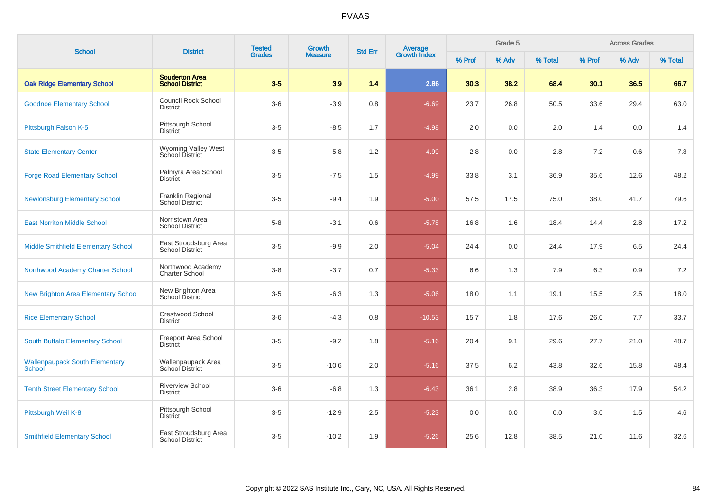| <b>School</b>                                   | <b>District</b>                                 | <b>Tested</b><br><b>Grades</b> | Growth         | <b>Std Err</b> | Average<br>Growth Index |        | Grade 5 |         |         | <b>Across Grades</b> |         |
|-------------------------------------------------|-------------------------------------------------|--------------------------------|----------------|----------------|-------------------------|--------|---------|---------|---------|----------------------|---------|
|                                                 |                                                 |                                | <b>Measure</b> |                |                         | % Prof | % Adv   | % Total | % Prof  | % Adv                | % Total |
| <b>Oak Ridge Elementary School</b>              | <b>Souderton Area</b><br><b>School District</b> | $3-5$                          | 3.9            | 1.4            | 2.86                    | 30.3   | 38.2    | 68.4    | 30.1    | 36.5                 | 66.7    |
| <b>Goodnoe Elementary School</b>                | <b>Council Rock School</b><br><b>District</b>   | $3-6$                          | $-3.9$         | 0.8            | $-6.69$                 | 23.7   | 26.8    | 50.5    | 33.6    | 29.4                 | 63.0    |
| Pittsburgh Faison K-5                           | Pittsburgh School<br><b>District</b>            | $3-5$                          | $-8.5$         | 1.7            | $-4.98$                 | 2.0    | 0.0     | 2.0     | 1.4     | 0.0                  | 1.4     |
| <b>State Elementary Center</b>                  | Wyoming Valley West<br>School District          | $3-5$                          | $-5.8$         | 1.2            | $-4.99$                 | 2.8    | 0.0     | 2.8     | 7.2     | 0.6                  | 7.8     |
| <b>Forge Road Elementary School</b>             | Palmyra Area School<br><b>District</b>          | $3-5$                          | $-7.5$         | 1.5            | $-4.99$                 | 33.8   | 3.1     | 36.9    | 35.6    | 12.6                 | 48.2    |
| <b>Newlonsburg Elementary School</b>            | Franklin Regional<br>School District            | $3-5$                          | $-9.4$         | 1.9            | $-5.00$                 | 57.5   | 17.5    | 75.0    | 38.0    | 41.7                 | 79.6    |
| <b>East Norriton Middle School</b>              | Norristown Area<br><b>School District</b>       | $5-8$                          | $-3.1$         | 0.6            | $-5.78$                 | 16.8   | 1.6     | 18.4    | 14.4    | 2.8                  | 17.2    |
| Middle Smithfield Elementary School             | East Stroudsburg Area<br><b>School District</b> | $3-5$                          | $-9.9$         | 2.0            | $-5.04$                 | 24.4   | 0.0     | 24.4    | 17.9    | 6.5                  | 24.4    |
| Northwood Academy Charter School                | Northwood Academy<br><b>Charter School</b>      | $3-8$                          | $-3.7$         | 0.7            | $-5.33$                 | 6.6    | 1.3     | 7.9     | 6.3     | 0.9                  | 7.2     |
| <b>New Brighton Area Elementary School</b>      | New Brighton Area<br>School District            | $3-5$                          | $-6.3$         | 1.3            | $-5.06$                 | 18.0   | 1.1     | 19.1    | 15.5    | 2.5                  | 18.0    |
| <b>Rice Elementary School</b>                   | <b>Crestwood School</b><br><b>District</b>      | $3-6$                          | $-4.3$         | 0.8            | $-10.53$                | 15.7   | 1.8     | 17.6    | 26.0    | 7.7                  | 33.7    |
| South Buffalo Elementary School                 | Freeport Area School<br><b>District</b>         | $3-5$                          | $-9.2$         | 1.8            | $-5.16$                 | 20.4   | 9.1     | 29.6    | 27.7    | 21.0                 | 48.7    |
| <b>Wallenpaupack South Elementary</b><br>School | Wallenpaupack Area<br>School District           | $3-5$                          | $-10.6$        | 2.0            | $-5.16$                 | 37.5   | 6.2     | 43.8    | 32.6    | 15.8                 | 48.4    |
| <b>Tenth Street Elementary School</b>           | <b>Riverview School</b><br><b>District</b>      | $3-6$                          | $-6.8$         | 1.3            | $-6.43$                 | 36.1   | 2.8     | 38.9    | 36.3    | 17.9                 | 54.2    |
| Pittsburgh Weil K-8                             | Pittsburgh School<br><b>District</b>            | $3-5$                          | $-12.9$        | 2.5            | $-5.23$                 | 0.0    | 0.0     | 0.0     | $3.0\,$ | 1.5                  | 4.6     |
| <b>Smithfield Elementary School</b>             | East Stroudsburg Area<br><b>School District</b> | $3-5$                          | $-10.2$        | 1.9            | $-5.26$                 | 25.6   | 12.8    | 38.5    | 21.0    | 11.6                 | 32.6    |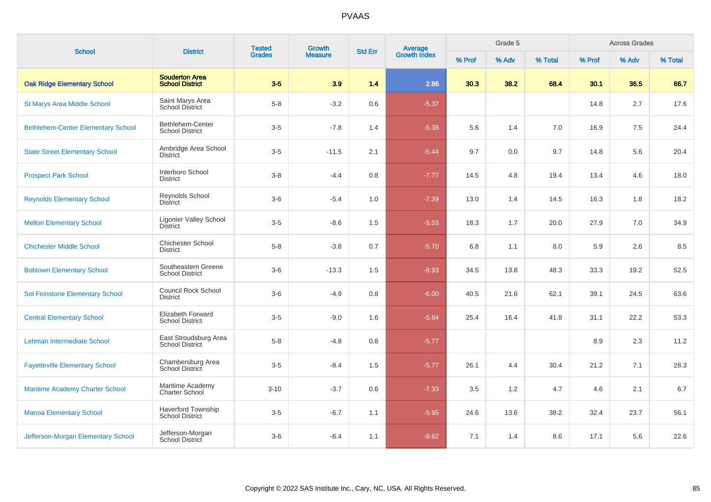| <b>School</b>                             | <b>District</b>                                     | <b>Tested</b> | Growth         | <b>Std Err</b> | <b>Average</b><br>Growth Index |      | Grade 5 |         | <b>Across Grades</b> |       |         |  |
|-------------------------------------------|-----------------------------------------------------|---------------|----------------|----------------|--------------------------------|------|---------|---------|----------------------|-------|---------|--|
|                                           |                                                     | <b>Grades</b> | <b>Measure</b> |                |                                |      | % Adv   | % Total | % Prof               | % Adv | % Total |  |
| <b>Oak Ridge Elementary School</b>        | <b>Souderton Area</b><br><b>School District</b>     | $3-5$         | 3.9            | 1.4            | 2.86                           | 30.3 | 38.2    | 68.4    | 30.1                 | 36.5  | 66.7    |  |
| <b>St Marys Area Middle School</b>        | Saint Marys Area<br><b>School District</b>          | $5-8$         | $-3.2$         | 0.6            | $-5.37$                        |      |         |         | 14.8                 | 2.7   | 17.6    |  |
| <b>Bethlehem-Center Elementary School</b> | Bethlehem-Center<br><b>School District</b>          | $3-5$         | $-7.8$         | 1.4            | $-5.38$                        | 5.6  | 1.4     | 7.0     | 16.9                 | 7.5   | 24.4    |  |
| <b>State Street Elementary School</b>     | Ambridge Area School<br><b>District</b>             | $3-5$         | $-11.5$        | 2.1            | $-5.44$                        | 9.7  | 0.0     | 9.7     | 14.8                 | 5.6   | 20.4    |  |
| <b>Prospect Park School</b>               | Interboro School<br><b>District</b>                 | $3-8$         | $-4.4$         | 0.8            | $-7.77$                        | 14.5 | 4.8     | 19.4    | 13.4                 | 4.6   | 18.0    |  |
| <b>Reynolds Elementary School</b>         | <b>Reynolds School</b><br><b>District</b>           | $3-6$         | $-5.4$         | 1.0            | $-7.39$                        | 13.0 | 1.4     | 14.5    | 16.3                 | 1.8   | 18.2    |  |
| <b>Mellon Elementary School</b>           | Ligonier Valley School<br><b>District</b>           | $3-5$         | $-8.6$         | 1.5            | $-5.53$                        | 18.3 | 1.7     | 20.0    | 27.9                 | 7.0   | 34.9    |  |
| <b>Chichester Middle School</b>           | <b>Chichester School</b><br><b>District</b>         | $5-8$         | $-3.8$         | 0.7            | $-5.70$                        | 6.8  | 1.1     | 8.0     | 5.9                  | 2.6   | 8.5     |  |
| <b>Bobtown Elementary School</b>          | Southeastern Greene<br><b>School District</b>       | $3-6$         | $-13.3$        | 1.5            | $-8.93$                        | 34.5 | 13.8    | 48.3    | 33.3                 | 19.2  | 52.5    |  |
| Sol Feinstone Elementary School           | Council Rock School<br><b>District</b>              | $3-6$         | $-4.9$         | 0.8            | $-6.00$                        | 40.5 | 21.6    | 62.1    | 39.1                 | 24.5  | 63.6    |  |
| <b>Central Elementary School</b>          | Elizabeth Forward<br><b>School District</b>         | $3-5$         | $-9.0$         | 1.6            | $-5.64$                        | 25.4 | 16.4    | 41.8    | 31.1                 | 22.2  | 53.3    |  |
| Lehman Intermediate School                | East Stroudsburg Area<br><b>School District</b>     | $5-8$         | $-4.8$         | 0.8            | $-5.77$                        |      |         |         | 8.9                  | 2.3   | 11.2    |  |
| <b>Fayetteville Elementary School</b>     | Chambersburg Area<br>School District                | $3-5$         | $-8.4$         | 1.5            | $-5.77$                        | 26.1 | 4.4     | 30.4    | 21.2                 | 7.1   | 28.3    |  |
| <b>Maritime Academy Charter School</b>    | Maritime Academy<br><b>Charter School</b>           | $3 - 10$      | $-3.7$         | 0.6            | $-7.33$                        | 3.5  | 1.2     | 4.7     | 4.6                  | 2.1   | 6.7     |  |
| <b>Manoa Elementary School</b>            | <b>Haverford Township</b><br><b>School District</b> | $3-5$         | $-6.7$         | 1.1            | $-5.95$                        | 24.6 | 13.6    | 38.2    | 32.4                 | 23.7  | 56.1    |  |
| Jefferson-Morgan Elementary School        | Jefferson-Morgan<br>School District                 | $3-6$         | $-6.4$         | 1.1            | $-9.62$                        | 7.1  | 1.4     | 8.6     | 17.1                 | 5.6   | 22.6    |  |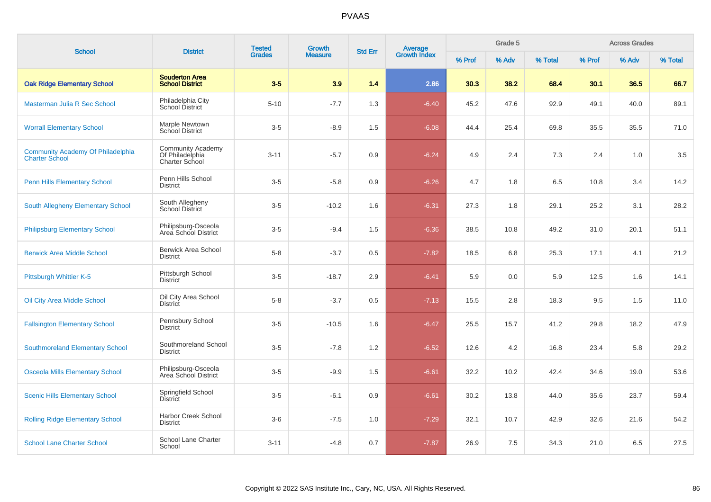| <b>School</b>                                                     | <b>District</b>                                                      | <b>Tested</b> | Growth<br><b>Measure</b> | <b>Std Err</b> |                         |        | Grade 5 |         | <b>Across Grades</b> |       |         |  |
|-------------------------------------------------------------------|----------------------------------------------------------------------|---------------|--------------------------|----------------|-------------------------|--------|---------|---------|----------------------|-------|---------|--|
|                                                                   |                                                                      | <b>Grades</b> |                          |                | Average<br>Growth Index | % Prof | % Adv   | % Total | % Prof               | % Adv | % Total |  |
| <b>Oak Ridge Elementary School</b>                                | <b>Souderton Area</b><br><b>School District</b>                      | $3 - 5$       | 3.9                      | 1.4            | 2.86                    | 30.3   | 38.2    | 68.4    | 30.1                 | 36.5  | 66.7    |  |
| Masterman Julia R Sec School                                      | Philadelphia City<br>School District                                 | $5 - 10$      | $-7.7$                   | 1.3            | $-6.40$                 | 45.2   | 47.6    | 92.9    | 49.1                 | 40.0  | 89.1    |  |
| <b>Worrall Elementary School</b>                                  | Marple Newtown<br>School District                                    | $3-5$         | $-8.9$                   | 1.5            | $-6.08$                 | 44.4   | 25.4    | 69.8    | 35.5                 | 35.5  | 71.0    |  |
| <b>Community Academy Of Philadelphia</b><br><b>Charter School</b> | <b>Community Academy</b><br>Of Philadelphia<br><b>Charter School</b> | $3 - 11$      | $-5.7$                   | 0.9            | $-6.24$                 | 4.9    | 2.4     | 7.3     | 2.4                  | 1.0   | 3.5     |  |
| <b>Penn Hills Elementary School</b>                               | Penn Hills School<br><b>District</b>                                 | $3-5$         | $-5.8$                   | 0.9            | $-6.26$                 | 4.7    | 1.8     | 6.5     | 10.8                 | 3.4   | 14.2    |  |
| South Allegheny Elementary School                                 | South Allegheny<br><b>School District</b>                            | $3-5$         | $-10.2$                  | 1.6            | $-6.31$                 | 27.3   | 1.8     | 29.1    | 25.2                 | 3.1   | 28.2    |  |
| <b>Philipsburg Elementary School</b>                              | Philipsburg-Osceola<br>Area School District                          | $3-5$         | $-9.4$                   | 1.5            | $-6.36$                 | 38.5   | 10.8    | 49.2    | 31.0                 | 20.1  | 51.1    |  |
| <b>Berwick Area Middle School</b>                                 | <b>Berwick Area School</b><br><b>District</b>                        | $5-8$         | $-3.7$                   | 0.5            | $-7.82$                 | 18.5   | 6.8     | 25.3    | 17.1                 | 4.1   | 21.2    |  |
| Pittsburgh Whittier K-5                                           | Pittsburgh School<br><b>District</b>                                 | $3-5$         | $-18.7$                  | 2.9            | $-6.41$                 | 5.9    | 0.0     | 5.9     | 12.5                 | 1.6   | 14.1    |  |
| Oil City Area Middle School                                       | Oil City Area School<br><b>District</b>                              | $5-8$         | $-3.7$                   | 0.5            | $-7.13$                 | 15.5   | 2.8     | 18.3    | 9.5                  | 1.5   | 11.0    |  |
| <b>Fallsington Elementary School</b>                              | Pennsbury School<br><b>District</b>                                  | $3-5$         | $-10.5$                  | 1.6            | $-6.47$                 | 25.5   | 15.7    | 41.2    | 29.8                 | 18.2  | 47.9    |  |
| <b>Southmoreland Elementary School</b>                            | Southmoreland School<br><b>District</b>                              | $3-5$         | $-7.8$                   | 1.2            | $-6.52$                 | 12.6   | 4.2     | 16.8    | 23.4                 | 5.8   | 29.2    |  |
| <b>Osceola Mills Elementary School</b>                            | Philipsburg-Osceola<br>Area School District                          | $3-5$         | $-9.9$                   | 1.5            | $-6.61$                 | 32.2   | 10.2    | 42.4    | 34.6                 | 19.0  | 53.6    |  |
| <b>Scenic Hills Elementary School</b>                             | Springfield School<br><b>District</b>                                | $3-5$         | $-6.1$                   | 0.9            | $-6.61$                 | 30.2   | 13.8    | 44.0    | 35.6                 | 23.7  | 59.4    |  |
| <b>Rolling Ridge Elementary School</b>                            | <b>Harbor Creek School</b><br><b>District</b>                        | $3-6$         | $-7.5$                   | 1.0            | $-7.29$                 | 32.1   | 10.7    | 42.9    | 32.6                 | 21.6  | 54.2    |  |
| <b>School Lane Charter School</b>                                 | School Lane Charter<br>School                                        | $3 - 11$      | $-4.8$                   | 0.7            | $-7.87$                 | 26.9   | 7.5     | 34.3    | 21.0                 | 6.5   | 27.5    |  |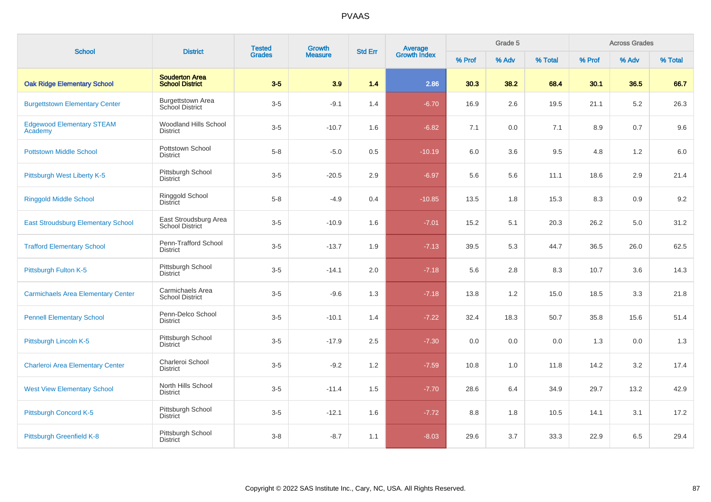| <b>School</b>                               | <b>District</b>                                    | <b>Tested</b> | Growth         | <b>Std Err</b> | Average<br>Growth Index |        | Grade 5 |         | <b>Across Grades</b> |       |         |  |
|---------------------------------------------|----------------------------------------------------|---------------|----------------|----------------|-------------------------|--------|---------|---------|----------------------|-------|---------|--|
|                                             |                                                    | <b>Grades</b> | <b>Measure</b> |                |                         | % Prof | % Adv   | % Total | % Prof               | % Adv | % Total |  |
| <b>Oak Ridge Elementary School</b>          | <b>Souderton Area</b><br><b>School District</b>    | $3-5$         | 3.9            | 1.4            | 2.86                    | 30.3   | 38.2    | 68.4    | 30.1                 | 36.5  | 66.7    |  |
| <b>Burgettstown Elementary Center</b>       | <b>Burgettstown Area</b><br><b>School District</b> | $3-5$         | $-9.1$         | 1.4            | $-6.70$                 | 16.9   | 2.6     | 19.5    | 21.1                 | 5.2   | 26.3    |  |
| <b>Edgewood Elementary STEAM</b><br>Academy | <b>Woodland Hills School</b><br><b>District</b>    | $3-5$         | $-10.7$        | 1.6            | $-6.82$                 | 7.1    | 0.0     | 7.1     | 8.9                  | 0.7   | 9.6     |  |
| <b>Pottstown Middle School</b>              | Pottstown School<br><b>District</b>                | $5-8$         | $-5.0$         | 0.5            | $-10.19$                | 6.0    | 3.6     | 9.5     | 4.8                  | 1.2   | 6.0     |  |
| Pittsburgh West Liberty K-5                 | Pittsburgh School<br><b>District</b>               | $3-5$         | $-20.5$        | 2.9            | $-6.97$                 | 5.6    | 5.6     | 11.1    | 18.6                 | 2.9   | 21.4    |  |
| <b>Ringgold Middle School</b>               | Ringgold School<br><b>District</b>                 | $5-8$         | $-4.9$         | 0.4            | $-10.85$                | 13.5   | 1.8     | 15.3    | 8.3                  | 0.9   | 9.2     |  |
| <b>East Stroudsburg Elementary School</b>   | East Stroudsburg Area<br><b>School District</b>    | $3-5$         | $-10.9$        | 1.6            | $-7.01$                 | 15.2   | 5.1     | 20.3    | 26.2                 | 5.0   | 31.2    |  |
| <b>Trafford Elementary School</b>           | Penn-Trafford School<br><b>District</b>            | $3-5$         | $-13.7$        | 1.9            | $-7.13$                 | 39.5   | 5.3     | 44.7    | 36.5                 | 26.0  | 62.5    |  |
| Pittsburgh Fulton K-5                       | Pittsburgh School<br>District                      | $3-5$         | $-14.1$        | 2.0            | $-7.18$                 | 5.6    | 2.8     | 8.3     | 10.7                 | 3.6   | 14.3    |  |
| <b>Carmichaels Area Elementary Center</b>   | Carmichaels Area<br><b>School District</b>         | $3-5$         | $-9.6$         | 1.3            | $-7.18$                 | 13.8   | 1.2     | 15.0    | 18.5                 | 3.3   | 21.8    |  |
| <b>Pennell Elementary School</b>            | Penn-Delco School<br><b>District</b>               | $3-5$         | $-10.1$        | 1.4            | $-7.22$                 | 32.4   | 18.3    | 50.7    | 35.8                 | 15.6  | 51.4    |  |
| Pittsburgh Lincoln K-5                      | Pittsburgh School<br><b>District</b>               | $3-5$         | $-17.9$        | 2.5            | $-7.30$                 | 0.0    | 0.0     | 0.0     | 1.3                  | 0.0   | 1.3     |  |
| <b>Charleroi Area Elementary Center</b>     | Charleroi School<br><b>District</b>                | $3-5$         | $-9.2$         | 1.2            | $-7.59$                 | 10.8   | 1.0     | 11.8    | 14.2                 | 3.2   | 17.4    |  |
| <b>West View Elementary School</b>          | North Hills School<br><b>District</b>              | $3-5$         | $-11.4$        | 1.5            | $-7.70$                 | 28.6   | 6.4     | 34.9    | 29.7                 | 13.2  | 42.9    |  |
| Pittsburgh Concord K-5                      | Pittsburgh School<br><b>District</b>               | $3-5$         | $-12.1$        | 1.6            | $-7.72$                 | 8.8    | 1.8     | 10.5    | 14.1                 | 3.1   | 17.2    |  |
| Pittsburgh Greenfield K-8                   | Pittsburgh School<br><b>District</b>               | $3-8$         | $-8.7$         | 1.1            | $-8.03$                 | 29.6   | 3.7     | 33.3    | 22.9                 | 6.5   | 29.4    |  |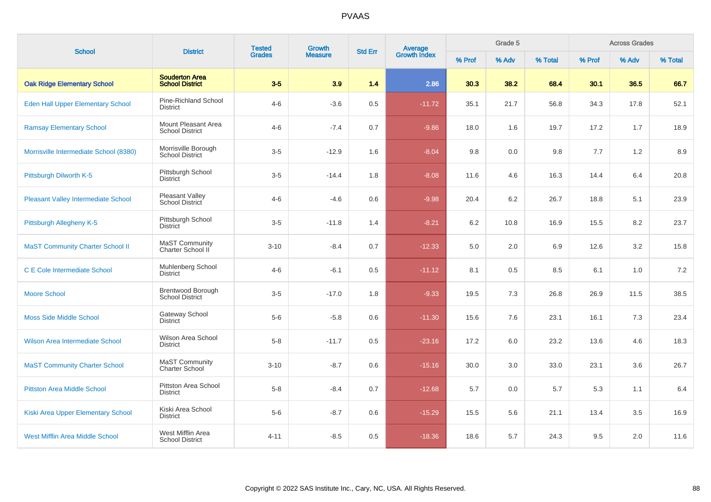| <b>School</b>                              | <b>Tested</b><br>Growth<br>Average<br>Growth Index<br><b>District</b><br><b>Std Err</b><br><b>Grades</b><br><b>Measure</b> |          |         |       |          |        | Grade 5 |         | <b>Across Grades</b> |      |      |  |
|--------------------------------------------|----------------------------------------------------------------------------------------------------------------------------|----------|---------|-------|----------|--------|---------|---------|----------------------|------|------|--|
|                                            |                                                                                                                            |          | % Prof  | % Adv | % Total  | % Prof | % Adv   | % Total |                      |      |      |  |
| <b>Oak Ridge Elementary School</b>         | <b>Souderton Area</b><br><b>School District</b>                                                                            | $3-5$    | 3.9     | 1.4   | 2.86     | 30.3   | 38.2    | 68.4    | 30.1                 | 36.5 | 66.7 |  |
| Eden Hall Upper Elementary School          | Pine-Richland School<br><b>District</b>                                                                                    | $4 - 6$  | $-3.6$  | 0.5   | $-11.72$ | 35.1   | 21.7    | 56.8    | 34.3                 | 17.8 | 52.1 |  |
| <b>Ramsay Elementary School</b>            | Mount Pleasant Area<br><b>School District</b>                                                                              | $4 - 6$  | $-7.4$  | 0.7   | $-9.86$  | 18.0   | 1.6     | 19.7    | 17.2                 | 1.7  | 18.9 |  |
| Morrisville Intermediate School (8380)     | Morrisville Borough<br><b>School District</b>                                                                              | $3-5$    | $-12.9$ | 1.6   | $-8.04$  | 9.8    | 0.0     | 9.8     | 7.7                  | 1.2  | 8.9  |  |
| Pittsburgh Dilworth K-5                    | Pittsburgh School<br><b>District</b>                                                                                       | $3-5$    | $-14.4$ | 1.8   | $-8.08$  | 11.6   | 4.6     | 16.3    | 14.4                 | 6.4  | 20.8 |  |
| <b>Pleasant Valley Intermediate School</b> | Pleasant Valley<br>School District                                                                                         | $4 - 6$  | $-4.6$  | 0.6   | $-9.98$  | 20.4   | 6.2     | 26.7    | 18.8                 | 5.1  | 23.9 |  |
| Pittsburgh Allegheny K-5                   | Pittsburgh School<br><b>District</b>                                                                                       | $3-5$    | $-11.8$ | 1.4   | $-8.21$  | 6.2    | 10.8    | 16.9    | 15.5                 | 8.2  | 23.7 |  |
| <b>MaST Community Charter School II</b>    | MaST Community<br>Charter School II                                                                                        | $3 - 10$ | $-8.4$  | 0.7   | $-12.33$ | 5.0    | 2.0     | 6.9     | 12.6                 | 3.2  | 15.8 |  |
| <b>C E Cole Intermediate School</b>        | Muhlenberg School<br><b>District</b>                                                                                       | $4 - 6$  | $-6.1$  | 0.5   | $-11.12$ | 8.1    | 0.5     | 8.5     | 6.1                  | 1.0  | 7.2  |  |
| <b>Moore School</b>                        | <b>Brentwood Borough</b><br><b>School District</b>                                                                         | $3-5$    | $-17.0$ | 1.8   | $-9.33$  | 19.5   | 7.3     | 26.8    | 26.9                 | 11.5 | 38.5 |  |
| <b>Moss Side Middle School</b>             | Gateway School<br><b>District</b>                                                                                          | $5-6$    | $-5.8$  | 0.6   | $-11.30$ | 15.6   | 7.6     | 23.1    | 16.1                 | 7.3  | 23.4 |  |
| Wilson Area Intermediate School            | Wilson Area School<br><b>District</b>                                                                                      | $5 - 8$  | $-11.7$ | 0.5   | $-23.16$ | 17.2   | 6.0     | 23.2    | 13.6                 | 4.6  | 18.3 |  |
| <b>MaST Community Charter School</b>       | MaST Community<br><b>Charter School</b>                                                                                    | $3 - 10$ | $-8.7$  | 0.6   | $-15.16$ | 30.0   | 3.0     | 33.0    | 23.1                 | 3.6  | 26.7 |  |
| <b>Pittston Area Middle School</b>         | Pittston Area School<br><b>District</b>                                                                                    | $5-8$    | $-8.4$  | 0.7   | $-12.68$ | 5.7    | 0.0     | 5.7     | 5.3                  | 1.1  | 6.4  |  |
| Kiski Area Upper Elementary School         | Kiski Area School<br><b>District</b>                                                                                       | $5-6$    | $-8.7$  | 0.6   | $-15.29$ | 15.5   | 5.6     | 21.1    | 13.4                 | 3.5  | 16.9 |  |
| <b>West Mifflin Area Middle School</b>     | West Mifflin Area<br><b>School District</b>                                                                                | $4 - 11$ | $-8.5$  | 0.5   | $-18.36$ | 18.6   | 5.7     | 24.3    | 9.5                  | 2.0  | 11.6 |  |